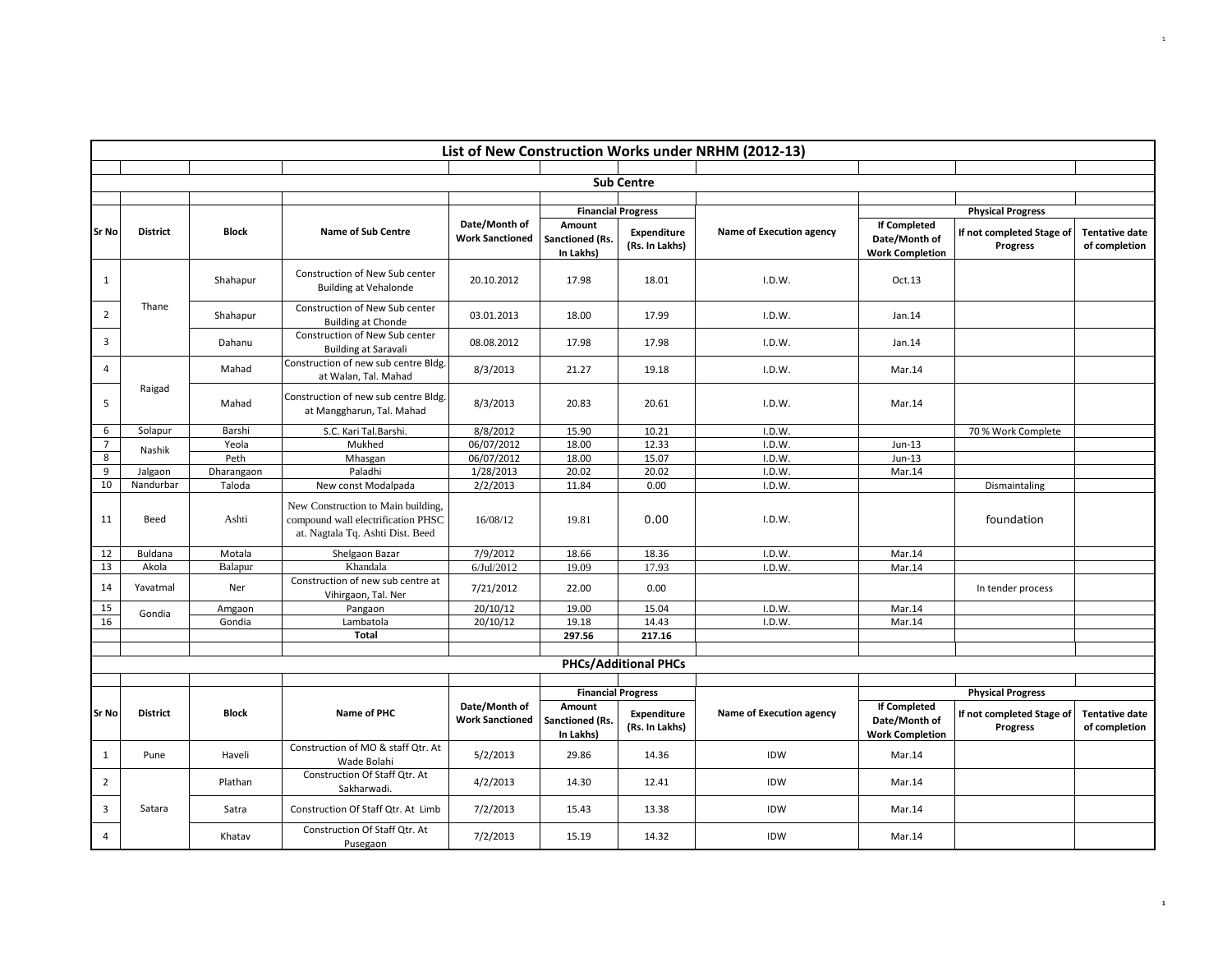|                | List of New Construction Works under NRHM (2012-13) |              |                                                                                                              |                                         |                                        |                                      |                                 |                                                                |                                       |                                        |  |  |  |
|----------------|-----------------------------------------------------|--------------|--------------------------------------------------------------------------------------------------------------|-----------------------------------------|----------------------------------------|--------------------------------------|---------------------------------|----------------------------------------------------------------|---------------------------------------|----------------------------------------|--|--|--|
|                |                                                     |              |                                                                                                              |                                         |                                        |                                      |                                 |                                                                |                                       |                                        |  |  |  |
|                |                                                     |              |                                                                                                              |                                         |                                        | <b>Sub Centre</b>                    |                                 |                                                                |                                       |                                        |  |  |  |
|                |                                                     |              |                                                                                                              |                                         |                                        |                                      |                                 |                                                                |                                       |                                        |  |  |  |
|                |                                                     |              |                                                                                                              |                                         |                                        | <b>Financial Progress</b>            |                                 |                                                                | <b>Physical Progress</b>              |                                        |  |  |  |
| Sr No          | <b>District</b>                                     | <b>Block</b> | <b>Name of Sub Centre</b>                                                                                    | Date/Month of<br><b>Work Sanctioned</b> | Amount<br>Sanctioned (Rs.<br>In Lakhs) | <b>Expenditure</b><br>(Rs. In Lakhs) | <b>Name of Execution agency</b> | <b>If Completed</b><br>Date/Month of<br><b>Work Completion</b> | If not completed Stage of<br>Progress | <b>Tentative date</b><br>of completion |  |  |  |
| 1              |                                                     | Shahapur     | Construction of New Sub center<br><b>Building at Vehalonde</b>                                               | 20.10.2012                              | 17.98                                  | 18.01                                | I.D.W.                          | Oct.13                                                         |                                       |                                        |  |  |  |
| $\overline{2}$ | Thane                                               | Shahapur     | Construction of New Sub center<br><b>Building at Chonde</b>                                                  | 03.01.2013                              | 18.00                                  | 17.99                                | I.D.W.                          | Jan.14                                                         |                                       |                                        |  |  |  |
| 3              |                                                     | Dahanu       | Construction of New Sub center<br><b>Building at Saravali</b>                                                | 08.08.2012                              | 17.98                                  | 17.98                                | I.D.W.                          | Jan.14                                                         |                                       |                                        |  |  |  |
| $\overline{4}$ |                                                     | Mahad        | Construction of new sub centre Bldg.<br>at Walan, Tal. Mahad                                                 | 8/3/2013                                | 21.27                                  | 19.18                                | I.D.W.                          | Mar.14                                                         |                                       |                                        |  |  |  |
| 5              | Raigad                                              | Mahad        | Construction of new sub centre Bldg.<br>at Manggharun, Tal. Mahad                                            | 8/3/2013                                | 20.83                                  | 20.61                                | I.D.W.                          | Mar.14                                                         |                                       |                                        |  |  |  |
| 6              | Solapur                                             | Barshi       | S.C. Kari Tal.Barshi.                                                                                        | 8/8/2012                                | 15.90                                  | 10.21                                | I.D.W.                          |                                                                | 70 % Work Complete                    |                                        |  |  |  |
| $\overline{7}$ | Nashik                                              | Yeola        | Mukhed                                                                                                       | 06/07/2012                              | 18.00                                  | 12.33                                | I.D.W.                          | $Jun-13$                                                       |                                       |                                        |  |  |  |
| 8              |                                                     | Peth         | Mhasgan                                                                                                      | 06/07/2012                              | 18.00                                  | 15.07                                | I.D.W.                          | $Jun-13$                                                       |                                       |                                        |  |  |  |
| 9              | Jalgaon                                             | Dharangaon   | Paladhi                                                                                                      | 1/28/2013                               | 20.02                                  | 20.02                                | I.D.W.                          | Mar.14                                                         |                                       |                                        |  |  |  |
| 10             | Nandurbar                                           | Taloda       | New const Modalpada                                                                                          | 2/2/2013                                | 11.84                                  | 0.00                                 | I.D.W.                          |                                                                | Dismaintaling                         |                                        |  |  |  |
| 11             | Beed                                                | Ashti        | New Construction to Main building,<br>compound wall electrification PHSC<br>at. Nagtala Tq. Ashti Dist. Beed | 16/08/12                                | 19.81                                  | 0.00                                 | I.D.W.                          |                                                                | foundation                            |                                        |  |  |  |
| 12             | Buldana                                             | Motala       | Shelgaon Bazar                                                                                               | 7/9/2012                                | 18.66                                  | 18.36                                | I.D.W.                          | Mar.14                                                         |                                       |                                        |  |  |  |
| 13             | Akola                                               | Balapur      | Khandala                                                                                                     | 6/Jul/2012                              | 19.09                                  | 17.93                                | I.D.W.                          | Mar.14                                                         |                                       |                                        |  |  |  |
| 14             | Yavatmal                                            | Ner          | Construction of new sub centre at<br>Vihirgaon, Tal. Ner                                                     | 7/21/2012                               | 22.00                                  | 0.00                                 |                                 |                                                                | In tender process                     |                                        |  |  |  |
| 15             | Gondia                                              | Amgaon       | Pangaon                                                                                                      | 20/10/12                                | 19.00                                  | 15.04                                | I.D.W.                          | Mar.14                                                         |                                       |                                        |  |  |  |
| 16             |                                                     | Gondia       | Lambatola                                                                                                    | 20/10/12                                | 19.18                                  | 14.43                                | I.D.W.                          | Mar.14                                                         |                                       |                                        |  |  |  |
|                |                                                     |              | Total                                                                                                        |                                         | 297.56                                 | 217.16                               |                                 |                                                                |                                       |                                        |  |  |  |
|                |                                                     |              |                                                                                                              |                                         |                                        |                                      |                                 |                                                                |                                       |                                        |  |  |  |
|                |                                                     |              |                                                                                                              |                                         |                                        | <b>PHCs/Additional PHCs</b>          |                                 |                                                                |                                       |                                        |  |  |  |
|                |                                                     |              |                                                                                                              |                                         |                                        |                                      |                                 |                                                                |                                       |                                        |  |  |  |
|                |                                                     |              |                                                                                                              |                                         |                                        | <b>Financial Progress</b>            |                                 |                                                                | <b>Physical Progress</b>              |                                        |  |  |  |
| <b>Sr No</b>   | <b>District</b>                                     | <b>Block</b> | Name of PHC                                                                                                  | Date/Month of<br><b>Work Sanctioned</b> | Amount<br>Sanctioned (Rs.<br>In Lakhs) | <b>Expenditure</b><br>(Rs. In Lakhs) | <b>Name of Execution agency</b> | <b>If Completed</b><br>Date/Month of<br><b>Work Completion</b> | If not completed Stage of<br>Progress | <b>Tentative date</b><br>of completion |  |  |  |
| 1              | Pune                                                | Haveli       | Construction of MO & staff Qtr. At<br>Wade Bolahi                                                            | 5/2/2013                                | 29.86                                  | 14.36                                | IDW                             | Mar.14                                                         |                                       |                                        |  |  |  |
| $\overline{2}$ |                                                     | Plathan      | Construction Of Staff Qtr. At<br>Sakharwadi.                                                                 | 4/2/2013                                | 14.30                                  | 12.41                                | IDW                             | Mar.14                                                         |                                       |                                        |  |  |  |
| 3              | Satara                                              | Satra        | Construction Of Staff Qtr. At Limb                                                                           | 7/2/2013                                | 15.43                                  | 13.38                                | IDW                             | Mar.14                                                         |                                       |                                        |  |  |  |
| $\overline{4}$ |                                                     | Khatav       | Construction Of Staff Qtr. At<br>Pusegaon                                                                    | 7/2/2013                                | 15.19                                  | 14.32                                | IDW                             | Mar.14                                                         |                                       |                                        |  |  |  |

**1**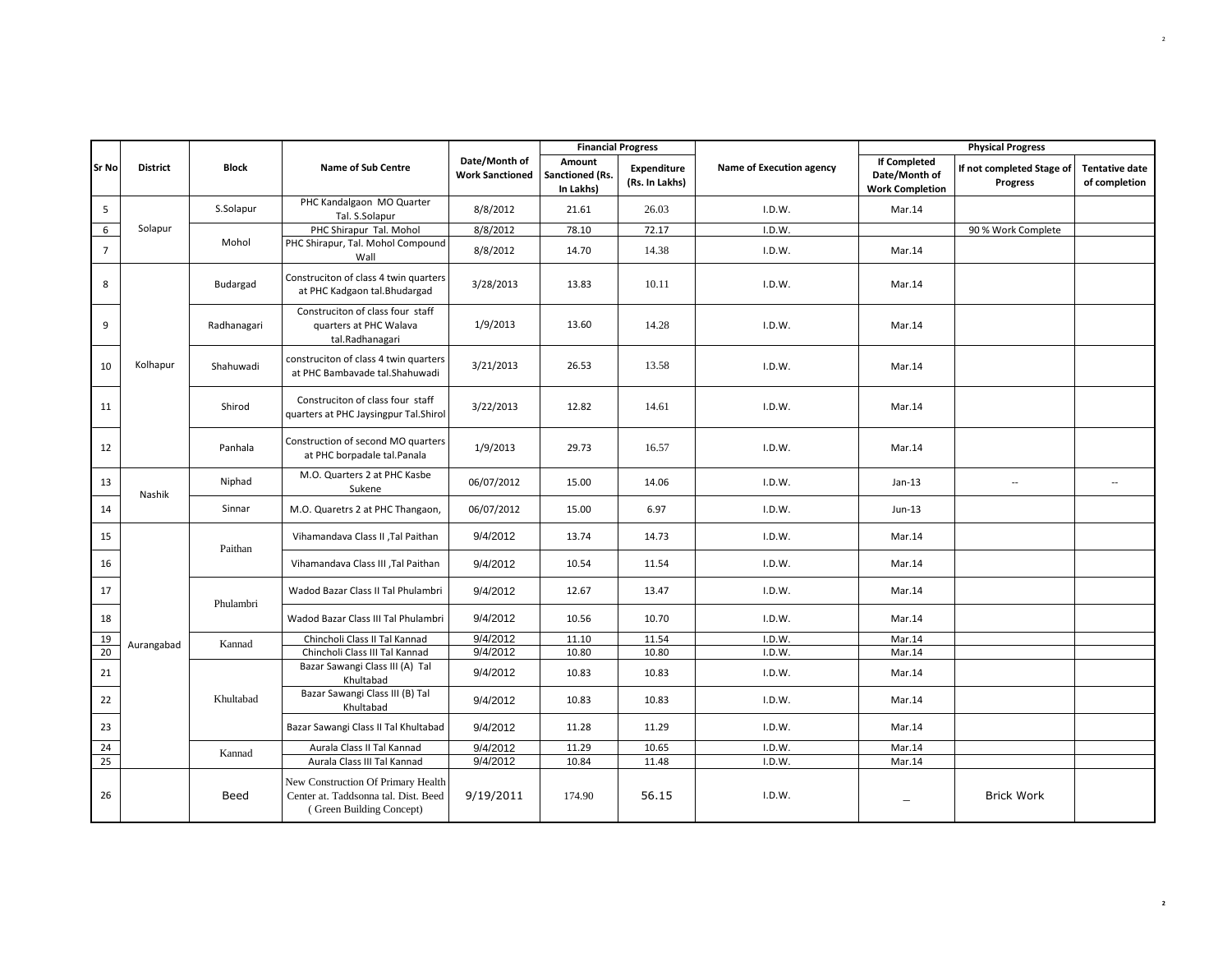|                |                 |             |                                                                                                        |                                         |                                        | <b>Financial Progress</b>     |                          |                                                                | <b>Physical Progress</b>                                                        |
|----------------|-----------------|-------------|--------------------------------------------------------------------------------------------------------|-----------------------------------------|----------------------------------------|-------------------------------|--------------------------|----------------------------------------------------------------|---------------------------------------------------------------------------------|
| Sr No          | <b>District</b> | Block       | <b>Name of Sub Centre</b>                                                                              | Date/Month of<br><b>Work Sanctioned</b> | Amount<br>Sanctioned (Rs.<br>In Lakhs) | Expenditure<br>(Rs. In Lakhs) | Name of Execution agency | <b>If Completed</b><br>Date/Month of<br><b>Work Completion</b> | If not completed Stage of<br><b>Tentative date</b><br>of completion<br>Progress |
| 5              |                 | S.Solapur   | PHC Kandalgaon MO Quarter<br>Tal. S.Solapur                                                            | 8/8/2012                                | 21.61                                  | 26.03                         | I.D.W.                   | Mar.14                                                         |                                                                                 |
| 6              | Solapur         |             | PHC Shirapur Tal. Mohol                                                                                | 8/8/2012                                | 78.10                                  | 72.17                         | I.D.W.                   |                                                                | 90 % Work Complete                                                              |
| $\overline{7}$ |                 | Mohol       | PHC Shirapur, Tal. Mohol Compound<br>Wall                                                              | 8/8/2012                                | 14.70                                  | 14.38                         | I.D.W.                   | Mar.14                                                         |                                                                                 |
| 8              |                 | Budargad    | Construciton of class 4 twin quarters<br>at PHC Kadgaon tal.Bhudargad                                  | 3/28/2013                               | 13.83                                  | 10.11                         | I.D.W.                   | Mar.14                                                         |                                                                                 |
| 9              |                 | Radhanagari | Construciton of class four staff<br>quarters at PHC Walava<br>tal.Radhanagari                          | 1/9/2013                                | 13.60                                  | 14.28                         | I.D.W.                   | Mar.14                                                         |                                                                                 |
| 10             | Kolhapur        | Shahuwadi   | construciton of class 4 twin quarters<br>at PHC Bambavade tal.Shahuwadi                                | 3/21/2013                               | 26.53                                  | 13.58                         | I.D.W.                   | Mar.14                                                         |                                                                                 |
| 11             |                 | Shirod      | Construciton of class four staff<br>quarters at PHC Jaysingpur Tal.Shirol                              | 3/22/2013                               | 12.82                                  | 14.61                         | I.D.W.                   | Mar.14                                                         |                                                                                 |
| 12             |                 | Panhala     | Construction of second MO quarters<br>at PHC borpadale tal.Panala                                      | 1/9/2013                                | 29.73                                  | 16.57                         | I.D.W.                   | Mar.14                                                         |                                                                                 |
| 13             | Nashik          | Niphad      | M.O. Quarters 2 at PHC Kasbe<br>Sukene                                                                 | 06/07/2012                              | 15.00                                  | 14.06                         | I.D.W.                   | $Jan-13$                                                       | $\sim$<br>$\overline{\phantom{a}}$                                              |
| 14             |                 | Sinnar      | M.O. Quaretrs 2 at PHC Thangaon,                                                                       | 06/07/2012                              | 15.00                                  | 6.97                          | I.D.W.                   | $Jun-13$                                                       |                                                                                 |
| 15             |                 | Paithan     | Vihamandava Class II , Tal Paithan                                                                     | 9/4/2012                                | 13.74                                  | 14.73                         | I.D.W.                   | Mar.14                                                         |                                                                                 |
| 16             |                 |             | Vihamandava Class III , Tal Paithan                                                                    | 9/4/2012                                | 10.54                                  | 11.54                         | I.D.W.                   | Mar.14                                                         |                                                                                 |
| 17             |                 | Phulambri   | Wadod Bazar Class II Tal Phulambri                                                                     | 9/4/2012                                | 12.67                                  | 13.47                         | I.D.W.                   | Mar.14                                                         |                                                                                 |
| 18             |                 |             | Wadod Bazar Class III Tal Phulambri                                                                    | 9/4/2012                                | 10.56                                  | 10.70                         | I.D.W.                   | Mar.14                                                         |                                                                                 |
| 19             | Aurangabad      | Kannad      | Chincholi Class II Tal Kannad                                                                          | 9/4/2012                                | 11.10                                  | 11.54                         | I.D.W.                   | Mar.14                                                         |                                                                                 |
| 20             |                 |             | Chincholi Class III Tal Kannad                                                                         | 9/4/2012                                | 10.80                                  | 10.80                         | I.D.W.                   | Mar.14                                                         |                                                                                 |
| 21             |                 |             | Bazar Sawangi Class III (A) Tal<br>Khultabad                                                           | 9/4/2012                                | 10.83                                  | 10.83                         | I.D.W.                   | Mar.14                                                         |                                                                                 |
| 22             |                 | Khultabad   | Bazar Sawangi Class III (B) Tal<br>Khultabad                                                           | 9/4/2012                                | 10.83                                  | 10.83                         | I.D.W.                   | Mar.14                                                         |                                                                                 |
| 23             |                 |             | Bazar Sawangi Class II Tal Khultabad                                                                   | 9/4/2012                                | 11.28                                  | 11.29                         | I.D.W.                   | Mar.14                                                         |                                                                                 |
| 24             |                 | Kannad      | Aurala Class II Tal Kannad                                                                             | 9/4/2012                                | 11.29                                  | 10.65                         | I.D.W.                   | Mar.14                                                         |                                                                                 |
| 25             |                 |             | Aurala Class III Tal Kannad                                                                            | 9/4/2012                                | 10.84                                  | 11.48                         | I.D.W.                   | Mar.14                                                         |                                                                                 |
| 26             |                 | Beed        | New Construction Of Primary Health<br>Center at. Taddsonna tal. Dist. Beed<br>(Green Building Concept) | 9/19/2011                               | 174.90                                 | 56.15                         | I.D.W.                   |                                                                | <b>Brick Work</b>                                                               |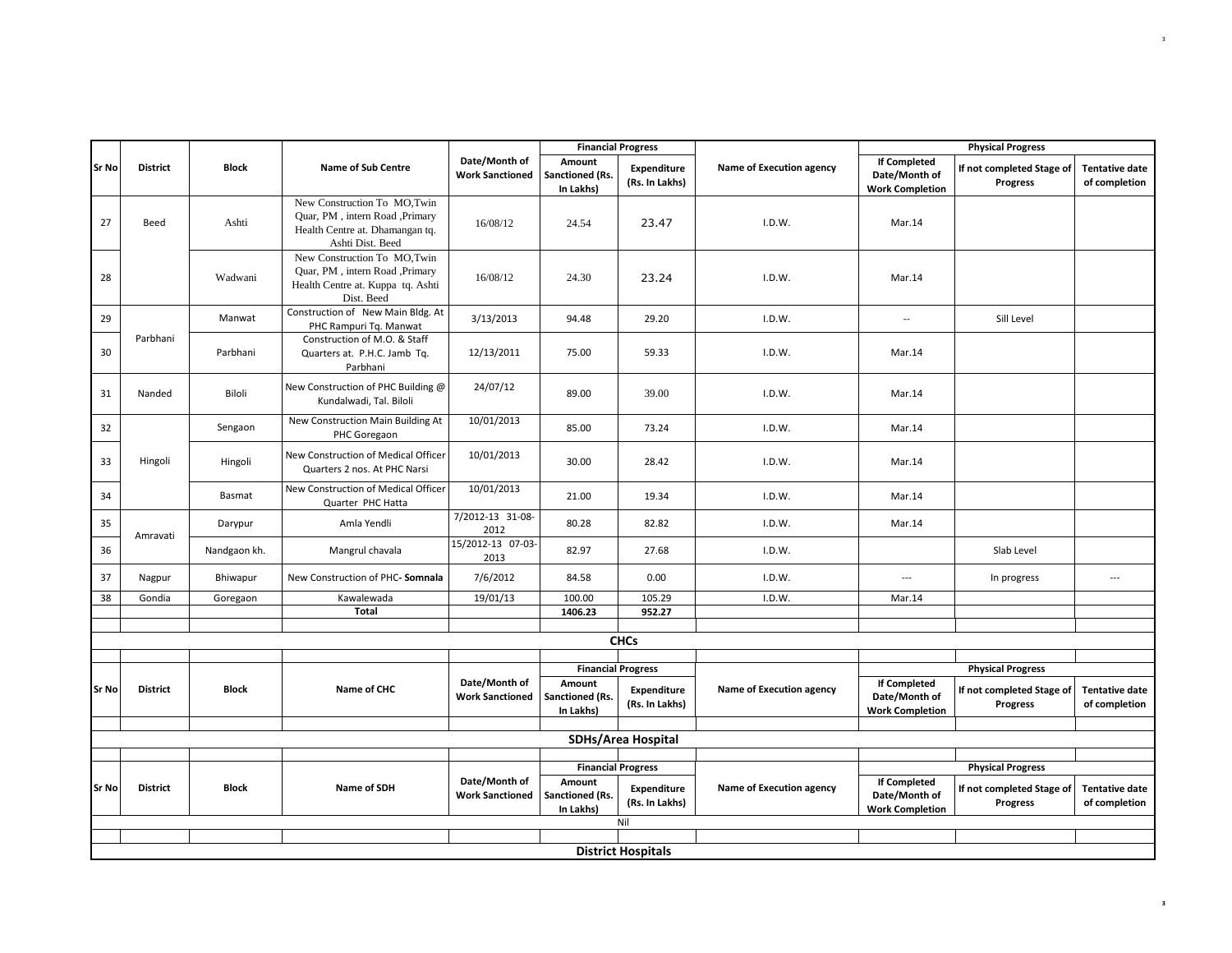| <b>Financial Progress</b> |                 |              |                                                                                                                       |                                         |                                        |                                      |                          |                                                                | <b>Physical Progress</b>                     |                                        |
|---------------------------|-----------------|--------------|-----------------------------------------------------------------------------------------------------------------------|-----------------------------------------|----------------------------------------|--------------------------------------|--------------------------|----------------------------------------------------------------|----------------------------------------------|----------------------------------------|
| Sr No                     | <b>District</b> | <b>Block</b> | Name of Sub Centre                                                                                                    | Date/Month of<br><b>Work Sanctioned</b> | Amount<br>Sanctioned (Rs.<br>In Lakhs) | <b>Expenditure</b><br>(Rs. In Lakhs) | Name of Execution agency | <b>If Completed</b><br>Date/Month of<br><b>Work Completion</b> | If not completed Stage of<br><b>Progress</b> | <b>Tentative date</b><br>of completion |
| 27                        | Beed            | Ashti        | New Construction To MO, Twin<br>Ouar, PM, intern Road, Primary<br>Health Centre at. Dhamangan tq.<br>Ashti Dist. Beed | 16/08/12                                | 24.54                                  | 23.47                                | I.D.W.                   | Mar.14                                                         |                                              |                                        |
| 28                        |                 | Wadwani      | New Construction To MO, Twin<br>Quar, PM, intern Road, Primary<br>Health Centre at. Kuppa tq. Ashti<br>Dist. Beed     | 16/08/12                                | 24.30                                  | 23.24                                | I.D.W.                   | Mar.14                                                         |                                              |                                        |
| 29                        |                 | Manwat       | Construction of New Main Bldg. At<br>PHC Rampuri Tq. Manwat                                                           | 3/13/2013                               | 94.48                                  | 29.20                                | I.D.W.                   | $\overline{\phantom{a}}$                                       | Sill Level                                   |                                        |
| 30                        | Parbhani        | Parbhani     | Construction of M.O. & Staff<br>Quarters at. P.H.C. Jamb Tq.<br>Parbhani                                              | 12/13/2011                              | 75.00                                  | 59.33                                | I.D.W.                   | Mar.14                                                         |                                              |                                        |
| 31                        | Nanded          | Biloli       | New Construction of PHC Building @<br>Kundalwadi, Tal. Biloli                                                         | 24/07/12                                | 89.00                                  | 39.00                                | I.D.W.                   | Mar.14                                                         |                                              |                                        |
| 32                        |                 | Sengaon      | New Construction Main Building At<br>PHC Goregaon                                                                     | 10/01/2013                              | 85.00                                  | 73.24                                | I.D.W.                   | Mar.14                                                         |                                              |                                        |
| 33                        | Hingoli         | Hingoli      | New Construction of Medical Officer<br>Quarters 2 nos. At PHC Narsi                                                   | 10/01/2013                              | 30.00                                  | 28.42                                | I.D.W.                   | Mar.14                                                         |                                              |                                        |
| 34                        |                 | Basmat       | New Construction of Medical Officer<br>Quarter PHC Hatta                                                              | 10/01/2013                              | 21.00                                  | 19.34                                | I.D.W.                   | Mar.14                                                         |                                              |                                        |
| 35                        | Amravati        | Darypur      | Amla Yendli                                                                                                           | 7/2012-13 31-08-<br>2012                | 80.28                                  | 82.82                                | I.D.W.                   | Mar.14                                                         |                                              |                                        |
| 36                        |                 | Nandgaon kh. | Mangrul chavala                                                                                                       | 15/2012-13 07-03-<br>2013               | 82.97                                  | 27.68                                | I.D.W.                   |                                                                | Slab Level                                   |                                        |
| 37                        | Nagpur          | Bhiwapur     | New Construction of PHC- Somnala                                                                                      | 7/6/2012                                | 84.58                                  | 0.00                                 | I.D.W.                   | $\overline{\phantom{a}}$                                       | In progress                                  | $\overline{a}$                         |
| 38                        | Gondia          | Goregaon     | Kawalewada<br>Total                                                                                                   | 19/01/13                                | 100.00                                 | 105.29<br>952.27                     | I.D.W.                   | Mar.14                                                         |                                              |                                        |
|                           |                 |              |                                                                                                                       |                                         | 1406.23                                |                                      |                          |                                                                |                                              |                                        |
|                           |                 |              |                                                                                                                       |                                         |                                        | <b>CHCs</b>                          |                          |                                                                |                                              |                                        |
|                           |                 |              |                                                                                                                       |                                         | <b>Financial Progress</b>              |                                      |                          |                                                                | <b>Physical Progress</b>                     |                                        |
| Sr No                     | <b>District</b> | <b>Block</b> | Name of CHC                                                                                                           | Date/Month of<br><b>Work Sanctioned</b> | Amount<br>Sanctioned (Rs.<br>In Lakhs) | <b>Expenditure</b><br>(Rs. In Lakhs) | Name of Execution agency | <b>If Completed</b><br>Date/Month of<br><b>Work Completion</b> | If not completed Stage of<br>Progress        | <b>Tentative date</b><br>of completion |
|                           |                 |              |                                                                                                                       |                                         |                                        | SDHs/Area Hospital                   |                          |                                                                |                                              |                                        |
|                           |                 |              |                                                                                                                       |                                         |                                        |                                      |                          |                                                                |                                              |                                        |
|                           |                 |              |                                                                                                                       |                                         |                                        | <b>Financial Progress</b>            |                          |                                                                | <b>Physical Progress</b>                     |                                        |
| Sr No                     | <b>District</b> | <b>Block</b> | Name of SDH                                                                                                           | Date/Month of<br><b>Work Sanctioned</b> | Amount<br>Sanctioned (Rs.<br>In Lakhs) | Expenditure<br>(Rs. In Lakhs)        | Name of Execution agency | <b>If Completed</b><br>Date/Month of<br><b>Work Completion</b> | If not completed Stage of<br>Progress        | <b>Tentative date</b><br>of completion |
|                           |                 |              |                                                                                                                       |                                         |                                        | Nil                                  |                          |                                                                |                                              |                                        |
|                           |                 |              |                                                                                                                       |                                         |                                        | <b>District Hospitals</b>            |                          |                                                                |                                              |                                        |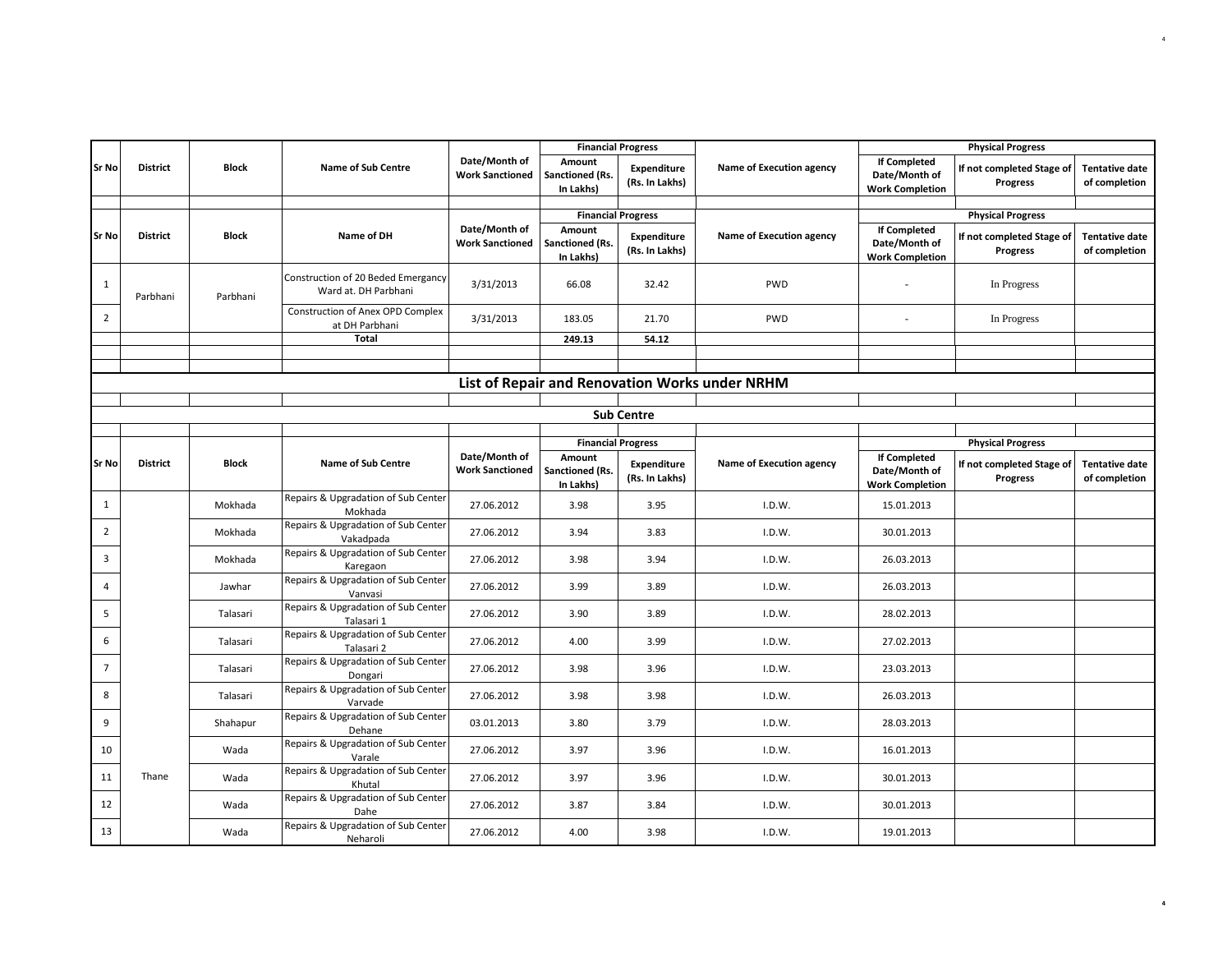|                 |                 |              |                                                            |                                         | <b>Financial Progress</b>              |                                      |                                                |                                                                | <b>Physical Progress</b>              |                                        |
|-----------------|-----------------|--------------|------------------------------------------------------------|-----------------------------------------|----------------------------------------|--------------------------------------|------------------------------------------------|----------------------------------------------------------------|---------------------------------------|----------------------------------------|
| Sr No           | <b>District</b> | <b>Block</b> | <b>Name of Sub Centre</b>                                  | Date/Month of<br><b>Work Sanctioned</b> | Amount<br>Sanctioned (Rs.<br>In Lakhs) | <b>Expenditure</b><br>(Rs. In Lakhs) | Name of Execution agency                       | <b>If Completed</b><br>Date/Month of<br><b>Work Completion</b> | If not completed Stage of<br>Progress | <b>Tentative date</b><br>of completion |
|                 |                 |              |                                                            |                                         | <b>Financial Progress</b>              |                                      |                                                |                                                                | <b>Physical Progress</b>              |                                        |
| Sr No           | <b>District</b> | <b>Block</b> | Name of DH                                                 | Date/Month of<br><b>Work Sanctioned</b> | Amount<br>Sanctioned (Rs.<br>In Lakhs) | <b>Expenditure</b><br>(Rs. In Lakhs) | Name of Execution agency                       | <b>If Completed</b><br>Date/Month of<br><b>Work Completion</b> | If not completed Stage of<br>Progress | <b>Tentative date</b><br>of completion |
| $\mathbf{1}$    | Parbhani        | Parbhani     | Construction of 20 Beded Emergancy<br>Ward at. DH Parbhani | 3/31/2013                               | 66.08                                  | 32.42                                | PWD                                            |                                                                | In Progress                           |                                        |
| $\overline{2}$  |                 |              | Construction of Anex OPD Complex<br>at DH Parbhani         | 3/31/2013                               | 183.05                                 | 21.70                                | PWD                                            |                                                                | In Progress                           |                                        |
|                 |                 |              | <b>Total</b>                                               |                                         | 249.13                                 | 54.12                                |                                                |                                                                |                                       |                                        |
|                 |                 |              |                                                            |                                         |                                        |                                      |                                                |                                                                |                                       |                                        |
|                 |                 |              |                                                            |                                         |                                        |                                      | List of Repair and Renovation Works under NRHM |                                                                |                                       |                                        |
|                 |                 |              |                                                            |                                         |                                        |                                      |                                                |                                                                |                                       |                                        |
|                 |                 |              |                                                            |                                         |                                        | <b>Sub Centre</b>                    |                                                |                                                                |                                       |                                        |
|                 |                 |              |                                                            |                                         | <b>Financial Progress</b>              |                                      |                                                |                                                                | <b>Physical Progress</b>              |                                        |
| Sr No           | <b>District</b> | <b>Block</b> | <b>Name of Sub Centre</b>                                  | Date/Month of<br><b>Work Sanctioned</b> | Amount<br>Sanctioned (Rs.<br>In Lakhs) | Expenditure<br>(Rs. In Lakhs)        | Name of Execution agency                       | <b>If Completed</b><br>Date/Month of<br><b>Work Completion</b> | If not completed Stage of<br>Progress | <b>Tentative date</b><br>of completion |
| 1               |                 | Mokhada      | Repairs & Upgradation of Sub Center<br>Mokhada             | 27.06.2012                              | 3.98                                   | 3.95                                 | I.D.W.                                         | 15.01.2013                                                     |                                       |                                        |
| $\overline{2}$  |                 | Mokhada      | Repairs & Upgradation of Sub Center<br>Vakadpada           | 27.06.2012                              | 3.94                                   | 3.83                                 | I.D.W.                                         | 30.01.2013                                                     |                                       |                                        |
| 3               |                 | Mokhada      | Repairs & Upgradation of Sub Center<br>Karegaon            | 27.06.2012                              | 3.98                                   | 3.94                                 | I.D.W.                                         | 26.03.2013                                                     |                                       |                                        |
| $\overline{4}$  |                 | Jawhar       | Repairs & Upgradation of Sub Center<br>Vanvasi             | 27.06.2012                              | 3.99                                   | 3.89                                 | I.D.W.                                         | 26.03.2013                                                     |                                       |                                        |
| 5               |                 | Talasari     | Repairs & Upgradation of Sub Center<br>Talasari 1          | 27.06.2012                              | 3.90                                   | 3.89                                 | I.D.W.                                         | 28.02.2013                                                     |                                       |                                        |
| 6               |                 | Talasari     | Repairs & Upgradation of Sub Center<br>Talasari 2          | 27.06.2012                              | 4.00                                   | 3.99                                 | I.D.W.                                         | 27.02.2013                                                     |                                       |                                        |
| $7\overline{ }$ |                 | Talasari     | Repairs & Upgradation of Sub Center<br>Dongari             | 27.06.2012                              | 3.98                                   | 3.96                                 | I.D.W.                                         | 23.03.2013                                                     |                                       |                                        |
| 8               |                 | Talasari     | Repairs & Upgradation of Sub Center<br>Varvade             | 27.06.2012                              | 3.98                                   | 3.98                                 | I.D.W.                                         | 26.03.2013                                                     |                                       |                                        |
| 9               |                 | Shahapur     | Repairs & Upgradation of Sub Center<br>Dehane              | 03.01.2013                              | 3.80                                   | 3.79                                 | I.D.W.                                         | 28.03.2013                                                     |                                       |                                        |
| 10              |                 | Wada         | Repairs & Upgradation of Sub Center<br>Varale              | 27.06.2012                              | 3.97                                   | 3.96                                 | I.D.W.                                         | 16.01.2013                                                     |                                       |                                        |
| 11              | Thane           | Wada         | Repairs & Upgradation of Sub Center<br>Khutal              | 27.06.2012                              | 3.97                                   | 3.96                                 | I.D.W.                                         | 30.01.2013                                                     |                                       |                                        |
| 12              |                 | Wada         | Repairs & Upgradation of Sub Center<br>Dahe                | 27.06.2012                              | 3.87                                   | 3.84                                 | I.D.W.                                         | 30.01.2013                                                     |                                       |                                        |
| 13              |                 | Wada         | Repairs & Upgradation of Sub Center<br>Neharoli            | 27.06.2012                              | 4.00                                   | 3.98                                 | I.D.W.                                         | 19.01.2013                                                     |                                       |                                        |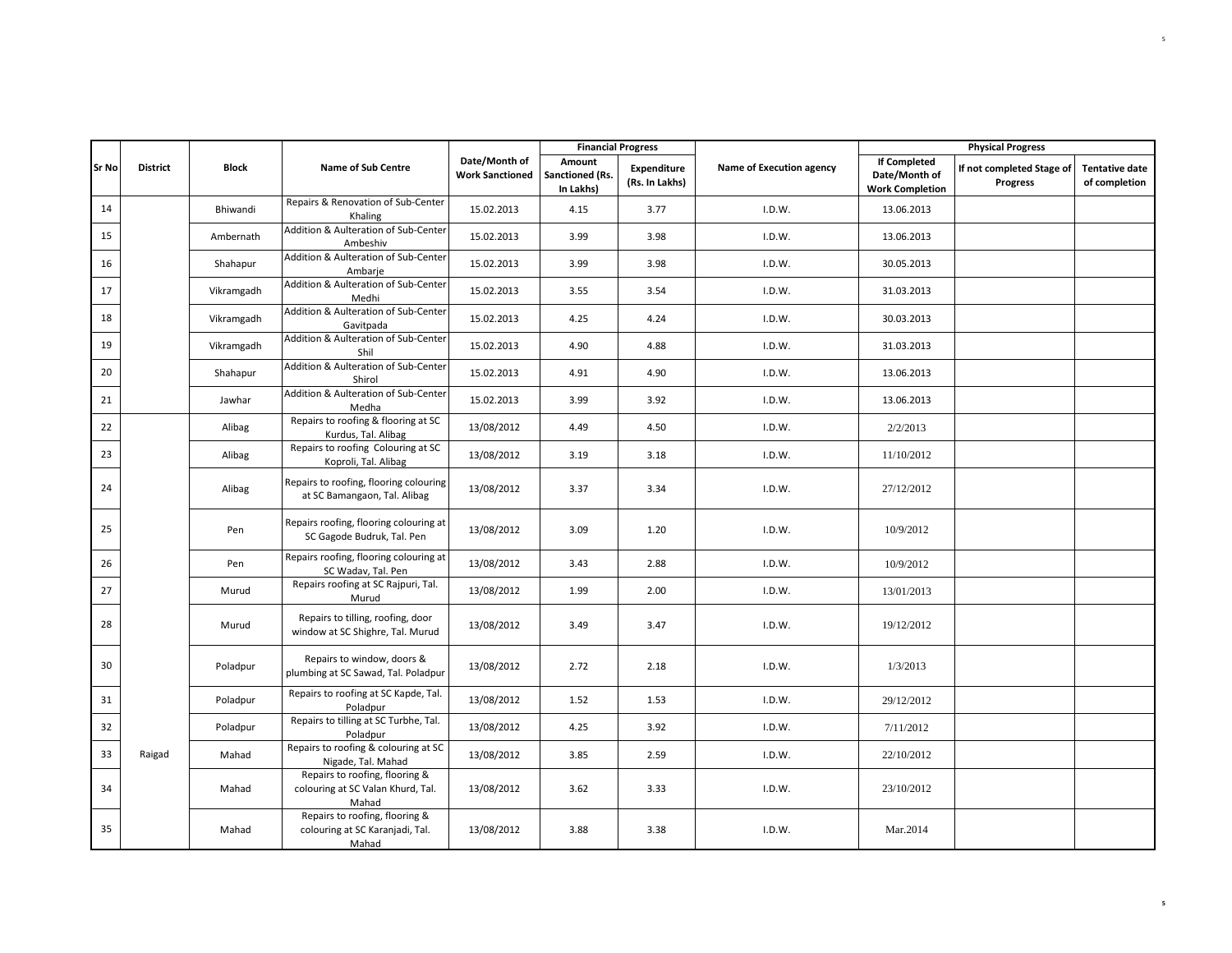|       |                 |              |                                                                              | <b>Financial Progress</b><br>Date/Month of<br>Amount |                              |                                      |                          |                                                                | <b>Physical Progress</b>                     |                                        |
|-------|-----------------|--------------|------------------------------------------------------------------------------|------------------------------------------------------|------------------------------|--------------------------------------|--------------------------|----------------------------------------------------------------|----------------------------------------------|----------------------------------------|
| Sr No | <b>District</b> | <b>Block</b> | <b>Name of Sub Centre</b>                                                    | <b>Work Sanctioned</b>                               | Sanctioned (Rs.<br>In Lakhs) | <b>Expenditure</b><br>(Rs. In Lakhs) | Name of Execution agency | <b>If Completed</b><br>Date/Month of<br><b>Work Completion</b> | If not completed Stage of<br><b>Progress</b> | <b>Tentative date</b><br>of completion |
| 14    |                 | Bhiwandi     | Repairs & Renovation of Sub-Center<br>Khaling                                | 15.02.2013                                           | 4.15                         | 3.77                                 | I.D.W.                   | 13.06.2013                                                     |                                              |                                        |
| 15    |                 | Ambernath    | Addition & Aulteration of Sub-Center<br>Ambeshiv                             | 15.02.2013                                           | 3.99                         | 3.98                                 | I.D.W.                   | 13.06.2013                                                     |                                              |                                        |
| 16    |                 | Shahapur     | Addition & Aulteration of Sub-Center<br>Ambarje                              | 15.02.2013                                           | 3.99                         | 3.98                                 | I.D.W.                   | 30.05.2013                                                     |                                              |                                        |
| 17    |                 | Vikramgadh   | Addition & Aulteration of Sub-Center<br>Medhi                                | 15.02.2013                                           | 3.55                         | 3.54                                 | I.D.W.                   | 31.03.2013                                                     |                                              |                                        |
| 18    |                 | Vikramgadh   | Addition & Aulteration of Sub-Center<br>Gavitpada                            | 15.02.2013                                           | 4.25                         | 4.24                                 | I.D.W.                   | 30.03.2013                                                     |                                              |                                        |
| 19    |                 | Vikramgadh   | Addition & Aulteration of Sub-Center<br>Shil                                 | 15.02.2013                                           | 4.90                         | 4.88                                 | I.D.W.                   | 31.03.2013                                                     |                                              |                                        |
| 20    |                 | Shahapur     | Addition & Aulteration of Sub-Center<br>Shirol                               | 15.02.2013                                           | 4.91                         | 4.90                                 | I.D.W.                   | 13.06.2013                                                     |                                              |                                        |
| 21    |                 | Jawhar       | Addition & Aulteration of Sub-Center<br>Medha                                | 15.02.2013                                           | 3.99                         | 3.92                                 | I.D.W.                   | 13.06.2013                                                     |                                              |                                        |
| 22    |                 | Alibag       | Repairs to roofing & flooring at SC<br>Kurdus, Tal. Alibag                   | 13/08/2012                                           | 4.49                         | 4.50                                 | I.D.W.                   | 2/2/2013                                                       |                                              |                                        |
| 23    |                 | Alibag       | Repairs to roofing Colouring at SC<br>Koproli, Tal. Alibag                   | 13/08/2012                                           | 3.19                         | 3.18                                 | I.D.W.                   | 11/10/2012                                                     |                                              |                                        |
| 24    |                 | Alibag       | Repairs to roofing, flooring colouring<br>at SC Bamangaon, Tal. Alibag       | 13/08/2012                                           | 3.37                         | 3.34                                 | I.D.W.                   | 27/12/2012                                                     |                                              |                                        |
| 25    |                 | Pen          | Repairs roofing, flooring colouring at<br>SC Gagode Budruk, Tal. Pen         | 13/08/2012                                           | 3.09                         | 1.20                                 | I.D.W.                   | 10/9/2012                                                      |                                              |                                        |
| 26    |                 | Pen          | Repairs roofing, flooring colouring at<br>SC Wadav, Tal. Pen                 | 13/08/2012                                           | 3.43                         | 2.88                                 | I.D.W.                   | 10/9/2012                                                      |                                              |                                        |
| 27    |                 | Murud        | Repairs roofing at SC Rajpuri, Tal.<br>Murud                                 | 13/08/2012                                           | 1.99                         | 2.00                                 | I.D.W.                   | 13/01/2013                                                     |                                              |                                        |
| 28    |                 | Murud        | Repairs to tilling, roofing, door<br>window at SC Shighre, Tal. Murud        | 13/08/2012                                           | 3.49                         | 3.47                                 | I.D.W.                   | 19/12/2012                                                     |                                              |                                        |
| 30    |                 | Poladpur     | Repairs to window, doors &<br>plumbing at SC Sawad, Tal. Poladpur            | 13/08/2012                                           | 2.72                         | 2.18                                 | I.D.W.                   | 1/3/2013                                                       |                                              |                                        |
| 31    |                 | Poladpur     | Repairs to roofing at SC Kapde, Tal.<br>Poladpur                             | 13/08/2012                                           | 1.52                         | 1.53                                 | I.D.W.                   | 29/12/2012                                                     |                                              |                                        |
| 32    |                 | Poladpur     | Repairs to tilling at SC Turbhe, Tal.<br>Poladpur                            | 13/08/2012                                           | 4.25                         | 3.92                                 | I.D.W.                   | 7/11/2012                                                      |                                              |                                        |
| 33    | Raigad          | Mahad        | Repairs to roofing & colouring at SC<br>Nigade, Tal. Mahad                   | 13/08/2012                                           | 3.85                         | 2.59                                 | I.D.W.                   | 22/10/2012                                                     |                                              |                                        |
| 34    |                 | Mahad        | Repairs to roofing, flooring &<br>colouring at SC Valan Khurd, Tal.<br>Mahad | 13/08/2012                                           | 3.62                         | 3.33                                 | I.D.W.                   | 23/10/2012                                                     |                                              |                                        |
| 35    |                 | Mahad        | Repairs to roofing, flooring &<br>colouring at SC Karanjadi, Tal.<br>Mahad   | 13/08/2012                                           | 3.88                         | 3.38                                 | I.D.W.                   | Mar.2014                                                       |                                              |                                        |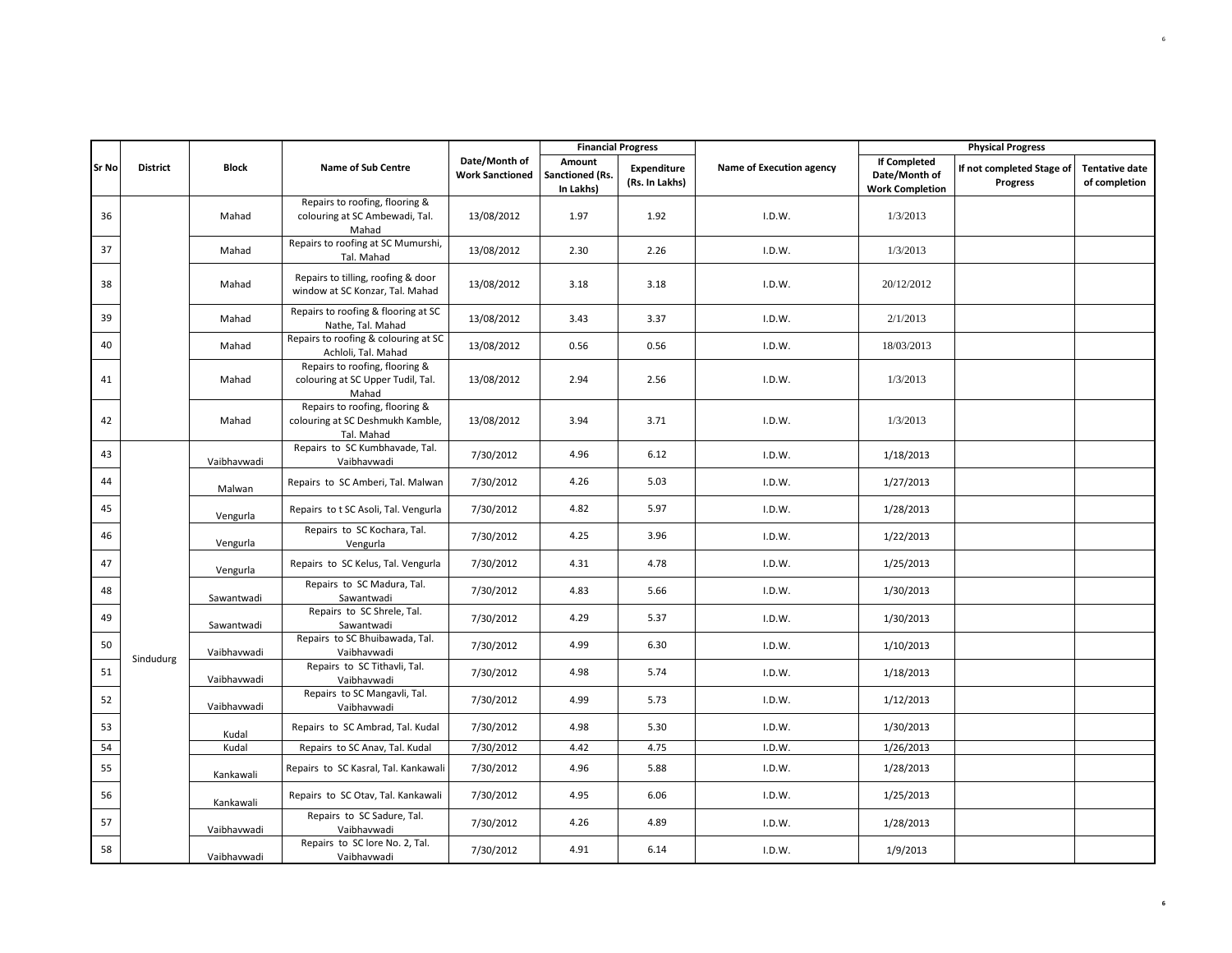|              |                 |              |                                                                                  |                                         | <b>Financial Progress</b>              |                               |                          |                                                                | <b>Physical Progress</b>              |                                        |
|--------------|-----------------|--------------|----------------------------------------------------------------------------------|-----------------------------------------|----------------------------------------|-------------------------------|--------------------------|----------------------------------------------------------------|---------------------------------------|----------------------------------------|
| <b>Sr No</b> | <b>District</b> | <b>Block</b> | <b>Name of Sub Centre</b>                                                        | Date/Month of<br><b>Work Sanctioned</b> | Amount<br>Sanctioned (Rs.<br>In Lakhs) | Expenditure<br>(Rs. In Lakhs) | Name of Execution agency | <b>If Completed</b><br>Date/Month of<br><b>Work Completion</b> | If not completed Stage of<br>Progress | <b>Tentative date</b><br>of completion |
| 36           |                 | Mahad        | Repairs to roofing, flooring &<br>colouring at SC Ambewadi, Tal.<br>Mahad        | 13/08/2012                              | 1.97                                   | 1.92                          | I.D.W.                   | 1/3/2013                                                       |                                       |                                        |
| 37           |                 | Mahad        | Repairs to roofing at SC Mumurshi,<br>Tal. Mahad                                 | 13/08/2012                              | 2.30                                   | 2.26                          | I.D.W.                   | 1/3/2013                                                       |                                       |                                        |
| 38           |                 | Mahad        | Repairs to tilling, roofing & door<br>window at SC Konzar, Tal. Mahad            | 13/08/2012                              | 3.18                                   | 3.18                          | I.D.W.                   | 20/12/2012                                                     |                                       |                                        |
| 39           |                 | Mahad        | Repairs to roofing & flooring at SC<br>Nathe, Tal. Mahad                         | 13/08/2012                              | 3.43                                   | 3.37                          | I.D.W.                   | 2/1/2013                                                       |                                       |                                        |
| 40           |                 | Mahad        | Repairs to roofing & colouring at SC<br>Achloli, Tal. Mahad                      | 13/08/2012                              | 0.56                                   | 0.56                          | I.D.W.                   | 18/03/2013                                                     |                                       |                                        |
| 41           |                 | Mahad        | Repairs to roofing, flooring &<br>colouring at SC Upper Tudil, Tal.<br>Mahad     | 13/08/2012                              | 2.94                                   | 2.56                          | I.D.W.                   | 1/3/2013                                                       |                                       |                                        |
| 42           |                 | Mahad        | Repairs to roofing, flooring &<br>colouring at SC Deshmukh Kamble,<br>Tal. Mahad | 13/08/2012                              | 3.94                                   | 3.71                          | I.D.W.                   | 1/3/2013                                                       |                                       |                                        |
| 43           |                 | Vaibhavwadi  | Repairs to SC Kumbhavade, Tal.<br>Vaibhavwadi                                    | 7/30/2012                               | 4.96                                   | 6.12                          | I.D.W.                   | 1/18/2013                                                      |                                       |                                        |
| 44           |                 | Malwan       | Repairs to SC Amberi, Tal. Malwan                                                | 7/30/2012                               | 4.26                                   | 5.03                          | I.D.W.                   | 1/27/2013                                                      |                                       |                                        |
| 45           |                 | Vengurla     | Repairs to t SC Asoli, Tal. Vengurla                                             | 7/30/2012                               | 4.82                                   | 5.97                          | I.D.W.                   | 1/28/2013                                                      |                                       |                                        |
| 46           |                 | Vengurla     | Repairs to SC Kochara, Tal.<br>Vengurla                                          | 7/30/2012                               | 4.25                                   | 3.96                          | I.D.W.                   | 1/22/2013                                                      |                                       |                                        |
| 47           |                 | Vengurla     | Repairs to SC Kelus, Tal. Vengurla                                               | 7/30/2012                               | 4.31                                   | 4.78                          | I.D.W.                   | 1/25/2013                                                      |                                       |                                        |
| 48           |                 | Sawantwadi   | Repairs to SC Madura, Tal.<br>Sawantwadi                                         | 7/30/2012                               | 4.83                                   | 5.66                          | I.D.W.                   | 1/30/2013                                                      |                                       |                                        |
| 49           |                 | Sawantwadi   | Repairs to SC Shrele, Tal.<br>Sawantwadi                                         | 7/30/2012                               | 4.29                                   | 5.37                          | I.D.W.                   | 1/30/2013                                                      |                                       |                                        |
| 50           | Sindudurg       | Vaibhavwadi  | Repairs to SC Bhuibawada, Tal.<br>Vaibhavwadi                                    | 7/30/2012                               | 4.99                                   | 6.30                          | I.D.W.                   | 1/10/2013                                                      |                                       |                                        |
| 51           |                 | Vaibhavwadi  | Repairs to SC Tithavli, Tal.<br>Vaibhavwadi                                      | 7/30/2012                               | 4.98                                   | 5.74                          | I.D.W.                   | 1/18/2013                                                      |                                       |                                        |
| 52           |                 | Vaibhavwadi  | Repairs to SC Mangavli, Tal.<br>Vaibhavwadi                                      | 7/30/2012                               | 4.99                                   | 5.73                          | I.D.W.                   | 1/12/2013                                                      |                                       |                                        |
| 53           |                 | Kudal        | Repairs to SC Ambrad, Tal. Kudal                                                 | 7/30/2012                               | 4.98                                   | 5.30                          | I.D.W.                   | 1/30/2013                                                      |                                       |                                        |
| 54           |                 | Kudal        | Repairs to SC Anav, Tal. Kudal                                                   | 7/30/2012                               | 4.42                                   | 4.75                          | I.D.W.                   | 1/26/2013                                                      |                                       |                                        |
| 55           |                 | Kankawali    | Repairs to SC Kasral, Tal. Kankawali                                             | 7/30/2012                               | 4.96                                   | 5.88                          | I.D.W.                   | 1/28/2013                                                      |                                       |                                        |
| 56           |                 | Kankawali    | Repairs to SC Otav, Tal. Kankawali                                               | 7/30/2012                               | 4.95                                   | 6.06                          | I.D.W.                   | 1/25/2013                                                      |                                       |                                        |
| 57           |                 | Vaibhavwadi  | Repairs to SC Sadure, Tal.<br>Vaibhavwadi                                        | 7/30/2012                               | 4.26                                   | 4.89                          | I.D.W.                   | 1/28/2013                                                      |                                       |                                        |
| 58           |                 | Vaibhavwadi  | Repairs to SC lore No. 2, Tal.<br>Vaibhavwadi                                    | 7/30/2012                               | 4.91                                   | 6.14                          | I.D.W.                   | 1/9/2013                                                       |                                       |                                        |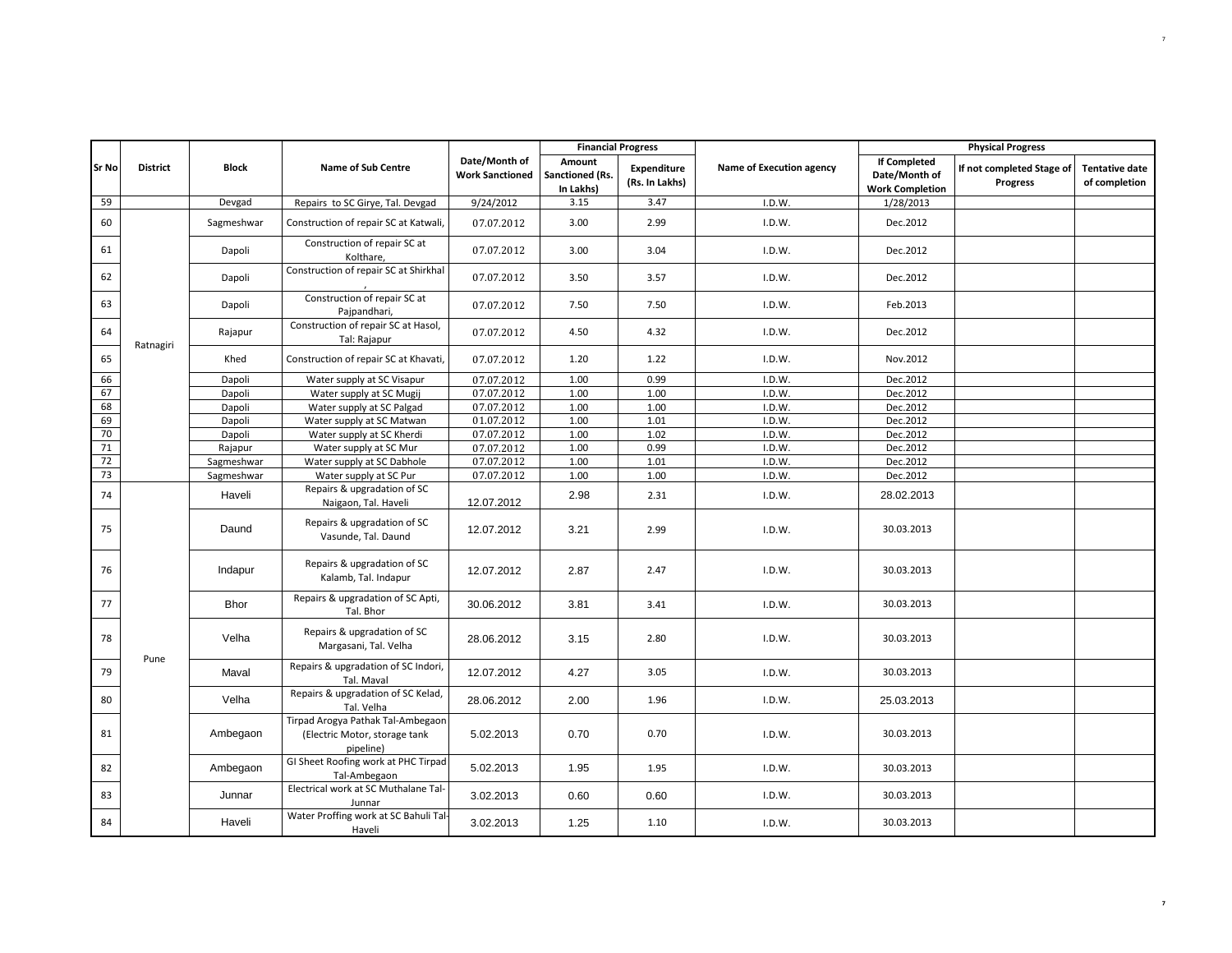|              |                 |              |                                                                                 |                                         | <b>Financial Progress</b>              |                                      |                          |                                                                | <b>Physical Progress</b>              |                                        |
|--------------|-----------------|--------------|---------------------------------------------------------------------------------|-----------------------------------------|----------------------------------------|--------------------------------------|--------------------------|----------------------------------------------------------------|---------------------------------------|----------------------------------------|
| <b>Sr No</b> | <b>District</b> | <b>Block</b> | <b>Name of Sub Centre</b>                                                       | Date/Month of<br><b>Work Sanctioned</b> | Amount<br>Sanctioned (Rs.<br>In Lakhs) | <b>Expenditure</b><br>(Rs. In Lakhs) | Name of Execution agency | <b>If Completed</b><br>Date/Month of<br><b>Work Completion</b> | If not completed Stage of<br>Progress | <b>Tentative date</b><br>of completion |
| 59           |                 | Devgad       | Repairs to SC Girye, Tal. Devgad                                                | 9/24/2012                               | 3.15                                   | 3.47                                 | I.D.W.                   | 1/28/2013                                                      |                                       |                                        |
| 60           |                 | Sagmeshwar   | Construction of repair SC at Katwali,                                           | 07.07.2012                              | 3.00                                   | 2.99                                 | I.D.W.                   | Dec.2012                                                       |                                       |                                        |
| 61           |                 | Dapoli       | Construction of repair SC at<br>Kolthare,                                       | 07.07.2012                              | 3.00                                   | 3.04                                 | I.D.W.                   | Dec.2012                                                       |                                       |                                        |
| 62           |                 | Dapoli       | Construction of repair SC at Shirkhal                                           | 07.07.2012                              | 3.50                                   | 3.57                                 | I.D.W.                   | Dec.2012                                                       |                                       |                                        |
| 63           |                 | Dapoli       | Construction of repair SC at<br>Pajpandhari,                                    | 07.07.2012                              | 7.50                                   | 7.50                                 | I.D.W.                   | Feb.2013                                                       |                                       |                                        |
| 64           | Ratnagiri       | Rajapur      | Construction of repair SC at Hasol,<br>Tal: Rajapur                             | 07.07.2012                              | 4.50                                   | 4.32                                 | I.D.W.                   | Dec.2012                                                       |                                       |                                        |
| 65           |                 | Khed         | Construction of repair SC at Khavati,                                           | 07.07.2012                              | 1.20                                   | 1.22                                 | I.D.W.                   | Nov.2012                                                       |                                       |                                        |
| 66           |                 | Dapoli       | Water supply at SC Visapur                                                      | 07.07.2012                              | 1.00                                   | 0.99                                 | I.D.W.                   | Dec.2012                                                       |                                       |                                        |
| 67           |                 | Dapoli       | Water supply at SC Mugij                                                        | 07.07.2012                              | 1.00                                   | 1.00                                 | I.D.W.                   | Dec.2012                                                       |                                       |                                        |
| 68           |                 | Dapoli       | Water supply at SC Palgad                                                       | 07.07.2012                              | 1.00                                   | 1.00                                 | I.D.W.                   | Dec.2012                                                       |                                       |                                        |
| 69           |                 | Dapoli       | Water supply at SC Matwan                                                       | 01.07.2012                              | 1.00                                   | 1.01                                 | I.D.W.                   | Dec.2012                                                       |                                       |                                        |
| 70           |                 | Dapoli       | Water supply at SC Kherdi                                                       | 07.07.2012                              | 1.00                                   | 1.02                                 | I.D.W.                   | Dec.2012                                                       |                                       |                                        |
| 71           |                 | Rajapur      | Water supply at SC Mur                                                          | 07.07.2012                              | 1.00                                   | 0.99                                 | I.D.W.                   | Dec.2012                                                       |                                       |                                        |
| 72           |                 | Sagmeshwar   | Water supply at SC Dabhole                                                      | 07.07.2012                              | 1.00                                   | 1.01                                 | I.D.W.                   | Dec.2012                                                       |                                       |                                        |
| 73           |                 | Sagmeshwar   | Water supply at SC Pur                                                          | 07.07.2012                              | 1.00                                   | 1.00                                 | I.D.W.                   | Dec.2012                                                       |                                       |                                        |
| 74           |                 | Haveli       | Repairs & upgradation of SC<br>Naigaon, Tal. Haveli                             | 12.07.2012                              | 2.98                                   | 2.31                                 | I.D.W.                   | 28.02.2013                                                     |                                       |                                        |
| 75           |                 | Daund        | Repairs & upgradation of SC<br>Vasunde, Tal. Daund                              | 12.07.2012                              | 3.21                                   | 2.99                                 | I.D.W.                   | 30.03.2013                                                     |                                       |                                        |
| 76           |                 | Indapur      | Repairs & upgradation of SC<br>Kalamb, Tal. Indapur                             | 12.07.2012                              | 2.87                                   | 2.47                                 | I.D.W.                   | 30.03.2013                                                     |                                       |                                        |
| 77           |                 | <b>Bhor</b>  | Repairs & upgradation of SC Apti,<br>Tal. Bhor                                  | 30.06.2012                              | 3.81                                   | 3.41                                 | I.D.W.                   | 30.03.2013                                                     |                                       |                                        |
| 78           |                 | Velha        | Repairs & upgradation of SC<br>Margasani, Tal. Velha                            | 28.06.2012                              | 3.15                                   | 2.80                                 | I.D.W.                   | 30.03.2013                                                     |                                       |                                        |
| 79           | Pune            | Maval        | Repairs & upgradation of SC Indori,<br>Tal. Maval                               | 12.07.2012                              | 4.27                                   | 3.05                                 | I.D.W.                   | 30.03.2013                                                     |                                       |                                        |
| 80           |                 | Velha        | Repairs & upgradation of SC Kelad,<br>Tal. Velha                                | 28.06.2012                              | 2.00                                   | 1.96                                 | I.D.W.                   | 25.03.2013                                                     |                                       |                                        |
| 81           |                 | Ambegaon     | Tirpad Arogya Pathak Tal-Ambegaon<br>(Electric Motor, storage tank<br>pipeline) | 5.02.2013                               | 0.70                                   | 0.70                                 | I.D.W.                   | 30.03.2013                                                     |                                       |                                        |
| 82           |                 | Ambegaon     | GI Sheet Roofing work at PHC Tirpad<br>Tal-Ambegaon                             | 5.02.2013                               | 1.95                                   | 1.95                                 | I.D.W.                   | 30.03.2013                                                     |                                       |                                        |
| 83           |                 | Junnar       | Electrical work at SC Muthalane Tal-<br>Junnar                                  | 3.02.2013                               | 0.60                                   | 0.60                                 | I.D.W.                   | 30.03.2013                                                     |                                       |                                        |
| 84           |                 | Haveli       | Water Proffing work at SC Bahuli Tal-<br>Haveli                                 | 3.02.2013                               | 1.25                                   | 1.10                                 | I.D.W.                   | 30.03.2013                                                     |                                       |                                        |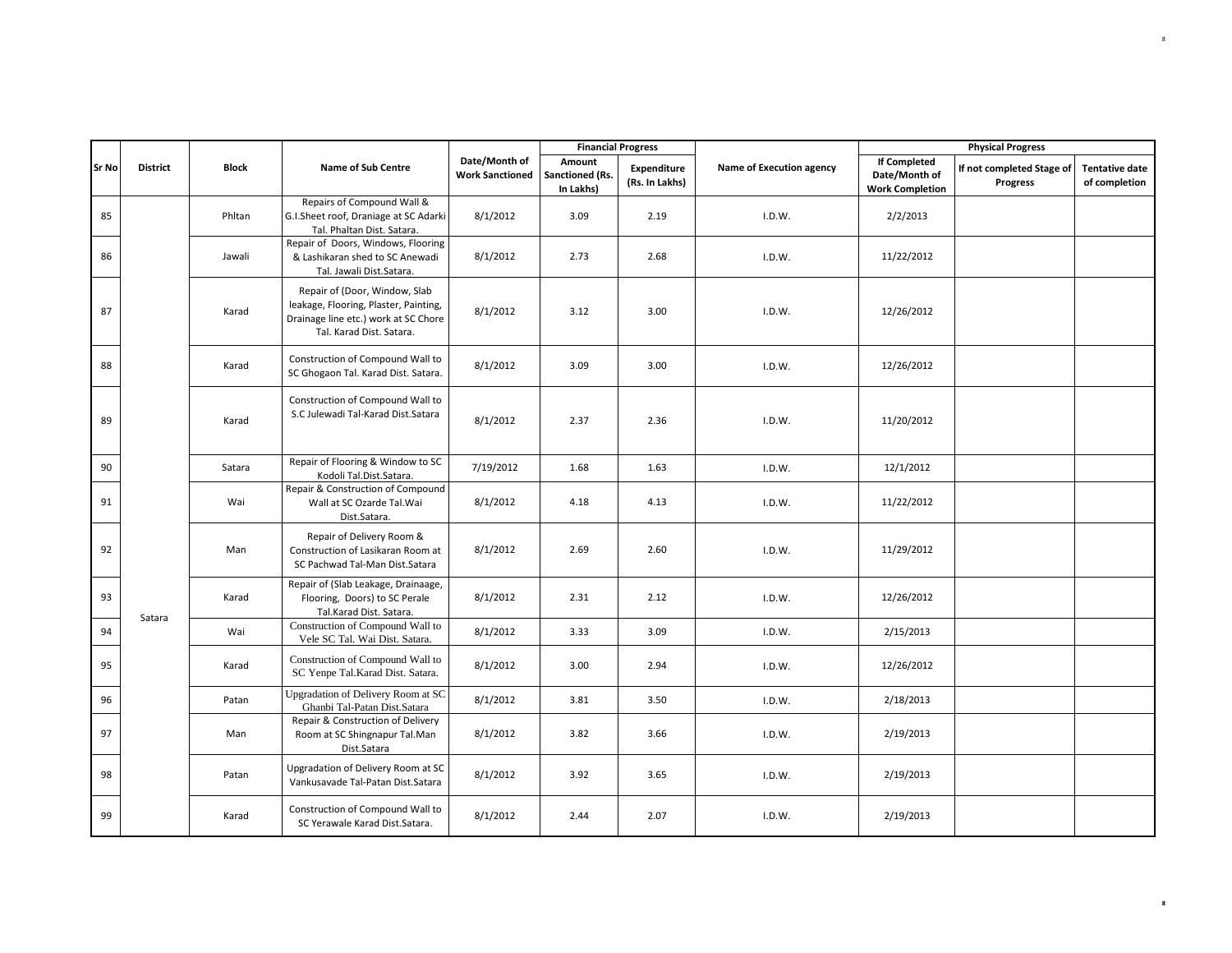|              |                 |              |                                                                                                                                            |                                         | <b>Financial Progress</b>              |                               |                          |                                                         | <b>Physical Progress</b>              |                                        |
|--------------|-----------------|--------------|--------------------------------------------------------------------------------------------------------------------------------------------|-----------------------------------------|----------------------------------------|-------------------------------|--------------------------|---------------------------------------------------------|---------------------------------------|----------------------------------------|
| <b>Sr No</b> | <b>District</b> | <b>Block</b> | <b>Name of Sub Centre</b>                                                                                                                  | Date/Month of<br><b>Work Sanctioned</b> | Amount<br>Sanctioned (Rs.<br>In Lakhs) | Expenditure<br>(Rs. In Lakhs) | Name of Execution agency | If Completed<br>Date/Month of<br><b>Work Completion</b> | If not completed Stage of<br>Progress | <b>Tentative date</b><br>of completion |
| 85           |                 | Phltan       | Repairs of Compound Wall &<br>G.I.Sheet roof, Draniage at SC Adarki<br>Tal. Phaltan Dist. Satara.                                          | 8/1/2012                                | 3.09                                   | 2.19                          | I.D.W.                   | 2/2/2013                                                |                                       |                                        |
| 86           |                 | Jawali       | Repair of Doors, Windows, Flooring<br>& Lashikaran shed to SC Anewadi<br>Tal. Jawali Dist. Satara.                                         | 8/1/2012                                | 2.73                                   | 2.68                          | I.D.W.                   | 11/22/2012                                              |                                       |                                        |
| 87           |                 | Karad        | Repair of (Door, Window, Slab<br>leakage, Flooring, Plaster, Painting,<br>Drainage line etc.) work at SC Chore<br>Tal. Karad Dist. Satara. | 8/1/2012                                | 3.12                                   | 3.00                          | I.D.W.                   | 12/26/2012                                              |                                       |                                        |
| 88           |                 | Karad        | Construction of Compound Wall to<br>SC Ghogaon Tal. Karad Dist. Satara.                                                                    | 8/1/2012                                | 3.09                                   | 3.00                          | I.D.W.                   | 12/26/2012                                              |                                       |                                        |
| 89           |                 | Karad        | Construction of Compound Wall to<br>S.C Julewadi Tal-Karad Dist.Satara                                                                     | 8/1/2012                                | 2.37                                   | 2.36                          | I.D.W.                   | 11/20/2012                                              |                                       |                                        |
| 90           |                 | Satara       | Repair of Flooring & Window to SC<br>Kodoli Tal.Dist.Satara.                                                                               | 7/19/2012                               | 1.68                                   | 1.63                          | I.D.W.                   | 12/1/2012                                               |                                       |                                        |
| 91           |                 | Wai          | Repair & Construction of Compound<br>Wall at SC Ozarde Tal. Wai<br>Dist.Satara.                                                            | 8/1/2012                                | 4.18                                   | 4.13                          | I.D.W.                   | 11/22/2012                                              |                                       |                                        |
| 92           |                 | Man          | Repair of Delivery Room &<br>Construction of Lasikaran Room at<br>SC Pachwad Tal-Man Dist.Satara                                           | 8/1/2012                                | 2.69                                   | 2.60                          | I.D.W.                   | 11/29/2012                                              |                                       |                                        |
| 93           | Satara          | Karad        | Repair of (Slab Leakage, Drainaage,<br>Flooring, Doors) to SC Perale<br>Tal.Karad Dist. Satara.                                            | 8/1/2012                                | 2.31                                   | 2.12                          | I.D.W.                   | 12/26/2012                                              |                                       |                                        |
| 94           |                 | Wai          | Construction of Compound Wall to<br>Vele SC Tal. Wai Dist. Satara.                                                                         | 8/1/2012                                | 3.33                                   | 3.09                          | I.D.W.                   | 2/15/2013                                               |                                       |                                        |
| 95           |                 | Karad        | Construction of Compound Wall to<br>SC Yenpe Tal.Karad Dist. Satara.                                                                       | 8/1/2012                                | 3.00                                   | 2.94                          | I.D.W.                   | 12/26/2012                                              |                                       |                                        |
| 96           |                 | Patan        | Upgradation of Delivery Room at SC<br>Ghanbi Tal-Patan Dist.Satara                                                                         | 8/1/2012                                | 3.81                                   | 3.50                          | I.D.W.                   | 2/18/2013                                               |                                       |                                        |
| 97           |                 | Man          | Repair & Construction of Delivery<br>Room at SC Shingnapur Tal.Man<br>Dist.Satara                                                          | 8/1/2012                                | 3.82                                   | 3.66                          | I.D.W.                   | 2/19/2013                                               |                                       |                                        |
| 98           |                 | Patan        | Upgradation of Delivery Room at SC<br>Vankusavade Tal-Patan Dist.Satara                                                                    | 8/1/2012                                | 3.92                                   | 3.65                          | I.D.W.                   | 2/19/2013                                               |                                       |                                        |
| 99           |                 | Karad        | Construction of Compound Wall to<br>SC Yerawale Karad Dist.Satara.                                                                         | 8/1/2012                                | 2.44                                   | 2.07                          | I.D.W.                   | 2/19/2013                                               |                                       |                                        |

**8**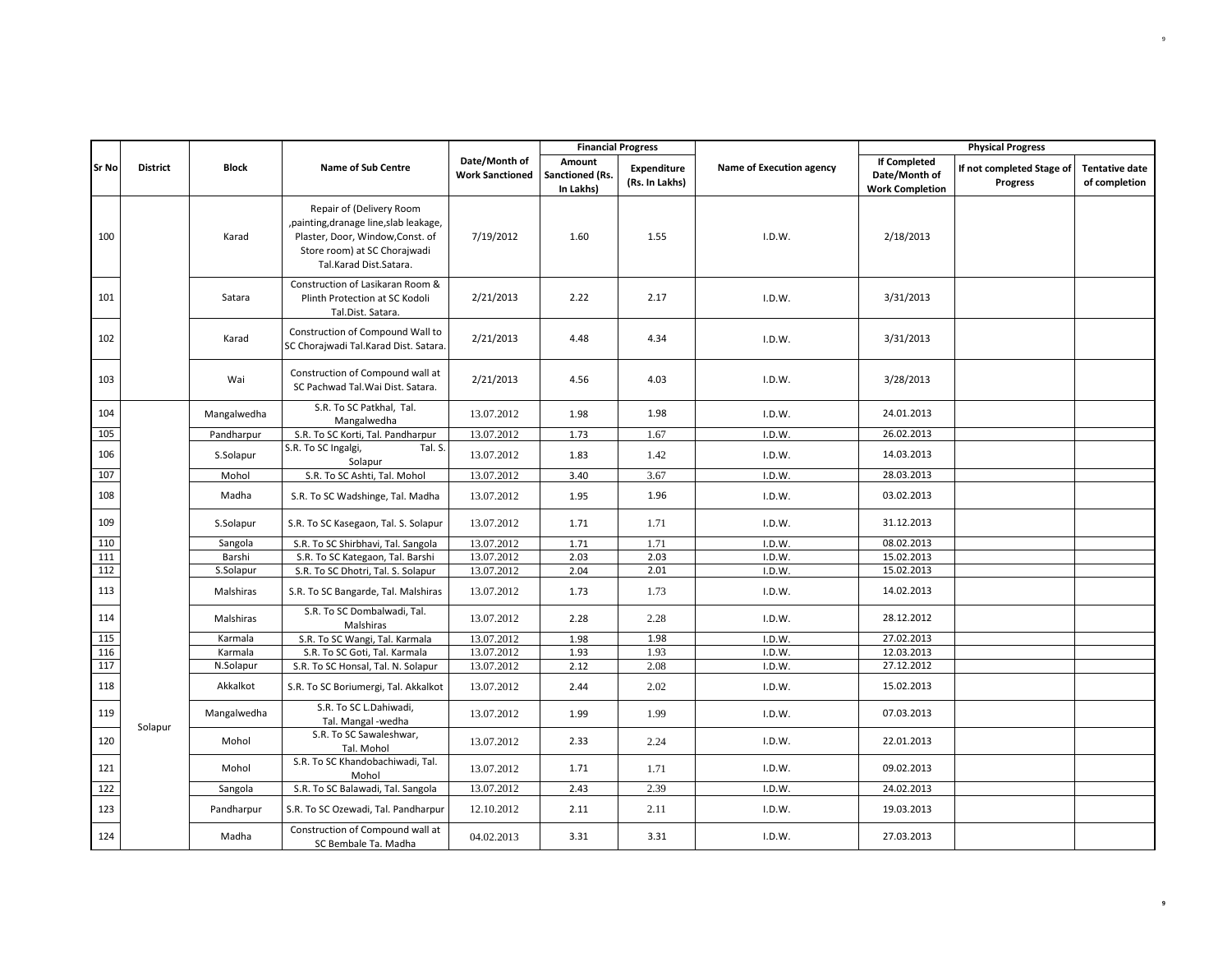|              |                 |              |                                                                                                                                                                   |                                         | <b>Financial Progress</b>              |                                      |                          |                                                                | <b>Physical Progress</b>                     |                                        |
|--------------|-----------------|--------------|-------------------------------------------------------------------------------------------------------------------------------------------------------------------|-----------------------------------------|----------------------------------------|--------------------------------------|--------------------------|----------------------------------------------------------------|----------------------------------------------|----------------------------------------|
| <b>Sr No</b> | <b>District</b> | <b>Block</b> | <b>Name of Sub Centre</b>                                                                                                                                         | Date/Month of<br><b>Work Sanctioned</b> | Amount<br>Sanctioned (Rs.<br>In Lakhs) | <b>Expenditure</b><br>(Rs. In Lakhs) | Name of Execution agency | <b>If Completed</b><br>Date/Month of<br><b>Work Completion</b> | If not completed Stage of<br><b>Progress</b> | <b>Tentative date</b><br>of completion |
| 100          |                 | Karad        | Repair of (Delivery Room<br>, painting, dranage line, slab leakage,<br>Plaster, Door, Window, Const. of<br>Store room) at SC Chorajwadi<br>Tal.Karad Dist.Satara. | 7/19/2012                               | 1.60                                   | 1.55                                 | I.D.W.                   | 2/18/2013                                                      |                                              |                                        |
| 101          |                 | Satara       | Construction of Lasikaran Room &<br>Plinth Protection at SC Kodoli<br>Tal.Dist. Satara.                                                                           | 2/21/2013                               | 2.22                                   | 2.17                                 | I.D.W.                   | 3/31/2013                                                      |                                              |                                        |
| 102          |                 | Karad        | Construction of Compound Wall to<br>SC Chorajwadi Tal.Karad Dist. Satara.                                                                                         | 2/21/2013                               | 4.48                                   | 4.34                                 | I.D.W.                   | 3/31/2013                                                      |                                              |                                        |
| 103          |                 | Wai          | Construction of Compound wall at<br>SC Pachwad Tal. Wai Dist. Satara.                                                                                             | 2/21/2013                               | 4.56                                   | 4.03                                 | I.D.W.                   | 3/28/2013                                                      |                                              |                                        |
| 104          |                 | Mangalwedha  | S.R. To SC Patkhal, Tal.<br>Mangalwedha                                                                                                                           | 13.07.2012                              | 1.98                                   | 1.98                                 | I.D.W.                   | 24.01.2013                                                     |                                              |                                        |
| 105          |                 | Pandharpur   | S.R. To SC Korti, Tal. Pandharpur                                                                                                                                 | 13.07.2012                              | 1.73                                   | 1.67                                 | I.D.W.                   | 26.02.2013                                                     |                                              |                                        |
| 106          |                 | S.Solapur    | S.R. To SC Ingalgi,<br>Tal. S.<br>Solapur                                                                                                                         | 13.07.2012                              | 1.83                                   | 1.42                                 | I.D.W.                   | 14.03.2013                                                     |                                              |                                        |
| 107          |                 | Mohol        | S.R. To SC Ashti, Tal. Mohol                                                                                                                                      | 13.07.2012                              | 3.40                                   | 3.67                                 | I.D.W.                   | 28.03.2013                                                     |                                              |                                        |
| 108          |                 | Madha        | S.R. To SC Wadshinge, Tal. Madha                                                                                                                                  | 13.07.2012                              | 1.95                                   | 1.96                                 | I.D.W.                   | 03.02.2013                                                     |                                              |                                        |
| 109          |                 | S.Solapur    | S.R. To SC Kasegaon, Tal. S. Solapur                                                                                                                              | 13.07.2012                              | 1.71                                   | 1.71                                 | I.D.W.                   | 31.12.2013                                                     |                                              |                                        |
| 110          |                 | Sangola      | S.R. To SC Shirbhavi, Tal. Sangola                                                                                                                                | 13.07.2012                              | 1.71                                   | 1.71                                 | I.D.W.                   | 08.02.2013                                                     |                                              |                                        |
| 111          |                 | Barshi       | S.R. To SC Kategaon, Tal. Barshi                                                                                                                                  | 13.07.2012                              | 2.03                                   | 2.03                                 | I.D.W.                   | 15.02.2013                                                     |                                              |                                        |
| 112          |                 | S.Solapur    | S.R. To SC Dhotri, Tal. S. Solapur                                                                                                                                | 13.07.2012                              | 2.04                                   | 2.01                                 | I.D.W.                   | 15.02.2013                                                     |                                              |                                        |
| 113          |                 | Malshiras    | S.R. To SC Bangarde, Tal. Malshiras                                                                                                                               | 13.07.2012                              | 1.73                                   | 1.73                                 | I.D.W.                   | 14.02.2013                                                     |                                              |                                        |
| 114          |                 | Malshiras    | S.R. To SC Dombalwadi, Tal.<br>Malshiras                                                                                                                          | 13.07.2012                              | 2.28                                   | 2.28                                 | I.D.W.                   | 28.12.2012                                                     |                                              |                                        |
| 115          |                 | Karmala      | S.R. To SC Wangi, Tal. Karmala                                                                                                                                    | 13.07.2012                              | 1.98                                   | 1.98                                 | I.D.W.                   | 27.02.2013                                                     |                                              |                                        |
| 116          |                 | Karmala      | S.R. To SC Goti, Tal. Karmala                                                                                                                                     | 13.07.2012                              | 1.93                                   | 1.93                                 | I.D.W.                   | 12.03.2013                                                     |                                              |                                        |
| 117          |                 | N.Solapur    | S.R. To SC Honsal, Tal. N. Solapur                                                                                                                                | 13.07.2012                              | 2.12                                   | 2.08                                 | I.D.W.                   | 27.12.2012                                                     |                                              |                                        |
| 118          |                 | Akkalkot     | S.R. To SC Boriumergi, Tal. Akkalkot                                                                                                                              | 13.07.2012                              | 2.44                                   | 2.02                                 | I.D.W.                   | 15.02.2013                                                     |                                              |                                        |
| 119          | Solapur         | Mangalwedha  | S.R. To SC L.Dahiwadi,<br>Tal. Mangal -wedha                                                                                                                      | 13.07.2012                              | 1.99                                   | 1.99                                 | I.D.W.                   | 07.03.2013                                                     |                                              |                                        |
| 120          |                 | Mohol        | S.R. To SC Sawaleshwar,<br>Tal. Mohol                                                                                                                             | 13.07.2012                              | 2.33                                   | 2.24                                 | I.D.W.                   | 22.01.2013                                                     |                                              |                                        |
| 121          |                 | Mohol        | S.R. To SC Khandobachiwadi, Tal.<br>Mohol                                                                                                                         | 13.07.2012                              | 1.71                                   | 1.71                                 | I.D.W.                   | 09.02.2013                                                     |                                              |                                        |
| 122          |                 | Sangola      | S.R. To SC Balawadi, Tal. Sangola                                                                                                                                 | 13.07.2012                              | 2.43                                   | 2.39                                 | I.D.W.                   | 24.02.2013                                                     |                                              |                                        |
| 123          |                 | Pandharpur   | S.R. To SC Ozewadi, Tal. Pandharpur                                                                                                                               | 12.10.2012                              | 2.11                                   | 2.11                                 | I.D.W.                   | 19.03.2013                                                     |                                              |                                        |
| 124          |                 | Madha        | Construction of Compound wall at<br>SC Bembale Ta. Madha                                                                                                          | 04.02.2013                              | 3.31                                   | 3.31                                 | I.D.W.                   | 27.03.2013                                                     |                                              |                                        |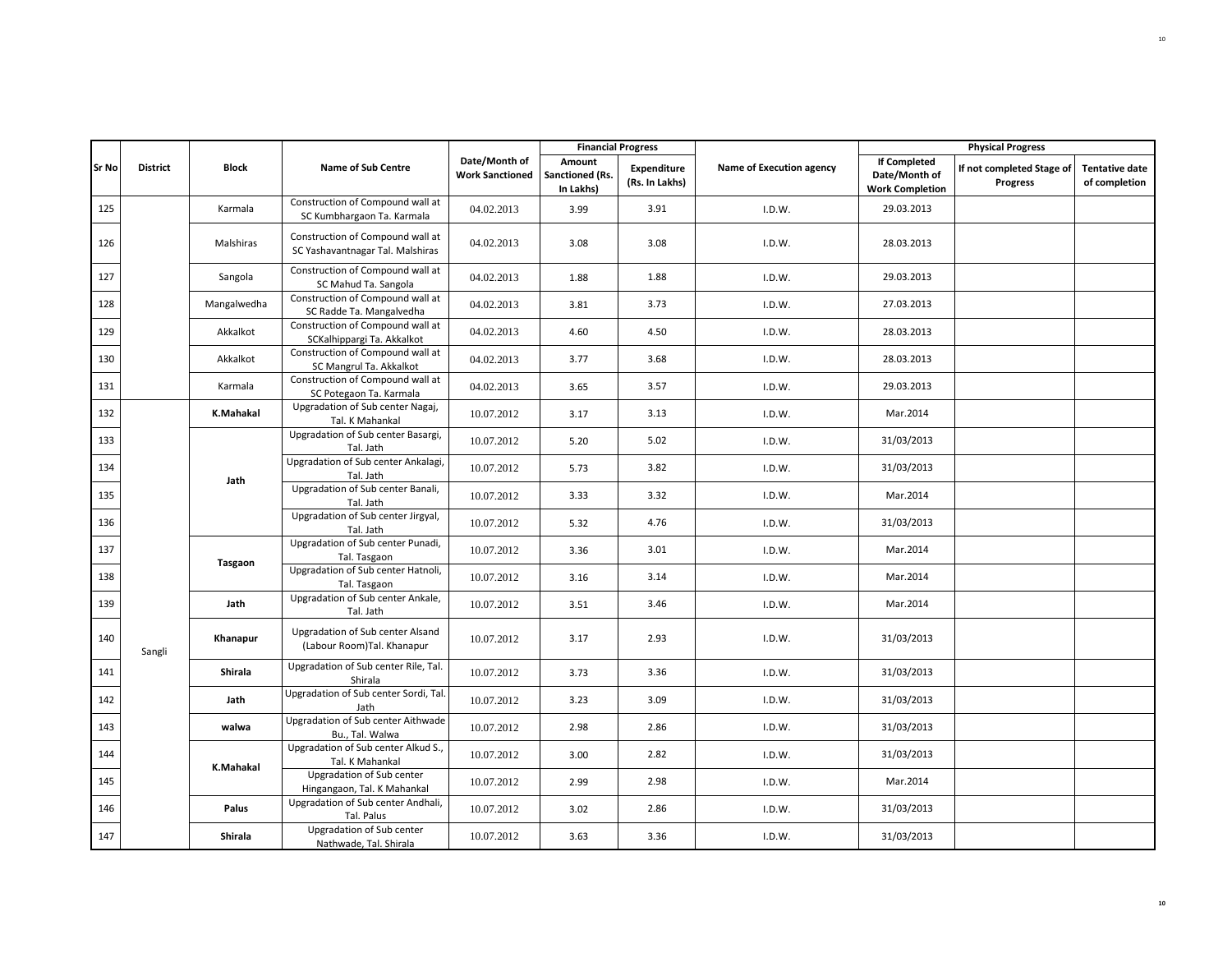|       |                 |                 |                                                                      |                                         |                                        | <b>Financial Progress</b>            |                          |                                                                | <b>Physical Progress</b>              |                                        |
|-------|-----------------|-----------------|----------------------------------------------------------------------|-----------------------------------------|----------------------------------------|--------------------------------------|--------------------------|----------------------------------------------------------------|---------------------------------------|----------------------------------------|
| Sr No | <b>District</b> | <b>Block</b>    | <b>Name of Sub Centre</b>                                            | Date/Month of<br><b>Work Sanctioned</b> | Amount<br>Sanctioned (Rs.<br>In Lakhs) | <b>Expenditure</b><br>(Rs. In Lakhs) | Name of Execution agency | <b>If Completed</b><br>Date/Month of<br><b>Work Completion</b> | If not completed Stage of<br>Progress | <b>Tentative date</b><br>of completion |
| 125   |                 | Karmala         | Construction of Compound wall at<br>SC Kumbhargaon Ta. Karmala       | 04.02.2013                              | 3.99                                   | 3.91                                 | I.D.W.                   | 29.03.2013                                                     |                                       |                                        |
| 126   |                 | Malshiras       | Construction of Compound wall at<br>SC Yashavantnagar Tal. Malshiras | 04.02.2013                              | 3.08                                   | 3.08                                 | I.D.W.                   | 28.03.2013                                                     |                                       |                                        |
| 127   |                 | Sangola         | Construction of Compound wall at<br>SC Mahud Ta. Sangola             | 04.02.2013                              | 1.88                                   | 1.88                                 | I.D.W.                   | 29.03.2013                                                     |                                       |                                        |
| 128   |                 | Mangalwedha     | Construction of Compound wall at<br>SC Radde Ta. Mangalvedha         | 04.02.2013                              | 3.81                                   | 3.73                                 | I.D.W.                   | 27.03.2013                                                     |                                       |                                        |
| 129   |                 | Akkalkot        | Construction of Compound wall at<br>SCKalhippargi Ta. Akkalkot       | 04.02.2013                              | 4.60                                   | 4.50                                 | I.D.W.                   | 28.03.2013                                                     |                                       |                                        |
| 130   |                 | Akkalkot        | Construction of Compound wall at<br>SC Mangrul Ta. Akkalkot          | 04.02.2013                              | 3.77                                   | 3.68                                 | I.D.W.                   | 28.03.2013                                                     |                                       |                                        |
| 131   |                 | Karmala         | Construction of Compound wall at<br>SC Potegaon Ta. Karmala          | 04.02.2013                              | 3.65                                   | 3.57                                 | I.D.W.                   | 29.03.2013                                                     |                                       |                                        |
| 132   |                 | K.Mahakal       | Upgradation of Sub center Nagaj,<br>Tal. K Mahankal                  | 10.07.2012                              | 3.17                                   | 3.13                                 | I.D.W.                   | Mar.2014                                                       |                                       |                                        |
| 133   |                 |                 | Upgradation of Sub center Basargi,<br>Tal. Jath                      | 10.07.2012                              | 5.20                                   | 5.02                                 | I.D.W.                   | 31/03/2013                                                     |                                       |                                        |
| 134   |                 |                 | Upgradation of Sub center Ankalagi,<br>Tal. Jath                     | 10.07.2012                              | 5.73                                   | 3.82                                 | I.D.W.                   | 31/03/2013                                                     |                                       |                                        |
| 135   |                 | Jath<br>Tasgaon | Upgradation of Sub center Banali,<br>Tal. Jath                       | 10.07.2012                              | 3.33                                   | 3.32                                 | I.D.W.                   | Mar.2014                                                       |                                       |                                        |
| 136   |                 |                 | Upgradation of Sub center Jirgyal,<br>Tal. Jath                      | 10.07.2012                              | 5.32                                   | 4.76                                 | I.D.W.                   | 31/03/2013                                                     |                                       |                                        |
| 137   |                 |                 | Upgradation of Sub center Punadi,<br>Tal. Tasgaon                    | 10.07.2012                              | 3.36                                   | 3.01                                 | I.D.W.                   | Mar.2014                                                       |                                       |                                        |
| 138   |                 |                 | Upgradation of Sub center Hatnoli,<br>Tal. Tasgaon                   | 10.07.2012                              | 3.16                                   | 3.14                                 | I.D.W.                   | Mar.2014                                                       |                                       |                                        |
| 139   |                 | Jath            | Upgradation of Sub center Ankale,<br>Tal. Jath                       | 10.07.2012                              | 3.51                                   | 3.46                                 | I.D.W.                   | Mar.2014                                                       |                                       |                                        |
| 140   | Sangli          | Khanapur        | Upgradation of Sub center Alsand<br>(Labour Room)Tal. Khanapur       | 10.07.2012                              | 3.17                                   | 2.93                                 | I.D.W.                   | 31/03/2013                                                     |                                       |                                        |
| 141   |                 | Shirala         | Upgradation of Sub center Rile, Tal.<br>Shirala                      | 10.07.2012                              | 3.73                                   | 3.36                                 | I.D.W.                   | 31/03/2013                                                     |                                       |                                        |
| 142   |                 | Jath            | Upgradation of Sub center Sordi, Tal.<br>Jath                        | 10.07.2012                              | 3.23                                   | 3.09                                 | I.D.W.                   | 31/03/2013                                                     |                                       |                                        |
| 143   |                 | walwa           | Upgradation of Sub center Aithwade<br>Bu., Tal. Walwa                | 10.07.2012                              | 2.98                                   | 2.86                                 | I.D.W.                   | 31/03/2013                                                     |                                       |                                        |
| 144   |                 | K.Mahakal       | Upgradation of Sub center Alkud S.,<br>Tal. K Mahankal               | 10.07.2012                              | 3.00                                   | 2.82                                 | I.D.W.                   | 31/03/2013                                                     |                                       |                                        |
| 145   |                 |                 | Upgradation of Sub center<br>Hingangaon, Tal. K Mahankal             | 10.07.2012                              | 2.99                                   | 2.98                                 | I.D.W.                   | Mar.2014                                                       |                                       |                                        |
| 146   |                 | Palus           | Upgradation of Sub center Andhali,<br>Tal. Palus                     | 10.07.2012                              | 3.02                                   | 2.86                                 | I.D.W.                   | 31/03/2013                                                     |                                       |                                        |
| 147   |                 | Shirala         | Upgradation of Sub center<br>Nathwade, Tal. Shirala                  | 10.07.2012                              | 3.63                                   | 3.36                                 | I.D.W.                   | 31/03/2013                                                     |                                       |                                        |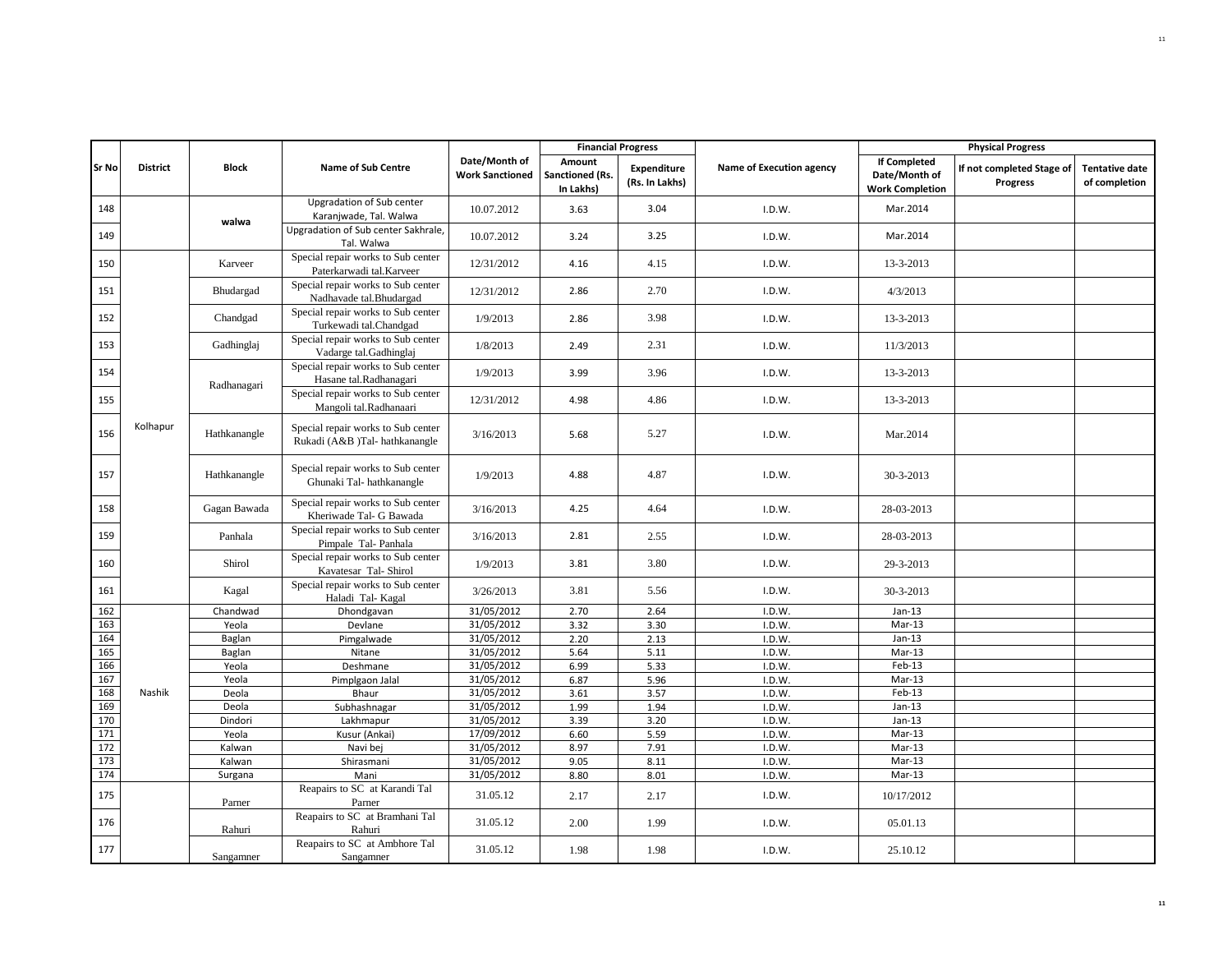|              |                 |              |                                                                      |                                         |                                        | <b>Financial Progress</b>            |                          |                                                                | <b>Physical Progress</b>                     |                                        |
|--------------|-----------------|--------------|----------------------------------------------------------------------|-----------------------------------------|----------------------------------------|--------------------------------------|--------------------------|----------------------------------------------------------------|----------------------------------------------|----------------------------------------|
| <b>Sr No</b> | <b>District</b> | <b>Block</b> | <b>Name of Sub Centre</b>                                            | Date/Month of<br><b>Work Sanctioned</b> | Amount<br>Sanctioned (Rs.<br>In Lakhs) | <b>Expenditure</b><br>(Rs. In Lakhs) | Name of Execution agency | <b>If Completed</b><br>Date/Month of<br><b>Work Completion</b> | If not completed Stage of<br><b>Progress</b> | <b>Tentative date</b><br>of completion |
| 148          |                 | walwa        | Upgradation of Sub center<br>Karanjwade, Tal. Walwa                  | 10.07.2012                              | 3.63                                   | 3.04                                 | I.D.W.                   | Mar.2014                                                       |                                              |                                        |
| 149          |                 |              | Upgradation of Sub center Sakhrale,<br>Tal. Walwa                    | 10.07.2012                              | 3.24                                   | 3.25                                 | I.D.W.                   | Mar.2014                                                       |                                              |                                        |
| 150          |                 | Karveer      | Special repair works to Sub center<br>Paterkarwadi tal.Karveer       | 12/31/2012                              | 4.16                                   | 4.15                                 | I.D.W.                   | 13-3-2013                                                      |                                              |                                        |
| 151          |                 | Bhudargad    | Special repair works to Sub center<br>Nadhavade tal.Bhudargad        | 12/31/2012                              | 2.86                                   | 2.70                                 | I.D.W.                   | 4/3/2013                                                       |                                              |                                        |
| 152          |                 | Chandgad     | Special repair works to Sub center<br>Turkewadi tal.Chandgad         | 1/9/2013                                | 2.86                                   | 3.98                                 | I.D.W.                   | 13-3-2013                                                      |                                              |                                        |
| 153          |                 | Gadhinglaj   | Special repair works to Sub center<br>Vadarge tal.Gadhinglaj         | 1/8/2013                                | 2.49                                   | 2.31                                 | I.D.W.                   | 11/3/2013                                                      |                                              |                                        |
| 154          |                 | Radhanagari  | Special repair works to Sub center<br>Hasane tal.Radhanagari         | 1/9/2013                                | 3.99                                   | 3.96                                 | I.D.W.                   | 13-3-2013                                                      |                                              |                                        |
| 155          |                 |              | Special repair works to Sub center<br>Mangoli tal.Radhanaari         | 12/31/2012                              | 4.98                                   | 4.86                                 | I.D.W.                   | 13-3-2013                                                      |                                              |                                        |
| 156          | Kolhapur        | Hathkanangle | Special repair works to Sub center<br>Rukadi (A&B )Tal- hathkanangle | 3/16/2013                               | 5.68                                   | 5.27                                 | I.D.W.                   | Mar.2014                                                       |                                              |                                        |
| 157          |                 | Hathkanangle | Special repair works to Sub center<br>Ghunaki Tal-hathkanangle       | 1/9/2013                                | 4.88                                   | 4.87                                 | I.D.W.                   | 30-3-2013                                                      |                                              |                                        |
| 158          |                 | Gagan Bawada | Special repair works to Sub center<br>Kheriwade Tal- G Bawada        | 3/16/2013                               | 4.25                                   | 4.64                                 | I.D.W.                   | 28-03-2013                                                     |                                              |                                        |
| 159          |                 | Panhala      | Special repair works to Sub center<br>Pimpale Tal-Panhala            | 3/16/2013                               | 2.81                                   | 2.55                                 | I.D.W.                   | 28-03-2013                                                     |                                              |                                        |
| 160          |                 | Shirol       | Special repair works to Sub center<br>Kavatesar Tal-Shirol           | 1/9/2013                                | 3.81                                   | 3.80                                 | I.D.W.                   | 29-3-2013                                                      |                                              |                                        |
| 161          |                 | Kagal        | Special repair works to Sub center<br>Haladi Tal- Kagal              | 3/26/2013                               | 3.81                                   | 5.56                                 | I.D.W.                   | 30-3-2013                                                      |                                              |                                        |
| 162          |                 | Chandwad     | Dhondgavan                                                           | 31/05/2012                              | 2.70                                   | 2.64                                 | I.D.W.                   | $Jan-13$                                                       |                                              |                                        |
| 163          |                 | Yeola        | Devlane                                                              | 31/05/2012                              | 3.32                                   | 3.30                                 | I.D.W.                   | $Mar-13$                                                       |                                              |                                        |
| 164          |                 | Baglan       | Pimgalwade                                                           | 31/05/2012                              | 2.20                                   | 2.13                                 | I.D.W.                   | $Jan-13$                                                       |                                              |                                        |
| 165          |                 | Baglan       | Nitane                                                               | 31/05/2012                              | 5.64                                   | 5.11                                 | I.D.W.                   | $Mar-13$                                                       |                                              |                                        |
| 166          |                 | Yeola        | Deshmane                                                             | 31/05/2012                              | 6.99                                   | 5.33                                 | I.D.W.                   | $Feb-13$                                                       |                                              |                                        |
| 167          |                 | Yeola        | Pimplgaon Jalal                                                      | 31/05/2012                              | 6.87                                   | 5.96                                 | I.D.W.                   | $Mar-13$                                                       |                                              |                                        |
| 168          | Nashik          | Deola        | Bhaur                                                                | 31/05/2012                              | 3.61                                   | 3.57                                 | I.D.W.                   | $Feb-13$                                                       |                                              |                                        |
| 169          |                 | Deola        | Subhashnagar                                                         | 31/05/2012                              | 1.99                                   | 1.94                                 | I.D.W.                   | $Jan-13$                                                       |                                              |                                        |
| 170          |                 | Dindori      | Lakhmapur                                                            | 31/05/2012                              | 3.39                                   | 3.20                                 | I.D.W.                   | $Jan-13$                                                       |                                              |                                        |
| 171          |                 | Yeola        | Kusur (Ankai)                                                        | 17/09/2012                              | 6.60                                   | 5.59                                 | I.D.W.                   | $Mar-13$                                                       |                                              |                                        |
| 172          |                 | Kalwan       | Navi bej                                                             | 31/05/2012                              | 8.97                                   | 7.91                                 | I.D.W.                   | $Mar-13$                                                       |                                              |                                        |
| 173          |                 | Kalwan       | Shirasmani                                                           | 31/05/2012                              | 9.05                                   | 8.11                                 | I.D.W.                   | Mar-13                                                         |                                              |                                        |
| 174          |                 | Surgana      | Mani                                                                 | 31/05/2012                              | 8.80                                   | 8.01                                 | I.D.W.                   | Mar-13                                                         |                                              |                                        |
| 175          |                 | Parner       | Reapairs to SC at Karandi Tal<br>Parner                              | 31.05.12                                | 2.17                                   | 2.17                                 | I.D.W.                   | 10/17/2012                                                     |                                              |                                        |
| 176          |                 | Rahuri       | Reapairs to SC at Bramhani Tal<br>Rahuri                             | 31.05.12                                | 2.00                                   | 1.99                                 | I.D.W.                   | 05.01.13                                                       |                                              |                                        |
| 177          |                 | Sangamner    | Reapairs to SC at Ambhore Tal<br>Sangamner                           | 31.05.12                                | 1.98                                   | 1.98                                 | I.D.W.                   | 25.10.12                                                       |                                              |                                        |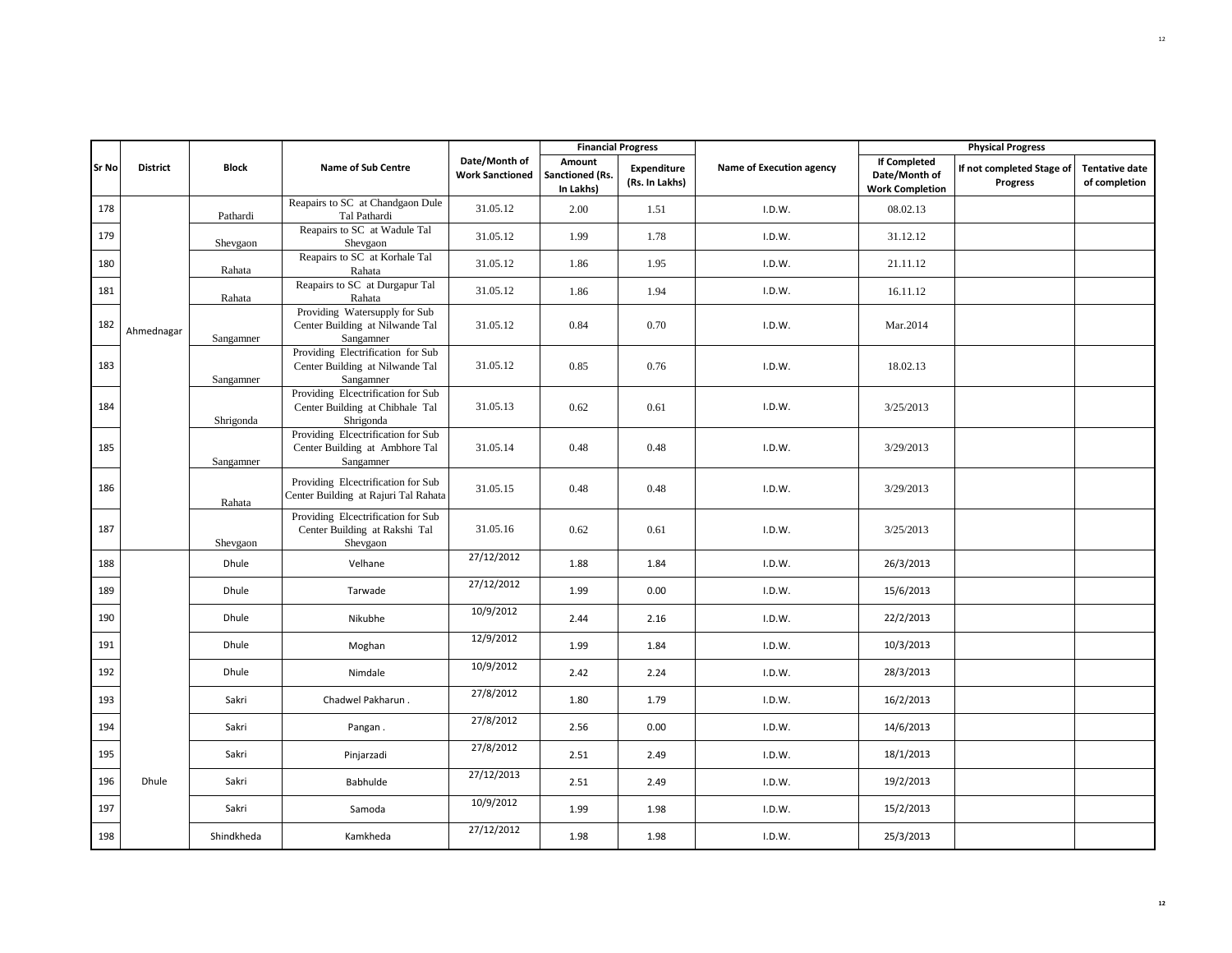|              |                 |              |                                                                                    |                                         |                                        | <b>Financial Progress</b>            |                          |                                                                | <b>Physical Progress</b>                     |                                        |
|--------------|-----------------|--------------|------------------------------------------------------------------------------------|-----------------------------------------|----------------------------------------|--------------------------------------|--------------------------|----------------------------------------------------------------|----------------------------------------------|----------------------------------------|
| <b>Sr No</b> | <b>District</b> | <b>Block</b> | <b>Name of Sub Centre</b>                                                          | Date/Month of<br><b>Work Sanctioned</b> | Amount<br>Sanctioned (Rs.<br>In Lakhs) | <b>Expenditure</b><br>(Rs. In Lakhs) | Name of Execution agency | <b>If Completed</b><br>Date/Month of<br><b>Work Completion</b> | If not completed Stage of<br><b>Progress</b> | <b>Tentative date</b><br>of completion |
| 178          |                 | Pathardi     | Reapairs to SC at Chandgaon Dule<br>Tal Pathardi                                   | 31.05.12                                | 2.00                                   | 1.51                                 | I.D.W.                   | 08.02.13                                                       |                                              |                                        |
| 179          |                 | Shevgaon     | Reapairs to SC at Wadule Tal<br>Shevgaon                                           | 31.05.12                                | 1.99                                   | 1.78                                 | I.D.W.                   | 31.12.12                                                       |                                              |                                        |
| 180          |                 | Rahata       | Reapairs to SC at Korhale Tal<br>Rahata                                            | 31.05.12                                | 1.86                                   | 1.95                                 | I.D.W.                   | 21.11.12                                                       |                                              |                                        |
| 181          |                 | Rahata       | Reapairs to SC at Durgapur Tal<br>Rahata                                           | 31.05.12                                | 1.86                                   | 1.94                                 | I.D.W.                   | 16.11.12                                                       |                                              |                                        |
| 182          | Ahmednagar      | Sangamner    | Providing Watersupply for Sub<br>Center Building at Nilwande Tal<br>Sangamner      | 31.05.12                                | 0.84                                   | 0.70                                 | I.D.W.                   | Mar.2014                                                       |                                              |                                        |
| 183          |                 | Sangamner    | Providing Electrification for Sub<br>Center Building at Nilwande Tal<br>Sangamner  | 31.05.12                                | 0.85                                   | 0.76                                 | I.D.W.                   | 18.02.13                                                       |                                              |                                        |
| 184          |                 | Shrigonda    | Providing Elcectrification for Sub<br>Center Building at Chibhale Tal<br>Shrigonda | 31.05.13                                | 0.62                                   | 0.61                                 | I.D.W.                   | 3/25/2013                                                      |                                              |                                        |
| 185          |                 | Sangamner    | Providing Elcectrification for Sub<br>Center Building at Ambhore Tal<br>Sangamner  | 31.05.14                                | 0.48                                   | 0.48                                 | I.D.W.                   | 3/29/2013                                                      |                                              |                                        |
| 186          |                 | Rahata       | Providing Elcectrification for Sub<br>Center Building at Rajuri Tal Rahata         | 31.05.15                                | 0.48                                   | 0.48                                 | I.D.W.                   | 3/29/2013                                                      |                                              |                                        |
| 187          |                 | Shevgaon     | Providing Elcectrification for Sub<br>Center Building at Rakshi Tal<br>Shevgaon    | 31.05.16                                | 0.62                                   | 0.61                                 | I.D.W.                   | 3/25/2013                                                      |                                              |                                        |
| 188          |                 | Dhule        | Velhane                                                                            | 27/12/2012                              | 1.88                                   | 1.84                                 | I.D.W.                   | 26/3/2013                                                      |                                              |                                        |
| 189          |                 | Dhule        | Tarwade                                                                            | 27/12/2012                              | 1.99                                   | 0.00                                 | I.D.W.                   | 15/6/2013                                                      |                                              |                                        |
| 190          |                 | Dhule        | Nikubhe                                                                            | 10/9/2012                               | 2.44                                   | 2.16                                 | I.D.W.                   | 22/2/2013                                                      |                                              |                                        |
| 191          |                 | Dhule        | Moghan                                                                             | 12/9/2012                               | 1.99                                   | 1.84                                 | I.D.W.                   | 10/3/2013                                                      |                                              |                                        |
| 192          |                 | Dhule        | Nimdale                                                                            | 10/9/2012                               | 2.42                                   | 2.24                                 | I.D.W.                   | 28/3/2013                                                      |                                              |                                        |
| 193          |                 | Sakri        | Chadwel Pakharun.                                                                  | 27/8/2012                               | 1.80                                   | 1.79                                 | I.D.W.                   | 16/2/2013                                                      |                                              |                                        |
| 194          |                 | Sakri        | Pangan.                                                                            | 27/8/2012                               | 2.56                                   | 0.00                                 | I.D.W.                   | 14/6/2013                                                      |                                              |                                        |
| 195          |                 | Sakri        | Pinjarzadi                                                                         | 27/8/2012                               | 2.51                                   | 2.49                                 | I.D.W.                   | 18/1/2013                                                      |                                              |                                        |
| 196          | Dhule           | Sakri        | Babhulde                                                                           | 27/12/2013                              | 2.51                                   | 2.49                                 | I.D.W.                   | 19/2/2013                                                      |                                              |                                        |
| 197          |                 | Sakri        | Samoda                                                                             | 10/9/2012                               | 1.99                                   | 1.98                                 | I.D.W.                   | 15/2/2013                                                      |                                              |                                        |
| 198          |                 | Shindkheda   | Kamkheda                                                                           | 27/12/2012                              | 1.98                                   | 1.98                                 | I.D.W.                   | 25/3/2013                                                      |                                              |                                        |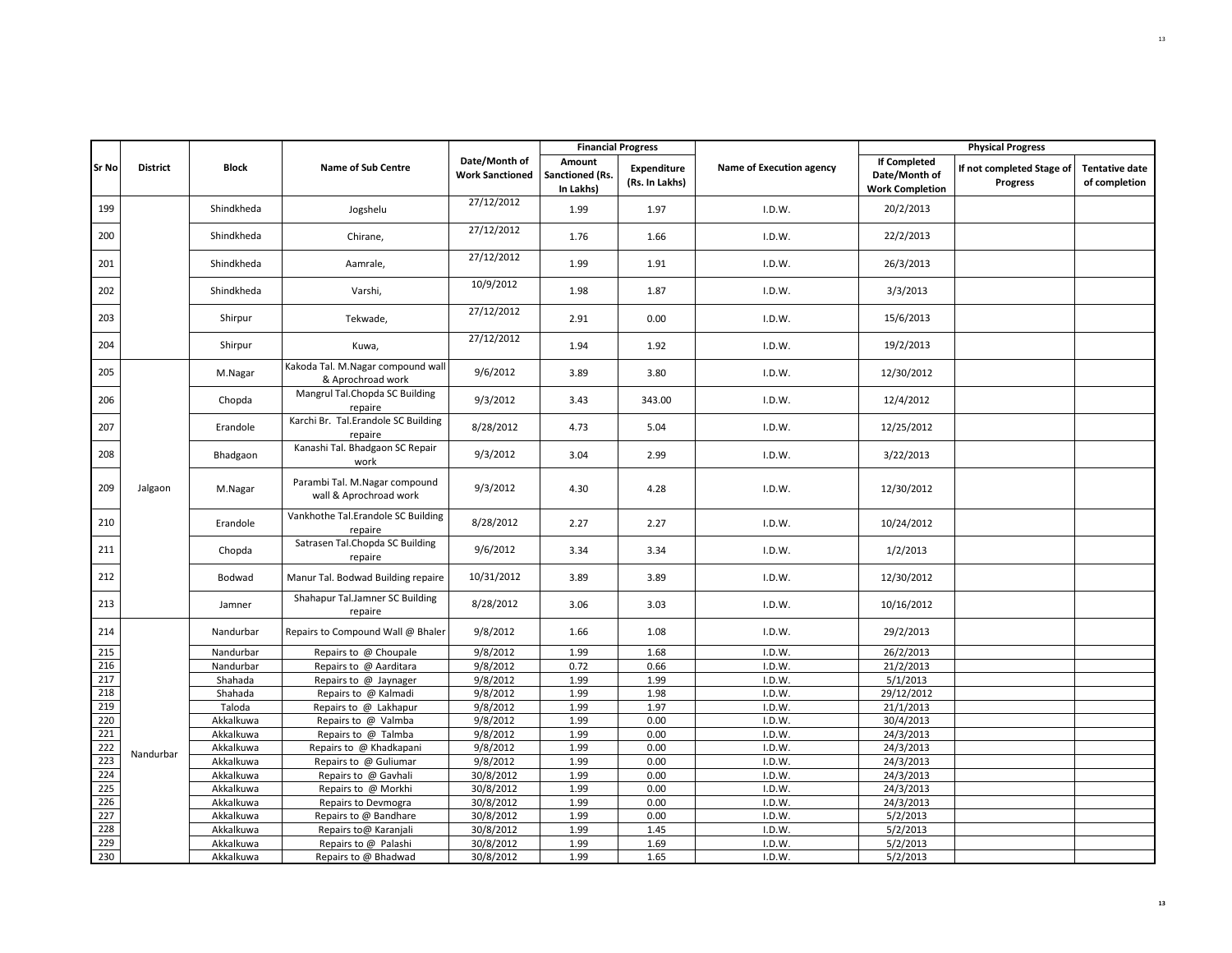|              |                 |              |                                                         |                                         |                                        | <b>Financial Progress</b>            |                          |                                                                | <b>Physical Progress</b>              |                                        |
|--------------|-----------------|--------------|---------------------------------------------------------|-----------------------------------------|----------------------------------------|--------------------------------------|--------------------------|----------------------------------------------------------------|---------------------------------------|----------------------------------------|
| <b>Sr No</b> | <b>District</b> | <b>Block</b> | <b>Name of Sub Centre</b>                               | Date/Month of<br><b>Work Sanctioned</b> | Amount<br>Sanctioned (Rs.<br>In Lakhs) | <b>Expenditure</b><br>(Rs. In Lakhs) | Name of Execution agency | <b>If Completed</b><br>Date/Month of<br><b>Work Completion</b> | If not completed Stage of<br>Progress | <b>Tentative date</b><br>of completion |
| 199          |                 | Shindkheda   | Jogshelu                                                | 27/12/2012                              | 1.99                                   | 1.97                                 | I.D.W.                   | 20/2/2013                                                      |                                       |                                        |
| 200          |                 | Shindkheda   | Chirane,                                                | 27/12/2012                              | 1.76                                   | 1.66                                 | I.D.W.                   | 22/2/2013                                                      |                                       |                                        |
| 201          |                 | Shindkheda   | Aamrale,                                                | 27/12/2012                              | 1.99                                   | 1.91                                 | I.D.W.                   | 26/3/2013                                                      |                                       |                                        |
| 202          |                 | Shindkheda   | Varshi,                                                 | 10/9/2012                               | 1.98                                   | 1.87                                 | I.D.W.                   | 3/3/2013                                                       |                                       |                                        |
| 203          |                 | Shirpur      | Tekwade,                                                | 27/12/2012                              | 2.91                                   | 0.00                                 | I.D.W.                   | 15/6/2013                                                      |                                       |                                        |
| 204          |                 | Shirpur      | Kuwa,                                                   | 27/12/2012                              | 1.94                                   | 1.92                                 | I.D.W.                   | 19/2/2013                                                      |                                       |                                        |
| 205          |                 | M.Nagar      | Kakoda Tal. M.Nagar compound wall<br>& Aprochroad work  | 9/6/2012                                | 3.89                                   | 3.80                                 | I.D.W.                   | 12/30/2012                                                     |                                       |                                        |
| 206          |                 | Chopda       | Mangrul Tal.Chopda SC Building<br>repaire               | 9/3/2012                                | 3.43                                   | 343.00                               | I.D.W.                   | 12/4/2012                                                      |                                       |                                        |
| 207          |                 | Erandole     | Karchi Br. Tal.Erandole SC Building<br>repaire          | 8/28/2012                               | 4.73                                   | 5.04                                 | I.D.W.                   | 12/25/2012                                                     |                                       |                                        |
| 208          |                 | Bhadgaon     | Kanashi Tal. Bhadgaon SC Repair<br>work                 | 9/3/2012                                | 3.04                                   | 2.99                                 | I.D.W.                   | 3/22/2013                                                      |                                       |                                        |
| 209          | Jalgaon         | M.Nagar      | Parambi Tal. M.Nagar compound<br>wall & Aprochroad work | 9/3/2012                                | 4.30                                   | 4.28                                 | I.D.W.                   | 12/30/2012                                                     |                                       |                                        |
| 210          |                 | Erandole     | Vankhothe Tal. Erandole SC Building<br>repaire          | 8/28/2012                               | 2.27                                   | 2.27                                 | I.D.W.                   | 10/24/2012                                                     |                                       |                                        |
| 211          |                 | Chopda       | Satrasen Tal.Chopda SC Building<br>repaire              | 9/6/2012                                | 3.34                                   | 3.34                                 | I.D.W.                   | 1/2/2013                                                       |                                       |                                        |
| 212          |                 | Bodwad       | Manur Tal. Bodwad Building repaire                      | 10/31/2012                              | 3.89                                   | 3.89                                 | I.D.W.                   | 12/30/2012                                                     |                                       |                                        |
| 213          |                 | Jamner       | Shahapur Tal.Jamner SC Building<br>repaire              | 8/28/2012                               | 3.06                                   | 3.03                                 | I.D.W.                   | 10/16/2012                                                     |                                       |                                        |
| 214          |                 | Nandurbar    | Repairs to Compound Wall @ Bhaler                       | 9/8/2012                                | 1.66                                   | 1.08                                 | I.D.W.                   | 29/2/2013                                                      |                                       |                                        |
| 215          |                 | Nandurbar    | Repairs to @ Choupale                                   | 9/8/2012                                | 1.99                                   | 1.68                                 | I.D.W.                   | 26/2/2013                                                      |                                       |                                        |
| 216          |                 | Nandurbar    | Repairs to @ Aarditara                                  | 9/8/2012                                | 0.72                                   | 0.66                                 | I.D.W.                   | 21/2/2013                                                      |                                       |                                        |
| 217          |                 | Shahada      | Repairs to @ Jaynager                                   | 9/8/2012                                | 1.99                                   | 1.99                                 | I.D.W.                   | 5/1/2013                                                       |                                       |                                        |
| 218          |                 | Shahada      | Repairs to @ Kalmadi                                    | 9/8/2012                                | 1.99                                   | 1.98                                 | I.D.W.                   | 29/12/2012                                                     |                                       |                                        |
| 219          |                 | Taloda       | Repairs to @ Lakhapur                                   | 9/8/2012                                | 1.99                                   | 1.97                                 | I.D.W.                   | 21/1/2013                                                      |                                       |                                        |
| 220          |                 | Akkalkuwa    | Repairs to @ Valmba                                     | 9/8/2012                                | 1.99                                   | 0.00                                 | I.D.W.                   | 30/4/2013                                                      |                                       |                                        |
| 221          |                 | Akkalkuwa    | Repairs to @ Talmba                                     | 9/8/2012                                | 1.99                                   | 0.00                                 | I.D.W.                   | 24/3/2013                                                      |                                       |                                        |
| 222          |                 | Akkalkuwa    | Repairs to @ Khadkapani                                 | 9/8/2012                                | 1.99                                   | 0.00                                 | I.D.W.                   | 24/3/2013                                                      |                                       |                                        |
| 223          | Nandurbar       | Akkalkuwa    | Repairs to @ Guliumar                                   | 9/8/2012                                | 1.99                                   | 0.00                                 | I.D.W.                   | 24/3/2013                                                      |                                       |                                        |
| 224          |                 | Akkalkuwa    | Repairs to @ Gavhali                                    | 30/8/2012                               | 1.99                                   | 0.00                                 | I.D.W.                   | 24/3/2013                                                      |                                       |                                        |
| 225          |                 | Akkalkuwa    | Repairs to @ Morkhi                                     | 30/8/2012                               | 1.99                                   | 0.00                                 | I.D.W.                   | 24/3/2013                                                      |                                       |                                        |
| 226          |                 | Akkalkuwa    | Repairs to Devmogra                                     | 30/8/2012                               | 1.99                                   | 0.00                                 | I.D.W.                   | 24/3/2013                                                      |                                       |                                        |
| 227          |                 | Akkalkuwa    | Repairs to @ Bandhare                                   | 30/8/2012                               | 1.99                                   | 0.00                                 | I.D.W.                   | 5/2/2013                                                       |                                       |                                        |
| 228          |                 | Akkalkuwa    | Repairs to@ Karanjali                                   | 30/8/2012                               | 1.99                                   | 1.45                                 | I.D.W.                   | 5/2/2013                                                       |                                       |                                        |
| 229          |                 | Akkalkuwa    | Repairs to @ Palashi                                    | 30/8/2012                               | 1.99                                   | 1.69                                 | I.D.W.                   | 5/2/2013                                                       |                                       |                                        |
| 230          |                 | Akkalkuwa    | Repairs to @ Bhadwad                                    | 30/8/2012                               | 1.99                                   | 1.65                                 | I.D.W.                   | 5/2/2013                                                       |                                       |                                        |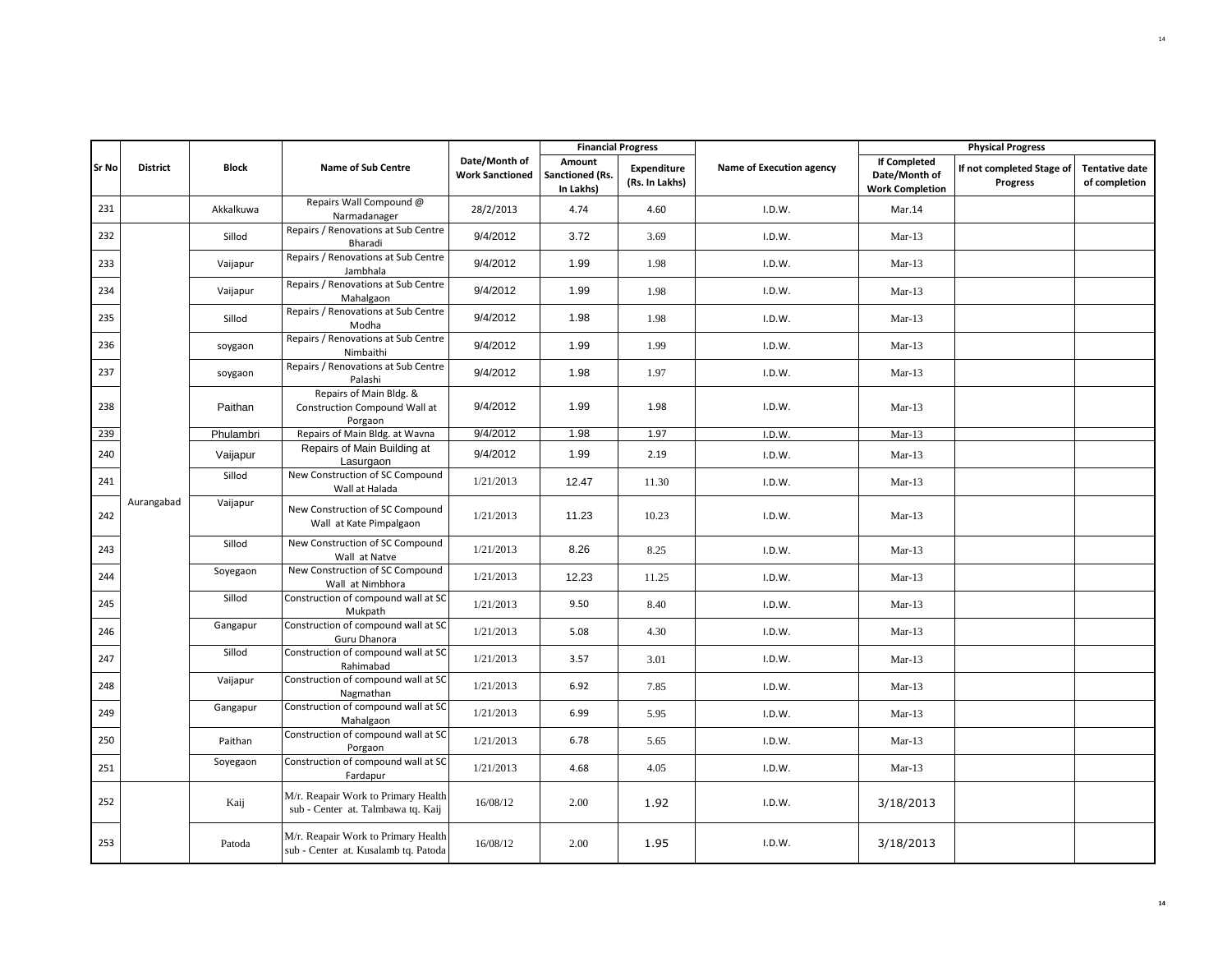|       |                 |              |                                                                             |                                         |                                        | <b>Financial Progress</b>     |                          |                                                                | <b>Physical Progress</b>                     |                                        |
|-------|-----------------|--------------|-----------------------------------------------------------------------------|-----------------------------------------|----------------------------------------|-------------------------------|--------------------------|----------------------------------------------------------------|----------------------------------------------|----------------------------------------|
| Sr No | <b>District</b> | <b>Block</b> | <b>Name of Sub Centre</b>                                                   | Date/Month of<br><b>Work Sanctioned</b> | Amount<br>Sanctioned (Rs.<br>In Lakhs) | Expenditure<br>(Rs. In Lakhs) | Name of Execution agency | <b>If Completed</b><br>Date/Month of<br><b>Work Completion</b> | If not completed Stage of<br><b>Progress</b> | <b>Tentative date</b><br>of completion |
| 231   |                 | Akkalkuwa    | Repairs Wall Compound @<br>Narmadanager                                     | 28/2/2013                               | 4.74                                   | 4.60                          | I.D.W.                   | Mar.14                                                         |                                              |                                        |
| 232   |                 | Sillod       | Repairs / Renovations at Sub Centre<br>Bharadi                              | 9/4/2012                                | 3.72                                   | 3.69                          | I.D.W.                   | $Mar-13$                                                       |                                              |                                        |
| 233   |                 | Vaijapur     | Repairs / Renovations at Sub Centre<br>Jambhala                             | 9/4/2012                                | 1.99                                   | 1.98                          | I.D.W.                   | $Mar-13$                                                       |                                              |                                        |
| 234   |                 | Vaijapur     | Repairs / Renovations at Sub Centre<br>Mahalgaon                            | 9/4/2012                                | 1.99                                   | 1.98                          | I.D.W.                   | $Mar-13$                                                       |                                              |                                        |
| 235   |                 | Sillod       | Repairs / Renovations at Sub Centre<br>Modha                                | 9/4/2012                                | 1.98                                   | 1.98                          | I.D.W.                   | $Mar-13$                                                       |                                              |                                        |
| 236   |                 | soygaon      | Repairs / Renovations at Sub Centre<br>Nimbaithi                            | 9/4/2012                                | 1.99                                   | 1.99                          | I.D.W.                   | $Mar-13$                                                       |                                              |                                        |
| 237   |                 | soygaon      | Repairs / Renovations at Sub Centre<br>Palashi                              | 9/4/2012                                | 1.98                                   | 1.97                          | I.D.W.                   | $Mar-13$                                                       |                                              |                                        |
| 238   |                 | Paithan      | Repairs of Main Bldg. &<br>Construction Compound Wall at<br>Porgaon         | 9/4/2012                                | 1.99                                   | 1.98                          | I.D.W.                   | $Mar-13$                                                       |                                              |                                        |
| 239   |                 | Phulambri    | Repairs of Main Bldg. at Wavna                                              | 9/4/2012                                | 1.98                                   | 1.97                          | I.D.W.                   | $Mar-13$                                                       |                                              |                                        |
| 240   |                 | Vaijapur     | Repairs of Main Building at<br>Lasurgaon                                    | 9/4/2012                                | 1.99                                   | 2.19                          | I.D.W.                   | $Mar-13$                                                       |                                              |                                        |
| 241   |                 | Sillod       | New Construction of SC Compound<br>Wall at Halada                           | 1/21/2013                               | 12.47                                  | 11.30                         | I.D.W.                   | $Mar-13$                                                       |                                              |                                        |
| 242   | Aurangabad      | Vaijapur     | New Construction of SC Compound<br>Wall at Kate Pimpalgaon                  | 1/21/2013                               | 11.23                                  | 10.23                         | I.D.W.                   | $Mar-13$                                                       |                                              |                                        |
| 243   |                 | Sillod       | New Construction of SC Compound<br>Wall at Natve                            | 1/21/2013                               | 8.26                                   | 8.25                          | I.D.W.                   | $Mar-13$                                                       |                                              |                                        |
| 244   |                 | Soyegaon     | New Construction of SC Compound<br>Wall at Nimbhora                         | 1/21/2013                               | 12.23                                  | 11.25                         | I.D.W.                   | $Mar-13$                                                       |                                              |                                        |
| 245   |                 | Sillod       | Construction of compound wall at SC<br>Mukpath                              | 1/21/2013                               | 9.50                                   | 8.40                          | I.D.W.                   | $Mar-13$                                                       |                                              |                                        |
| 246   |                 | Gangapur     | Construction of compound wall at SC<br>Guru Dhanora                         | 1/21/2013                               | 5.08                                   | 4.30                          | I.D.W.                   | $Mar-13$                                                       |                                              |                                        |
| 247   |                 | Sillod       | Construction of compound wall at SC<br>Rahimabad                            | 1/21/2013                               | 3.57                                   | 3.01                          | I.D.W.                   | $Mar-13$                                                       |                                              |                                        |
| 248   |                 | Vaijapur     | Construction of compound wall at SC<br>Nagmathan                            | 1/21/2013                               | 6.92                                   | 7.85                          | I.D.W.                   | $Mar-13$                                                       |                                              |                                        |
| 249   |                 | Gangapur     | Construction of compound wall at SC<br>Mahalgaon                            | 1/21/2013                               | 6.99                                   | 5.95                          | I.D.W.                   | $Mar-13$                                                       |                                              |                                        |
| 250   |                 | Paithan      | Construction of compound wall at SC<br>Porgaon                              | 1/21/2013                               | 6.78                                   | 5.65                          | I.D.W.                   | $Mar-13$                                                       |                                              |                                        |
| 251   |                 | Soyegaon     | Construction of compound wall at SC<br>Fardapur                             | 1/21/2013                               | 4.68                                   | 4.05                          | I.D.W.                   | $Mar-13$                                                       |                                              |                                        |
| 252   |                 | Kaij         | M/r. Reapair Work to Primary Health<br>sub - Center at. Talmbawa tq. Kaij   | 16/08/12                                | 2.00                                   | 1.92                          | I.D.W.                   | 3/18/2013                                                      |                                              |                                        |
| 253   |                 | Patoda       | M/r. Reapair Work to Primary Health<br>sub - Center at. Kusalamb tq. Patoda | 16/08/12                                | 2.00                                   | 1.95                          | I.D.W.                   | 3/18/2013                                                      |                                              |                                        |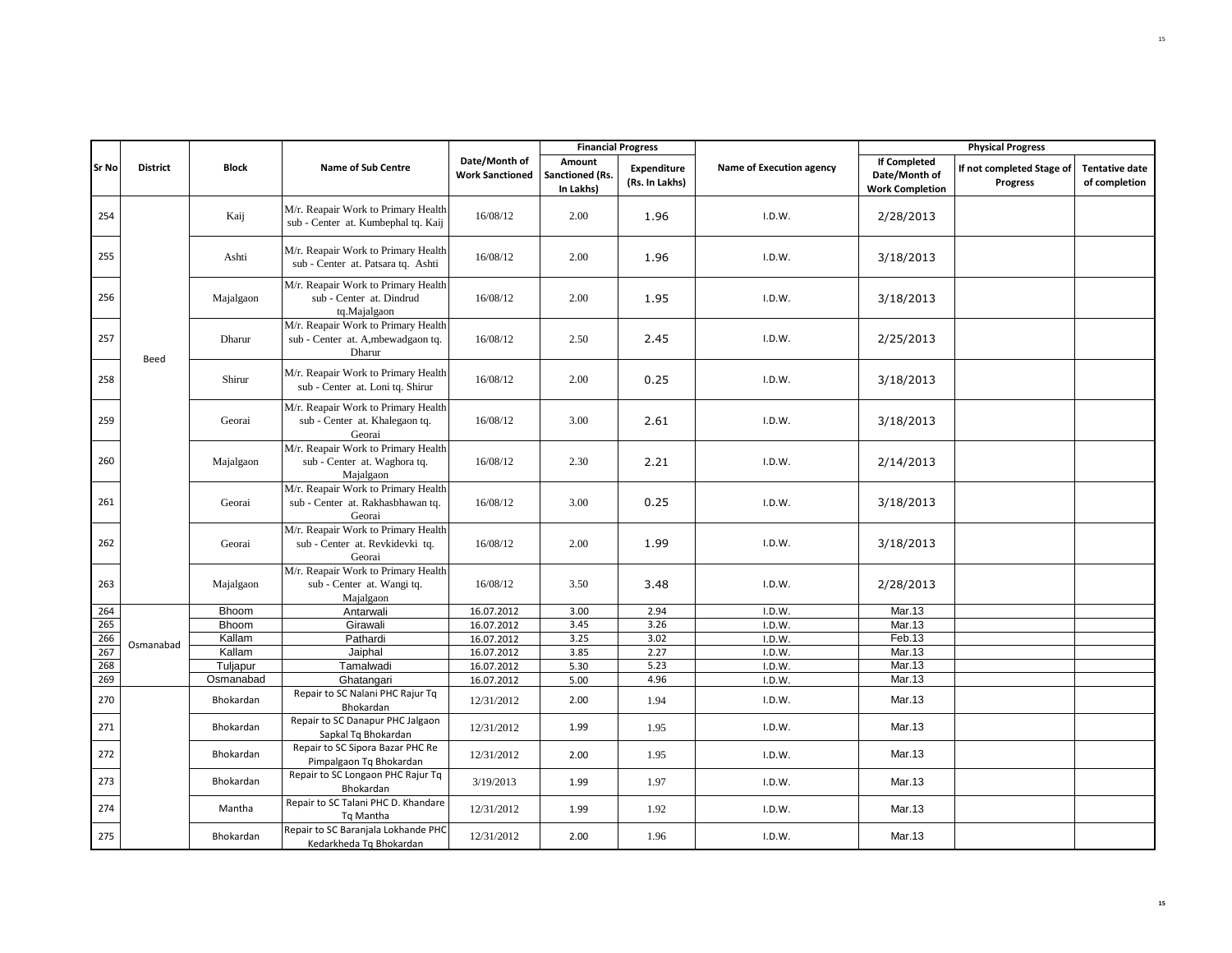|            |                 |                       |                                                                                     |                                         | <b>Financial Progress</b>              |                               |                          |                                                                | <b>Physical Progress</b>                     |                                        |
|------------|-----------------|-----------------------|-------------------------------------------------------------------------------------|-----------------------------------------|----------------------------------------|-------------------------------|--------------------------|----------------------------------------------------------------|----------------------------------------------|----------------------------------------|
| Sr No      | <b>District</b> | <b>Block</b>          | <b>Name of Sub Centre</b>                                                           | Date/Month of<br><b>Work Sanctioned</b> | Amount<br>Sanctioned (Rs.<br>In Lakhs) | Expenditure<br>(Rs. In Lakhs) | Name of Execution agency | <b>If Completed</b><br>Date/Month of<br><b>Work Completion</b> | If not completed Stage of<br><b>Progress</b> | <b>Tentative date</b><br>of completion |
| 254        |                 | Kaij                  | M/r. Reapair Work to Primary Health<br>sub - Center at. Kumbephal tq. Kaij          | 16/08/12                                | 2.00                                   | 1.96                          | I.D.W.                   | 2/28/2013                                                      |                                              |                                        |
| 255        |                 | Ashti                 | M/r. Reapair Work to Primary Health<br>sub - Center at. Patsara tq. Ashti           | 16/08/12                                | 2.00                                   | 1.96                          | I.D.W.                   | 3/18/2013                                                      |                                              |                                        |
| 256        |                 | Majalgaon             | M/r. Reapair Work to Primary Health<br>sub - Center at. Dindrud<br>tq.Majalgaon     | 16/08/12                                | 2.00                                   | 1.95                          | I.D.W.                   | 3/18/2013                                                      |                                              |                                        |
| 257        | Beed            | Dharur                | M/r. Reapair Work to Primary Health<br>sub - Center at. A, mbewadgaon tq.<br>Dharur | 16/08/12                                | 2.50                                   | 2.45                          | I.D.W.                   | 2/25/2013                                                      |                                              |                                        |
| 258        |                 | Shirur                | M/r. Reapair Work to Primary Health<br>sub - Center at. Loni tq. Shirur             | 16/08/12                                | 2.00                                   | 0.25                          | I.D.W.                   | 3/18/2013                                                      |                                              |                                        |
| 259        |                 | Georai                | M/r. Reapair Work to Primary Health<br>sub - Center at. Khalegaon tq.<br>Georai     | 16/08/12                                | 3.00                                   | 2.61                          | I.D.W.                   | 3/18/2013                                                      |                                              |                                        |
| 260        |                 | Majalgaon             | M/r. Reapair Work to Primary Health<br>sub - Center at. Waghora tq.<br>Majalgaon    | 16/08/12                                | 2.30                                   | 2.21                          | I.D.W.                   | 2/14/2013                                                      |                                              |                                        |
| 261        |                 | Georai                | M/r. Reapair Work to Primary Health<br>sub - Center at. Rakhasbhawan tq.<br>Georai  | 16/08/12                                | 3.00                                   | 0.25                          | I.D.W.                   | 3/18/2013                                                      |                                              |                                        |
| 262        |                 | Georai                | M/r. Reapair Work to Primary Health<br>sub - Center at. Revkidevki tq.<br>Georai    | 16/08/12                                | 2.00                                   | 1.99                          | I.D.W.                   | 3/18/2013                                                      |                                              |                                        |
| 263        |                 | Majalgaon             | M/r. Reapair Work to Primary Health<br>sub - Center at. Wangi tq.<br>Majalgaon      | 16/08/12                                | 3.50                                   | 3.48                          | I.D.W.                   | 2/28/2013                                                      |                                              |                                        |
| 264        |                 | Bhoom                 | Antarwali                                                                           | 16.07.2012                              | 3.00                                   | 2.94                          | I.D.W.                   | Mar.13                                                         |                                              |                                        |
| 265        |                 | Bhoom                 | Girawali                                                                            | 16.07.2012                              | 3.45                                   | 3.26                          | I.D.W.                   | Mar.13                                                         |                                              |                                        |
| 266        | Osmanabad       | Kallam                | Pathardi                                                                            | 16.07.2012                              | 3.25                                   | 3.02                          | I.D.W.                   | Feb.13                                                         |                                              |                                        |
| 267        |                 | Kallam                | Jaiphal                                                                             | 16.07.2012                              | 3.85                                   | 2.27                          | I.D.W.                   | Mar.13                                                         |                                              |                                        |
| 268<br>269 |                 | Tuljapur<br>Osmanabad | Tamalwadi                                                                           | 16.07.2012<br>16.07.2012                | 5.30                                   | 5.23<br>4.96                  | I.D.W.<br>I.D.W.         | Mar.13<br>Mar.13                                               |                                              |                                        |
| 270        |                 | Bhokardan             | Ghatangari<br>Repair to SC Nalani PHC Rajur Tq<br>Bhokardan                         | 12/31/2012                              | 5.00<br>2.00                           | 1.94                          | I.D.W.                   | Mar.13                                                         |                                              |                                        |
| 271        |                 | Bhokardan             | Repair to SC Danapur PHC Jalgaon<br>Sapkal Tg Bhokardan                             | 12/31/2012                              | 1.99                                   | 1.95                          | I.D.W.                   | Mar.13                                                         |                                              |                                        |
| 272        |                 | Bhokardan             | Repair to SC Sipora Bazar PHC Re<br>Pimpalgaon Tq Bhokardan                         | 12/31/2012                              | 2.00                                   | 1.95                          | I.D.W.                   | Mar.13                                                         |                                              |                                        |
| 273        |                 | Bhokardan             | Repair to SC Longaon PHC Rajur Tq<br>Bhokardan                                      | 3/19/2013                               | 1.99                                   | 1.97                          | I.D.W.                   | Mar.13                                                         |                                              |                                        |
| 274        |                 | Mantha                | Repair to SC Talani PHC D. Khandare<br>Tq Mantha                                    | 12/31/2012                              | 1.99                                   | 1.92                          | I.D.W.                   | Mar.13                                                         |                                              |                                        |
| 275        |                 | Bhokardan             | Repair to SC Baranjala Lokhande PHC<br>Kedarkheda Tq Bhokardan                      | 12/31/2012                              | 2.00                                   | 1.96                          | I.D.W.                   | Mar.13                                                         |                                              |                                        |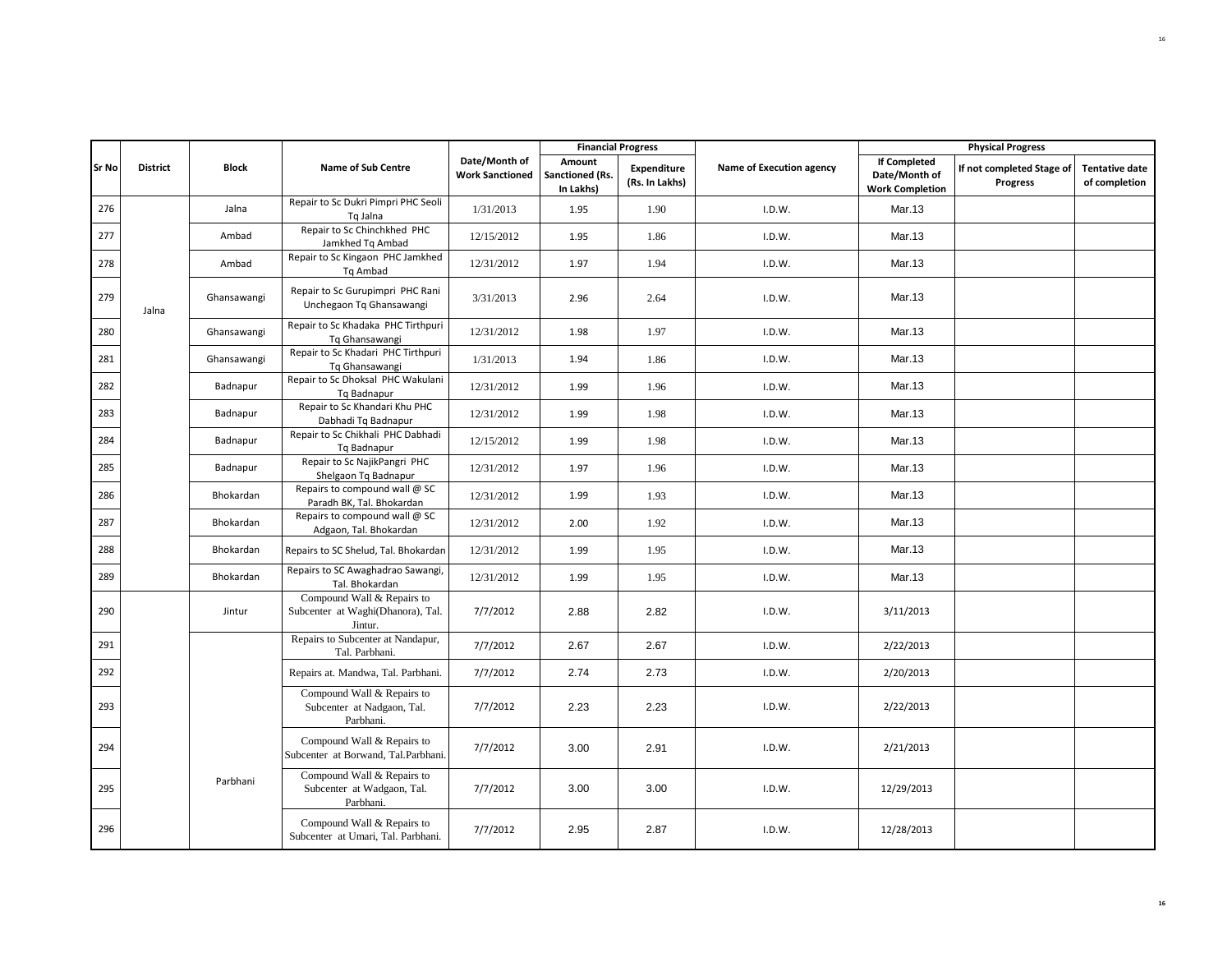|              |                 |              |                                                                            |                                         |                                        | <b>Financial Progress</b>     |                          |                                                                | <b>Physical Progress</b>                     |                                        |
|--------------|-----------------|--------------|----------------------------------------------------------------------------|-----------------------------------------|----------------------------------------|-------------------------------|--------------------------|----------------------------------------------------------------|----------------------------------------------|----------------------------------------|
| <b>Sr No</b> | <b>District</b> | <b>Block</b> | <b>Name of Sub Centre</b>                                                  | Date/Month of<br><b>Work Sanctioned</b> | Amount<br>Sanctioned (Rs.<br>In Lakhs) | Expenditure<br>(Rs. In Lakhs) | Name of Execution agency | <b>If Completed</b><br>Date/Month of<br><b>Work Completion</b> | If not completed Stage of<br><b>Progress</b> | <b>Tentative date</b><br>of completion |
| 276          |                 | Jalna        | Repair to Sc Dukri Pimpri PHC Seoli<br>Tq Jalna                            | 1/31/2013                               | 1.95                                   | 1.90                          | I.D.W.                   | Mar.13                                                         |                                              |                                        |
| 277          |                 | Ambad        | Repair to Sc Chinchkhed PHC<br>Jamkhed Tg Ambad                            | 12/15/2012                              | 1.95                                   | 1.86                          | I.D.W.                   | Mar.13                                                         |                                              |                                        |
| 278          |                 | Ambad        | Repair to Sc Kingaon PHC Jamkhed<br>Tq Ambad                               | 12/31/2012                              | 1.97                                   | 1.94                          | I.D.W.                   | Mar.13                                                         |                                              |                                        |
| 279          | Jalna           | Ghansawangi  | Repair to Sc Gurupimpri PHC Rani<br>Unchegaon Tq Ghansawangi               | 3/31/2013                               | 2.96                                   | 2.64                          | I.D.W.                   | Mar.13                                                         |                                              |                                        |
| 280          |                 | Ghansawangi  | Repair to Sc Khadaka PHC Tirthpuri<br>Tq Ghansawangi                       | 12/31/2012                              | 1.98                                   | 1.97                          | I.D.W.                   | Mar.13                                                         |                                              |                                        |
| 281          |                 | Ghansawangi  | Repair to Sc Khadari PHC Tirthpuri<br>Tq Ghansawangi                       | 1/31/2013                               | 1.94                                   | 1.86                          | I.D.W.                   | Mar.13                                                         |                                              |                                        |
| 282          |                 | Badnapur     | Repair to Sc Dhoksal PHC Wakulani<br>Tq Badnapur                           | 12/31/2012                              | 1.99                                   | 1.96                          | I.D.W.                   | Mar.13                                                         |                                              |                                        |
| 283          |                 | Badnapur     | Repair to Sc Khandari Khu PHC<br>Dabhadi Tq Badnapur                       | 12/31/2012                              | 1.99                                   | 1.98                          | I.D.W.                   | Mar.13                                                         |                                              |                                        |
| 284          |                 | Badnapur     | Repair to Sc Chikhali PHC Dabhadi<br>Tq Badnapur                           | 12/15/2012                              | 1.99                                   | 1.98                          | I.D.W.                   | Mar.13                                                         |                                              |                                        |
| 285          |                 | Badnapur     | Repair to Sc NajikPangri PHC<br>Shelgaon Tq Badnapur                       | 12/31/2012                              | 1.97                                   | 1.96                          | I.D.W.                   | Mar.13                                                         |                                              |                                        |
| 286          |                 | Bhokardan    | Repairs to compound wall @ SC<br>Paradh BK, Tal. Bhokardan                 | 12/31/2012                              | 1.99                                   | 1.93                          | I.D.W.                   | Mar.13                                                         |                                              |                                        |
| 287          |                 | Bhokardan    | Repairs to compound wall @ SC<br>Adgaon, Tal. Bhokardan                    | 12/31/2012                              | 2.00                                   | 1.92                          | I.D.W.                   | Mar.13                                                         |                                              |                                        |
| 288          |                 | Bhokardan    | Repairs to SC Shelud, Tal. Bhokardan                                       | 12/31/2012                              | 1.99                                   | 1.95                          | I.D.W.                   | Mar.13                                                         |                                              |                                        |
| 289          |                 | Bhokardan    | Repairs to SC Awaghadrao Sawangi,<br>Tal. Bhokardan                        | 12/31/2012                              | 1.99                                   | 1.95                          | I.D.W.                   | Mar.13                                                         |                                              |                                        |
| 290          |                 | Jintur       | Compound Wall & Repairs to<br>Subcenter at Waghi(Dhanora), Tal.<br>Jintur. | 7/7/2012                                | 2.88                                   | 2.82                          | I.D.W.                   | 3/11/2013                                                      |                                              |                                        |
| 291          |                 |              | Repairs to Subcenter at Nandapur,<br>Tal. Parbhani.                        | 7/7/2012                                | 2.67                                   | 2.67                          | I.D.W.                   | 2/22/2013                                                      |                                              |                                        |
| 292          |                 |              | Repairs at. Mandwa, Tal. Parbhani.                                         | 7/7/2012                                | 2.74                                   | 2.73                          | I.D.W.                   | 2/20/2013                                                      |                                              |                                        |
| 293          |                 |              | Compound Wall & Repairs to<br>Subcenter at Nadgaon, Tal.<br>Parbhani.      | 7/7/2012                                | 2.23                                   | 2.23                          | I.D.W.                   | 2/22/2013                                                      |                                              |                                        |
| 294          |                 |              | Compound Wall & Repairs to<br>Subcenter at Borwand, Tal.Parbhani.          | 7/7/2012                                | 3.00                                   | 2.91                          | I.D.W.                   | 2/21/2013                                                      |                                              |                                        |
| 295          |                 | Parbhani     | Compound Wall & Repairs to<br>Subcenter at Wadgaon, Tal.<br>Parbhani.      | 7/7/2012                                | 3.00                                   | 3.00                          | I.D.W.                   | 12/29/2013                                                     |                                              |                                        |
| 296          |                 |              | Compound Wall & Repairs to<br>Subcenter at Umari, Tal. Parbhani.           | 7/7/2012                                | 2.95                                   | 2.87                          | I.D.W.                   | 12/28/2013                                                     |                                              |                                        |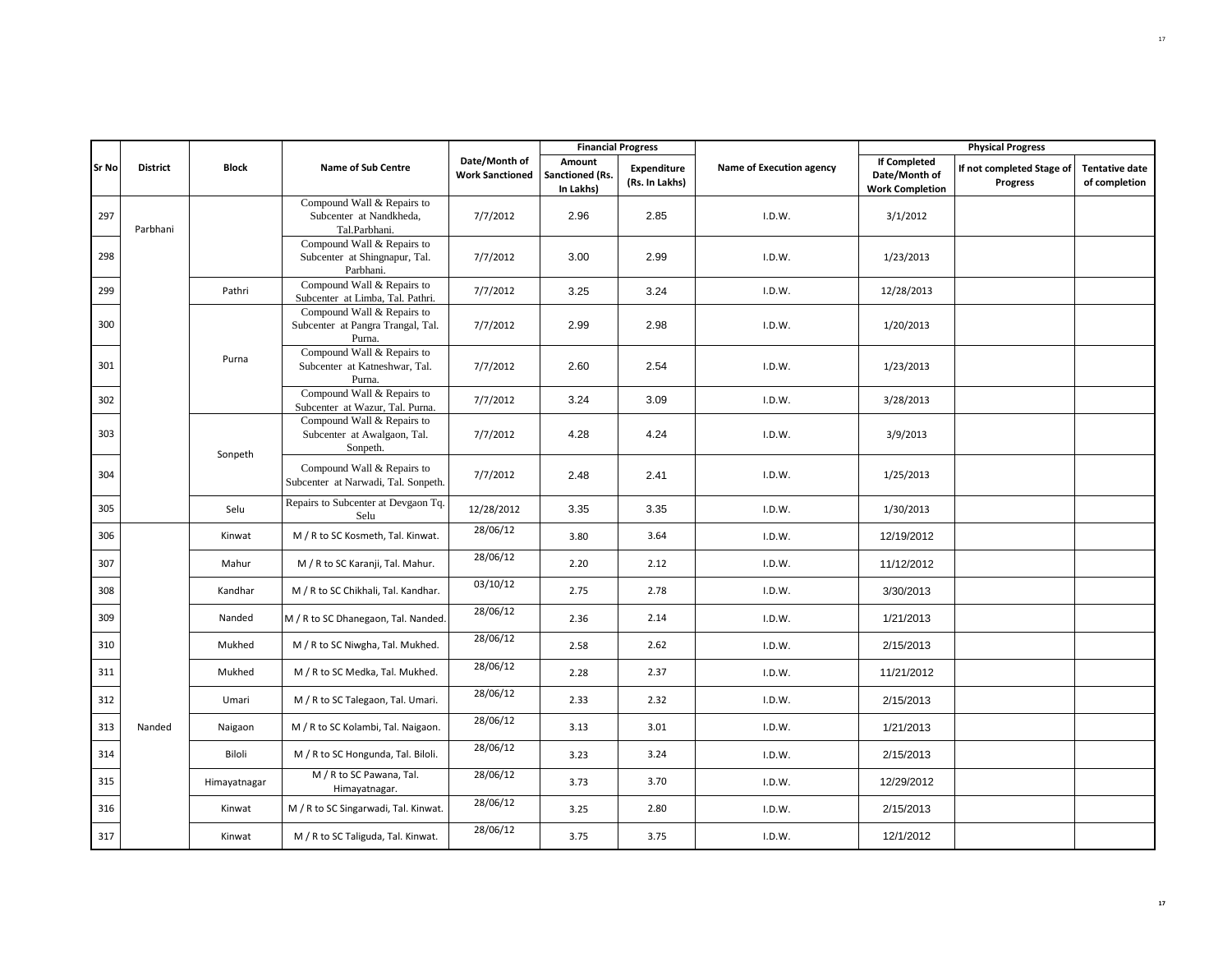|              |                 |              |                                                                           |                                         | <b>Financial Progress</b>              |                               |                          |                                                                | <b>Physical Progress</b>                     |                                        |
|--------------|-----------------|--------------|---------------------------------------------------------------------------|-----------------------------------------|----------------------------------------|-------------------------------|--------------------------|----------------------------------------------------------------|----------------------------------------------|----------------------------------------|
| <b>Sr No</b> | <b>District</b> | <b>Block</b> | <b>Name of Sub Centre</b>                                                 | Date/Month of<br><b>Work Sanctioned</b> | Amount<br>Sanctioned (Rs.<br>In Lakhs) | Expenditure<br>(Rs. In Lakhs) | Name of Execution agency | <b>If Completed</b><br>Date/Month of<br><b>Work Completion</b> | If not completed Stage of<br><b>Progress</b> | <b>Tentative date</b><br>of completion |
| 297          | Parbhani        |              | Compound Wall & Repairs to<br>Subcenter at Nandkheda,<br>Tal.Parbhani.    | 7/7/2012                                | 2.96                                   | 2.85                          | I.D.W.                   | 3/1/2012                                                       |                                              |                                        |
| 298          |                 |              | Compound Wall & Repairs to<br>Subcenter at Shingnapur, Tal.<br>Parbhani.  | 7/7/2012                                | 3.00                                   | 2.99                          | I.D.W.                   | 1/23/2013                                                      |                                              |                                        |
| 299          |                 | Pathri       | Compound Wall & Repairs to<br>Subcenter at Limba, Tal. Pathri.            | 7/7/2012                                | 3.25                                   | 3.24                          | I.D.W.                   | 12/28/2013                                                     |                                              |                                        |
| 300          |                 |              | Compound Wall & Repairs to<br>Subcenter at Pangra Trangal, Tal.<br>Purna. | 7/7/2012                                | 2.99                                   | 2.98                          | I.D.W.                   | 1/20/2013                                                      |                                              |                                        |
| 301          |                 | Purna        | Compound Wall & Repairs to<br>Subcenter at Katneshwar, Tal.<br>Purna.     | 7/7/2012                                | 2.60                                   | 2.54                          | I.D.W.                   | 1/23/2013                                                      |                                              |                                        |
| 302          |                 |              | Compound Wall & Repairs to<br>Subcenter at Wazur, Tal. Purna.             | 7/7/2012                                | 3.24                                   | 3.09                          | I.D.W.                   | 3/28/2013                                                      |                                              |                                        |
| 303          |                 | Sonpeth      | Compound Wall & Repairs to<br>Subcenter at Awalgaon, Tal.<br>Sonpeth.     | 7/7/2012                                | 4.28                                   | 4.24                          | I.D.W.                   | 3/9/2013                                                       |                                              |                                        |
| 304          |                 |              | Compound Wall & Repairs to<br>Subcenter at Narwadi, Tal. Sonpeth.         | 7/7/2012                                | 2.48                                   | 2.41                          | I.D.W.                   | 1/25/2013                                                      |                                              |                                        |
| 305          |                 | Selu         | Repairs to Subcenter at Devgaon Tq.<br>Selu                               | 12/28/2012                              | 3.35                                   | 3.35                          | I.D.W.                   | 1/30/2013                                                      |                                              |                                        |
| 306          |                 | Kinwat       | M / R to SC Kosmeth, Tal. Kinwat.                                         | 28/06/12                                | 3.80                                   | 3.64                          | I.D.W.                   | 12/19/2012                                                     |                                              |                                        |
| 307          |                 | Mahur        | M / R to SC Karanji, Tal. Mahur.                                          | 28/06/12                                | 2.20                                   | 2.12                          | I.D.W.                   | 11/12/2012                                                     |                                              |                                        |
| 308          |                 | Kandhar      | M / R to SC Chikhali, Tal. Kandhar.                                       | 03/10/12                                | 2.75                                   | 2.78                          | I.D.W.                   | 3/30/2013                                                      |                                              |                                        |
| 309          |                 | Nanded       | M / R to SC Dhanegaon, Tal. Nanded.                                       | 28/06/12                                | 2.36                                   | 2.14                          | I.D.W.                   | 1/21/2013                                                      |                                              |                                        |
| 310          |                 | Mukhed       | M / R to SC Niwgha, Tal. Mukhed.                                          | 28/06/12                                | 2.58                                   | 2.62                          | I.D.W.                   | 2/15/2013                                                      |                                              |                                        |
| 311          |                 | Mukhed       | M / R to SC Medka, Tal. Mukhed.                                           | 28/06/12                                | 2.28                                   | 2.37                          | I.D.W.                   | 11/21/2012                                                     |                                              |                                        |
| 312          |                 | Umari        | M / R to SC Talegaon, Tal. Umari.                                         | 28/06/12                                | 2.33                                   | 2.32                          | I.D.W.                   | 2/15/2013                                                      |                                              |                                        |
| 313          | Nanded          | Naigaon      | M / R to SC Kolambi, Tal. Naigaon.                                        | 28/06/12                                | 3.13                                   | 3.01                          | I.D.W.                   | 1/21/2013                                                      |                                              |                                        |
| 314          |                 | Biloli       | M / R to SC Hongunda, Tal. Biloli.                                        | 28/06/12                                | 3.23                                   | 3.24                          | I.D.W.                   | 2/15/2013                                                      |                                              |                                        |
| 315          |                 | Himayatnagar | M / R to SC Pawana, Tal.<br>Himayatnagar.                                 | 28/06/12                                | 3.73                                   | 3.70                          | I.D.W.                   | 12/29/2012                                                     |                                              |                                        |
| 316          |                 | Kinwat       | M / R to SC Singarwadi, Tal. Kinwat.                                      | 28/06/12                                | 3.25                                   | 2.80                          | I.D.W.                   | 2/15/2013                                                      |                                              |                                        |
| 317          |                 | Kinwat       | M / R to SC Taliguda, Tal. Kinwat.                                        | 28/06/12                                | 3.75                                   | 3.75                          | I.D.W.                   | 12/1/2012                                                      |                                              |                                        |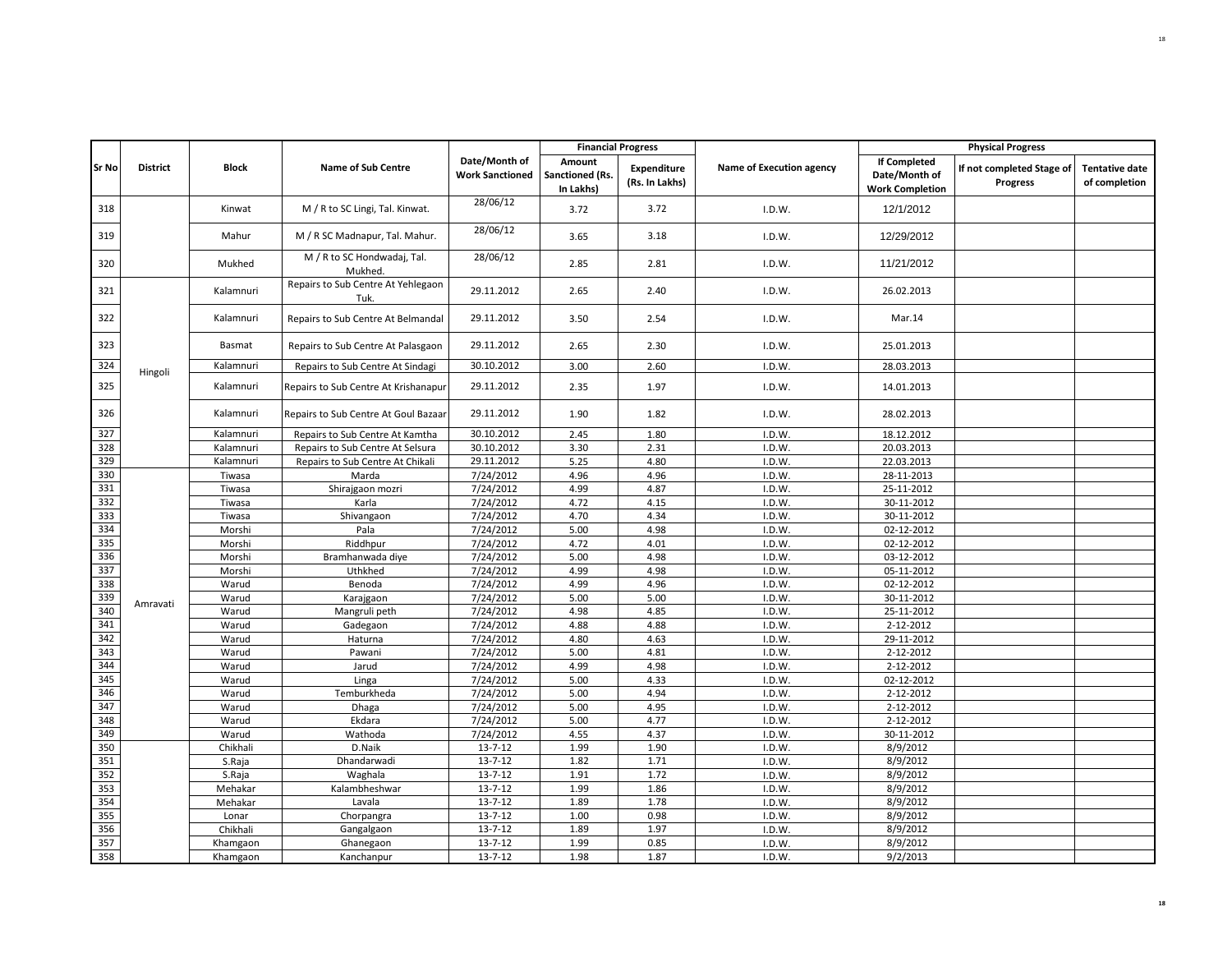| Date/Month of<br><b>If Completed</b><br>Amount<br><b>Sr No</b><br><b>District</b><br><b>Block</b><br><b>Name of Sub Centre</b><br>Name of Execution agency<br><b>Expenditure</b><br>If not completed Stage of<br><b>Tentative date</b><br>Date/Month of<br><b>Work Sanctioned</b><br>Sanctioned (Rs.<br>(Rs. In Lakhs)<br><b>Progress</b><br>of completion<br>In Lakhs)<br><b>Work Completion</b><br>28/06/12<br>M / R to SC Lingi, Tal. Kinwat.<br>3.72<br>12/1/2012<br>318<br>Kinwat<br>3.72<br>I.D.W.<br>28/06/12<br>319<br>Mahur<br>M / R SC Madnapur, Tal. Mahur.<br>3.18<br>12/29/2012<br>3.65<br>I.D.W.<br>M / R to SC Hondwadaj, Tal.<br>28/06/12<br>320<br>Mukhed<br>2.81<br>11/21/2012<br>2.85<br>I.D.W.<br>Mukhed.<br>Repairs to Sub Centre At Yehlegaon<br>321<br>Kalamnuri<br>29.11.2012<br>2.65<br>2.40<br>I.D.W.<br>26.02.2013<br>Tuk.<br>29.11.2012<br>322<br>Kalamnuri<br>Repairs to Sub Centre At Belmandal<br>2.54<br>Mar.14<br>3.50<br>I.D.W.<br>323<br>29.11.2012<br>Basmat<br>2.65<br>2.30<br>I.D.W.<br>25.01.2013<br>Repairs to Sub Centre At Palasgaon<br>30.10.2012<br>324<br>Kalamnuri<br>3.00<br>2.60<br>I.D.W.<br>28.03.2013<br>Repairs to Sub Centre At Sindagi<br>Hingoli<br>325<br>Kalamnuri<br>29.11.2012<br>2.35<br>1.97<br>Repairs to Sub Centre At Krishanapur<br>I.D.W.<br>14.01.2013<br>29.11.2012<br>326<br>Kalamnuri<br>1.90<br>I.D.W.<br>28.02.2013<br>Repairs to Sub Centre At Goul Bazaar<br>1.82<br>327<br>30.10.2012<br>Kalamnuri<br>2.45<br>1.80<br>I.D.W.<br>18.12.2012<br>Repairs to Sub Centre At Kamtha<br>30.10.2012<br>328<br>Kalamnuri<br>3.30<br>2.31<br>20.03.2013<br>Repairs to Sub Centre At Selsura<br>I.D.W.<br>329<br>Kalamnuri<br>29.11.2012<br>5.25<br>4.80<br>Repairs to Sub Centre At Chikali<br>I.D.W.<br>22.03.2013<br>330<br>7/24/2012<br>4.96<br>4.96<br>I.D.W.<br>28-11-2013<br>Tiwasa<br>Marda<br>331<br>4.99<br>4.87<br>7/24/2012<br>I.D.W.<br>25-11-2012<br>Tiwasa<br>Shirajgaon mozri<br>332<br>4.72<br>Tiwasa<br>Karla<br>7/24/2012<br>4.15<br>I.D.W.<br>30-11-2012<br>333<br>7/24/2012<br>4.34<br>Shivangaon<br>4.70<br>I.D.W.<br>30-11-2012<br>Tiwasa<br>334<br>Pala<br>4.98<br>7/24/2012<br>5.00<br>I.D.W.<br>02-12-2012<br>Morshi<br>335<br>7/24/2012<br>4.72<br>4.01<br>I.D.W.<br>02-12-2012<br>Morshi<br>Riddhpur<br>336<br>5.00<br>7/24/2012<br>4.98<br>I.D.W.<br>03-12-2012<br>Morshi<br>Bramhanwada diye<br>337<br>4.99<br>4.98<br>Uthkhed<br>7/24/2012<br>I.D.W.<br>05-11-2012<br>Morshi<br>338<br>7/24/2012<br>4.99<br>4.96<br>I.D.W.<br>02-12-2012<br>Warud<br>Benoda<br>339<br>7/24/2012<br>5.00<br>5.00<br>Warud<br>Karajgaon<br>I.D.W.<br>30-11-2012<br>Amravati<br>340<br>7/24/2012<br>4.98<br>4.85<br>I.D.W.<br>25-11-2012<br>Warud<br>Mangruli peth<br>341<br>7/24/2012<br>4.88<br>4.88<br>I.D.W.<br>2-12-2012<br>Warud<br>Gadegaon<br>342<br>7/24/2012<br>4.80<br>4.63<br>I.D.W.<br>29-11-2012<br>Warud<br>Haturna<br>343<br>7/24/2012<br>5.00<br>4.81<br>I.D.W.<br>2-12-2012<br>Warud<br>Pawani<br>344<br>7/24/2012<br>4.99<br>4.98<br>2-12-2012<br>Warud<br>Jarud<br>I.D.W.<br>345<br>7/24/2012<br>5.00<br>4.33<br>I.D.W.<br>02-12-2012<br>Warud<br>Linga<br>346<br>7/24/2012<br>5.00<br>4.94<br>2-12-2012<br>Warud<br>Temburkheda<br>I.D.W.<br>347<br>7/24/2012<br>5.00<br>4.95<br>2-12-2012<br>Warud<br>Dhaga<br>I.D.W.<br>348<br>Ekdara<br>7/24/2012<br>5.00<br>4.77<br>2-12-2012<br>Warud<br>I.D.W.<br>349<br>4.55<br>4.37<br>Warud<br>Wathoda<br>7/24/2012<br>I.D.W.<br>30-11-2012<br>350<br>1.90<br>Chikhali<br>D.Naik<br>$13 - 7 - 12$<br>1.99<br>I.D.W.<br>8/9/2012<br>351<br>1.71<br>Dhandarwadi<br>$13 - 7 - 12$<br>1.82<br>8/9/2012<br>S.Raja<br>I.D.W.<br>352<br>1.91<br>1.72<br>8/9/2012<br>Waghala<br>$13 - 7 - 12$<br>S.Raja<br>I.D.W.<br>353<br>1.86<br>8/9/2012<br>$13 - 7 - 12$<br>1.99<br>Mehakar<br>Kalambheshwar<br>I.D.W.<br>354<br>1.89<br>1.78<br>Lavala<br>$13 - 7 - 12$<br>8/9/2012<br>Mehakar<br>I.D.W.<br>355<br>0.98<br>$13 - 7 - 12$<br>1.00<br>8/9/2012<br>Lonar<br>Chorpangra<br>I.D.W.<br>356<br>$13 - 7 - 12$<br>1.89<br>1.97<br>8/9/2012<br>Chikhali<br>Gangalgaon<br>I.D.W.<br>357<br>1.99<br>0.85<br>8/9/2012<br>$13 - 7 - 12$<br>Khamgaon<br>Ghanegaon<br>I.D.W.<br>358<br>$13 - 7 - 12$<br>1.98<br>1.87<br>9/2/2013<br>Kanchanpur<br>I.D.W.<br>Khamgaon |  |  |  | <b>Financial Progress</b> |  | <b>Physical Progress</b> |  |
|----------------------------------------------------------------------------------------------------------------------------------------------------------------------------------------------------------------------------------------------------------------------------------------------------------------------------------------------------------------------------------------------------------------------------------------------------------------------------------------------------------------------------------------------------------------------------------------------------------------------------------------------------------------------------------------------------------------------------------------------------------------------------------------------------------------------------------------------------------------------------------------------------------------------------------------------------------------------------------------------------------------------------------------------------------------------------------------------------------------------------------------------------------------------------------------------------------------------------------------------------------------------------------------------------------------------------------------------------------------------------------------------------------------------------------------------------------------------------------------------------------------------------------------------------------------------------------------------------------------------------------------------------------------------------------------------------------------------------------------------------------------------------------------------------------------------------------------------------------------------------------------------------------------------------------------------------------------------------------------------------------------------------------------------------------------------------------------------------------------------------------------------------------------------------------------------------------------------------------------------------------------------------------------------------------------------------------------------------------------------------------------------------------------------------------------------------------------------------------------------------------------------------------------------------------------------------------------------------------------------------------------------------------------------------------------------------------------------------------------------------------------------------------------------------------------------------------------------------------------------------------------------------------------------------------------------------------------------------------------------------------------------------------------------------------------------------------------------------------------------------------------------------------------------------------------------------------------------------------------------------------------------------------------------------------------------------------------------------------------------------------------------------------------------------------------------------------------------------------------------------------------------------------------------------------------------------------------------------------------------------------------------------------------------------------------------------------------------------------------------------------------------------------------------------------------------------------------------------------------------------------------------------------------------------------------------------------------------------------------------------------------------------------------------------------------------------------------------------------------------------------------------------------------------------------------------------------------------------------------------------------------------------------------------|--|--|--|---------------------------|--|--------------------------|--|
|                                                                                                                                                                                                                                                                                                                                                                                                                                                                                                                                                                                                                                                                                                                                                                                                                                                                                                                                                                                                                                                                                                                                                                                                                                                                                                                                                                                                                                                                                                                                                                                                                                                                                                                                                                                                                                                                                                                                                                                                                                                                                                                                                                                                                                                                                                                                                                                                                                                                                                                                                                                                                                                                                                                                                                                                                                                                                                                                                                                                                                                                                                                                                                                                                                                                                                                                                                                                                                                                                                                                                                                                                                                                                                                                                                                                                                                                                                                                                                                                                                                                                                                                                                                                                                                                                              |  |  |  |                           |  |                          |  |
|                                                                                                                                                                                                                                                                                                                                                                                                                                                                                                                                                                                                                                                                                                                                                                                                                                                                                                                                                                                                                                                                                                                                                                                                                                                                                                                                                                                                                                                                                                                                                                                                                                                                                                                                                                                                                                                                                                                                                                                                                                                                                                                                                                                                                                                                                                                                                                                                                                                                                                                                                                                                                                                                                                                                                                                                                                                                                                                                                                                                                                                                                                                                                                                                                                                                                                                                                                                                                                                                                                                                                                                                                                                                                                                                                                                                                                                                                                                                                                                                                                                                                                                                                                                                                                                                                              |  |  |  |                           |  |                          |  |
|                                                                                                                                                                                                                                                                                                                                                                                                                                                                                                                                                                                                                                                                                                                                                                                                                                                                                                                                                                                                                                                                                                                                                                                                                                                                                                                                                                                                                                                                                                                                                                                                                                                                                                                                                                                                                                                                                                                                                                                                                                                                                                                                                                                                                                                                                                                                                                                                                                                                                                                                                                                                                                                                                                                                                                                                                                                                                                                                                                                                                                                                                                                                                                                                                                                                                                                                                                                                                                                                                                                                                                                                                                                                                                                                                                                                                                                                                                                                                                                                                                                                                                                                                                                                                                                                                              |  |  |  |                           |  |                          |  |
|                                                                                                                                                                                                                                                                                                                                                                                                                                                                                                                                                                                                                                                                                                                                                                                                                                                                                                                                                                                                                                                                                                                                                                                                                                                                                                                                                                                                                                                                                                                                                                                                                                                                                                                                                                                                                                                                                                                                                                                                                                                                                                                                                                                                                                                                                                                                                                                                                                                                                                                                                                                                                                                                                                                                                                                                                                                                                                                                                                                                                                                                                                                                                                                                                                                                                                                                                                                                                                                                                                                                                                                                                                                                                                                                                                                                                                                                                                                                                                                                                                                                                                                                                                                                                                                                                              |  |  |  |                           |  |                          |  |
|                                                                                                                                                                                                                                                                                                                                                                                                                                                                                                                                                                                                                                                                                                                                                                                                                                                                                                                                                                                                                                                                                                                                                                                                                                                                                                                                                                                                                                                                                                                                                                                                                                                                                                                                                                                                                                                                                                                                                                                                                                                                                                                                                                                                                                                                                                                                                                                                                                                                                                                                                                                                                                                                                                                                                                                                                                                                                                                                                                                                                                                                                                                                                                                                                                                                                                                                                                                                                                                                                                                                                                                                                                                                                                                                                                                                                                                                                                                                                                                                                                                                                                                                                                                                                                                                                              |  |  |  |                           |  |                          |  |
|                                                                                                                                                                                                                                                                                                                                                                                                                                                                                                                                                                                                                                                                                                                                                                                                                                                                                                                                                                                                                                                                                                                                                                                                                                                                                                                                                                                                                                                                                                                                                                                                                                                                                                                                                                                                                                                                                                                                                                                                                                                                                                                                                                                                                                                                                                                                                                                                                                                                                                                                                                                                                                                                                                                                                                                                                                                                                                                                                                                                                                                                                                                                                                                                                                                                                                                                                                                                                                                                                                                                                                                                                                                                                                                                                                                                                                                                                                                                                                                                                                                                                                                                                                                                                                                                                              |  |  |  |                           |  |                          |  |
|                                                                                                                                                                                                                                                                                                                                                                                                                                                                                                                                                                                                                                                                                                                                                                                                                                                                                                                                                                                                                                                                                                                                                                                                                                                                                                                                                                                                                                                                                                                                                                                                                                                                                                                                                                                                                                                                                                                                                                                                                                                                                                                                                                                                                                                                                                                                                                                                                                                                                                                                                                                                                                                                                                                                                                                                                                                                                                                                                                                                                                                                                                                                                                                                                                                                                                                                                                                                                                                                                                                                                                                                                                                                                                                                                                                                                                                                                                                                                                                                                                                                                                                                                                                                                                                                                              |  |  |  |                           |  |                          |  |
|                                                                                                                                                                                                                                                                                                                                                                                                                                                                                                                                                                                                                                                                                                                                                                                                                                                                                                                                                                                                                                                                                                                                                                                                                                                                                                                                                                                                                                                                                                                                                                                                                                                                                                                                                                                                                                                                                                                                                                                                                                                                                                                                                                                                                                                                                                                                                                                                                                                                                                                                                                                                                                                                                                                                                                                                                                                                                                                                                                                                                                                                                                                                                                                                                                                                                                                                                                                                                                                                                                                                                                                                                                                                                                                                                                                                                                                                                                                                                                                                                                                                                                                                                                                                                                                                                              |  |  |  |                           |  |                          |  |
|                                                                                                                                                                                                                                                                                                                                                                                                                                                                                                                                                                                                                                                                                                                                                                                                                                                                                                                                                                                                                                                                                                                                                                                                                                                                                                                                                                                                                                                                                                                                                                                                                                                                                                                                                                                                                                                                                                                                                                                                                                                                                                                                                                                                                                                                                                                                                                                                                                                                                                                                                                                                                                                                                                                                                                                                                                                                                                                                                                                                                                                                                                                                                                                                                                                                                                                                                                                                                                                                                                                                                                                                                                                                                                                                                                                                                                                                                                                                                                                                                                                                                                                                                                                                                                                                                              |  |  |  |                           |  |                          |  |
|                                                                                                                                                                                                                                                                                                                                                                                                                                                                                                                                                                                                                                                                                                                                                                                                                                                                                                                                                                                                                                                                                                                                                                                                                                                                                                                                                                                                                                                                                                                                                                                                                                                                                                                                                                                                                                                                                                                                                                                                                                                                                                                                                                                                                                                                                                                                                                                                                                                                                                                                                                                                                                                                                                                                                                                                                                                                                                                                                                                                                                                                                                                                                                                                                                                                                                                                                                                                                                                                                                                                                                                                                                                                                                                                                                                                                                                                                                                                                                                                                                                                                                                                                                                                                                                                                              |  |  |  |                           |  |                          |  |
|                                                                                                                                                                                                                                                                                                                                                                                                                                                                                                                                                                                                                                                                                                                                                                                                                                                                                                                                                                                                                                                                                                                                                                                                                                                                                                                                                                                                                                                                                                                                                                                                                                                                                                                                                                                                                                                                                                                                                                                                                                                                                                                                                                                                                                                                                                                                                                                                                                                                                                                                                                                                                                                                                                                                                                                                                                                                                                                                                                                                                                                                                                                                                                                                                                                                                                                                                                                                                                                                                                                                                                                                                                                                                                                                                                                                                                                                                                                                                                                                                                                                                                                                                                                                                                                                                              |  |  |  |                           |  |                          |  |
|                                                                                                                                                                                                                                                                                                                                                                                                                                                                                                                                                                                                                                                                                                                                                                                                                                                                                                                                                                                                                                                                                                                                                                                                                                                                                                                                                                                                                                                                                                                                                                                                                                                                                                                                                                                                                                                                                                                                                                                                                                                                                                                                                                                                                                                                                                                                                                                                                                                                                                                                                                                                                                                                                                                                                                                                                                                                                                                                                                                                                                                                                                                                                                                                                                                                                                                                                                                                                                                                                                                                                                                                                                                                                                                                                                                                                                                                                                                                                                                                                                                                                                                                                                                                                                                                                              |  |  |  |                           |  |                          |  |
|                                                                                                                                                                                                                                                                                                                                                                                                                                                                                                                                                                                                                                                                                                                                                                                                                                                                                                                                                                                                                                                                                                                                                                                                                                                                                                                                                                                                                                                                                                                                                                                                                                                                                                                                                                                                                                                                                                                                                                                                                                                                                                                                                                                                                                                                                                                                                                                                                                                                                                                                                                                                                                                                                                                                                                                                                                                                                                                                                                                                                                                                                                                                                                                                                                                                                                                                                                                                                                                                                                                                                                                                                                                                                                                                                                                                                                                                                                                                                                                                                                                                                                                                                                                                                                                                                              |  |  |  |                           |  |                          |  |
|                                                                                                                                                                                                                                                                                                                                                                                                                                                                                                                                                                                                                                                                                                                                                                                                                                                                                                                                                                                                                                                                                                                                                                                                                                                                                                                                                                                                                                                                                                                                                                                                                                                                                                                                                                                                                                                                                                                                                                                                                                                                                                                                                                                                                                                                                                                                                                                                                                                                                                                                                                                                                                                                                                                                                                                                                                                                                                                                                                                                                                                                                                                                                                                                                                                                                                                                                                                                                                                                                                                                                                                                                                                                                                                                                                                                                                                                                                                                                                                                                                                                                                                                                                                                                                                                                              |  |  |  |                           |  |                          |  |
|                                                                                                                                                                                                                                                                                                                                                                                                                                                                                                                                                                                                                                                                                                                                                                                                                                                                                                                                                                                                                                                                                                                                                                                                                                                                                                                                                                                                                                                                                                                                                                                                                                                                                                                                                                                                                                                                                                                                                                                                                                                                                                                                                                                                                                                                                                                                                                                                                                                                                                                                                                                                                                                                                                                                                                                                                                                                                                                                                                                                                                                                                                                                                                                                                                                                                                                                                                                                                                                                                                                                                                                                                                                                                                                                                                                                                                                                                                                                                                                                                                                                                                                                                                                                                                                                                              |  |  |  |                           |  |                          |  |
|                                                                                                                                                                                                                                                                                                                                                                                                                                                                                                                                                                                                                                                                                                                                                                                                                                                                                                                                                                                                                                                                                                                                                                                                                                                                                                                                                                                                                                                                                                                                                                                                                                                                                                                                                                                                                                                                                                                                                                                                                                                                                                                                                                                                                                                                                                                                                                                                                                                                                                                                                                                                                                                                                                                                                                                                                                                                                                                                                                                                                                                                                                                                                                                                                                                                                                                                                                                                                                                                                                                                                                                                                                                                                                                                                                                                                                                                                                                                                                                                                                                                                                                                                                                                                                                                                              |  |  |  |                           |  |                          |  |
|                                                                                                                                                                                                                                                                                                                                                                                                                                                                                                                                                                                                                                                                                                                                                                                                                                                                                                                                                                                                                                                                                                                                                                                                                                                                                                                                                                                                                                                                                                                                                                                                                                                                                                                                                                                                                                                                                                                                                                                                                                                                                                                                                                                                                                                                                                                                                                                                                                                                                                                                                                                                                                                                                                                                                                                                                                                                                                                                                                                                                                                                                                                                                                                                                                                                                                                                                                                                                                                                                                                                                                                                                                                                                                                                                                                                                                                                                                                                                                                                                                                                                                                                                                                                                                                                                              |  |  |  |                           |  |                          |  |
|                                                                                                                                                                                                                                                                                                                                                                                                                                                                                                                                                                                                                                                                                                                                                                                                                                                                                                                                                                                                                                                                                                                                                                                                                                                                                                                                                                                                                                                                                                                                                                                                                                                                                                                                                                                                                                                                                                                                                                                                                                                                                                                                                                                                                                                                                                                                                                                                                                                                                                                                                                                                                                                                                                                                                                                                                                                                                                                                                                                                                                                                                                                                                                                                                                                                                                                                                                                                                                                                                                                                                                                                                                                                                                                                                                                                                                                                                                                                                                                                                                                                                                                                                                                                                                                                                              |  |  |  |                           |  |                          |  |
|                                                                                                                                                                                                                                                                                                                                                                                                                                                                                                                                                                                                                                                                                                                                                                                                                                                                                                                                                                                                                                                                                                                                                                                                                                                                                                                                                                                                                                                                                                                                                                                                                                                                                                                                                                                                                                                                                                                                                                                                                                                                                                                                                                                                                                                                                                                                                                                                                                                                                                                                                                                                                                                                                                                                                                                                                                                                                                                                                                                                                                                                                                                                                                                                                                                                                                                                                                                                                                                                                                                                                                                                                                                                                                                                                                                                                                                                                                                                                                                                                                                                                                                                                                                                                                                                                              |  |  |  |                           |  |                          |  |
|                                                                                                                                                                                                                                                                                                                                                                                                                                                                                                                                                                                                                                                                                                                                                                                                                                                                                                                                                                                                                                                                                                                                                                                                                                                                                                                                                                                                                                                                                                                                                                                                                                                                                                                                                                                                                                                                                                                                                                                                                                                                                                                                                                                                                                                                                                                                                                                                                                                                                                                                                                                                                                                                                                                                                                                                                                                                                                                                                                                                                                                                                                                                                                                                                                                                                                                                                                                                                                                                                                                                                                                                                                                                                                                                                                                                                                                                                                                                                                                                                                                                                                                                                                                                                                                                                              |  |  |  |                           |  |                          |  |
|                                                                                                                                                                                                                                                                                                                                                                                                                                                                                                                                                                                                                                                                                                                                                                                                                                                                                                                                                                                                                                                                                                                                                                                                                                                                                                                                                                                                                                                                                                                                                                                                                                                                                                                                                                                                                                                                                                                                                                                                                                                                                                                                                                                                                                                                                                                                                                                                                                                                                                                                                                                                                                                                                                                                                                                                                                                                                                                                                                                                                                                                                                                                                                                                                                                                                                                                                                                                                                                                                                                                                                                                                                                                                                                                                                                                                                                                                                                                                                                                                                                                                                                                                                                                                                                                                              |  |  |  |                           |  |                          |  |
|                                                                                                                                                                                                                                                                                                                                                                                                                                                                                                                                                                                                                                                                                                                                                                                                                                                                                                                                                                                                                                                                                                                                                                                                                                                                                                                                                                                                                                                                                                                                                                                                                                                                                                                                                                                                                                                                                                                                                                                                                                                                                                                                                                                                                                                                                                                                                                                                                                                                                                                                                                                                                                                                                                                                                                                                                                                                                                                                                                                                                                                                                                                                                                                                                                                                                                                                                                                                                                                                                                                                                                                                                                                                                                                                                                                                                                                                                                                                                                                                                                                                                                                                                                                                                                                                                              |  |  |  |                           |  |                          |  |
|                                                                                                                                                                                                                                                                                                                                                                                                                                                                                                                                                                                                                                                                                                                                                                                                                                                                                                                                                                                                                                                                                                                                                                                                                                                                                                                                                                                                                                                                                                                                                                                                                                                                                                                                                                                                                                                                                                                                                                                                                                                                                                                                                                                                                                                                                                                                                                                                                                                                                                                                                                                                                                                                                                                                                                                                                                                                                                                                                                                                                                                                                                                                                                                                                                                                                                                                                                                                                                                                                                                                                                                                                                                                                                                                                                                                                                                                                                                                                                                                                                                                                                                                                                                                                                                                                              |  |  |  |                           |  |                          |  |
|                                                                                                                                                                                                                                                                                                                                                                                                                                                                                                                                                                                                                                                                                                                                                                                                                                                                                                                                                                                                                                                                                                                                                                                                                                                                                                                                                                                                                                                                                                                                                                                                                                                                                                                                                                                                                                                                                                                                                                                                                                                                                                                                                                                                                                                                                                                                                                                                                                                                                                                                                                                                                                                                                                                                                                                                                                                                                                                                                                                                                                                                                                                                                                                                                                                                                                                                                                                                                                                                                                                                                                                                                                                                                                                                                                                                                                                                                                                                                                                                                                                                                                                                                                                                                                                                                              |  |  |  |                           |  |                          |  |
|                                                                                                                                                                                                                                                                                                                                                                                                                                                                                                                                                                                                                                                                                                                                                                                                                                                                                                                                                                                                                                                                                                                                                                                                                                                                                                                                                                                                                                                                                                                                                                                                                                                                                                                                                                                                                                                                                                                                                                                                                                                                                                                                                                                                                                                                                                                                                                                                                                                                                                                                                                                                                                                                                                                                                                                                                                                                                                                                                                                                                                                                                                                                                                                                                                                                                                                                                                                                                                                                                                                                                                                                                                                                                                                                                                                                                                                                                                                                                                                                                                                                                                                                                                                                                                                                                              |  |  |  |                           |  |                          |  |
|                                                                                                                                                                                                                                                                                                                                                                                                                                                                                                                                                                                                                                                                                                                                                                                                                                                                                                                                                                                                                                                                                                                                                                                                                                                                                                                                                                                                                                                                                                                                                                                                                                                                                                                                                                                                                                                                                                                                                                                                                                                                                                                                                                                                                                                                                                                                                                                                                                                                                                                                                                                                                                                                                                                                                                                                                                                                                                                                                                                                                                                                                                                                                                                                                                                                                                                                                                                                                                                                                                                                                                                                                                                                                                                                                                                                                                                                                                                                                                                                                                                                                                                                                                                                                                                                                              |  |  |  |                           |  |                          |  |
|                                                                                                                                                                                                                                                                                                                                                                                                                                                                                                                                                                                                                                                                                                                                                                                                                                                                                                                                                                                                                                                                                                                                                                                                                                                                                                                                                                                                                                                                                                                                                                                                                                                                                                                                                                                                                                                                                                                                                                                                                                                                                                                                                                                                                                                                                                                                                                                                                                                                                                                                                                                                                                                                                                                                                                                                                                                                                                                                                                                                                                                                                                                                                                                                                                                                                                                                                                                                                                                                                                                                                                                                                                                                                                                                                                                                                                                                                                                                                                                                                                                                                                                                                                                                                                                                                              |  |  |  |                           |  |                          |  |
|                                                                                                                                                                                                                                                                                                                                                                                                                                                                                                                                                                                                                                                                                                                                                                                                                                                                                                                                                                                                                                                                                                                                                                                                                                                                                                                                                                                                                                                                                                                                                                                                                                                                                                                                                                                                                                                                                                                                                                                                                                                                                                                                                                                                                                                                                                                                                                                                                                                                                                                                                                                                                                                                                                                                                                                                                                                                                                                                                                                                                                                                                                                                                                                                                                                                                                                                                                                                                                                                                                                                                                                                                                                                                                                                                                                                                                                                                                                                                                                                                                                                                                                                                                                                                                                                                              |  |  |  |                           |  |                          |  |
|                                                                                                                                                                                                                                                                                                                                                                                                                                                                                                                                                                                                                                                                                                                                                                                                                                                                                                                                                                                                                                                                                                                                                                                                                                                                                                                                                                                                                                                                                                                                                                                                                                                                                                                                                                                                                                                                                                                                                                                                                                                                                                                                                                                                                                                                                                                                                                                                                                                                                                                                                                                                                                                                                                                                                                                                                                                                                                                                                                                                                                                                                                                                                                                                                                                                                                                                                                                                                                                                                                                                                                                                                                                                                                                                                                                                                                                                                                                                                                                                                                                                                                                                                                                                                                                                                              |  |  |  |                           |  |                          |  |
|                                                                                                                                                                                                                                                                                                                                                                                                                                                                                                                                                                                                                                                                                                                                                                                                                                                                                                                                                                                                                                                                                                                                                                                                                                                                                                                                                                                                                                                                                                                                                                                                                                                                                                                                                                                                                                                                                                                                                                                                                                                                                                                                                                                                                                                                                                                                                                                                                                                                                                                                                                                                                                                                                                                                                                                                                                                                                                                                                                                                                                                                                                                                                                                                                                                                                                                                                                                                                                                                                                                                                                                                                                                                                                                                                                                                                                                                                                                                                                                                                                                                                                                                                                                                                                                                                              |  |  |  |                           |  |                          |  |
|                                                                                                                                                                                                                                                                                                                                                                                                                                                                                                                                                                                                                                                                                                                                                                                                                                                                                                                                                                                                                                                                                                                                                                                                                                                                                                                                                                                                                                                                                                                                                                                                                                                                                                                                                                                                                                                                                                                                                                                                                                                                                                                                                                                                                                                                                                                                                                                                                                                                                                                                                                                                                                                                                                                                                                                                                                                                                                                                                                                                                                                                                                                                                                                                                                                                                                                                                                                                                                                                                                                                                                                                                                                                                                                                                                                                                                                                                                                                                                                                                                                                                                                                                                                                                                                                                              |  |  |  |                           |  |                          |  |
|                                                                                                                                                                                                                                                                                                                                                                                                                                                                                                                                                                                                                                                                                                                                                                                                                                                                                                                                                                                                                                                                                                                                                                                                                                                                                                                                                                                                                                                                                                                                                                                                                                                                                                                                                                                                                                                                                                                                                                                                                                                                                                                                                                                                                                                                                                                                                                                                                                                                                                                                                                                                                                                                                                                                                                                                                                                                                                                                                                                                                                                                                                                                                                                                                                                                                                                                                                                                                                                                                                                                                                                                                                                                                                                                                                                                                                                                                                                                                                                                                                                                                                                                                                                                                                                                                              |  |  |  |                           |  |                          |  |
|                                                                                                                                                                                                                                                                                                                                                                                                                                                                                                                                                                                                                                                                                                                                                                                                                                                                                                                                                                                                                                                                                                                                                                                                                                                                                                                                                                                                                                                                                                                                                                                                                                                                                                                                                                                                                                                                                                                                                                                                                                                                                                                                                                                                                                                                                                                                                                                                                                                                                                                                                                                                                                                                                                                                                                                                                                                                                                                                                                                                                                                                                                                                                                                                                                                                                                                                                                                                                                                                                                                                                                                                                                                                                                                                                                                                                                                                                                                                                                                                                                                                                                                                                                                                                                                                                              |  |  |  |                           |  |                          |  |
|                                                                                                                                                                                                                                                                                                                                                                                                                                                                                                                                                                                                                                                                                                                                                                                                                                                                                                                                                                                                                                                                                                                                                                                                                                                                                                                                                                                                                                                                                                                                                                                                                                                                                                                                                                                                                                                                                                                                                                                                                                                                                                                                                                                                                                                                                                                                                                                                                                                                                                                                                                                                                                                                                                                                                                                                                                                                                                                                                                                                                                                                                                                                                                                                                                                                                                                                                                                                                                                                                                                                                                                                                                                                                                                                                                                                                                                                                                                                                                                                                                                                                                                                                                                                                                                                                              |  |  |  |                           |  |                          |  |
|                                                                                                                                                                                                                                                                                                                                                                                                                                                                                                                                                                                                                                                                                                                                                                                                                                                                                                                                                                                                                                                                                                                                                                                                                                                                                                                                                                                                                                                                                                                                                                                                                                                                                                                                                                                                                                                                                                                                                                                                                                                                                                                                                                                                                                                                                                                                                                                                                                                                                                                                                                                                                                                                                                                                                                                                                                                                                                                                                                                                                                                                                                                                                                                                                                                                                                                                                                                                                                                                                                                                                                                                                                                                                                                                                                                                                                                                                                                                                                                                                                                                                                                                                                                                                                                                                              |  |  |  |                           |  |                          |  |
|                                                                                                                                                                                                                                                                                                                                                                                                                                                                                                                                                                                                                                                                                                                                                                                                                                                                                                                                                                                                                                                                                                                                                                                                                                                                                                                                                                                                                                                                                                                                                                                                                                                                                                                                                                                                                                                                                                                                                                                                                                                                                                                                                                                                                                                                                                                                                                                                                                                                                                                                                                                                                                                                                                                                                                                                                                                                                                                                                                                                                                                                                                                                                                                                                                                                                                                                                                                                                                                                                                                                                                                                                                                                                                                                                                                                                                                                                                                                                                                                                                                                                                                                                                                                                                                                                              |  |  |  |                           |  |                          |  |
|                                                                                                                                                                                                                                                                                                                                                                                                                                                                                                                                                                                                                                                                                                                                                                                                                                                                                                                                                                                                                                                                                                                                                                                                                                                                                                                                                                                                                                                                                                                                                                                                                                                                                                                                                                                                                                                                                                                                                                                                                                                                                                                                                                                                                                                                                                                                                                                                                                                                                                                                                                                                                                                                                                                                                                                                                                                                                                                                                                                                                                                                                                                                                                                                                                                                                                                                                                                                                                                                                                                                                                                                                                                                                                                                                                                                                                                                                                                                                                                                                                                                                                                                                                                                                                                                                              |  |  |  |                           |  |                          |  |
|                                                                                                                                                                                                                                                                                                                                                                                                                                                                                                                                                                                                                                                                                                                                                                                                                                                                                                                                                                                                                                                                                                                                                                                                                                                                                                                                                                                                                                                                                                                                                                                                                                                                                                                                                                                                                                                                                                                                                                                                                                                                                                                                                                                                                                                                                                                                                                                                                                                                                                                                                                                                                                                                                                                                                                                                                                                                                                                                                                                                                                                                                                                                                                                                                                                                                                                                                                                                                                                                                                                                                                                                                                                                                                                                                                                                                                                                                                                                                                                                                                                                                                                                                                                                                                                                                              |  |  |  |                           |  |                          |  |
|                                                                                                                                                                                                                                                                                                                                                                                                                                                                                                                                                                                                                                                                                                                                                                                                                                                                                                                                                                                                                                                                                                                                                                                                                                                                                                                                                                                                                                                                                                                                                                                                                                                                                                                                                                                                                                                                                                                                                                                                                                                                                                                                                                                                                                                                                                                                                                                                                                                                                                                                                                                                                                                                                                                                                                                                                                                                                                                                                                                                                                                                                                                                                                                                                                                                                                                                                                                                                                                                                                                                                                                                                                                                                                                                                                                                                                                                                                                                                                                                                                                                                                                                                                                                                                                                                              |  |  |  |                           |  |                          |  |
|                                                                                                                                                                                                                                                                                                                                                                                                                                                                                                                                                                                                                                                                                                                                                                                                                                                                                                                                                                                                                                                                                                                                                                                                                                                                                                                                                                                                                                                                                                                                                                                                                                                                                                                                                                                                                                                                                                                                                                                                                                                                                                                                                                                                                                                                                                                                                                                                                                                                                                                                                                                                                                                                                                                                                                                                                                                                                                                                                                                                                                                                                                                                                                                                                                                                                                                                                                                                                                                                                                                                                                                                                                                                                                                                                                                                                                                                                                                                                                                                                                                                                                                                                                                                                                                                                              |  |  |  |                           |  |                          |  |
|                                                                                                                                                                                                                                                                                                                                                                                                                                                                                                                                                                                                                                                                                                                                                                                                                                                                                                                                                                                                                                                                                                                                                                                                                                                                                                                                                                                                                                                                                                                                                                                                                                                                                                                                                                                                                                                                                                                                                                                                                                                                                                                                                                                                                                                                                                                                                                                                                                                                                                                                                                                                                                                                                                                                                                                                                                                                                                                                                                                                                                                                                                                                                                                                                                                                                                                                                                                                                                                                                                                                                                                                                                                                                                                                                                                                                                                                                                                                                                                                                                                                                                                                                                                                                                                                                              |  |  |  |                           |  |                          |  |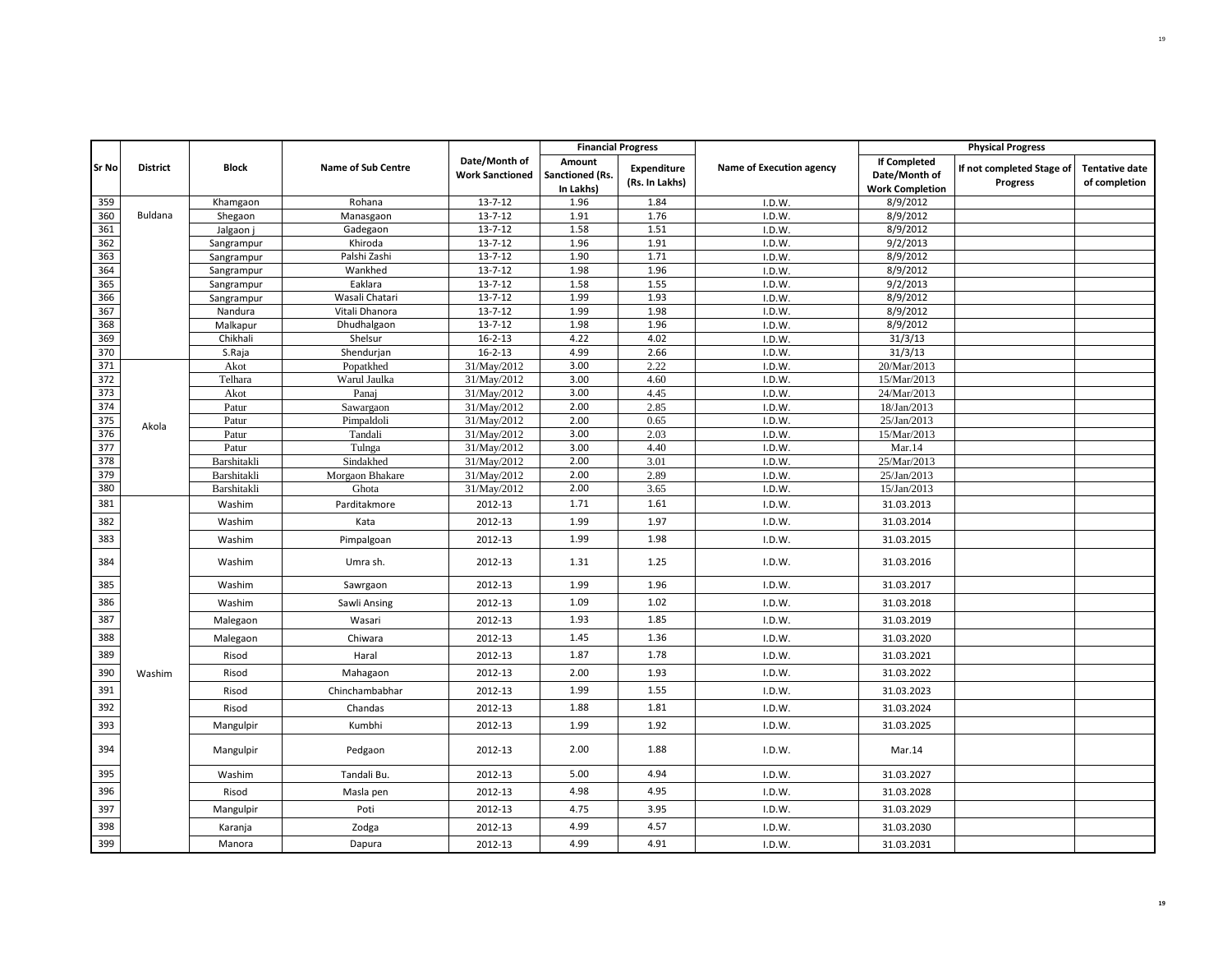|       |                 |              |                    |                                         | <b>Financial Progress</b>              |                                      |                          |                                                                | <b>Physical Progress</b>              |                                        |
|-------|-----------------|--------------|--------------------|-----------------------------------------|----------------------------------------|--------------------------------------|--------------------------|----------------------------------------------------------------|---------------------------------------|----------------------------------------|
| Sr No | <b>District</b> | <b>Block</b> | Name of Sub Centre | Date/Month of<br><b>Work Sanctioned</b> | Amount<br>Sanctioned (Rs.<br>In Lakhs) | <b>Expenditure</b><br>(Rs. In Lakhs) | Name of Execution agency | <b>If Completed</b><br>Date/Month of<br><b>Work Completion</b> | If not completed Stage of<br>Progress | <b>Tentative date</b><br>of completion |
| 359   |                 | Khamgaon     | Rohana             | $13 - 7 - 12$                           | 1.96                                   | 1.84                                 | I.D.W.                   | 8/9/2012                                                       |                                       |                                        |
| 360   | Buldana         | Shegaon      | Manasgaon          | $13 - 7 - 12$                           | 1.91                                   | 1.76                                 | I.D.W.                   | 8/9/2012                                                       |                                       |                                        |
| 361   |                 | Jalgaon j    | Gadegaon           | $13 - 7 - 12$                           | 1.58                                   | 1.51                                 | I.D.W.                   | 8/9/2012                                                       |                                       |                                        |
| 362   |                 | Sangrampur   | Khiroda            | $13 - 7 - 12$                           | 1.96                                   | 1.91                                 | I.D.W.                   | 9/2/2013                                                       |                                       |                                        |
| 363   |                 | Sangrampur   | Palshi Zashi       | $13 - 7 - 12$                           | 1.90                                   | 1.71                                 | I.D.W.                   | 8/9/2012                                                       |                                       |                                        |
| 364   |                 | Sangrampur   | Wankhed            | $13 - 7 - 12$                           | 1.98                                   | 1.96                                 | I.D.W.                   | 8/9/2012                                                       |                                       |                                        |
| 365   |                 | Sangrampur   | Eaklara            | $13 - 7 - 12$                           | 1.58                                   | 1.55                                 | I.D.W.                   | 9/2/2013                                                       |                                       |                                        |
| 366   |                 | Sangrampur   | Wasali Chatari     | $13 - 7 - 12$                           | 1.99                                   | 1.93                                 | I.D.W.                   | 8/9/2012                                                       |                                       |                                        |
| 367   |                 | Nandura      | Vitali Dhanora     | $13 - 7 - 12$                           | 1.99                                   | 1.98                                 | I.D.W.                   | 8/9/2012                                                       |                                       |                                        |
| 368   |                 | Malkapur     | Dhudhalgaon        | $13 - 7 - 12$                           | 1.98                                   | 1.96                                 | I.D.W.                   | 8/9/2012                                                       |                                       |                                        |
| 369   |                 | Chikhali     | Shelsur            | $16 - 2 - 13$                           | 4.22                                   | 4.02                                 | I.D.W.                   | 31/3/13                                                        |                                       |                                        |
| 370   |                 | S.Raja       | Shendurjan         | $16 - 2 - 13$                           | 4.99                                   | 2.66                                 | I.D.W.                   | 31/3/13                                                        |                                       |                                        |
| 371   |                 | Akot         | Popatkhed          | 31/May/2012                             | 3.00                                   | 2.22                                 | I.D.W.                   | 20/Mar/2013                                                    |                                       |                                        |
| 372   |                 | Telhara      | Warul Jaulka       | 31/May/2012                             | 3.00                                   | 4.60                                 | I.D.W.                   | 15/Mar/2013                                                    |                                       |                                        |
| 373   |                 | Akot         | Panaj              | 31/May/2012                             | 3.00                                   | 4.45                                 | I.D.W.                   | 24/Mar/2013                                                    |                                       |                                        |
| 374   |                 | Patur        | Sawargaon          | 31/May/2012                             | 2.00                                   | 2.85                                 | I.D.W.                   | 18/Jan/2013                                                    |                                       |                                        |
| 375   | Akola           | Patur        | Pimpaldoli         | 31/May/2012                             | 2.00                                   | 0.65                                 | I.D.W.                   | 25/Jan/2013                                                    |                                       |                                        |
| 376   |                 | Patur        | Tandali            | 31/May/2012                             | 3.00                                   | 2.03                                 | I.D.W.                   | 15/Mar/2013                                                    |                                       |                                        |
| 377   |                 | Patur        | Tulnga             | 31/May/2012                             | 3.00                                   | 4.40                                 | I.D.W.                   | Mar.14                                                         |                                       |                                        |
| 378   |                 | Barshitakli  | Sindakhed          | 31/May/2012                             | 2.00                                   | 3.01                                 | I.D.W.                   | 25/Mar/2013                                                    |                                       |                                        |
| 379   |                 | Barshitakli  | Morgaon Bhakare    | 31/May/2012                             | 2.00                                   | 2.89                                 | I.D.W                    | 25/Jan/2013                                                    |                                       |                                        |
| 380   |                 | Barshitakli  | Ghota              | 31/May/2012                             | 2.00                                   | 3.65                                 | I.D.W.                   | 15/Jan/2013                                                    |                                       |                                        |
| 381   |                 | Washim       | Parditakmore       | 2012-13                                 | 1.71                                   | 1.61                                 | I.D.W.                   | 31.03.2013                                                     |                                       |                                        |
| 382   |                 | Washim       | Kata               | 2012-13                                 | 1.99                                   | 1.97                                 | I.D.W.                   | 31.03.2014                                                     |                                       |                                        |
| 383   |                 | Washim       | Pimpalgoan         | 2012-13                                 | 1.99                                   | 1.98                                 | I.D.W.                   | 31.03.2015                                                     |                                       |                                        |
| 384   |                 | Washim       | Umra sh.           | 2012-13                                 | 1.31                                   | 1.25                                 | I.D.W.                   | 31.03.2016                                                     |                                       |                                        |
| 385   |                 | Washim       | Sawrgaon           | 2012-13                                 | 1.99                                   | 1.96                                 | I.D.W.                   | 31.03.2017                                                     |                                       |                                        |
| 386   |                 | Washim       | Sawli Ansing       | 2012-13                                 | 1.09                                   | 1.02                                 | I.D.W.                   | 31.03.2018                                                     |                                       |                                        |
| 387   |                 | Malegaon     | Wasari             | 2012-13                                 | 1.93                                   | 1.85                                 | I.D.W.                   | 31.03.2019                                                     |                                       |                                        |
| 388   |                 | Malegaon     | Chiwara            | 2012-13                                 | 1.45                                   | 1.36                                 | I.D.W.                   | 31.03.2020                                                     |                                       |                                        |
| 389   |                 | Risod        | Haral              | 2012-13                                 | 1.87                                   | 1.78                                 | I.D.W.                   | 31.03.2021                                                     |                                       |                                        |
| 390   | Washim          | Risod        | Mahagaon           | 2012-13                                 | 2.00                                   | 1.93                                 | I.D.W.                   | 31.03.2022                                                     |                                       |                                        |
| 391   |                 | Risod        | Chinchambabhar     | 2012-13                                 | 1.99                                   | 1.55                                 | I.D.W.                   | 31.03.2023                                                     |                                       |                                        |
| 392   |                 | Risod        | Chandas            | 2012-13                                 | 1.88                                   | 1.81                                 | I.D.W.                   | 31.03.2024                                                     |                                       |                                        |
| 393   |                 | Mangulpir    | Kumbhi             | 2012-13                                 | 1.99                                   | 1.92                                 | I.D.W.                   | 31.03.2025                                                     |                                       |                                        |
| 394   |                 | Mangulpir    | Pedgaon            | 2012-13                                 | 2.00                                   | 1.88                                 | I.D.W.                   | Mar.14                                                         |                                       |                                        |
| 395   |                 | Washim       | Tandali Bu.        | 2012-13                                 | 5.00                                   | 4.94                                 | I.D.W.                   | 31.03.2027                                                     |                                       |                                        |
| 396   |                 | Risod        | Masla pen          | 2012-13                                 | 4.98                                   | 4.95                                 | I.D.W.                   | 31.03.2028                                                     |                                       |                                        |
| 397   |                 | Mangulpir    | Poti               | 2012-13                                 | 4.75                                   | 3.95                                 | I.D.W.                   | 31.03.2029                                                     |                                       |                                        |
| 398   |                 | Karanja      | Zodga              | 2012-13                                 | 4.99                                   | 4.57                                 | I.D.W.                   | 31.03.2030                                                     |                                       |                                        |
| 399   |                 | Manora       | Dapura             | 2012-13                                 | 4.99                                   | 4.91                                 | I.D.W.                   | 31.03.2031                                                     |                                       |                                        |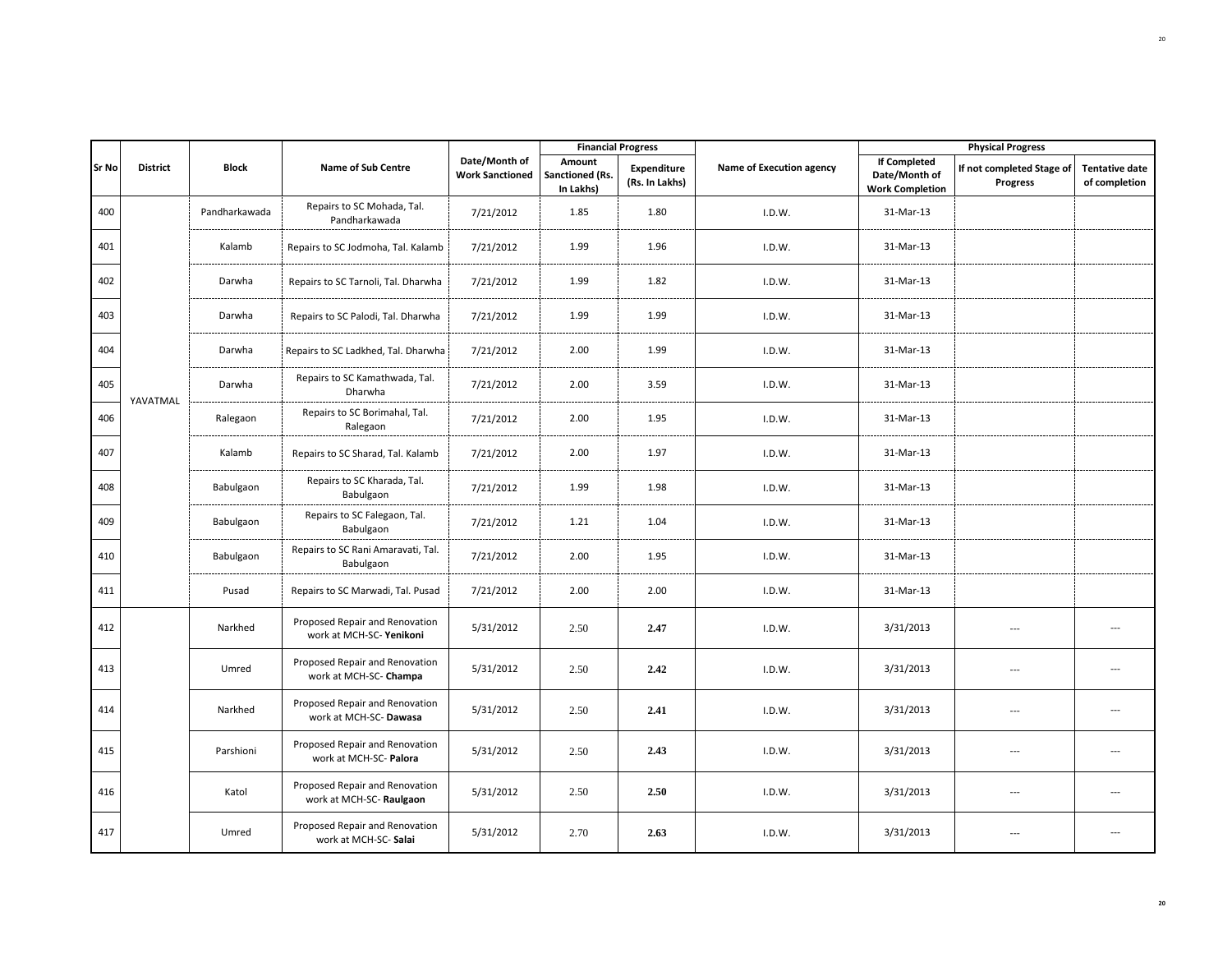|              |                 |               |                                                           |                                         |                                        | <b>Financial Progress</b>     |                          |                                                                | <b>Physical Progress</b>              |                                        |
|--------------|-----------------|---------------|-----------------------------------------------------------|-----------------------------------------|----------------------------------------|-------------------------------|--------------------------|----------------------------------------------------------------|---------------------------------------|----------------------------------------|
| <b>Sr No</b> | <b>District</b> | <b>Block</b>  | <b>Name of Sub Centre</b>                                 | Date/Month of<br><b>Work Sanctioned</b> | Amount<br>Sanctioned (Rs.<br>In Lakhs) | Expenditure<br>(Rs. In Lakhs) | Name of Execution agency | <b>If Completed</b><br>Date/Month of<br><b>Work Completion</b> | If not completed Stage of<br>Progress | <b>Tentative date</b><br>of completion |
| 400          |                 | Pandharkawada | Repairs to SC Mohada, Tal.<br>Pandharkawada               | 7/21/2012                               | 1.85                                   | 1.80                          | I.D.W.                   | 31-Mar-13                                                      |                                       |                                        |
| 401          |                 | Kalamb        | Repairs to SC Jodmoha, Tal. Kalamb                        | 7/21/2012                               | 1.99                                   | 1.96                          | I.D.W.                   | 31-Mar-13                                                      |                                       |                                        |
| 402          |                 | Darwha        | Repairs to SC Tarnoli, Tal. Dharwha                       | 7/21/2012                               | 1.99                                   | 1.82                          | I.D.W.                   | 31-Mar-13                                                      |                                       |                                        |
| 403          |                 | Darwha        | Repairs to SC Palodi, Tal. Dharwha                        | 7/21/2012                               | 1.99                                   | 1.99                          | I.D.W.                   | 31-Mar-13                                                      |                                       |                                        |
| 404          |                 | Darwha        | Repairs to SC Ladkhed, Tal. Dharwha                       | 7/21/2012                               | 2.00                                   | 1.99                          | I.D.W.                   | 31-Mar-13                                                      |                                       |                                        |
| 405          | YAVATMAL        | Darwha        | Repairs to SC Kamathwada, Tal.<br>Dharwha                 | 7/21/2012                               | 2.00                                   | 3.59                          | I.D.W.                   | 31-Mar-13                                                      |                                       |                                        |
| 406          |                 | Ralegaon      | Repairs to SC Borimahal, Tal.<br>Ralegaon                 | 7/21/2012                               | 2.00                                   | 1.95                          | I.D.W.                   | 31-Mar-13                                                      |                                       |                                        |
| 407          |                 | Kalamb        | Repairs to SC Sharad, Tal. Kalamb                         | 7/21/2012                               | 2.00                                   | 1.97                          | I.D.W.                   | 31-Mar-13                                                      |                                       |                                        |
| 408          |                 | Babulgaon     | Repairs to SC Kharada, Tal.<br>Babulgaon                  | 7/21/2012                               | 1.99                                   | 1.98                          | I.D.W.                   | 31-Mar-13                                                      |                                       |                                        |
| 409          |                 | Babulgaon     | Repairs to SC Falegaon, Tal.<br>Babulgaon                 | 7/21/2012                               | 1.21                                   | 1.04                          | I.D.W.                   | 31-Mar-13                                                      |                                       |                                        |
| 410          |                 | Babulgaon     | Repairs to SC Rani Amaravati, Tal.<br>Babulgaon           | 7/21/2012                               | 2.00                                   | 1.95                          | I.D.W.                   | 31-Mar-13                                                      |                                       |                                        |
| 411          |                 | Pusad         | Repairs to SC Marwadi, Tal. Pusad                         | 7/21/2012                               | 2.00                                   | 2.00                          | I.D.W.                   | 31-Mar-13                                                      |                                       |                                        |
| 412          |                 | Narkhed       | Proposed Repair and Renovation<br>work at MCH-SC-Yenikoni | 5/31/2012                               | 2.50                                   | 2.47                          | I.D.W.                   | 3/31/2013                                                      | $\overline{a}$                        | ---                                    |
| 413          |                 | Umred         | Proposed Repair and Renovation<br>work at MCH-SC- Champa  | 5/31/2012                               | 2.50                                   | 2.42                          | I.D.W.                   | 3/31/2013                                                      | $\overline{a}$                        | ---                                    |
| 414          |                 | Narkhed       | Proposed Repair and Renovation<br>work at MCH-SC-Dawasa   | 5/31/2012                               | 2.50                                   | 2.41                          | I.D.W.                   | 3/31/2013                                                      | $\overline{\phantom{a}}$              | $\overline{\phantom{a}}$               |
| 415          |                 | Parshioni     | Proposed Repair and Renovation<br>work at MCH-SC- Palora  | 5/31/2012                               | 2.50                                   | 2.43                          | I.D.W.                   | 3/31/2013                                                      | ---                                   | ---                                    |
| 416          |                 | Katol         | Proposed Repair and Renovation<br>work at MCH-SC-Raulgaon | 5/31/2012                               | 2.50                                   | 2.50                          | I.D.W.                   | 3/31/2013                                                      | $\overline{\phantom{a}}$              | $\overline{\phantom{a}}$               |
| 417          |                 | Umred         | Proposed Repair and Renovation<br>work at MCH-SC-Salai    | 5/31/2012                               | 2.70                                   | 2.63                          | I.D.W.                   | 3/31/2013                                                      |                                       | $\overline{\phantom{a}}$               |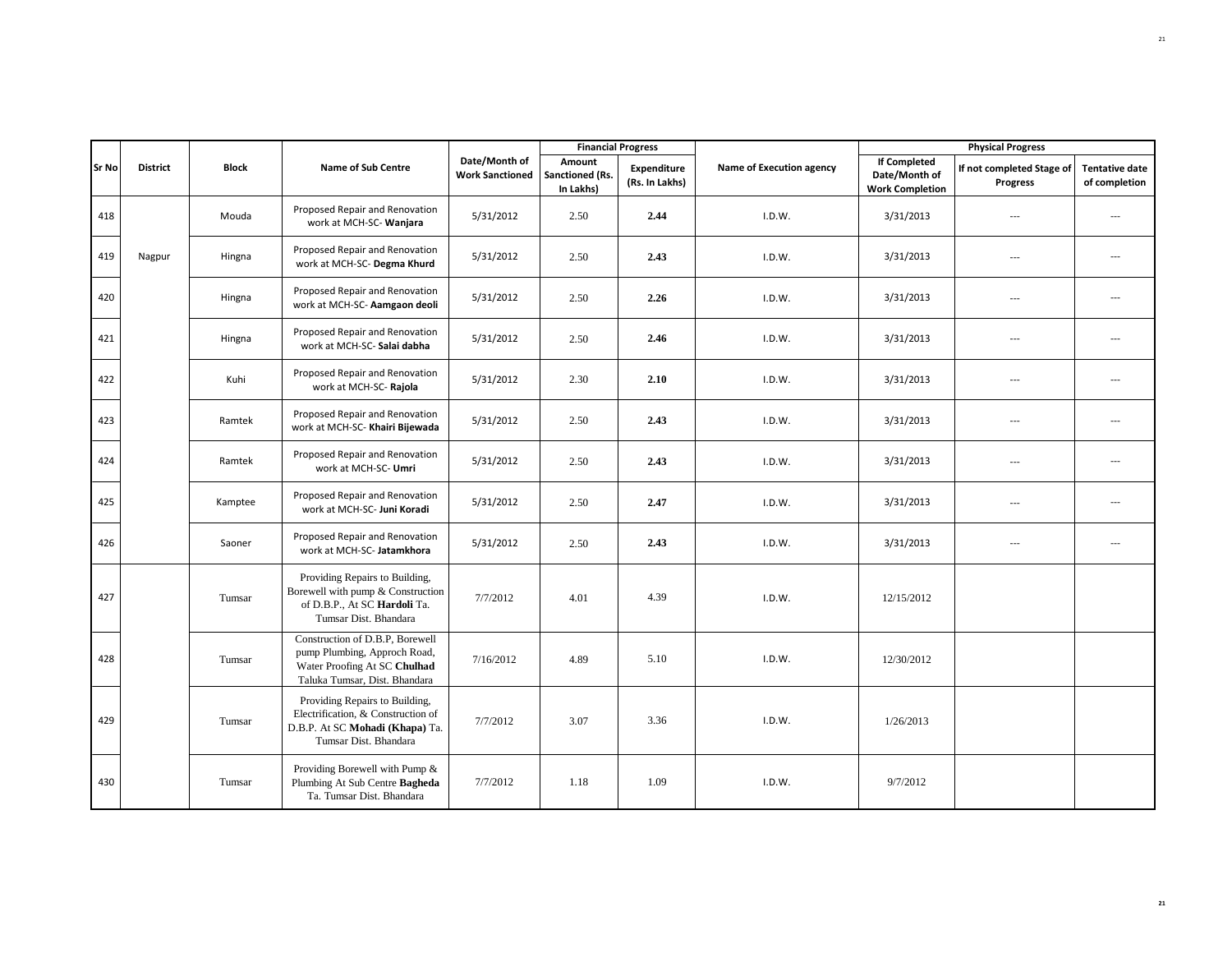|              |                 |              |                                                                                                                                  |                                         | <b>Financial Progress</b>              |                               |                          |                                                                | <b>Physical Progress</b>              |                                        |
|--------------|-----------------|--------------|----------------------------------------------------------------------------------------------------------------------------------|-----------------------------------------|----------------------------------------|-------------------------------|--------------------------|----------------------------------------------------------------|---------------------------------------|----------------------------------------|
| <b>Sr No</b> | <b>District</b> | <b>Block</b> | <b>Name of Sub Centre</b>                                                                                                        | Date/Month of<br><b>Work Sanctioned</b> | Amount<br>Sanctioned (Rs.<br>In Lakhs) | Expenditure<br>(Rs. In Lakhs) | Name of Execution agency | <b>If Completed</b><br>Date/Month of<br><b>Work Completion</b> | If not completed Stage of<br>Progress | <b>Tentative date</b><br>of completion |
| 418          |                 | Mouda        | Proposed Repair and Renovation<br>work at MCH-SC- Wanjara                                                                        | 5/31/2012                               | 2.50                                   | 2.44                          | I.D.W.                   | 3/31/2013                                                      | ---                                   | $\overline{a}$                         |
| 419          | Nagpur          | Hingna       | Proposed Repair and Renovation<br>work at MCH-SC- Degma Khurd                                                                    | 5/31/2012                               | 2.50                                   | 2.43                          | I.D.W.                   | 3/31/2013                                                      | $---$                                 |                                        |
| 420          |                 | Hingna       | Proposed Repair and Renovation<br>work at MCH-SC- Aamgaon deoli                                                                  | 5/31/2012                               | 2.50                                   | 2.26                          | I.D.W.                   | 3/31/2013                                                      | $\overline{a}$                        | $\overline{a}$                         |
| 421          |                 | Hingna       | Proposed Repair and Renovation<br>work at MCH-SC- Salai dabha                                                                    | 5/31/2012                               | 2.50                                   | 2.46                          | I.D.W.                   | 3/31/2013                                                      | $\overline{\phantom{a}}$              | $\overline{a}$                         |
| 422          |                 | Kuhi         | Proposed Repair and Renovation<br>work at MCH-SC-Rajola                                                                          | 5/31/2012                               | 2.30                                   | 2.10                          | I.D.W.                   | 3/31/2013                                                      | $\overline{a}$                        | $\overline{a}$                         |
| 423          |                 | Ramtek       | Proposed Repair and Renovation<br>work at MCH-SC- Khairi Bijewada                                                                | 5/31/2012                               | 2.50                                   | 2.43                          | I.D.W.                   | 3/31/2013                                                      | $---$                                 | $\overline{a}$                         |
| 424          |                 | Ramtek       | Proposed Repair and Renovation<br>work at MCH-SC- Umri                                                                           | 5/31/2012                               | 2.50                                   | 2.43                          | I.D.W.                   | 3/31/2013                                                      | $\overline{\phantom{a}}$              | $\overline{a}$                         |
| 425          |                 | Kamptee      | Proposed Repair and Renovation<br>work at MCH-SC- Juni Koradi                                                                    | 5/31/2012                               | 2.50                                   | 2.47                          | I.D.W.                   | 3/31/2013                                                      | ---                                   | ---                                    |
| 426          |                 | Saoner       | Proposed Repair and Renovation<br>work at MCH-SC- Jatamkhora                                                                     | 5/31/2012                               | 2.50                                   | 2.43                          | I.D.W.                   | 3/31/2013                                                      | $\overline{a}$                        | $-$                                    |
| 427          |                 | Tumsar       | Providing Repairs to Building,<br>Borewell with pump & Construction<br>of D.B.P., At SC Hardoli Ta.<br>Tumsar Dist. Bhandara     | 7/7/2012                                | 4.01                                   | 4.39                          | I.D.W.                   | 12/15/2012                                                     |                                       |                                        |
| 428          |                 | Tumsar       | Construction of D.B.P, Borewell<br>pump Plumbing, Approch Road,<br>Water Proofing At SC Chulhad<br>Taluka Tumsar, Dist. Bhandara | 7/16/2012                               | 4.89                                   | 5.10                          | I.D.W.                   | 12/30/2012                                                     |                                       |                                        |
| 429          |                 | Tumsar       | Providing Repairs to Building,<br>Electrification, & Construction of<br>D.B.P. At SC Mohadi (Khapa) Ta.<br>Tumsar Dist. Bhandara | 7/7/2012                                | 3.07                                   | 3.36                          | I.D.W.                   | 1/26/2013                                                      |                                       |                                        |
| 430          |                 | Tumsar       | Providing Borewell with Pump &<br>Plumbing At Sub Centre Bagheda<br>Ta. Tumsar Dist. Bhandara                                    | 7/7/2012                                | 1.18                                   | 1.09                          | I.D.W.                   | 9/7/2012                                                       |                                       |                                        |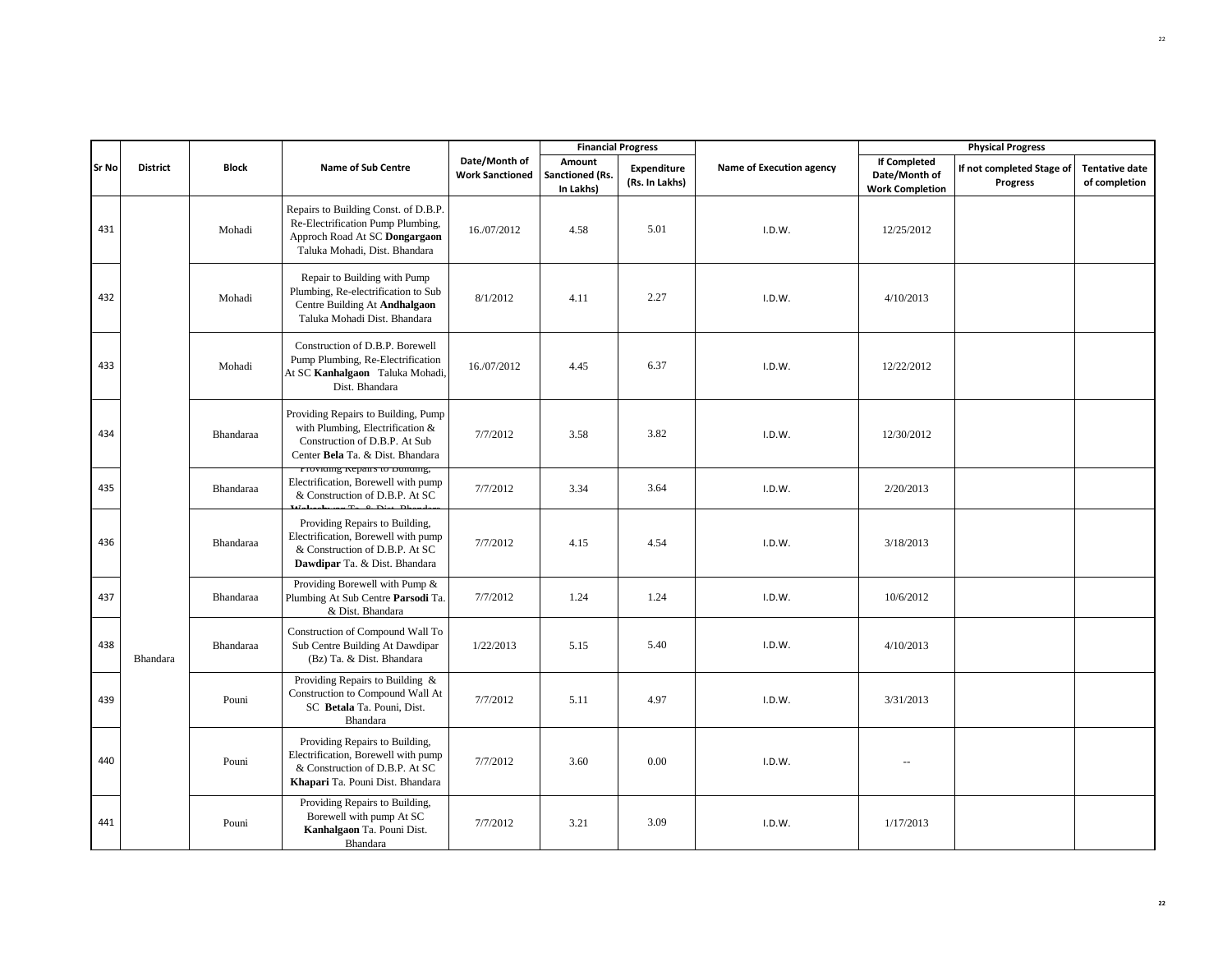|       |                 |              |                                                                                                                                              |                                         |                                               | <b>Financial Progress</b>     |                          |                                                                | <b>Physical Progress</b>              |                                        |
|-------|-----------------|--------------|----------------------------------------------------------------------------------------------------------------------------------------------|-----------------------------------------|-----------------------------------------------|-------------------------------|--------------------------|----------------------------------------------------------------|---------------------------------------|----------------------------------------|
| Sr No | <b>District</b> | <b>Block</b> | Name of Sub Centre                                                                                                                           | Date/Month of<br><b>Work Sanctioned</b> | Amount<br><b>Sanctioned (Rs.</b><br>In Lakhs) | Expenditure<br>(Rs. In Lakhs) | Name of Execution agency | <b>If Completed</b><br>Date/Month of<br><b>Work Completion</b> | If not completed Stage of<br>Progress | <b>Tentative date</b><br>of completion |
| 431   |                 | Mohadi       | Repairs to Building Const. of D.B.P.<br>Re-Electrification Pump Plumbing,<br>Approch Road At SC Dongargaon<br>Taluka Mohadi, Dist. Bhandara  | 16./07/2012                             | 4.58                                          | 5.01                          | I.D.W.                   | 12/25/2012                                                     |                                       |                                        |
| 432   |                 | Mohadi       | Repair to Building with Pump<br>Plumbing, Re-electrification to Sub<br>Centre Building At Andhalgaon<br>Taluka Mohadi Dist. Bhandara         | 8/1/2012                                | 4.11                                          | 2.27                          | I.D.W.                   | 4/10/2013                                                      |                                       |                                        |
| 433   |                 | Mohadi       | Construction of D.B.P. Borewell<br>Pump Plumbing, Re-Electrification<br>At SC Kanhalgaon Taluka Mohadi,<br>Dist. Bhandara                    | 16./07/2012                             | 4.45                                          | 6.37                          | I.D.W.                   | 12/22/2012                                                     |                                       |                                        |
| 434   |                 | Bhandaraa    | Providing Repairs to Building, Pump<br>with Plumbing, Electrification &<br>Construction of D.B.P. At Sub<br>Center Bela Ta. & Dist. Bhandara | 7/7/2012                                | 3.58                                          | 3.82                          | I.D.W.                   | 12/30/2012                                                     |                                       |                                        |
| 435   |                 | Bhandaraa    | rroviding repairs to building,<br>Electrification, Borewell with pump<br>& Construction of D.B.P. At SC                                      | 7/7/2012                                | 3.34                                          | 3.64                          | I.D.W.                   | 2/20/2013                                                      |                                       |                                        |
| 436   |                 | Bhandaraa    | Providing Repairs to Building,<br>Electrification, Borewell with pump<br>& Construction of D.B.P. At SC<br>Dawdipar Ta. & Dist. Bhandara     | 7/7/2012                                | 4.15                                          | 4.54                          | I.D.W.                   | 3/18/2013                                                      |                                       |                                        |
| 437   |                 | Bhandaraa    | Providing Borewell with Pump &<br>Plumbing At Sub Centre Parsodi Ta.<br>& Dist. Bhandara                                                     | 7/7/2012                                | 1.24                                          | 1.24                          | I.D.W.                   | 10/6/2012                                                      |                                       |                                        |
| 438   | Bhandara        | Bhandaraa    | Construction of Compound Wall To<br>Sub Centre Building At Dawdipar<br>(Bz) Ta. & Dist. Bhandara                                             | 1/22/2013                               | 5.15                                          | 5.40                          | I.D.W.                   | 4/10/2013                                                      |                                       |                                        |
| 439   |                 | Pouni        | Providing Repairs to Building &<br>Construction to Compound Wall At<br>SC Betala Ta. Pouni, Dist.<br>Bhandara                                | 7/7/2012                                | 5.11                                          | 4.97                          | I.D.W.                   | 3/31/2013                                                      |                                       |                                        |
| 440   |                 | Pouni        | Providing Repairs to Building,<br>Electrification, Borewell with pump<br>& Construction of D.B.P. At SC<br>Khapari Ta. Pouni Dist. Bhandara  | 7/7/2012                                | 3.60                                          | 0.00                          | I.D.W.                   | $\overline{\phantom{a}}$                                       |                                       |                                        |
| 441   |                 | Pouni        | Providing Repairs to Building,<br>Borewell with pump At SC<br>Kanhalgaon Ta. Pouni Dist.<br>Bhandara                                         | 7/7/2012                                | 3.21                                          | 3.09                          | I.D.W.                   | 1/17/2013                                                      |                                       |                                        |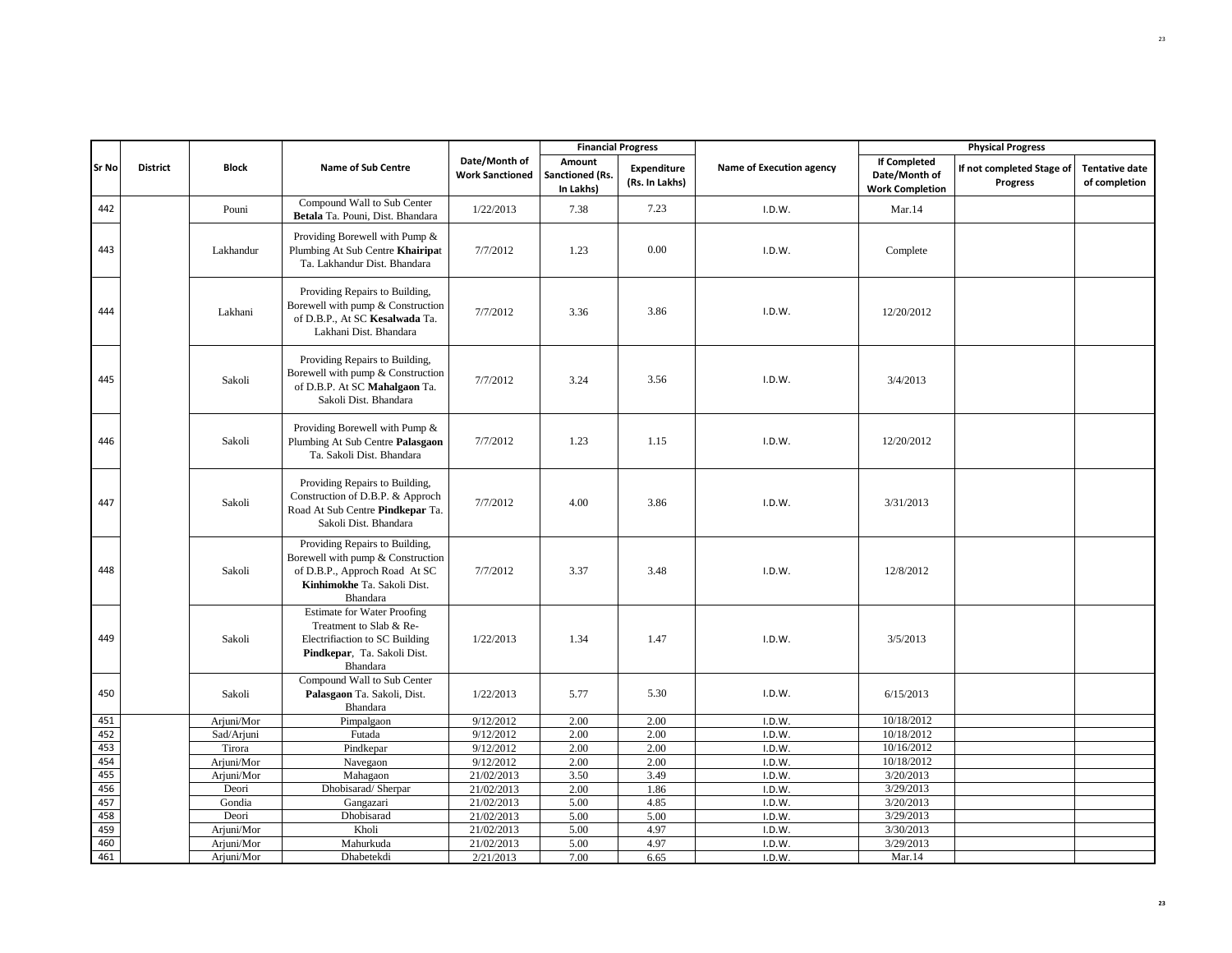|            |                 |                     |                                                                                                                                                 |                                         | <b>Financial Progress</b>              |                               |                          |                                                                | <b>Physical Progress</b>              |                                        |
|------------|-----------------|---------------------|-------------------------------------------------------------------------------------------------------------------------------------------------|-----------------------------------------|----------------------------------------|-------------------------------|--------------------------|----------------------------------------------------------------|---------------------------------------|----------------------------------------|
| Sr No      | <b>District</b> | <b>Block</b>        | <b>Name of Sub Centre</b>                                                                                                                       | Date/Month of<br><b>Work Sanctioned</b> | Amount<br>Sanctioned (Rs.<br>In Lakhs) | Expenditure<br>(Rs. In Lakhs) | Name of Execution agency | <b>If Completed</b><br>Date/Month of<br><b>Work Completion</b> | If not completed Stage of<br>Progress | <b>Tentative date</b><br>of completion |
| 442        |                 | Pouni               | Compound Wall to Sub Center<br>Betala Ta. Pouni, Dist. Bhandara                                                                                 | 1/22/2013                               | 7.38                                   | 7.23                          | I.D.W.                   | Mar.14                                                         |                                       |                                        |
| 443        |                 | Lakhandur           | Providing Borewell with Pump &<br>Plumbing At Sub Centre Khairipat<br>Ta. Lakhandur Dist. Bhandara                                              | 7/7/2012                                | 1.23                                   | 0.00                          | I.D.W.                   | Complete                                                       |                                       |                                        |
| 444        |                 | Lakhani             | Providing Repairs to Building,<br>Borewell with pump & Construction<br>of D.B.P., At SC Kesalwada Ta.<br>Lakhani Dist. Bhandara                 | 7/7/2012                                | 3.36                                   | 3.86                          | I.D.W.                   | 12/20/2012                                                     |                                       |                                        |
| 445        |                 | Sakoli              | Providing Repairs to Building,<br>Borewell with pump & Construction<br>of D.B.P. At SC Mahalgaon Ta.<br>Sakoli Dist. Bhandara                   | 7/7/2012                                | 3.24                                   | 3.56                          | I.D.W.                   | 3/4/2013                                                       |                                       |                                        |
| 446        |                 | Sakoli              | Providing Borewell with Pump &<br>Plumbing At Sub Centre Palasgaon<br>Ta. Sakoli Dist. Bhandara                                                 | 7/7/2012                                | 1.23                                   | 1.15                          | I.D.W.                   | 12/20/2012                                                     |                                       |                                        |
| 447        |                 | Sakoli              | Providing Repairs to Building,<br>Construction of D.B.P. & Approch<br>Road At Sub Centre Pindkepar Ta.<br>Sakoli Dist. Bhandara                 | 7/7/2012                                | 4.00                                   | 3.86                          | I.D.W.                   | 3/31/2013                                                      |                                       |                                        |
| 448        |                 | Sakoli              | Providing Repairs to Building,<br>Borewell with pump & Construction<br>of D.B.P., Approch Road At SC<br>Kinhimokhe Ta. Sakoli Dist.<br>Bhandara | 7/7/2012                                | 3.37                                   | 3.48                          | I.D.W.                   | 12/8/2012                                                      |                                       |                                        |
| 449        |                 | Sakoli              | <b>Estimate for Water Proofing</b><br>Treatment to Slab & Re-<br>Electrifiaction to SC Building<br>Pindkepar, Ta. Sakoli Dist.<br>Bhandara      | 1/22/2013                               | 1.34                                   | 1.47                          | I.D.W.                   | 3/5/2013                                                       |                                       |                                        |
| 450        |                 | Sakoli              | Compound Wall to Sub Center<br>Palasgaon Ta. Sakoli, Dist.<br>Bhandara                                                                          | 1/22/2013                               | 5.77                                   | 5.30                          | I.D.W.                   | 6/15/2013                                                      |                                       |                                        |
| 451        |                 | Arjuni/Mor          | Pimpalgaon                                                                                                                                      | 9/12/2012                               | 2.00                                   | 2.00                          | I.D.W.                   | 10/18/2012                                                     |                                       |                                        |
| 452        |                 | Sad/Arjuni          | Futada                                                                                                                                          | 9/12/2012                               | 2.00                                   | 2.00                          | I.D.W.                   | 10/18/2012                                                     |                                       |                                        |
| 453        |                 | Tirora              | Pindkepar                                                                                                                                       | 9/12/2012                               | 2.00                                   | 2.00                          | I.D.W.                   | 10/16/2012                                                     |                                       |                                        |
| 454<br>455 |                 | Arjuni/Mor          | Navegaon<br>Mahagaon                                                                                                                            | 9/12/2012                               | 2.00                                   | 2.00                          | I.D.W.                   | 10/18/2012<br>3/20/2013                                        |                                       |                                        |
| 456        |                 | Arjuni/Mor<br>Deori | Dhobisarad/Sherpar                                                                                                                              | 21/02/2013<br>21/02/2013                | 3.50<br>2.00                           | 3.49<br>1.86                  | I.D.W.<br>I.D.W.         | 3/29/2013                                                      |                                       |                                        |
| 457        |                 | Gondia              | Gangazari                                                                                                                                       | 21/02/2013                              | 5.00                                   | 4.85                          | I.D.W.                   | 3/20/2013                                                      |                                       |                                        |
| 458        |                 | Deori               | Dhobisarad                                                                                                                                      | 21/02/2013                              | 5.00                                   | 5.00                          | I.D.W.                   | 3/29/2013                                                      |                                       |                                        |
| 459        |                 | Arjuni/Mor          | Kholi                                                                                                                                           | 21/02/2013                              | 5.00                                   | 4.97                          | I.D.W.                   | 3/30/2013                                                      |                                       |                                        |
| 460        |                 | Arjuni/Mor          | Mahurkuda                                                                                                                                       | 21/02/2013                              | 5.00                                   | 4.97                          | I.D.W.                   | 3/29/2013                                                      |                                       |                                        |
| 461        |                 | Arjuni/Mor          | Dhabetekdi                                                                                                                                      | 2/21/2013                               | 7.00                                   | 6.65                          | I.D.W.                   | Mar.14                                                         |                                       |                                        |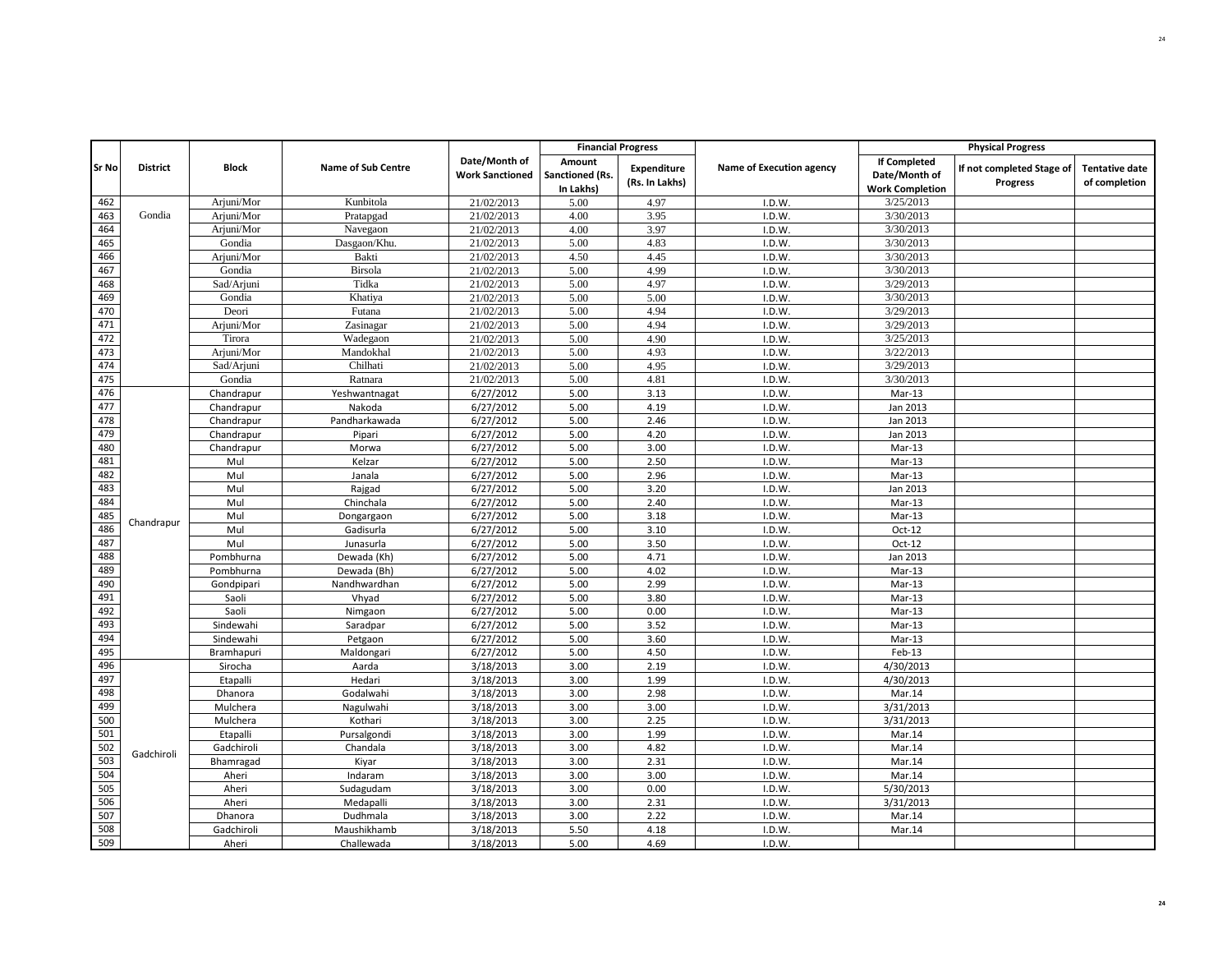|       |                 |              |                           |                                         | <b>Financial Progress</b>              |                               |                          |                                                                | <b>Physical Progress</b>              |                                        |
|-------|-----------------|--------------|---------------------------|-----------------------------------------|----------------------------------------|-------------------------------|--------------------------|----------------------------------------------------------------|---------------------------------------|----------------------------------------|
| Sr No | <b>District</b> | <b>Block</b> | <b>Name of Sub Centre</b> | Date/Month of<br><b>Work Sanctioned</b> | Amount<br>Sanctioned (Rs.<br>In Lakhs) | Expenditure<br>(Rs. In Lakhs) | Name of Execution agency | <b>If Completed</b><br>Date/Month of<br><b>Work Completion</b> | If not completed Stage of<br>Progress | <b>Tentative date</b><br>of completion |
| 462   |                 | Arjuni/Mor   | Kunbitola                 | 21/02/2013                              | 5.00                                   | 4.97                          | I.D.W.                   | 3/25/2013                                                      |                                       |                                        |
| 463   | Gondia          | Arjuni/Mor   | Pratapgad                 | 21/02/2013                              | 4.00                                   | 3.95                          | I.D.W.                   | 3/30/2013                                                      |                                       |                                        |
| 464   |                 | Arjuni/Mor   | Navegaon                  | 21/02/2013                              | 4.00                                   | 3.97                          | I.D.W.                   | 3/30/2013                                                      |                                       |                                        |
| 465   |                 | Gondia       | Dasgaon/Khu.              | 21/02/2013                              | 5.00                                   | 4.83                          | I.D.W.                   | 3/30/2013                                                      |                                       |                                        |
| 466   |                 | Arjuni/Mor   | Bakti                     | 21/02/2013                              | 4.50                                   | 4.45                          | I.D.W.                   | 3/30/2013                                                      |                                       |                                        |
| 467   |                 | Gondia       | <b>Birsola</b>            | 21/02/2013                              | 5.00                                   | 4.99                          | I.D.W.                   | 3/30/2013                                                      |                                       |                                        |
| 468   |                 | Sad/Arjuni   | Tidka                     | 21/02/2013                              | 5.00                                   | 4.97                          | I.D.W.                   | 3/29/2013                                                      |                                       |                                        |
| 469   |                 | Gondia       | Khatiya                   | 21/02/2013                              | 5.00                                   | 5.00                          | I.D.W.                   | 3/30/2013                                                      |                                       |                                        |
| 470   |                 | Deori        | Futana                    | 21/02/2013                              | 5.00                                   | 4.94                          | I.D.W.                   | 3/29/2013                                                      |                                       |                                        |
| 471   |                 | Arjuni/Mor   | Zasinagar                 | 21/02/2013                              | 5.00                                   | 4.94                          | I.D.W.                   | 3/29/2013                                                      |                                       |                                        |
| 472   |                 | Tirora       | Wadegaon                  | 21/02/2013                              | 5.00                                   | 4.90                          | I.D.W.                   | 3/25/2013                                                      |                                       |                                        |
| 473   |                 | Arjuni/Mor   | Mandokhal                 | 21/02/2013                              | 5.00                                   | 4.93                          | I.D.W.                   | 3/22/2013                                                      |                                       |                                        |
| 474   |                 | Sad/Arjuni   | Chilhati                  | 21/02/2013                              | 5.00                                   | 4.95                          | I.D.W.                   | 3/29/2013                                                      |                                       |                                        |
| 475   |                 | Gondia       | Ratnara                   | 21/02/2013                              | 5.00                                   | 4.81                          | I.D.W.                   | 3/30/2013                                                      |                                       |                                        |
| 476   |                 | Chandrapur   | Yeshwantnagat             | 6/27/2012                               | 5.00                                   | 3.13                          | I.D.W.                   | $Mar-13$                                                       |                                       |                                        |
| 477   |                 | Chandrapur   | Nakoda                    | 6/27/2012                               | 5.00                                   | 4.19                          | I.D.W.                   | Jan 2013                                                       |                                       |                                        |
| 478   |                 | Chandrapur   | Pandharkawada             | 6/27/2012                               | 5.00                                   | 2.46                          | I.D.W.                   | Jan 2013                                                       |                                       |                                        |
| 479   |                 | Chandrapur   | Pipari                    | 6/27/2012                               | 5.00                                   | 4.20                          | I.D.W.                   | Jan 2013                                                       |                                       |                                        |
| 480   |                 | Chandrapur   | Morwa                     | 6/27/2012                               | 5.00                                   | 3.00                          | I.D.W.                   | $Mar-13$                                                       |                                       |                                        |
| 481   |                 | Mul          | Kelzar                    | 6/27/2012                               | 5.00                                   | 2.50                          | I.D.W.                   | $Mar-13$                                                       |                                       |                                        |
| 482   |                 | Mul          | Janala                    | 6/27/2012                               | 5.00                                   | 2.96                          | I.D.W.                   | $Mar-13$                                                       |                                       |                                        |
| 483   |                 | Mul          | Rajgad                    | 6/27/2012                               | 5.00                                   | 3.20                          | I.D.W.                   | Jan 2013                                                       |                                       |                                        |
| 484   |                 | Mul          | Chinchala                 | 6/27/2012                               | 5.00                                   | 2.40                          | I.D.W.                   | $Mar-13$                                                       |                                       |                                        |
| 485   | Chandrapur      | Mul          | Dongargaon                | 6/27/2012                               | 5.00                                   | 3.18                          | I.D.W.                   | Mar-13                                                         |                                       |                                        |
| 486   |                 | Mul          | Gadisurla                 | 6/27/2012                               | 5.00                                   | 3.10                          | I.D.W.                   | Oct-12                                                         |                                       |                                        |
| 487   |                 | Mul          | Junasurla                 | 6/27/2012                               | 5.00                                   | 3.50                          | I.D.W.                   | Oct-12                                                         |                                       |                                        |
| 488   |                 | Pombhurna    | Dewada (Kh)               | 6/27/2012                               | 5.00                                   | 4.71                          | I.D.W.                   | Jan 2013                                                       |                                       |                                        |
| 489   |                 | Pombhurna    | Dewada (Bh)               | 6/27/2012                               | 5.00                                   | 4.02                          | I.D.W.                   | Mar-13                                                         |                                       |                                        |
| 490   |                 | Gondpipari   | Nandhwardhan              | 6/27/2012                               | 5.00                                   | 2.99                          | I.D.W.                   | $Mar-13$                                                       |                                       |                                        |
| 491   |                 | Saoli        | Vhyad                     | 6/27/2012                               | 5.00                                   | 3.80                          | I.D.W.                   | $Mar-13$                                                       |                                       |                                        |
| 492   |                 | Saoli        | Nimgaon                   | 6/27/2012                               | 5.00                                   | 0.00                          | I.D.W.                   | $Mar-13$                                                       |                                       |                                        |
| 493   |                 | Sindewahi    | Saradpar                  | 6/27/2012                               | 5.00                                   | 3.52                          | I.D.W.                   | Mar-13                                                         |                                       |                                        |
| 494   |                 | Sindewahi    | Petgaon                   | 6/27/2012                               | 5.00                                   | 3.60                          | I.D.W.                   | $Mar-13$                                                       |                                       |                                        |
| 495   |                 | Bramhapuri   | Maldongari                | 6/27/2012                               | 5.00                                   | 4.50                          | I.D.W.                   | Feb-13                                                         |                                       |                                        |
| 496   |                 | Sirocha      | Aarda                     | 3/18/2013                               | 3.00                                   | 2.19                          | I.D.W.                   | 4/30/2013                                                      |                                       |                                        |
| 497   |                 | Etapalli     | Hedari                    | 3/18/2013                               | 3.00                                   | 1.99                          | I.D.W.                   | 4/30/2013                                                      |                                       |                                        |
| 498   |                 | Dhanora      | Godalwahi                 | 3/18/2013                               | 3.00                                   | 2.98                          | I.D.W.                   | Mar.14                                                         |                                       |                                        |
| 499   |                 | Mulchera     | Nagulwahi                 | 3/18/2013                               | 3.00                                   | 3.00                          | I.D.W.                   | 3/31/2013                                                      |                                       |                                        |
| 500   |                 | Mulchera     | Kothari                   | 3/18/2013                               | 3.00                                   | 2.25                          | I.D.W.                   | 3/31/2013                                                      |                                       |                                        |
| 501   |                 | Etapalli     | Pursalgondi               | 3/18/2013                               | 3.00                                   | 1.99                          | I.D.W.                   | Mar.14                                                         |                                       |                                        |
| 502   | Gadchiroli      | Gadchiroli   | Chandala                  | 3/18/2013                               | 3.00                                   | 4.82                          | I.D.W.                   | Mar.14                                                         |                                       |                                        |
| 503   |                 | Bhamragad    | Kiyar                     | 3/18/2013                               | 3.00                                   | 2.31                          | I.D.W.                   | Mar.14                                                         |                                       |                                        |
| 504   |                 | Aheri        | Indaram                   | 3/18/2013                               | 3.00                                   | 3.00                          | I.D.W.                   | Mar.14                                                         |                                       |                                        |
| 505   |                 | Aheri        | Sudagudam                 | 3/18/2013                               | 3.00                                   | 0.00                          | I.D.W.                   | 5/30/2013                                                      |                                       |                                        |
| 506   |                 | Aheri        | Medapalli                 | 3/18/2013                               | 3.00                                   | 2.31                          | I.D.W.                   | 3/31/2013                                                      |                                       |                                        |
| 507   |                 | Dhanora      | Dudhmala                  | 3/18/2013                               | 3.00                                   | 2.22                          | I.D.W.                   | Mar.14                                                         |                                       |                                        |
| 508   |                 | Gadchiroli   | Maushikhamb               | 3/18/2013                               | 5.50                                   | 4.18                          | I.D.W.                   | Mar.14                                                         |                                       |                                        |
| 509   |                 | Aheri        | Challewada                | 3/18/2013                               | 5.00                                   | 4.69                          | I.D.W.                   |                                                                |                                       |                                        |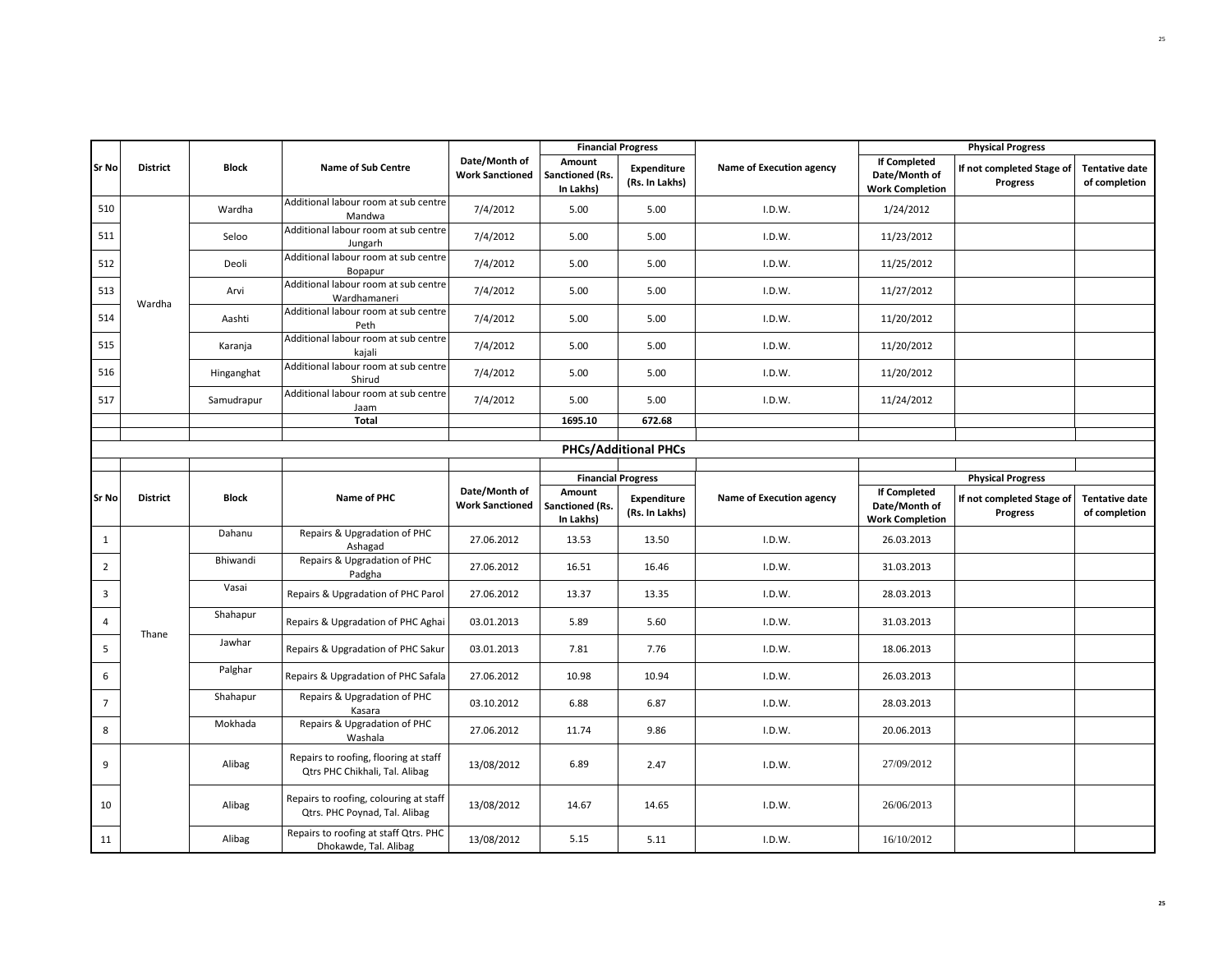|                |                 |              |                                                                         |                                         |                                        | <b>Financial Progress</b>            |                          |                                                                | <b>Physical Progress</b>              |                                        |
|----------------|-----------------|--------------|-------------------------------------------------------------------------|-----------------------------------------|----------------------------------------|--------------------------------------|--------------------------|----------------------------------------------------------------|---------------------------------------|----------------------------------------|
| <b>Sr No</b>   | <b>District</b> | <b>Block</b> | Name of Sub Centre                                                      | Date/Month of<br><b>Work Sanctioned</b> | Amount<br>Sanctioned (Rs.<br>In Lakhs) | Expenditure<br>(Rs. In Lakhs)        | Name of Execution agency | <b>If Completed</b><br>Date/Month of<br><b>Work Completion</b> | If not completed Stage of<br>Progress | <b>Tentative date</b><br>of completion |
| 510            |                 | Wardha       | Additional labour room at sub centre<br>Mandwa                          | 7/4/2012                                | 5.00                                   | 5.00                                 | I.D.W.                   | 1/24/2012                                                      |                                       |                                        |
| 511            |                 | Seloo        | Additional labour room at sub centre<br>Jungarh                         | 7/4/2012                                | 5.00                                   | 5.00                                 | I.D.W.                   | 11/23/2012                                                     |                                       |                                        |
| 512            |                 | Deoli        | Additional labour room at sub centre<br>Bopapur                         | 7/4/2012                                | 5.00                                   | 5.00                                 | I.D.W.                   | 11/25/2012                                                     |                                       |                                        |
| 513            | Wardha          | Arvi         | Additional labour room at sub centre<br>Wardhamaneri                    | 7/4/2012                                | 5.00                                   | 5.00                                 | I.D.W.                   | 11/27/2012                                                     |                                       |                                        |
| 514            |                 | Aashti       | Additional labour room at sub centre<br>Peth                            | 7/4/2012                                | 5.00                                   | 5.00                                 | I.D.W.                   | 11/20/2012                                                     |                                       |                                        |
| 515            |                 | Karanja      | Additional labour room at sub centre<br>kajali                          | 7/4/2012                                | 5.00                                   | 5.00                                 | I.D.W.                   | 11/20/2012                                                     |                                       |                                        |
| 516            |                 | Hinganghat   | Additional labour room at sub centre<br>Shirud                          | 7/4/2012                                | 5.00                                   | 5.00                                 | I.D.W.                   | 11/20/2012                                                     |                                       |                                        |
| 517            |                 | Samudrapur   | Additional labour room at sub centre<br>Jaam                            | 7/4/2012                                | 5.00                                   | 5.00                                 | I.D.W.                   | 11/24/2012                                                     |                                       |                                        |
|                |                 |              | Total                                                                   |                                         | 1695.10                                | 672.68                               |                          |                                                                |                                       |                                        |
|                |                 |              |                                                                         |                                         |                                        |                                      |                          |                                                                |                                       |                                        |
|                |                 |              |                                                                         |                                         |                                        | <b>PHCs/Additional PHCs</b>          |                          |                                                                |                                       |                                        |
|                |                 |              |                                                                         |                                         |                                        | <b>Financial Progress</b>            |                          |                                                                | <b>Physical Progress</b>              |                                        |
| Sr No          | <b>District</b> | <b>Block</b> | Name of PHC                                                             | Date/Month of<br><b>Work Sanctioned</b> | Amount<br>Sanctioned (Rs.<br>In Lakhs) | <b>Expenditure</b><br>(Rs. In Lakhs) | Name of Execution agency | <b>If Completed</b><br>Date/Month of<br><b>Work Completion</b> | If not completed Stage of<br>Progress | <b>Tentative date</b><br>of completion |
| $\mathbf{1}$   |                 | Dahanu       | Repairs & Upgradation of PHC<br>Ashagad                                 | 27.06.2012                              | 13.53                                  | 13.50                                | I.D.W.                   | 26.03.2013                                                     |                                       |                                        |
| $\overline{2}$ |                 | Bhiwandi     | Repairs & Upgradation of PHC<br>Padgha                                  | 27.06.2012                              | 16.51                                  | 16.46                                | I.D.W.                   | 31.03.2013                                                     |                                       |                                        |
| 3              |                 | Vasai        | Repairs & Upgradation of PHC Parol                                      | 27.06.2012                              | 13.37                                  | 13.35                                | I.D.W.                   | 28.03.2013                                                     |                                       |                                        |
| 4              | Thane           | Shahapur     | Repairs & Upgradation of PHC Aghai                                      | 03.01.2013                              | 5.89                                   | 5.60                                 | I.D.W.                   | 31.03.2013                                                     |                                       |                                        |
| 5              |                 | Jawhar       | Repairs & Upgradation of PHC Sakur                                      | 03.01.2013                              | 7.81                                   | 7.76                                 | I.D.W.                   | 18.06.2013                                                     |                                       |                                        |
| 6              |                 | Palghar      | Repairs & Upgradation of PHC Safala                                     | 27.06.2012                              | 10.98                                  | 10.94                                | I.D.W.                   | 26.03.2013                                                     |                                       |                                        |
| $\overline{7}$ |                 | Shahapur     | Repairs & Upgradation of PHC<br>Kasara                                  | 03.10.2012                              | 6.88                                   | 6.87                                 | I.D.W.                   | 28.03.2013                                                     |                                       |                                        |
| 8              |                 | Mokhada      | Repairs & Upgradation of PHC<br>Washala                                 | 27.06.2012                              | 11.74                                  | 9.86                                 | I.D.W.                   | 20.06.2013                                                     |                                       |                                        |
| 9              |                 | Alibag       | Repairs to roofing, flooring at staff<br>Qtrs PHC Chikhali, Tal. Alibag | 13/08/2012                              | 6.89                                   | 2.47                                 | I.D.W.                   | 27/09/2012                                                     |                                       |                                        |
| 10             |                 | Alibag       | Repairs to roofing, colouring at staff<br>Qtrs. PHC Poynad, Tal. Alibag | 13/08/2012                              | 14.67                                  | 14.65                                | I.D.W.                   | 26/06/2013                                                     |                                       |                                        |
| 11             |                 | Alibag       | Repairs to roofing at staff Qtrs. PHC<br>Dhokawde, Tal. Alibag          | 13/08/2012                              | 5.15                                   | 5.11                                 | I.D.W.                   | 16/10/2012                                                     |                                       |                                        |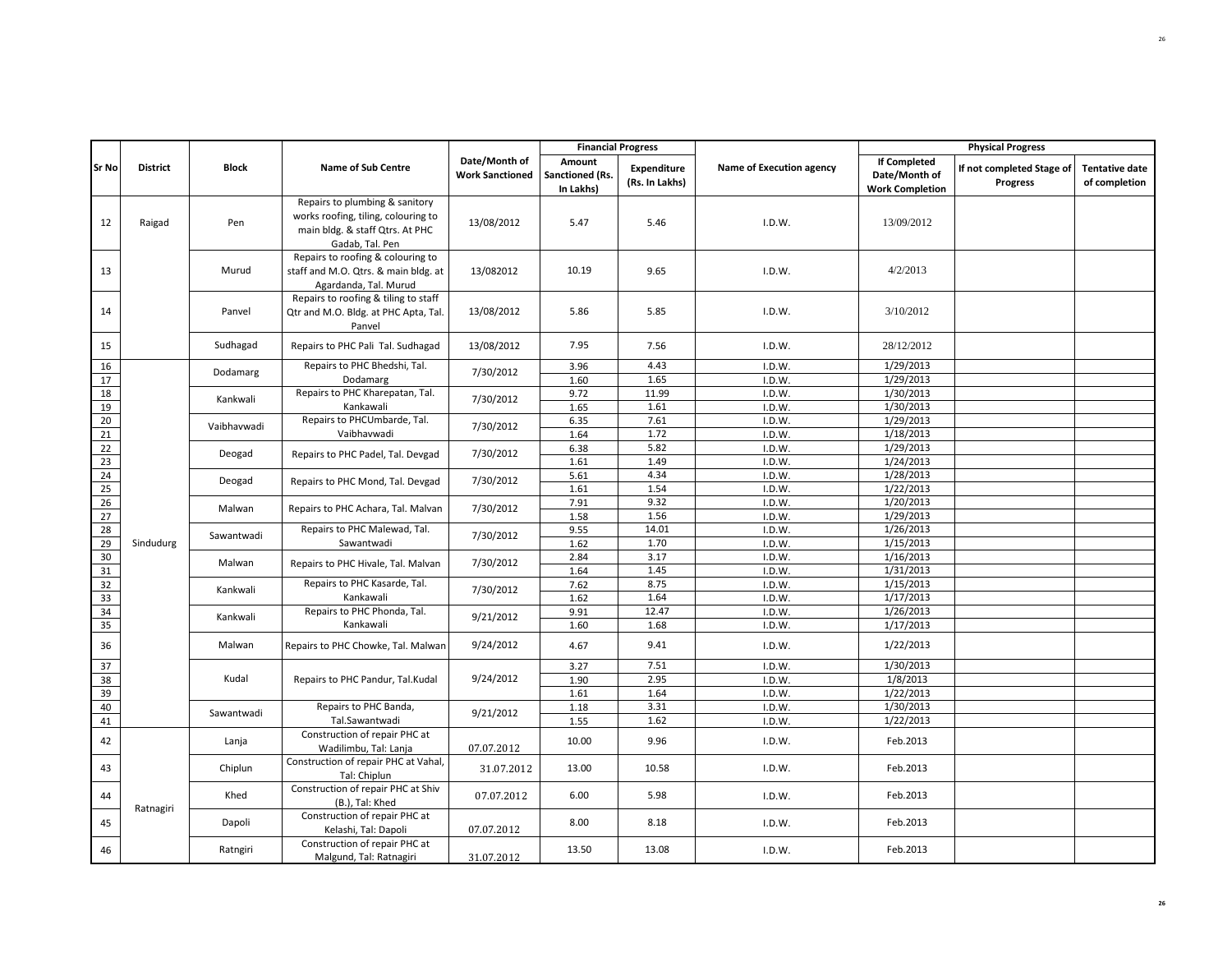|                       |                 |              |                                                                                                                             |                                         | <b>Financial Progress</b>              |                                      |                                 |                                                                | <b>Physical Progress</b>                     |                                        |
|-----------------------|-----------------|--------------|-----------------------------------------------------------------------------------------------------------------------------|-----------------------------------------|----------------------------------------|--------------------------------------|---------------------------------|----------------------------------------------------------------|----------------------------------------------|----------------------------------------|
| <b>Sr No</b>          | <b>District</b> | <b>Block</b> | Name of Sub Centre                                                                                                          | Date/Month of<br><b>Work Sanctioned</b> | Amount<br>Sanctioned (Rs.<br>In Lakhs) | <b>Expenditure</b><br>(Rs. In Lakhs) | <b>Name of Execution agency</b> | <b>If Completed</b><br>Date/Month of<br><b>Work Completion</b> | If not completed Stage of<br><b>Progress</b> | <b>Tentative date</b><br>of completion |
| 12                    | Raigad          | Pen          | Repairs to plumbing & sanitory<br>works roofing, tiling, colouring to<br>main bldg. & staff Qtrs. At PHC<br>Gadab, Tal. Pen | 13/08/2012                              | 5.47                                   | 5.46                                 | I.D.W.                          | 13/09/2012                                                     |                                              |                                        |
| 13                    |                 | Murud        | Repairs to roofing & colouring to<br>staff and M.O. Qtrs. & main bldg. at<br>Agardanda, Tal. Murud                          | 13/082012                               | 10.19                                  | 9.65                                 | I.D.W.                          | 4/2/2013                                                       |                                              |                                        |
| 14                    |                 | Panvel       | Repairs to roofing & tiling to staff<br>Qtr and M.O. Bldg. at PHC Apta, Tal.<br>Panvel                                      | 13/08/2012                              | 5.86                                   | 5.85                                 | I.D.W.                          | 3/10/2012                                                      |                                              |                                        |
| 15                    |                 | Sudhagad     | Repairs to PHC Pali Tal. Sudhagad                                                                                           | 13/08/2012                              | 7.95                                   | 7.56                                 | I.D.W.                          | 28/12/2012                                                     |                                              |                                        |
| 16<br>17              |                 | Dodamarg     | Repairs to PHC Bhedshi, Tal.<br>Dodamarg                                                                                    | 7/30/2012                               | 3.96<br>1.60                           | 4.43<br>1.65                         | I.D.W.<br>I.D.W.                | 1/29/2013<br>1/29/2013                                         |                                              |                                        |
| 18<br>19              |                 | Kankwali     | Repairs to PHC Kharepatan, Tal.<br>Kankawali                                                                                | 7/30/2012                               | 9.72<br>1.65                           | 11.99<br>1.61                        | I.D.W.<br>I.D.W.                | 1/30/2013<br>1/30/2013                                         |                                              |                                        |
| $20\,$<br>21          |                 | Vaibhavwadi  | Repairs to PHCUmbarde, Tal.<br>Vaibhavwadi                                                                                  | 7/30/2012                               | 6.35<br>1.64                           | 7.61<br>1.72                         | I.D.W.<br>I.D.W.                | 1/29/2013<br>1/18/2013                                         |                                              |                                        |
| 22<br>23              |                 | Deogad       | Repairs to PHC Padel, Tal. Devgad                                                                                           | 7/30/2012                               | 6.38<br>1.61                           | 5.82<br>1.49                         | I.D.W.<br>I.D.W.                | 1/29/2013<br>1/24/2013                                         |                                              |                                        |
| 24<br>$\overline{25}$ |                 | Deogad       | Repairs to PHC Mond, Tal. Devgad                                                                                            | 7/30/2012                               | 5.61<br>1.61                           | 4.34<br>1.54                         | I.D.W.<br>I.D.W.                | 1/28/2013<br>1/22/2013                                         |                                              |                                        |
| 26<br>$27\,$          |                 | Malwan       | Repairs to PHC Achara, Tal. Malvan                                                                                          | 7/30/2012                               | 7.91<br>1.58                           | 9.32<br>1.56                         | I.D.W.<br>I.D.W.                | 1/20/2013<br>1/29/2013                                         |                                              |                                        |
| 28<br>29              | Sindudurg       | Sawantwadi   | Repairs to PHC Malewad, Tal.<br>Sawantwadi                                                                                  | 7/30/2012                               | 9.55<br>1.62                           | 14.01<br>1.70                        | I.D.W.<br>I.D.W.                | 1/26/2013<br>1/15/2013                                         |                                              |                                        |
| 30<br>31              |                 | Malwan       | Repairs to PHC Hivale, Tal. Malvan                                                                                          | 7/30/2012                               | 2.84<br>1.64                           | 3.17<br>1.45                         | I.D.W.<br>I.D.W.                | 1/16/2013<br>1/31/2013                                         |                                              |                                        |
| 32<br>33              |                 | Kankwali     | Repairs to PHC Kasarde, Tal.<br>Kankawali                                                                                   | 7/30/2012                               | 7.62<br>1.62                           | 8.75<br>1.64                         | I.D.W.<br>I.D.W.                | 1/15/2013<br>1/17/2013                                         |                                              |                                        |
| 34<br>35              |                 | Kankwali     | Repairs to PHC Phonda, Tal.<br>Kankawali                                                                                    | 9/21/2012                               | 9.91<br>1.60                           | 12.47<br>1.68                        | I.D.W.<br>I.D.W.                | 1/26/2013<br>1/17/2013                                         |                                              |                                        |
| 36                    |                 | Malwan       | Repairs to PHC Chowke, Tal. Malwan                                                                                          | 9/24/2012                               | 4.67                                   | 9.41                                 | I.D.W.                          | 1/22/2013                                                      |                                              |                                        |
| 37                    |                 |              |                                                                                                                             |                                         | 3.27                                   | 7.51                                 | I.D.W.                          | 1/30/2013                                                      |                                              |                                        |
| 38                    |                 | Kudal        | Repairs to PHC Pandur, Tal.Kudal                                                                                            | 9/24/2012                               | 1.90                                   | 2.95                                 | I.D.W.                          | 1/8/2013                                                       |                                              |                                        |
| 39                    |                 |              |                                                                                                                             |                                         | 1.61                                   | 1.64                                 | I.D.W.                          | 1/22/2013                                                      |                                              |                                        |
| 40<br>41              |                 | Sawantwadi   | Repairs to PHC Banda,<br>Tal.Sawantwadi                                                                                     | 9/21/2012                               | 1.18<br>1.55                           | 3.31<br>1.62                         | I.D.W.<br>I.D.W.                | 1/30/2013<br>1/22/2013                                         |                                              |                                        |
| 42                    |                 | Lanja        | Construction of repair PHC at<br>Wadilimbu, Tal: Lanja                                                                      | 07.07.2012                              | 10.00                                  | 9.96                                 | I.D.W.                          | Feb.2013                                                       |                                              |                                        |
| 43                    |                 | Chiplun      | Construction of repair PHC at Vahal,<br>Tal: Chiplun                                                                        | 31.07.2012                              | 13.00                                  | 10.58                                | I.D.W.                          | Feb.2013                                                       |                                              |                                        |
| 44                    |                 | Khed         | Construction of repair PHC at Shiv<br>(B.), Tal: Khed                                                                       | 07.07.2012                              | 6.00                                   | 5.98                                 | I.D.W.                          | Feb.2013                                                       |                                              |                                        |
| 45                    | Ratnagiri       | Dapoli       | Construction of repair PHC at<br>Kelashi, Tal: Dapoli                                                                       | 07.07.2012                              | 8.00                                   | 8.18                                 | I.D.W.                          | Feb.2013                                                       |                                              |                                        |
| 46                    |                 | Ratngiri     | Construction of repair PHC at<br>Malgund, Tal: Ratnagiri                                                                    | 31.07.2012                              | 13.50                                  | 13.08                                | I.D.W.                          | Feb.2013                                                       |                                              |                                        |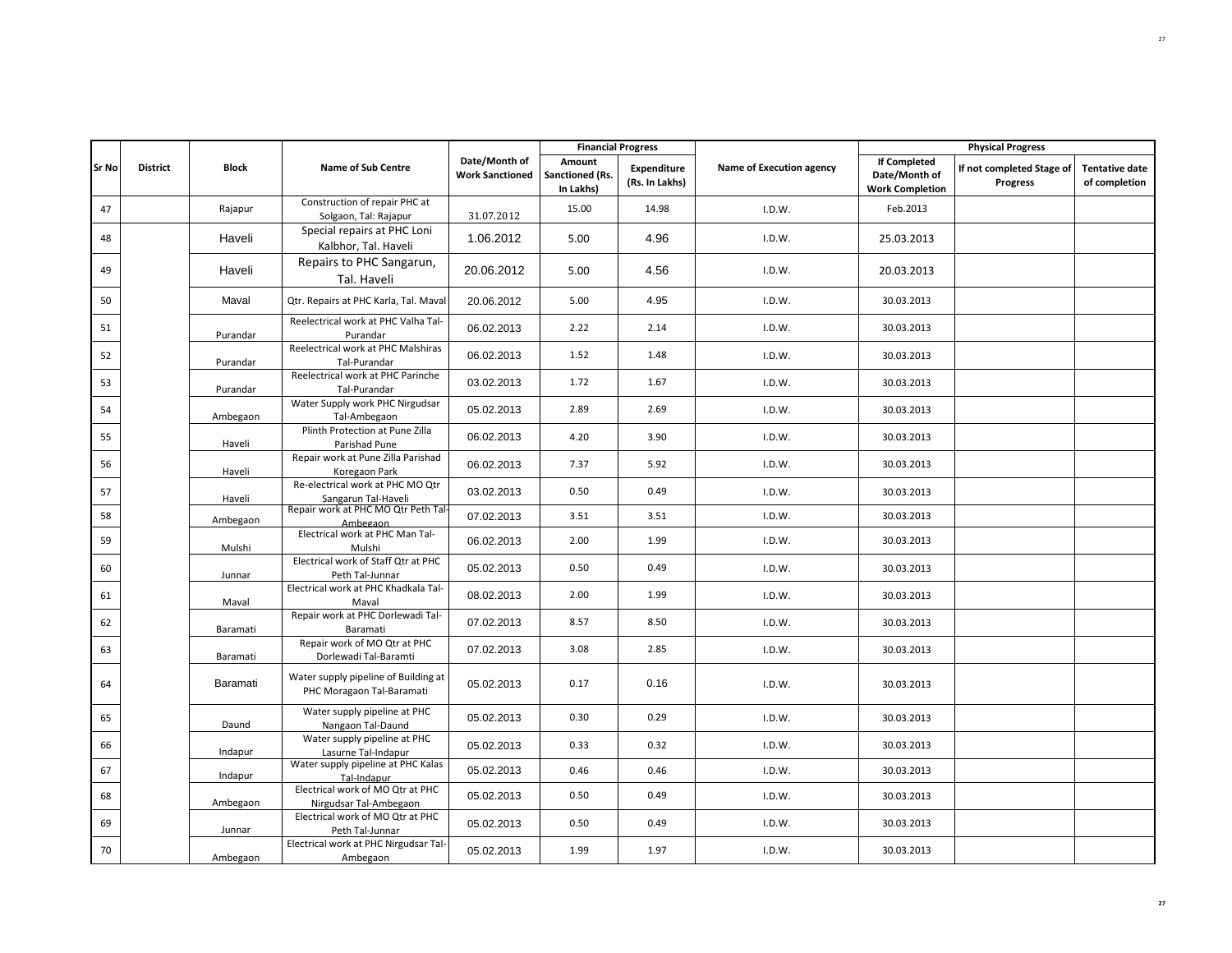|       |                 |              |                                                                   |                                         | <b>Financial Progress</b>                     |                                      |                          |                                                                | <b>Physical Progress</b>              |                                        |
|-------|-----------------|--------------|-------------------------------------------------------------------|-----------------------------------------|-----------------------------------------------|--------------------------------------|--------------------------|----------------------------------------------------------------|---------------------------------------|----------------------------------------|
| Sr No | <b>District</b> | <b>Block</b> | <b>Name of Sub Centre</b>                                         | Date/Month of<br><b>Work Sanctioned</b> | Amount<br><b>Sanctioned (Rs.</b><br>In Lakhs) | <b>Expenditure</b><br>(Rs. In Lakhs) | Name of Execution agency | <b>If Completed</b><br>Date/Month of<br><b>Work Completion</b> | If not completed Stage of<br>Progress | <b>Tentative date</b><br>of completion |
| 47    |                 | Rajapur      | Construction of repair PHC at<br>Solgaon, Tal: Rajapur            | 31.07.2012                              | 15.00                                         | 14.98                                | I.D.W.                   | Feb.2013                                                       |                                       |                                        |
| 48    |                 | Haveli       | Special repairs at PHC Loni<br>Kalbhor, Tal. Haveli               | 1.06.2012                               | 5.00                                          | 4.96                                 | I.D.W.                   | 25.03.2013                                                     |                                       |                                        |
| 49    |                 | Haveli       | Repairs to PHC Sangarun,<br>Tal. Haveli                           | 20.06.2012                              | 5.00                                          | 4.56                                 | I.D.W.                   | 20.03.2013                                                     |                                       |                                        |
| 50    |                 | Maval        | Qtr. Repairs at PHC Karla, Tal. Maval                             | 20.06.2012                              | 5.00                                          | 4.95                                 | I.D.W.                   | 30.03.2013                                                     |                                       |                                        |
| 51    |                 | Purandar     | Reelectrical work at PHC Valha Tal-<br>Purandar                   | 06.02.2013                              | 2.22                                          | 2.14                                 | I.D.W.                   | 30.03.2013                                                     |                                       |                                        |
| 52    |                 | Purandar     | Reelectrical work at PHC Malshiras<br>Tal-Purandar                | 06.02.2013                              | 1.52                                          | 1.48                                 | I.D.W.                   | 30.03.2013                                                     |                                       |                                        |
| 53    |                 | Purandar     | Reelectrical work at PHC Parinche<br>Tal-Purandar                 | 03.02.2013                              | 1.72                                          | 1.67                                 | I.D.W.                   | 30.03.2013                                                     |                                       |                                        |
| 54    |                 | Ambegaon     | Water Supply work PHC Nirgudsar<br>Tal-Ambegaon                   | 05.02.2013                              | 2.89                                          | 2.69                                 | I.D.W.                   | 30.03.2013                                                     |                                       |                                        |
| 55    |                 | Haveli       | Plinth Protection at Pune Zilla<br>Parishad Pune                  | 06.02.2013                              | 4.20                                          | 3.90                                 | I.D.W.                   | 30.03.2013                                                     |                                       |                                        |
| 56    |                 | Haveli       | Repair work at Pune Zilla Parishad<br>Koregaon Park               | 06.02.2013                              | 7.37                                          | 5.92                                 | I.D.W.                   | 30.03.2013                                                     |                                       |                                        |
| 57    |                 | Haveli       | Re-electrical work at PHC MO Qtr<br>Sangarun Tal-Haveli           | 03.02.2013                              | 0.50                                          | 0.49                                 | I.D.W.                   | 30.03.2013                                                     |                                       |                                        |
| 58    |                 | Ambegaon     | Repair work at PHC MO Qtr Peth Tal-<br>Ambegaon                   | 07.02.2013                              | 3.51                                          | 3.51                                 | I.D.W.                   | 30.03.2013                                                     |                                       |                                        |
| 59    |                 | Mulshi       | Electrical work at PHC Man Tal-<br>Mulshi                         | 06.02.2013                              | 2.00                                          | 1.99                                 | I.D.W.                   | 30.03.2013                                                     |                                       |                                        |
| 60    |                 | Junnar       | Electrical work of Staff Qtr at PHC<br>Peth Tal-Junnar            | 05.02.2013                              | 0.50                                          | 0.49                                 | I.D.W.                   | 30.03.2013                                                     |                                       |                                        |
| 61    |                 | Maval        | Electrical work at PHC Khadkala Tal-<br>Maval                     | 08.02.2013                              | 2.00                                          | 1.99                                 | I.D.W.                   | 30.03.2013                                                     |                                       |                                        |
| 62    |                 | Baramati     | Repair work at PHC Dorlewadi Tal-<br>Baramati                     | 07.02.2013                              | 8.57                                          | 8.50                                 | I.D.W.                   | 30.03.2013                                                     |                                       |                                        |
| 63    |                 | Baramati     | Repair work of MO Qtr at PHC<br>Dorlewadi Tal-Baramti             | 07.02.2013                              | 3.08                                          | 2.85                                 | I.D.W.                   | 30.03.2013                                                     |                                       |                                        |
| 64    |                 | Baramati     | Water supply pipeline of Building at<br>PHC Moragaon Tal-Baramati | 05.02.2013                              | 0.17                                          | 0.16                                 | I.D.W.                   | 30.03.2013                                                     |                                       |                                        |
| 65    |                 | Daund        | Water supply pipeline at PHC<br>Nangaon Tal-Daund                 | 05.02.2013                              | 0.30                                          | 0.29                                 | I.D.W.                   | 30.03.2013                                                     |                                       |                                        |
| 66    |                 | Indapur      | Water supply pipeline at PHC<br>Lasurne Tal-Indapur               | 05.02.2013                              | 0.33                                          | 0.32                                 | I.D.W.                   | 30.03.2013                                                     |                                       |                                        |
| 67    |                 | Indapur      | Water supply pipeline at PHC Kalas<br>Tal-Indapur                 | 05.02.2013                              | 0.46                                          | 0.46                                 | I.D.W.                   | 30.03.2013                                                     |                                       |                                        |
| 68    |                 | Ambegaon     | Electrical work of MO Qtr at PHC<br>Nirgudsar Tal-Ambegaon        | 05.02.2013                              | 0.50                                          | 0.49                                 | I.D.W.                   | 30.03.2013                                                     |                                       |                                        |
| 69    |                 | Junnar       | Electrical work of MO Qtr at PHC<br>Peth Tal-Junnar               | 05.02.2013                              | 0.50                                          | 0.49                                 | I.D.W.                   | 30.03.2013                                                     |                                       |                                        |
| 70    |                 | Ambegaon     | Electrical work at PHC Nirgudsar Tal-<br>Ambegaon                 | 05.02.2013                              | 1.99                                          | 1.97                                 | I.D.W.                   | 30.03.2013                                                     |                                       |                                        |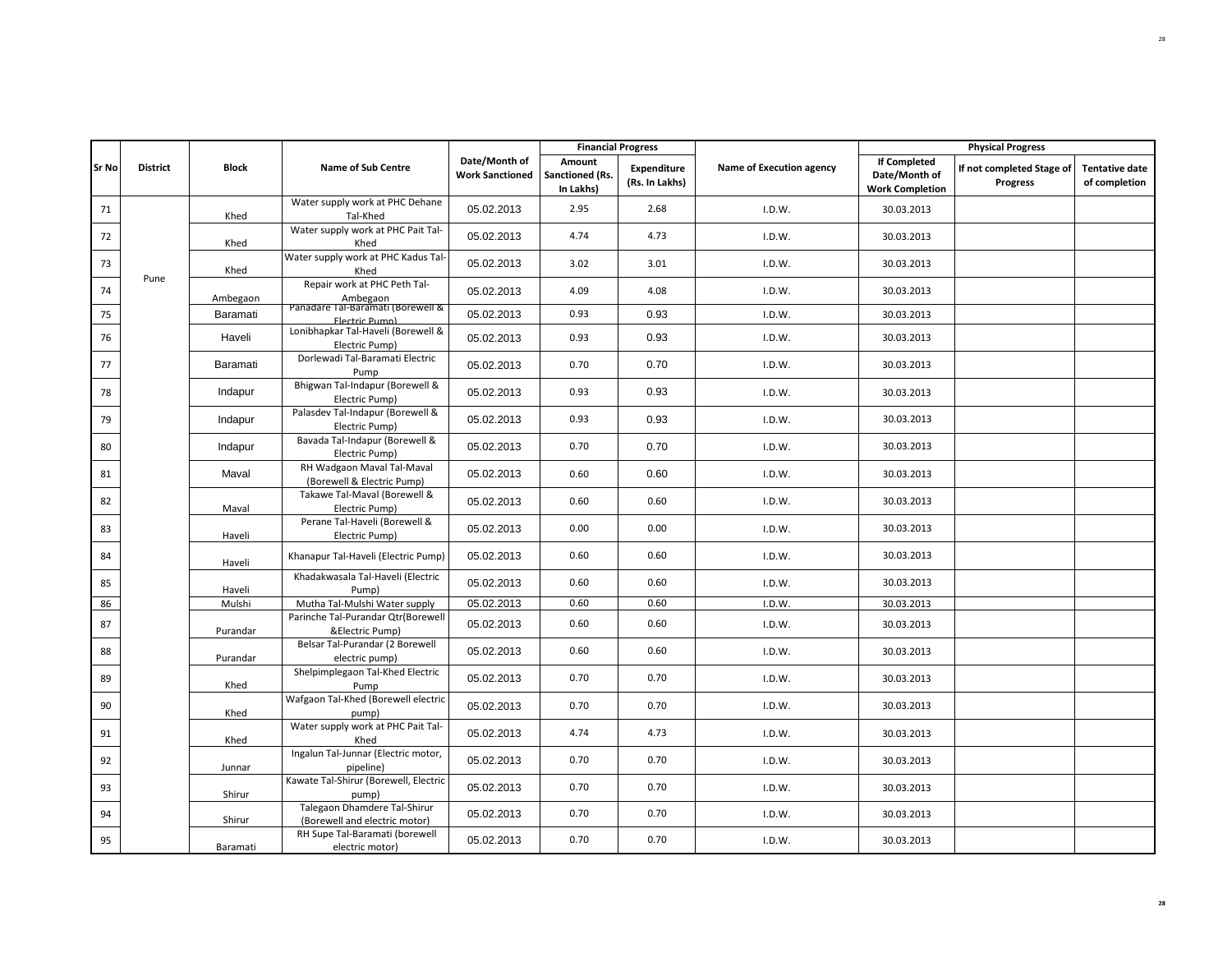|              |                 |              |                                                               |                                         | <b>Financial Progress</b>              |                               |                          |                                                                | <b>Physical Progress</b>                     |                                        |
|--------------|-----------------|--------------|---------------------------------------------------------------|-----------------------------------------|----------------------------------------|-------------------------------|--------------------------|----------------------------------------------------------------|----------------------------------------------|----------------------------------------|
| <b>Sr No</b> | <b>District</b> | <b>Block</b> | <b>Name of Sub Centre</b>                                     | Date/Month of<br><b>Work Sanctioned</b> | Amount<br>Sanctioned (Rs.<br>In Lakhs) | Expenditure<br>(Rs. In Lakhs) | Name of Execution agency | <b>If Completed</b><br>Date/Month of<br><b>Work Completion</b> | If not completed Stage of<br><b>Progress</b> | <b>Tentative date</b><br>of completion |
| 71           |                 | Khed         | Water supply work at PHC Dehane<br>Tal-Khed                   | 05.02.2013                              | 2.95                                   | 2.68                          | I.D.W.                   | 30.03.2013                                                     |                                              |                                        |
| 72           |                 | Khed         | Water supply work at PHC Pait Tal-<br>Khed                    | 05.02.2013                              | 4.74                                   | 4.73                          | I.D.W.                   | 30.03.2013                                                     |                                              |                                        |
| 73           | Pune            | Khed         | Water supply work at PHC Kadus Tal-<br>Khed                   | 05.02.2013                              | 3.02                                   | 3.01                          | I.D.W.                   | 30.03.2013                                                     |                                              |                                        |
| 74           |                 | Ambegaon     | Repair work at PHC Peth Tal-<br>Ambegaon                      | 05.02.2013                              | 4.09                                   | 4.08                          | I.D.W.                   | 30.03.2013                                                     |                                              |                                        |
| 75           |                 | Baramati     | Panadare Tal-Baramati (Borewell &<br><b>Flectric Pumn)</b>    | 05.02.2013                              | 0.93                                   | 0.93                          | I.D.W.                   | 30.03.2013                                                     |                                              |                                        |
| 76           |                 | Haveli       | Lonibhapkar Tal-Haveli (Borewell &<br>Electric Pump)          | 05.02.2013                              | 0.93                                   | 0.93                          | I.D.W.                   | 30.03.2013                                                     |                                              |                                        |
| 77           |                 | Baramati     | Dorlewadi Tal-Baramati Electric<br>Pump                       | 05.02.2013                              | 0.70                                   | 0.70                          | I.D.W.                   | 30.03.2013                                                     |                                              |                                        |
| 78           |                 | Indapur      | Bhigwan Tal-Indapur (Borewell &<br>Electric Pump)             | 05.02.2013                              | 0.93                                   | 0.93                          | I.D.W.                   | 30.03.2013                                                     |                                              |                                        |
| 79           |                 | Indapur      | Palasdev Tal-Indapur (Borewell &<br>Electric Pump)            | 05.02.2013                              | 0.93                                   | 0.93                          | I.D.W.                   | 30.03.2013                                                     |                                              |                                        |
| 80           |                 | Indapur      | Bavada Tal-Indapur (Borewell &<br>Electric Pump)              | 05.02.2013                              | 0.70                                   | 0.70                          | I.D.W.                   | 30.03.2013                                                     |                                              |                                        |
| 81           |                 | Maval        | RH Wadgaon Maval Tal-Maval<br>(Borewell & Electric Pump)      | 05.02.2013                              | 0.60                                   | 0.60                          | I.D.W.                   | 30.03.2013                                                     |                                              |                                        |
| 82           |                 | Maval        | Takawe Tal-Maval (Borewell &<br>Electric Pump)                | 05.02.2013                              | 0.60                                   | 0.60                          | I.D.W.                   | 30.03.2013                                                     |                                              |                                        |
| 83           |                 | Haveli       | Perane Tal-Haveli (Borewell &<br>Electric Pump)               | 05.02.2013                              | 0.00                                   | 0.00                          | I.D.W.                   | 30.03.2013                                                     |                                              |                                        |
| 84           |                 | Haveli       | Khanapur Tal-Haveli (Electric Pump)                           | 05.02.2013                              | 0.60                                   | 0.60                          | I.D.W.                   | 30.03.2013                                                     |                                              |                                        |
| 85           |                 | Haveli       | Khadakwasala Tal-Haveli (Electric<br>Pump)                    | 05.02.2013                              | 0.60                                   | 0.60                          | I.D.W.                   | 30.03.2013                                                     |                                              |                                        |
| 86           |                 | Mulshi       | Mutha Tal-Mulshi Water supply                                 | 05.02.2013                              | 0.60                                   | 0.60                          | I.D.W.                   | 30.03.2013                                                     |                                              |                                        |
| 87           |                 | Purandar     | Parinche Tal-Purandar Qtr(Borewell<br>&Electric Pump)         | 05.02.2013                              | 0.60                                   | 0.60                          | I.D.W.                   | 30.03.2013                                                     |                                              |                                        |
| 88           |                 | Purandar     | Belsar Tal-Purandar (2 Borewell<br>electric pump)             | 05.02.2013                              | 0.60                                   | 0.60                          | I.D.W.                   | 30.03.2013                                                     |                                              |                                        |
| 89           |                 | Khed         | Shelpimplegaon Tal-Khed Electric<br>Pump                      | 05.02.2013                              | 0.70                                   | 0.70                          | I.D.W.                   | 30.03.2013                                                     |                                              |                                        |
| 90           |                 | Khed         | Wafgaon Tal-Khed (Borewell electric<br>pump)                  | 05.02.2013                              | 0.70                                   | 0.70                          | I.D.W.                   | 30.03.2013                                                     |                                              |                                        |
| 91           |                 | Khed         | Water supply work at PHC Pait Tal-<br>Khed                    | 05.02.2013                              | 4.74                                   | 4.73                          | I.D.W.                   | 30.03.2013                                                     |                                              |                                        |
| 92           |                 | Junnar       | Ingalun Tal-Junnar (Electric motor,<br>pipeline)              | 05.02.2013                              | 0.70                                   | 0.70                          | I.D.W.                   | 30.03.2013                                                     |                                              |                                        |
| 93           |                 | Shirur       | Kawate Tal-Shirur (Borewell, Electric<br>pump)                | 05.02.2013                              | 0.70                                   | 0.70                          | I.D.W.                   | 30.03.2013                                                     |                                              |                                        |
| 94           |                 | Shirur       | Talegaon Dhamdere Tal-Shirur<br>(Borewell and electric motor) | 05.02.2013                              | 0.70                                   | 0.70                          | I.D.W.                   | 30.03.2013                                                     |                                              |                                        |
| 95           |                 | Baramati     | RH Supe Tal-Baramati (borewell<br>electric motor)             | 05.02.2013                              | 0.70                                   | 0.70                          | I.D.W.                   | 30.03.2013                                                     |                                              |                                        |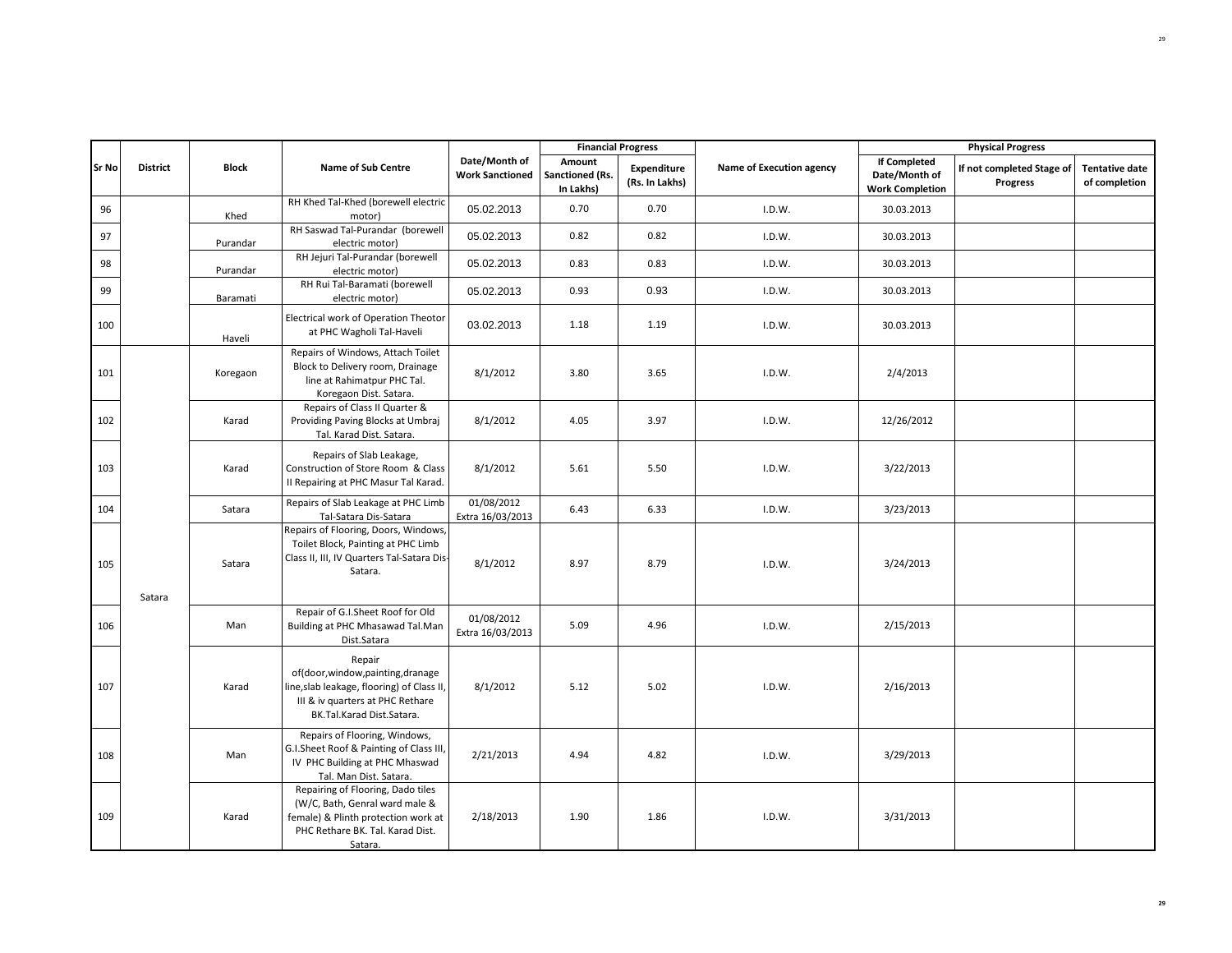|       |                 |              |                                                                                                                                                           |                                         |                                        | <b>Financial Progress</b>            |                          |                                                                | <b>Physical Progress</b>              |                                        |
|-------|-----------------|--------------|-----------------------------------------------------------------------------------------------------------------------------------------------------------|-----------------------------------------|----------------------------------------|--------------------------------------|--------------------------|----------------------------------------------------------------|---------------------------------------|----------------------------------------|
| Sr No | <b>District</b> | <b>Block</b> | <b>Name of Sub Centre</b>                                                                                                                                 | Date/Month of<br><b>Work Sanctioned</b> | Amount<br>Sanctioned (Rs.<br>In Lakhs) | <b>Expenditure</b><br>(Rs. In Lakhs) | Name of Execution agency | <b>If Completed</b><br>Date/Month of<br><b>Work Completion</b> | If not completed Stage of<br>Progress | <b>Tentative date</b><br>of completion |
| 96    |                 | Khed         | RH Khed Tal-Khed (borewell electric<br>motor)                                                                                                             | 05.02.2013                              | 0.70                                   | 0.70                                 | I.D.W.                   | 30.03.2013                                                     |                                       |                                        |
| 97    |                 | Purandar     | RH Saswad Tal-Purandar (borewell<br>electric motor)                                                                                                       | 05.02.2013                              | 0.82                                   | 0.82                                 | I.D.W.                   | 30.03.2013                                                     |                                       |                                        |
| 98    |                 | Purandar     | RH Jejuri Tal-Purandar (borewell<br>electric motor)                                                                                                       | 05.02.2013                              | 0.83                                   | 0.83                                 | I.D.W.                   | 30.03.2013                                                     |                                       |                                        |
| 99    |                 | Baramati     | RH Rui Tal-Baramati (borewell<br>electric motor)                                                                                                          | 05.02.2013                              | 0.93                                   | 0.93                                 | I.D.W.                   | 30.03.2013                                                     |                                       |                                        |
| 100   |                 | Haveli       | Electrical work of Operation Theotor<br>at PHC Wagholi Tal-Haveli                                                                                         | 03.02.2013                              | 1.18                                   | 1.19                                 | I.D.W.                   | 30.03.2013                                                     |                                       |                                        |
| 101   |                 | Koregaon     | Repairs of Windows, Attach Toilet<br>Block to Delivery room, Drainage<br>line at Rahimatpur PHC Tal.<br>Koregaon Dist. Satara.                            | 8/1/2012                                | 3.80                                   | 3.65                                 | I.D.W.                   | 2/4/2013                                                       |                                       |                                        |
| 102   |                 | Karad        | Repairs of Class II Quarter &<br>Providing Paving Blocks at Umbraj<br>Tal. Karad Dist. Satara.                                                            | 8/1/2012                                | 4.05                                   | 3.97                                 | I.D.W.                   | 12/26/2012                                                     |                                       |                                        |
| 103   |                 | Karad        | Repairs of Slab Leakage,<br>Construction of Store Room & Class<br>II Repairing at PHC Masur Tal Karad.                                                    | 8/1/2012                                | 5.61                                   | 5.50                                 | I.D.W.                   | 3/22/2013                                                      |                                       |                                        |
| 104   |                 | Satara       | Repairs of Slab Leakage at PHC Limb<br>Tal-Satara Dis-Satara                                                                                              | 01/08/2012<br>Extra 16/03/2013          | 6.43                                   | 6.33                                 | I.D.W.                   | 3/23/2013                                                      |                                       |                                        |
| 105   | Satara          | Satara       | Repairs of Flooring, Doors, Windows,<br>Toilet Block, Painting at PHC Limb<br>Class II, III, IV Quarters Tal-Satara Dis-<br>Satara.                       | 8/1/2012                                | 8.97                                   | 8.79                                 | I.D.W.                   | 3/24/2013                                                      |                                       |                                        |
| 106   |                 | Man          | Repair of G.I.Sheet Roof for Old<br>Building at PHC Mhasawad Tal.Man<br>Dist.Satara                                                                       | 01/08/2012<br>Extra 16/03/2013          | 5.09                                   | 4.96                                 | I.D.W.                   | 2/15/2013                                                      |                                       |                                        |
| 107   |                 | Karad        | Repair<br>of(door,window,painting,dranage<br>line, slab leakage, flooring) of Class II,<br>III & iv quarters at PHC Rethare<br>BK.Tal.Karad Dist.Satara.  | 8/1/2012                                | 5.12                                   | 5.02                                 | I.D.W.                   | 2/16/2013                                                      |                                       |                                        |
| 108   |                 | Man          | Repairs of Flooring, Windows,<br>G.I.Sheet Roof & Painting of Class III,<br>IV PHC Building at PHC Mhaswad<br>Tal. Man Dist. Satara.                      | 2/21/2013                               | 4.94                                   | 4.82                                 | I.D.W.                   | 3/29/2013                                                      |                                       |                                        |
| 109   |                 | Karad        | Repairing of Flooring, Dado tiles<br>(W/C, Bath, Genral ward male &<br>female) & Plinth protection work at<br>PHC Rethare BK. Tal. Karad Dist.<br>Satara. | 2/18/2013                               | 1.90                                   | 1.86                                 | I.D.W.                   | 3/31/2013                                                      |                                       |                                        |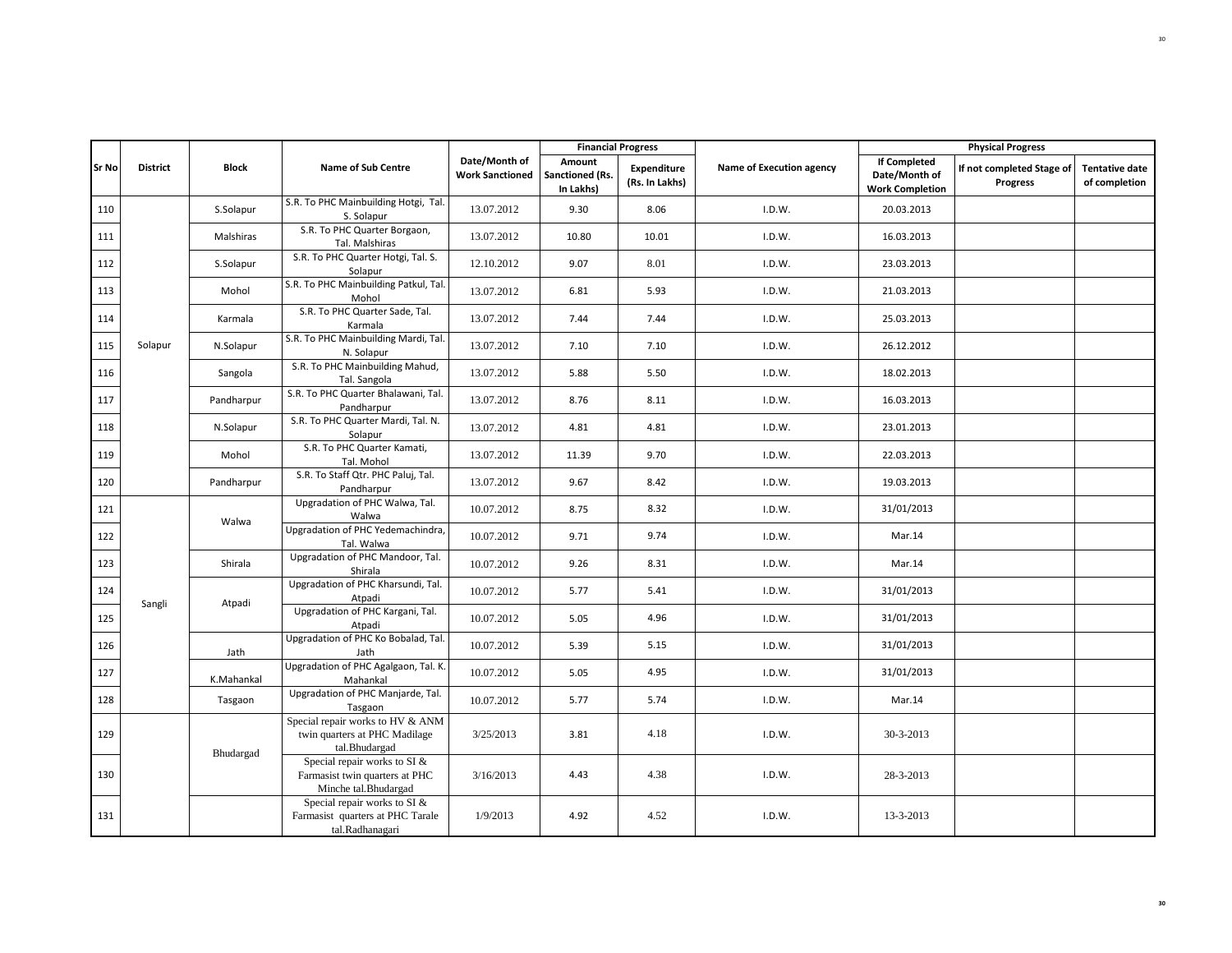|              |                 |              |                                                                                        |                                         |                                        | <b>Financial Progress</b>            |                          |                                                                | <b>Physical Progress</b>              |                                        |
|--------------|-----------------|--------------|----------------------------------------------------------------------------------------|-----------------------------------------|----------------------------------------|--------------------------------------|--------------------------|----------------------------------------------------------------|---------------------------------------|----------------------------------------|
| <b>Sr No</b> | <b>District</b> | <b>Block</b> | <b>Name of Sub Centre</b>                                                              | Date/Month of<br><b>Work Sanctioned</b> | Amount<br>Sanctioned (Rs.<br>In Lakhs) | <b>Expenditure</b><br>(Rs. In Lakhs) | Name of Execution agency | <b>If Completed</b><br>Date/Month of<br><b>Work Completion</b> | If not completed Stage of<br>Progress | <b>Tentative date</b><br>of completion |
| 110          |                 | S.Solapur    | S.R. To PHC Mainbuilding Hotgi, Tal.<br>S. Solapur                                     | 13.07.2012                              | 9.30                                   | 8.06                                 | I.D.W.                   | 20.03.2013                                                     |                                       |                                        |
| 111          |                 | Malshiras    | S.R. To PHC Quarter Borgaon,<br>Tal. Malshiras                                         | 13.07.2012                              | 10.80                                  | 10.01                                | I.D.W.                   | 16.03.2013                                                     |                                       |                                        |
| 112          |                 | S.Solapur    | S.R. To PHC Quarter Hotgi, Tal. S.<br>Solapur                                          | 12.10.2012                              | 9.07                                   | 8.01                                 | I.D.W.                   | 23.03.2013                                                     |                                       |                                        |
| 113          |                 | Mohol        | S.R. To PHC Mainbuilding Patkul, Tal.<br>Mohol                                         | 13.07.2012                              | 6.81                                   | 5.93                                 | I.D.W.                   | 21.03.2013                                                     |                                       |                                        |
| 114          |                 | Karmala      | S.R. To PHC Quarter Sade, Tal.<br>Karmala                                              | 13.07.2012                              | 7.44                                   | 7.44                                 | I.D.W.                   | 25.03.2013                                                     |                                       |                                        |
| 115          | Solapur         | N.Solapur    | S.R. To PHC Mainbuilding Mardi, Tal.<br>N. Solapur                                     | 13.07.2012                              | 7.10                                   | 7.10                                 | I.D.W.                   | 26.12.2012                                                     |                                       |                                        |
| 116          |                 | Sangola      | S.R. To PHC Mainbuilding Mahud,<br>Tal. Sangola                                        | 13.07.2012                              | 5.88                                   | 5.50                                 | I.D.W.                   | 18.02.2013                                                     |                                       |                                        |
| 117          |                 | Pandharpur   | S.R. To PHC Quarter Bhalawani, Tal.<br>Pandharpur                                      | 13.07.2012                              | 8.76                                   | 8.11                                 | I.D.W.                   | 16.03.2013                                                     |                                       |                                        |
| 118          |                 | N.Solapur    | S.R. To PHC Quarter Mardi, Tal. N.<br>Solapur                                          | 13.07.2012                              | 4.81                                   | 4.81                                 | I.D.W.                   | 23.01.2013                                                     |                                       |                                        |
| 119          |                 | Mohol        | S.R. To PHC Quarter Kamati,<br>Tal. Mohol                                              | 13.07.2012                              | 11.39                                  | 9.70                                 | I.D.W.                   | 22.03.2013                                                     |                                       |                                        |
| 120          |                 | Pandharpur   | S.R. To Staff Qtr. PHC Paluj, Tal.<br>Pandharpur                                       | 13.07.2012                              | 9.67                                   | 8.42                                 | I.D.W.                   | 19.03.2013                                                     |                                       |                                        |
| 121          |                 | Walwa        | Upgradation of PHC Walwa, Tal.<br>Walwa                                                | 10.07.2012                              | 8.75                                   | 8.32                                 | I.D.W.                   | 31/01/2013                                                     |                                       |                                        |
| 122          |                 |              | Upgradation of PHC Yedemachindra,<br>Tal. Walwa                                        | 10.07.2012                              | 9.71                                   | 9.74                                 | I.D.W.                   | Mar.14                                                         |                                       |                                        |
| 123          |                 | Shirala      | Upgradation of PHC Mandoor, Tal.<br>Shirala                                            | 10.07.2012                              | 9.26                                   | 8.31                                 | I.D.W.                   | Mar.14                                                         |                                       |                                        |
| 124          | Sangli          | Atpadi       | Upgradation of PHC Kharsundi, Tal.<br>Atpadi                                           | 10.07.2012                              | 5.77                                   | 5.41                                 | I.D.W.                   | 31/01/2013                                                     |                                       |                                        |
| 125          |                 |              | Upgradation of PHC Kargani, Tal.<br>Atpadi                                             | 10.07.2012                              | 5.05                                   | 4.96                                 | I.D.W.                   | 31/01/2013                                                     |                                       |                                        |
| 126          |                 | Jath         | Upgradation of PHC Ko Bobalad, Tal.<br>Jath                                            | 10.07.2012                              | 5.39                                   | 5.15                                 | I.D.W.                   | 31/01/2013                                                     |                                       |                                        |
| 127          |                 | K.Mahankal   | Upgradation of PHC Agalgaon, Tal. K.<br>Mahankal                                       | 10.07.2012                              | 5.05                                   | 4.95                                 | I.D.W.                   | 31/01/2013                                                     |                                       |                                        |
| 128          |                 | Tasgaon      | Upgradation of PHC Manjarde, Tal.<br>Tasgaon                                           | 10.07.2012                              | 5.77                                   | 5.74                                 | I.D.W.                   | Mar.14                                                         |                                       |                                        |
| 129          |                 | Bhudargad    | Special repair works to HV & ANM<br>twin quarters at PHC Madilage<br>tal.Bhudargad     | 3/25/2013                               | 3.81                                   | 4.18                                 | I.D.W.                   | 30-3-2013                                                      |                                       |                                        |
| 130          |                 |              | Special repair works to SI &<br>Farmasist twin quarters at PHC<br>Minche tal.Bhudargad | 3/16/2013                               | 4.43                                   | 4.38                                 | I.D.W.                   | 28-3-2013                                                      |                                       |                                        |
| 131          |                 |              | Special repair works to SI &<br>Farmasist quarters at PHC Tarale<br>tal.Radhanagari    | 1/9/2013                                | 4.92                                   | 4.52                                 | I.D.W.                   | 13-3-2013                                                      |                                       |                                        |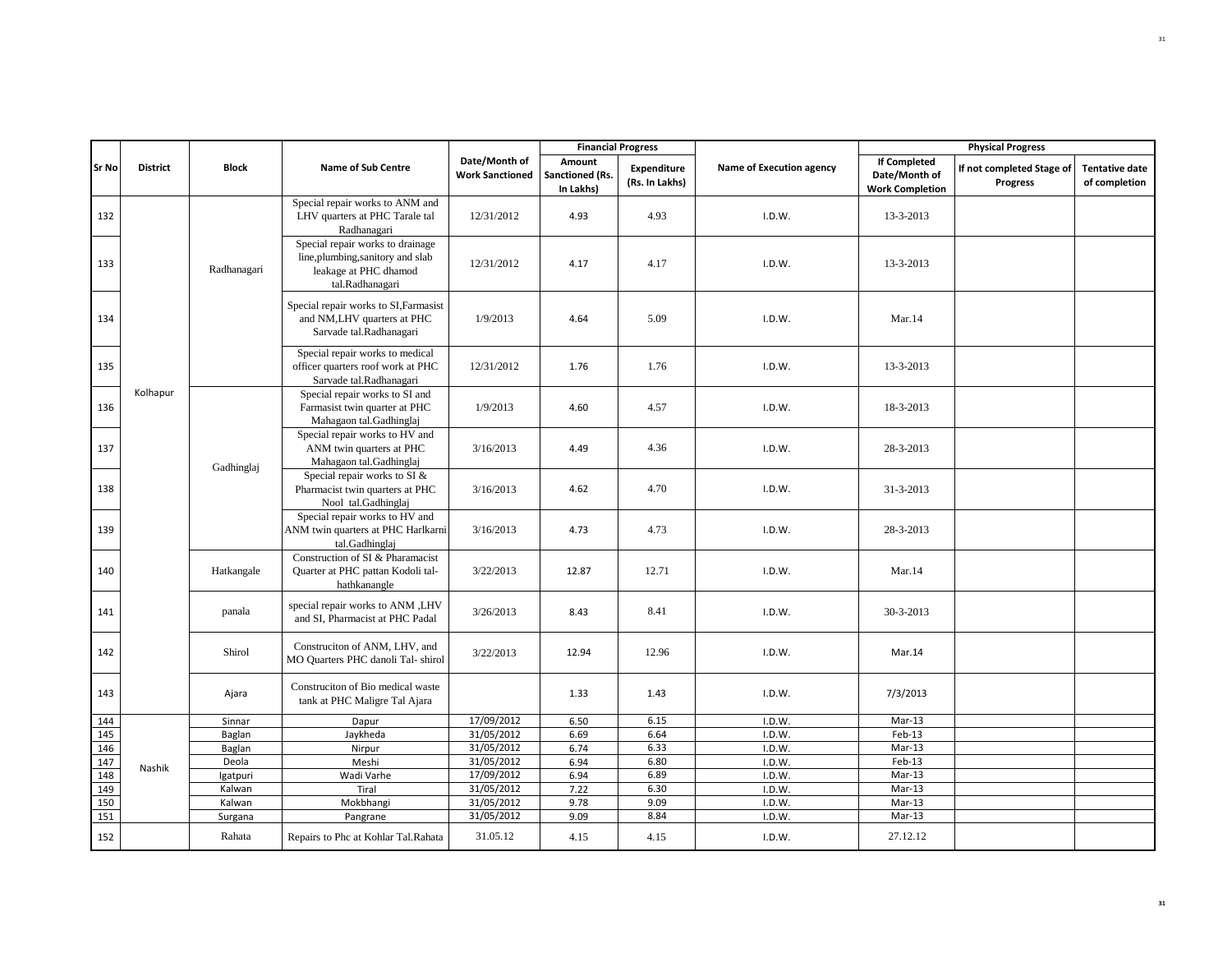|              |                 |                   |                                                                                                                   |                                         | <b>Financial Progress</b>              |                               |                          |                                                                | <b>Physical Progress</b>                     |                                        |
|--------------|-----------------|-------------------|-------------------------------------------------------------------------------------------------------------------|-----------------------------------------|----------------------------------------|-------------------------------|--------------------------|----------------------------------------------------------------|----------------------------------------------|----------------------------------------|
| <b>Sr No</b> | <b>District</b> | <b>Block</b>      | <b>Name of Sub Centre</b>                                                                                         | Date/Month of<br><b>Work Sanctioned</b> | Amount<br>Sanctioned (Rs.<br>In Lakhs) | Expenditure<br>(Rs. In Lakhs) | Name of Execution agency | <b>If Completed</b><br>Date/Month of<br><b>Work Completion</b> | If not completed Stage of<br><b>Progress</b> | <b>Tentative date</b><br>of completion |
| 132          |                 |                   | Special repair works to ANM and<br>LHV quarters at PHC Tarale tal<br>Radhanagari                                  | 12/31/2012                              | 4.93                                   | 4.93                          | I.D.W.                   | 13-3-2013                                                      |                                              |                                        |
| 133          |                 | Radhanagari       | Special repair works to drainage<br>line, plumbing, sanitory and slab<br>leakage at PHC dhamod<br>tal.Radhanagari | 12/31/2012                              | 4.17                                   | 4.17                          | I.D.W.                   | 13-3-2013                                                      |                                              |                                        |
| 134          |                 |                   | Special repair works to SI, Farmasist<br>and NM,LHV quarters at PHC<br>Sarvade tal.Radhanagari                    | 1/9/2013                                | 4.64                                   | 5.09                          | I.D.W.                   | Mar.14                                                         |                                              |                                        |
| 135          |                 |                   | Special repair works to medical<br>officer quarters roof work at PHC<br>Sarvade tal.Radhanagari                   | 12/31/2012                              | 1.76                                   | 1.76                          | I.D.W.                   | 13-3-2013                                                      |                                              |                                        |
| 136          | Kolhapur        |                   | Special repair works to SI and<br>Farmasist twin quarter at PHC<br>Mahagaon tal.Gadhinglaj                        | 1/9/2013                                | 4.60                                   | 4.57                          | I.D.W.                   | 18-3-2013                                                      |                                              |                                        |
| 137          |                 | Gadhinglaj        | Special repair works to HV and<br>ANM twin quarters at PHC<br>Mahagaon tal.Gadhinglaj                             | 3/16/2013                               | 4.49                                   | 4.36                          | I.D.W.                   | 28-3-2013                                                      |                                              |                                        |
| 138          |                 |                   | Special repair works to SI &<br>Pharmacist twin quarters at PHC<br>Nool tal.Gadhinglaj                            | 3/16/2013                               | 4.62                                   | 4.70                          | I.D.W.                   | $31 - 3 - 2013$                                                |                                              |                                        |
| 139          |                 |                   | Special repair works to HV and<br>ANM twin quarters at PHC Harlkarni<br>tal.Gadhinglaj                            | 3/16/2013                               | 4.73                                   | 4.73                          | I.D.W.                   | 28-3-2013                                                      |                                              |                                        |
| 140          |                 | Hatkangale        | Construction of SI & Pharamacist<br>Quarter at PHC pattan Kodoli tal-<br>hathkanangle                             | 3/22/2013                               | 12.87                                  | 12.71                         | I.D.W.                   | Mar.14                                                         |                                              |                                        |
| 141          |                 | panala            | special repair works to ANM ,LHV<br>and SI, Pharmacist at PHC Padal                                               | 3/26/2013                               | 8.43                                   | 8.41                          | I.D.W.                   | 30-3-2013                                                      |                                              |                                        |
| 142          |                 | Shirol            | Construciton of ANM, LHV, and<br>MO Quarters PHC danoli Tal- shirol                                               | 3/22/2013                               | 12.94                                  | 12.96                         | I.D.W.                   | Mar.14                                                         |                                              |                                        |
| 143          |                 | Ajara             | Construciton of Bio medical waste<br>tank at PHC Maligre Tal Ajara                                                |                                         | 1.33                                   | 1.43                          | I.D.W.                   | 7/3/2013                                                       |                                              |                                        |
| 144          |                 | Sinnar            | Dapur                                                                                                             | 17/09/2012                              | 6.50                                   | 6.15                          | I.D.W.                   | Mar-13                                                         |                                              |                                        |
| 145          |                 | Baglan            | Jaykheda                                                                                                          | 31/05/2012                              | 6.69                                   | 6.64                          | I.D.W.                   | $Feb-13$                                                       |                                              |                                        |
| 146          |                 | Baglan            | Nirpur                                                                                                            | 31/05/2012                              | 6.74                                   | 6.33                          | I.D.W.                   | Mar-13                                                         |                                              |                                        |
| 147          | Nashik          | Deola             | Meshi                                                                                                             | 31/05/2012                              | 6.94                                   | 6.80                          | I.D.W.                   | $Feb-13$                                                       |                                              |                                        |
| 148          |                 | Igatpuri          | Wadi Varhe                                                                                                        | 17/09/2012                              | 6.94                                   | 6.89                          | I.D.W.                   | $Mar-13$                                                       |                                              |                                        |
| 149          |                 | Kalwan            | Tiral                                                                                                             | 31/05/2012<br>31/05/2012                | 7.22                                   | 6.30<br>9.09                  | I.D.W.                   | $Mar-13$<br>Mar-13                                             |                                              |                                        |
| 150<br>151   |                 | Kalwan<br>Surgana | Mokbhangi<br>Pangrane                                                                                             | 31/05/2012                              | 9.78<br>9.09                           | 8.84                          | I.D.W.<br>I.D.W.         | $Mar-13$                                                       |                                              |                                        |
| 152          |                 | Rahata            | Repairs to Phc at Kohlar Tal.Rahata                                                                               | 31.05.12                                | 4.15                                   | 4.15                          | I.D.W.                   | 27.12.12                                                       |                                              |                                        |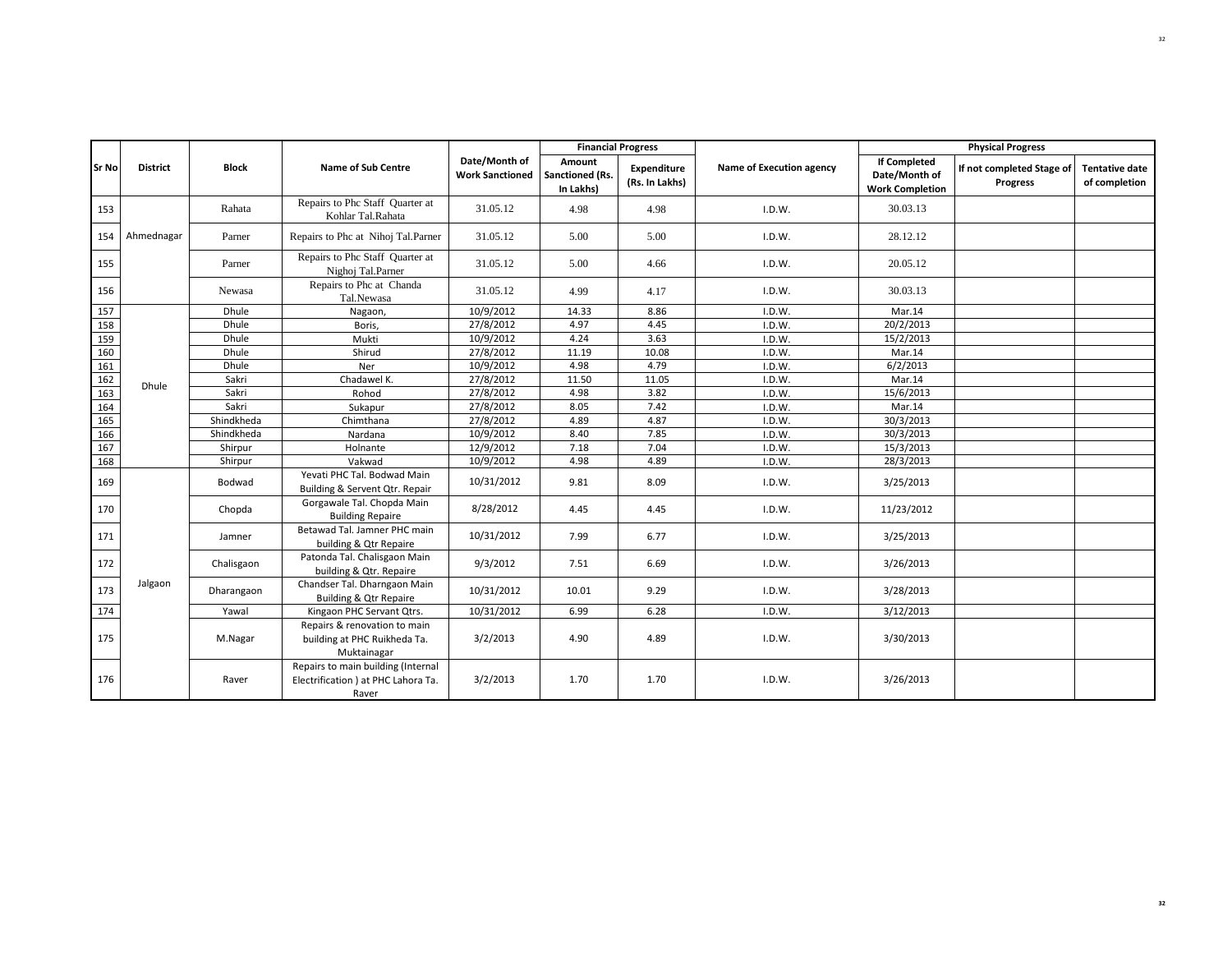|              |                 |              |                                                                                    |                                         | <b>Financial Progress</b>              |                               |                          |                                                                | <b>Physical Progress</b>              |                                        |
|--------------|-----------------|--------------|------------------------------------------------------------------------------------|-----------------------------------------|----------------------------------------|-------------------------------|--------------------------|----------------------------------------------------------------|---------------------------------------|----------------------------------------|
| <b>Sr No</b> | <b>District</b> | <b>Block</b> | <b>Name of Sub Centre</b>                                                          | Date/Month of<br><b>Work Sanctioned</b> | Amount<br>Sanctioned (Rs.<br>In Lakhs) | Expenditure<br>(Rs. In Lakhs) | Name of Execution agency | <b>If Completed</b><br>Date/Month of<br><b>Work Completion</b> | If not completed Stage of<br>Progress | <b>Tentative date</b><br>of completion |
| 153          |                 | Rahata       | Repairs to Phc Staff Quarter at<br>Kohlar Tal.Rahata                               | 31.05.12                                | 4.98                                   | 4.98                          | I.D.W.                   | 30.03.13                                                       |                                       |                                        |
| 154          | Ahmednagar      | Parner       | Repairs to Phc at Nihoj Tal.Parner                                                 | 31.05.12                                | 5.00                                   | 5.00                          | I.D.W.                   | 28.12.12                                                       |                                       |                                        |
| 155          |                 | Parner       | Repairs to Phc Staff Quarter at<br>Nighoj Tal.Parner                               | 31.05.12                                | 5.00                                   | 4.66                          | I.D.W.                   | 20.05.12                                                       |                                       |                                        |
| 156          |                 | Newasa       | Repairs to Phc at Chanda<br>Tal.Newasa                                             | 31.05.12                                | 4.99                                   | 4.17                          | I.D.W.                   | 30.03.13                                                       |                                       |                                        |
| 157          |                 | <b>Dhule</b> | Nagaon,                                                                            | 10/9/2012                               | 14.33                                  | 8.86                          | I.D.W.                   | Mar.14                                                         |                                       |                                        |
| 158          |                 | Dhule        | Boris,                                                                             | 27/8/2012                               | 4.97                                   | 4.45                          | I.D.W.                   | 20/2/2013                                                      |                                       |                                        |
| 159          |                 | Dhule        | Mukti                                                                              | 10/9/2012                               | 4.24                                   | 3.63                          | I.D.W.                   | 15/2/2013                                                      |                                       |                                        |
| 160          |                 | <b>Dhule</b> | Shirud                                                                             | 27/8/2012                               | 11.19                                  | 10.08                         | I.D.W.                   | Mar.14                                                         |                                       |                                        |
| 161          |                 | Dhule        | Ner                                                                                | 10/9/2012                               | 4.98                                   | 4.79                          | I.D.W.                   | 6/2/2013                                                       |                                       |                                        |
| 162          | Dhule           | Sakri        | Chadawel K.                                                                        | 27/8/2012                               | 11.50                                  | 11.05                         | I.D.W.                   | Mar.14                                                         |                                       |                                        |
| 163          |                 | Sakri        | Rohod                                                                              | 27/8/2012                               | 4.98                                   | 3.82                          | I.D.W.                   | 15/6/2013                                                      |                                       |                                        |
| 164          |                 | Sakri        | Sukapur                                                                            | 27/8/2012                               | 8.05                                   | 7.42                          | I.D.W.                   | Mar.14                                                         |                                       |                                        |
| 165          |                 | Shindkheda   | Chimthana                                                                          | 27/8/2012                               | 4.89                                   | 4.87                          | I.D.W.                   | 30/3/2013                                                      |                                       |                                        |
| 166          |                 | Shindkheda   | Nardana                                                                            | 10/9/2012                               | 8.40                                   | 7.85                          | I.D.W.                   | 30/3/2013                                                      |                                       |                                        |
| 167          |                 | Shirpur      | Holnante                                                                           | 12/9/2012                               | 7.18                                   | 7.04                          | I.D.W.                   | 15/3/2013                                                      |                                       |                                        |
| 168          |                 | Shirpur      | Vakwad                                                                             | 10/9/2012                               | 4.98                                   | 4.89                          | I.D.W.                   | 28/3/2013                                                      |                                       |                                        |
| 169          |                 | Bodwad       | Yevati PHC Tal. Bodwad Main<br>Building & Servent Qtr. Repair                      | 10/31/2012                              | 9.81                                   | 8.09                          | I.D.W.                   | 3/25/2013                                                      |                                       |                                        |
| 170          |                 | Chopda       | Gorgawale Tal. Chopda Main<br><b>Building Repaire</b>                              | 8/28/2012                               | 4.45                                   | 4.45                          | I.D.W.                   | 11/23/2012                                                     |                                       |                                        |
| 171          |                 | Jamner       | Betawad Tal. Jamner PHC main<br>building & Qtr Repaire                             | 10/31/2012                              | 7.99                                   | 6.77                          | I.D.W.                   | 3/25/2013                                                      |                                       |                                        |
| 172          |                 | Chalisgaon   | Patonda Tal. Chalisgaon Main<br>building & Qtr. Repaire                            | 9/3/2012                                | 7.51                                   | 6.69                          | I.D.W.                   | 3/26/2013                                                      |                                       |                                        |
| 173          | Jalgaon         | Dharangaon   | Chandser Tal. Dharngaon Main<br><b>Building &amp; Qtr Repaire</b>                  | 10/31/2012                              | 10.01                                  | 9.29                          | I.D.W.                   | 3/28/2013                                                      |                                       |                                        |
| 174          |                 | Yawal        | Kingaon PHC Servant Qtrs.                                                          | 10/31/2012                              | 6.99                                   | 6.28                          | I.D.W.                   | 3/12/2013                                                      |                                       |                                        |
| 175          |                 | M.Nagar      | Repairs & renovation to main<br>building at PHC Ruikheda Ta.<br>Muktainagar        | 3/2/2013                                | 4.90                                   | 4.89                          | I.D.W.                   | 3/30/2013                                                      |                                       |                                        |
| 176          |                 | Raver        | Repairs to main building (Internal<br>Electrification ) at PHC Lahora Ta.<br>Raver | 3/2/2013                                | 1.70                                   | 1.70                          | I.D.W.                   | 3/26/2013                                                      |                                       |                                        |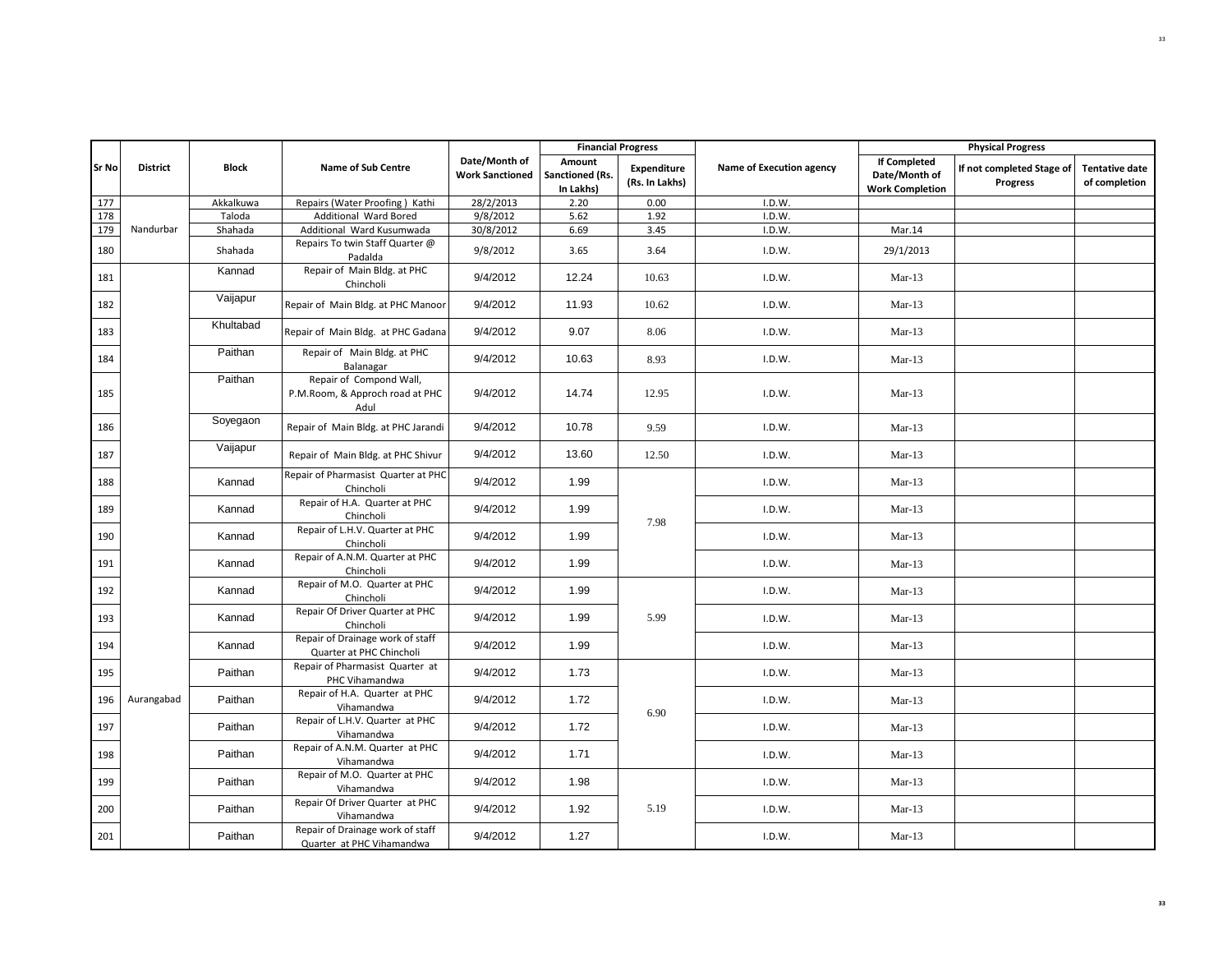|              |                 |              |                                                                    |                                         |                                        | <b>Financial Progress</b>     |                          |                                                                | <b>Physical Progress</b>                     |                                        |
|--------------|-----------------|--------------|--------------------------------------------------------------------|-----------------------------------------|----------------------------------------|-------------------------------|--------------------------|----------------------------------------------------------------|----------------------------------------------|----------------------------------------|
| <b>Sr No</b> | <b>District</b> | <b>Block</b> | <b>Name of Sub Centre</b>                                          | Date/Month of<br><b>Work Sanctioned</b> | Amount<br>Sanctioned (Rs.<br>In Lakhs) | Expenditure<br>(Rs. In Lakhs) | Name of Execution agency | <b>If Completed</b><br>Date/Month of<br><b>Work Completion</b> | If not completed Stage of<br><b>Progress</b> | <b>Tentative date</b><br>of completion |
| 177          |                 | Akkalkuwa    | Repairs (Water Proofing) Kathi                                     | 28/2/2013                               | 2.20                                   | 0.00                          | I.D.W.                   |                                                                |                                              |                                        |
| 178          |                 | Taloda       | Additional Ward Bored                                              | 9/8/2012                                | 5.62                                   | 1.92                          | I.D.W.                   |                                                                |                                              |                                        |
| 179          | Nandurbar       | Shahada      | Additional Ward Kusumwada                                          | 30/8/2012                               | 6.69                                   | 3.45                          | I.D.W.                   | Mar.14                                                         |                                              |                                        |
| 180          |                 | Shahada      | Repairs To twin Staff Quarter @<br>Padalda                         | 9/8/2012                                | 3.65                                   | 3.64                          | I.D.W.                   | 29/1/2013                                                      |                                              |                                        |
| 181          |                 | Kannad       | Repair of Main Bldg. at PHC<br>Chincholi                           | 9/4/2012                                | 12.24                                  | 10.63                         | I.D.W.                   | $Mar-13$                                                       |                                              |                                        |
| 182          |                 | Vaijapur     | Repair of Main Bldg. at PHC Manoor                                 | 9/4/2012                                | 11.93                                  | 10.62                         | I.D.W.                   | $Mar-13$                                                       |                                              |                                        |
| 183          |                 | Khultabad    | Repair of Main Bldg. at PHC Gadana                                 | 9/4/2012                                | 9.07                                   | 8.06                          | I.D.W.                   | $Mar-13$                                                       |                                              |                                        |
| 184          |                 | Paithan      | Repair of Main Bldg. at PHC<br>Balanagar                           | 9/4/2012                                | 10.63                                  | 8.93                          | I.D.W.                   | $Mar-13$                                                       |                                              |                                        |
| 185          |                 | Paithan      | Repair of Compond Wall,<br>P.M.Room, & Approch road at PHC<br>Adul | 9/4/2012                                | 14.74                                  | 12.95                         | I.D.W.                   | $Mar-13$                                                       |                                              |                                        |
| 186          |                 | Soyegaon     | Repair of Main Bldg. at PHC Jarandi                                | 9/4/2012                                | 10.78                                  | 9.59                          | I.D.W.                   | $Mar-13$                                                       |                                              |                                        |
| 187          |                 | Vaijapur     | Repair of Main Bldg. at PHC Shivur                                 | 9/4/2012                                | 13.60                                  | 12.50                         | I.D.W.                   | $Mar-13$                                                       |                                              |                                        |
| 188          |                 | Kannad       | Repair of Pharmasist Quarter at PHC<br>Chincholi                   | 9/4/2012                                | 1.99                                   |                               | I.D.W.                   | $Mar-13$                                                       |                                              |                                        |
| 189          |                 | Kannad       | Repair of H.A. Quarter at PHC<br>Chincholi                         | 9/4/2012                                | 1.99                                   | 7.98                          | I.D.W.                   | $Mar-13$                                                       |                                              |                                        |
| 190          |                 | Kannad       | Repair of L.H.V. Quarter at PHC<br>Chincholi                       | 9/4/2012                                | 1.99                                   |                               | I.D.W.                   | $Mar-13$                                                       |                                              |                                        |
| 191          |                 | Kannad       | Repair of A.N.M. Quarter at PHC<br>Chincholi                       | 9/4/2012                                | 1.99                                   |                               | I.D.W.                   | $Mar-13$                                                       |                                              |                                        |
| 192          |                 | Kannad       | Repair of M.O. Quarter at PHC<br>Chincholi                         | 9/4/2012                                | 1.99                                   |                               | I.D.W.                   | $Mar-13$                                                       |                                              |                                        |
| 193          |                 | Kannad       | Repair Of Driver Quarter at PHC<br>Chincholi                       | 9/4/2012                                | 1.99                                   | 5.99                          | I.D.W.                   | $Mar-13$                                                       |                                              |                                        |
| 194          |                 | Kannad       | Repair of Drainage work of staff<br>Quarter at PHC Chincholi       | 9/4/2012                                | 1.99                                   |                               | I.D.W.                   | $Mar-13$                                                       |                                              |                                        |
| 195          |                 | Paithan      | Repair of Pharmasist Quarter at<br>PHC Vihamandwa                  | 9/4/2012                                | 1.73                                   |                               | I.D.W.                   | $Mar-13$                                                       |                                              |                                        |
| 196          | Aurangabad      | Paithan      | Repair of H.A. Quarter at PHC<br>Vihamandwa                        | 9/4/2012                                | 1.72                                   | 6.90                          | I.D.W.                   | $Mar-13$                                                       |                                              |                                        |
| 197          |                 | Paithan      | Repair of L.H.V. Quarter at PHC<br>Vihamandwa                      | 9/4/2012                                | 1.72                                   |                               | I.D.W.                   | $Mar-13$                                                       |                                              |                                        |
| 198          |                 | Paithan      | Repair of A.N.M. Quarter at PHC<br>Vihamandwa                      | 9/4/2012                                | 1.71                                   |                               | I.D.W.                   | $Mar-13$                                                       |                                              |                                        |
| 199          |                 | Paithan      | Repair of M.O. Quarter at PHC<br>Vihamandwa                        | 9/4/2012                                | 1.98                                   |                               | I.D.W.                   | $Mar-13$                                                       |                                              |                                        |
| 200          |                 | Paithan      | Repair Of Driver Quarter at PHC<br>Vihamandwa                      | 9/4/2012                                | 1.92                                   | 5.19                          | I.D.W.                   | $Mar-13$                                                       |                                              |                                        |
| 201          |                 | Paithan      | Repair of Drainage work of staff<br>Quarter at PHC Vihamandwa      | 9/4/2012                                | 1.27                                   |                               | I.D.W.                   | $Mar-13$                                                       |                                              |                                        |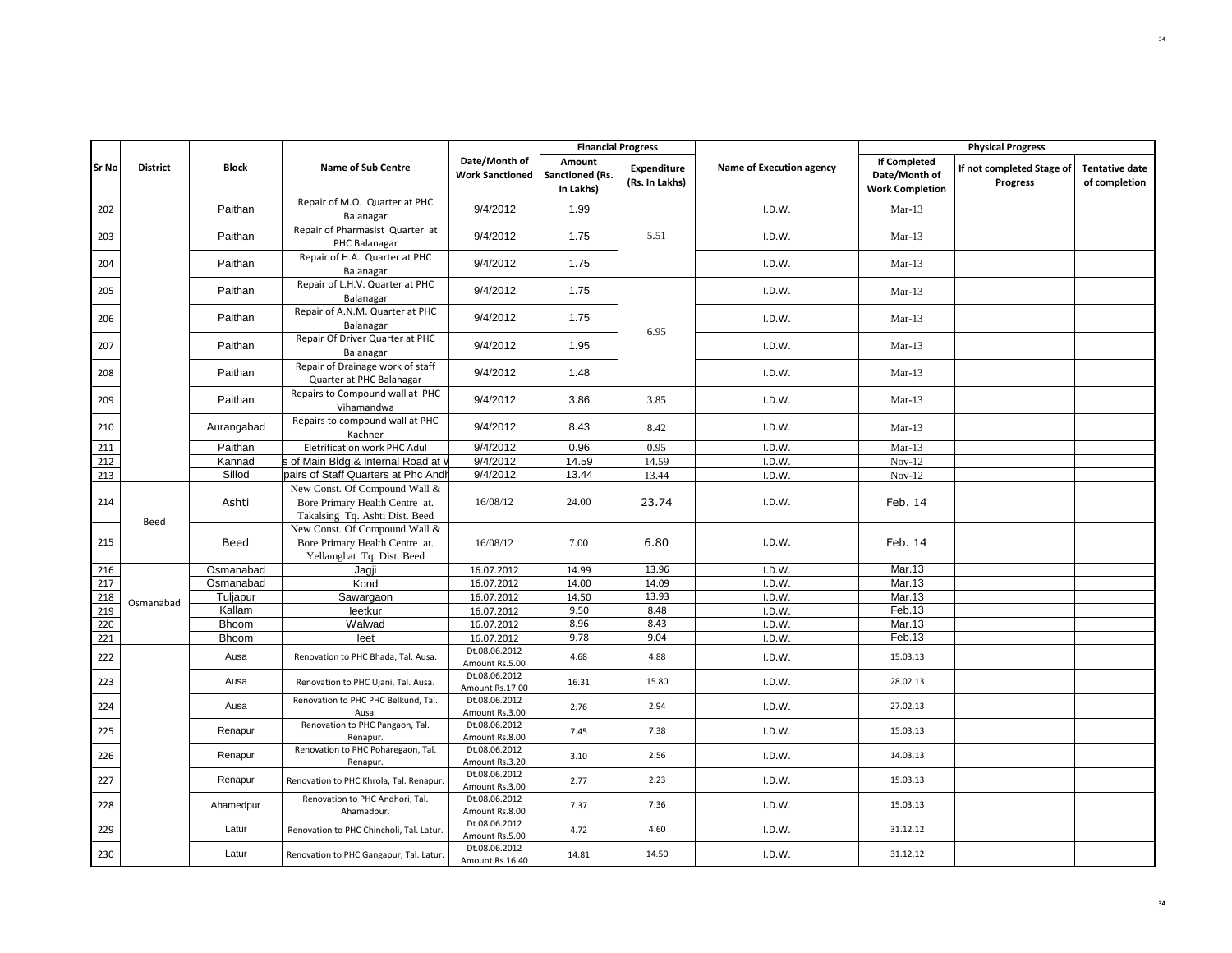|              |                 |              |                                                                                                   |                                                  |                                        | <b>Financial Progress</b>     |                          |                                                                | <b>Physical Progress</b>                     |                                        |
|--------------|-----------------|--------------|---------------------------------------------------------------------------------------------------|--------------------------------------------------|----------------------------------------|-------------------------------|--------------------------|----------------------------------------------------------------|----------------------------------------------|----------------------------------------|
| <b>Sr No</b> | <b>District</b> | <b>Block</b> | <b>Name of Sub Centre</b>                                                                         | Date/Month of<br><b>Work Sanctioned</b>          | Amount<br>Sanctioned (Rs.<br>In Lakhs) | Expenditure<br>(Rs. In Lakhs) | Name of Execution agency | <b>If Completed</b><br>Date/Month of<br><b>Work Completion</b> | If not completed Stage of<br><b>Progress</b> | <b>Tentative date</b><br>of completion |
| 202          |                 | Paithan      | Repair of M.O. Quarter at PHC<br>Balanagar                                                        | 9/4/2012                                         | 1.99                                   |                               | I.D.W.                   | $Mar-13$                                                       |                                              |                                        |
| 203          |                 | Paithan      | Repair of Pharmasist Quarter at<br>PHC Balanagar                                                  | 9/4/2012                                         | 1.75                                   | 5.51                          | I.D.W.                   | $Mar-13$                                                       |                                              |                                        |
| 204          |                 | Paithan      | Repair of H.A. Quarter at PHC<br>Balanagar                                                        | 9/4/2012                                         | 1.75                                   |                               | I.D.W.                   | $Mar-13$                                                       |                                              |                                        |
| 205          |                 | Paithan      | Repair of L.H.V. Quarter at PHC<br>Balanagar                                                      | 9/4/2012                                         | 1.75                                   |                               | I.D.W.                   | $Mar-13$                                                       |                                              |                                        |
| 206          |                 | Paithan      | Repair of A.N.M. Quarter at PHC<br>Balanagar                                                      | 9/4/2012                                         | 1.75                                   | 6.95                          | I.D.W.                   | $Mar-13$                                                       |                                              |                                        |
| 207          |                 | Paithan      | Repair Of Driver Quarter at PHC<br>Balanagar                                                      | 9/4/2012                                         | 1.95                                   |                               | I.D.W.                   | $Mar-13$                                                       |                                              |                                        |
| 208          |                 | Paithan      | Repair of Drainage work of staff<br>Quarter at PHC Balanagar                                      | 9/4/2012                                         | 1.48                                   |                               | I.D.W.                   | $Mar-13$                                                       |                                              |                                        |
| 209          |                 | Paithan      | Repairs to Compound wall at PHC<br>Vihamandwa                                                     | 9/4/2012                                         | 3.86                                   | 3.85                          | I.D.W.                   | $Mar-13$                                                       |                                              |                                        |
| 210          |                 | Aurangabad   | Repairs to compound wall at PHC<br>Kachner                                                        | 9/4/2012                                         | 8.43                                   | 8.42                          | I.D.W.                   | $Mar-13$                                                       |                                              |                                        |
| 211          |                 | Paithan      | Eletrification work PHC Adul                                                                      | 9/4/2012                                         | 0.96                                   | 0.95                          | I.D.W.                   | $Mar-13$                                                       |                                              |                                        |
| 212          |                 | Kannad       | s of Main Bldg.& Internal Road at V                                                               | 9/4/2012                                         | 14.59                                  | 14.59                         | I.D.W.                   | $Nov-12$                                                       |                                              |                                        |
| 213          |                 | Sillod       | pairs of Staff Quarters at Phc Andh                                                               | 9/4/2012                                         | 13.44                                  | 13.44                         | I.D.W.                   | $Nov-12$                                                       |                                              |                                        |
| 214          | Beed            | Ashti        | New Const. Of Compound Wall &<br>Bore Primary Health Centre at.<br>Takalsing Tq. Ashti Dist. Beed | 16/08/12                                         | 24.00                                  | 23.74                         | I.D.W.                   | Feb. 14                                                        |                                              |                                        |
| 215          |                 | Beed         | New Const. Of Compound Wall &<br>Bore Primary Health Centre at.<br>Yellamghat Tq. Dist. Beed      | 16/08/12                                         | 7.00                                   | 6.80                          | I.D.W.                   | Feb. 14                                                        |                                              |                                        |
| 216          |                 | Osmanabad    | Jagji                                                                                             | 16.07.2012                                       | 14.99                                  | 13.96                         | I.D.W.                   | Mar.13                                                         |                                              |                                        |
| 217          |                 | Osmanabad    | Kond                                                                                              | 16.07.2012                                       | 14.00                                  | 14.09                         | I.D.W.                   | Mar.13                                                         |                                              |                                        |
| 218          | Osmanabad       | Tuljapur     | Sawargaon                                                                                         | 16.07.2012                                       | 14.50                                  | 13.93                         | I.D.W.                   | Mar.13                                                         |                                              |                                        |
| 219          |                 | Kallam       | leetkur                                                                                           | 16.07.2012                                       | 9.50                                   | 8.48                          | I.D.W.                   | Feb.13                                                         |                                              |                                        |
| 220          |                 | Bhoom        | Walwad                                                                                            | 16.07.2012                                       | 8.96                                   | 8.43                          | I.D.W.                   | Mar.13                                                         |                                              |                                        |
| 221          |                 | Bhoom        | leet                                                                                              | 16.07.2012                                       | 9.78                                   | 9.04                          | I.D.W.                   | Feb.13                                                         |                                              |                                        |
| 222          |                 | Ausa         | Renovation to PHC Bhada, Tal. Ausa.                                                               | Dt.08.06.2012<br>Amount Rs.5.00                  | 4.68                                   | 4.88                          | I.D.W.                   | 15.03.13                                                       |                                              |                                        |
| 223          |                 | Ausa         | Renovation to PHC Ujani, Tal. Ausa.<br>Renovation to PHC PHC Belkund, Tal.                        | Dt.08.06.2012<br>Amount Rs.17.00                 | 16.31                                  | 15.80                         | I.D.W.                   | 28.02.13                                                       |                                              |                                        |
| 224          |                 | Ausa         | Ausa.                                                                                             | Dt.08.06.2012<br>Amount Rs.3.00                  | 2.76                                   | 2.94                          | I.D.W.                   | 27.02.13                                                       |                                              |                                        |
| 225          |                 | Renapur      | Renovation to PHC Pangaon, Tal.<br>Renapur.                                                       | Dt.08.06.2012<br>Amount Rs.8.00                  | 7.45                                   | 7.38                          | I.D.W.                   | 15.03.13                                                       |                                              |                                        |
| 226          |                 | Renapur      | Renovation to PHC Poharegaon, Tal.<br>Renapur.                                                    | Dt.08.06.2012<br>Amount Rs.3.20                  | 3.10                                   | 2.56                          | I.D.W.                   | 14.03.13                                                       |                                              |                                        |
| 227          |                 | Renapur      | Renovation to PHC Khrola, Tal. Renapur.<br>Renovation to PHC Andhori, Tal.                        | Dt.08.06.2012<br>Amount Rs.3.00<br>Dt.08.06.2012 | 2.77                                   | 2.23                          | I.D.W.                   | 15.03.13                                                       |                                              |                                        |
| 228          |                 | Ahamedpur    | Ahamadpur.                                                                                        | Amount Rs.8.00<br>Dt.08.06.2012                  | 7.37                                   | 7.36                          | I.D.W.                   | 15.03.13                                                       |                                              |                                        |
| 229          |                 | Latur        | Renovation to PHC Chincholi, Tal. Latur.                                                          | Amount Rs.5.00                                   | 4.72                                   | 4.60                          | I.D.W.                   | 31.12.12                                                       |                                              |                                        |
| 230          |                 | Latur        | Renovation to PHC Gangapur, Tal. Latur.                                                           | Dt.08.06.2012<br>Amount Rs.16.40                 | 14.81                                  | 14.50                         | I.D.W.                   | 31.12.12                                                       |                                              |                                        |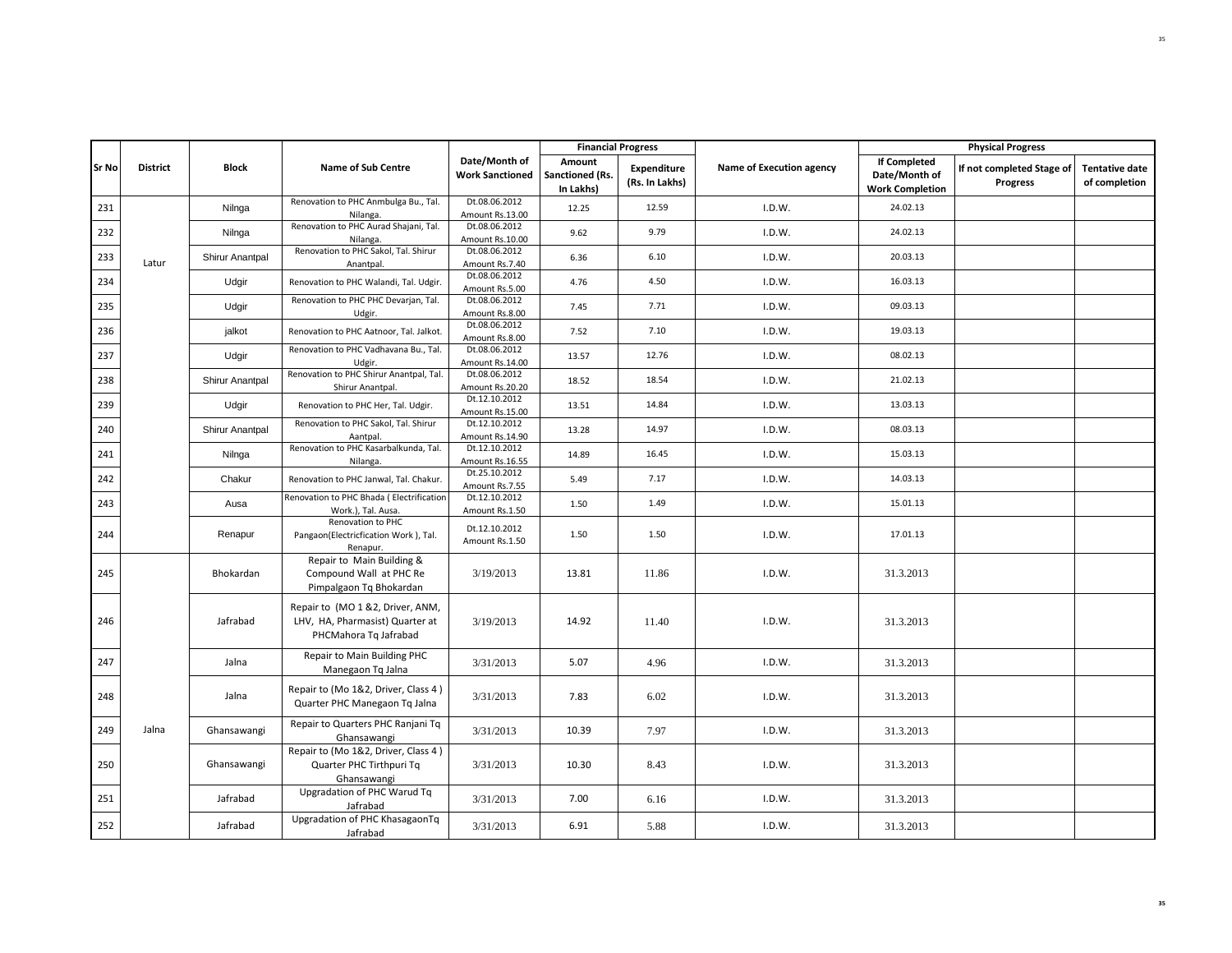|              |                 |                 |                                                                                              |                                         |                                        | <b>Financial Progress</b>            |                          |                                                                | <b>Physical Progress</b>              |                                        |
|--------------|-----------------|-----------------|----------------------------------------------------------------------------------------------|-----------------------------------------|----------------------------------------|--------------------------------------|--------------------------|----------------------------------------------------------------|---------------------------------------|----------------------------------------|
| <b>Sr No</b> | <b>District</b> | <b>Block</b>    | <b>Name of Sub Centre</b>                                                                    | Date/Month of<br><b>Work Sanctioned</b> | Amount<br>Sanctioned (Rs.<br>In Lakhs) | <b>Expenditure</b><br>(Rs. In Lakhs) | Name of Execution agency | <b>If Completed</b><br>Date/Month of<br><b>Work Completion</b> | If not completed Stage of<br>Progress | <b>Tentative date</b><br>of completion |
| 231          |                 | Nilnga          | Renovation to PHC Anmbulga Bu., Tal.<br>Nilanga.                                             | Dt.08.06.2012<br>Amount Rs.13.00        | 12.25                                  | 12.59                                | I.D.W.                   | 24.02.13                                                       |                                       |                                        |
| 232          |                 | Nilnga          | Renovation to PHC Aurad Shajani, Tal.<br>Nilanga.                                            | Dt.08.06.2012<br>Amount Rs.10.00        | 9.62                                   | 9.79                                 | I.D.W.                   | 24.02.13                                                       |                                       |                                        |
| 233          | Latur           | Shirur Anantpal | Renovation to PHC Sakol, Tal. Shirur<br>Anantpal.                                            | Dt.08.06.2012<br>Amount Rs.7.40         | 6.36                                   | 6.10                                 | I.D.W.                   | 20.03.13                                                       |                                       |                                        |
| 234          |                 | Udgir           | Renovation to PHC Walandi, Tal. Udgir.                                                       | Dt.08.06.2012<br>Amount Rs.5.00         | 4.76                                   | 4.50                                 | I.D.W.                   | 16.03.13                                                       |                                       |                                        |
| 235          |                 | Udgir           | Renovation to PHC PHC Devarjan, Tal.<br>Udgir.                                               | Dt.08.06.2012<br>Amount Rs.8.00         | 7.45                                   | 7.71                                 | I.D.W.                   | 09.03.13                                                       |                                       |                                        |
| 236          |                 | jalkot          | Renovation to PHC Aatnoor, Tal. Jalkot.                                                      | Dt.08.06.2012<br>Amount Rs.8.00         | 7.52                                   | 7.10                                 | I.D.W.                   | 19.03.13                                                       |                                       |                                        |
| 237          |                 | Udgir           | Renovation to PHC Vadhavana Bu., Tal.<br>Udgir.                                              | Dt.08.06.2012<br>Amount Rs.14.00        | 13.57                                  | 12.76                                | I.D.W.                   | 08.02.13                                                       |                                       |                                        |
| 238          |                 | Shirur Anantpal | Renovation to PHC Shirur Anantpal, Tal.<br>Shirur Anantpal.                                  | Dt.08.06.2012<br>Amount Rs.20.20        | 18.52                                  | 18.54                                | I.D.W.                   | 21.02.13                                                       |                                       |                                        |
| 239          |                 | Udgir           | Renovation to PHC Her, Tal. Udgir.                                                           | Dt.12.10.2012<br>Amount Rs.15.00        | 13.51                                  | 14.84                                | I.D.W.                   | 13.03.13                                                       |                                       |                                        |
| 240          |                 | Shirur Anantpal | Renovation to PHC Sakol, Tal. Shirur<br>Aantpal.                                             | Dt.12.10.2012<br>Amount Rs.14.90        | 13.28                                  | 14.97                                | I.D.W.                   | 08.03.13                                                       |                                       |                                        |
| 241          |                 | Nilnga          | Renovation to PHC Kasarbalkunda, Tal.<br>Nilanga                                             | Dt.12.10.2012<br>Amount Rs.16.55        | 14.89                                  | 16.45                                | I.D.W.                   | 15.03.13                                                       |                                       |                                        |
| 242          |                 | Chakur          | Renovation to PHC Janwal, Tal. Chakur.                                                       | Dt.25.10.2012<br>Amount Rs.7.55         | 5.49                                   | 7.17                                 | I.D.W.                   | 14.03.13                                                       |                                       |                                        |
| 243          |                 | Ausa            | Renovation to PHC Bhada (Electrification<br>Work.), Tal. Ausa.                               | Dt.12.10.2012<br>Amount Rs.1.50         | 1.50                                   | 1.49                                 | I.D.W.                   | 15.01.13                                                       |                                       |                                        |
| 244          |                 | Renapur         | Renovation to PHC<br>Pangaon(Electricfication Work), Tal.<br>Renapur.                        | Dt.12.10.2012<br>Amount Rs.1.50         | 1.50                                   | 1.50                                 | I.D.W.                   | 17.01.13                                                       |                                       |                                        |
| 245          |                 | Bhokardan       | Repair to Main Building &<br>Compound Wall at PHC Re<br>Pimpalgaon Tq Bhokardan              | 3/19/2013                               | 13.81                                  | 11.86                                | I.D.W.                   | 31.3.2013                                                      |                                       |                                        |
| 246          |                 | Jafrabad        | Repair to (MO 1 &2, Driver, ANM,<br>LHV, HA, Pharmasist) Quarter at<br>PHCMahora Tg Jafrabad | 3/19/2013                               | 14.92                                  | 11.40                                | I.D.W.                   | 31.3.2013                                                      |                                       |                                        |
| 247          |                 | Jalna           | Repair to Main Building PHC<br>Manegaon Tq Jalna                                             | 3/31/2013                               | 5.07                                   | 4.96                                 | I.D.W.                   | 31.3.2013                                                      |                                       |                                        |
| 248          |                 | Jalna           | Repair to (Mo 1&2, Driver, Class 4)<br>Quarter PHC Manegaon Tq Jalna                         | 3/31/2013                               | 7.83                                   | 6.02                                 | I.D.W.                   | 31.3.2013                                                      |                                       |                                        |
| 249          | Jalna           | Ghansawangi     | Repair to Quarters PHC Ranjani Tq<br>Ghansawangi                                             | 3/31/2013                               | 10.39                                  | 7.97                                 | I.D.W.                   | 31.3.2013                                                      |                                       |                                        |
| 250          |                 | Ghansawangi     | Repair to (Mo 1&2, Driver, Class 4)<br>Quarter PHC Tirthpuri Tq<br>Ghansawangi               | 3/31/2013                               | 10.30                                  | 8.43                                 | I.D.W.                   | 31.3.2013                                                      |                                       |                                        |
| 251          |                 | Jafrabad        | Upgradation of PHC Warud Tq<br>Jafrabad                                                      | 3/31/2013                               | 7.00                                   | 6.16                                 | I.D.W.                   | 31.3.2013                                                      |                                       |                                        |
| 252          |                 | Jafrabad        | Upgradation of PHC KhasagaonTq<br>Jafrabad                                                   | 3/31/2013                               | 6.91                                   | 5.88                                 | I.D.W.                   | 31.3.2013                                                      |                                       |                                        |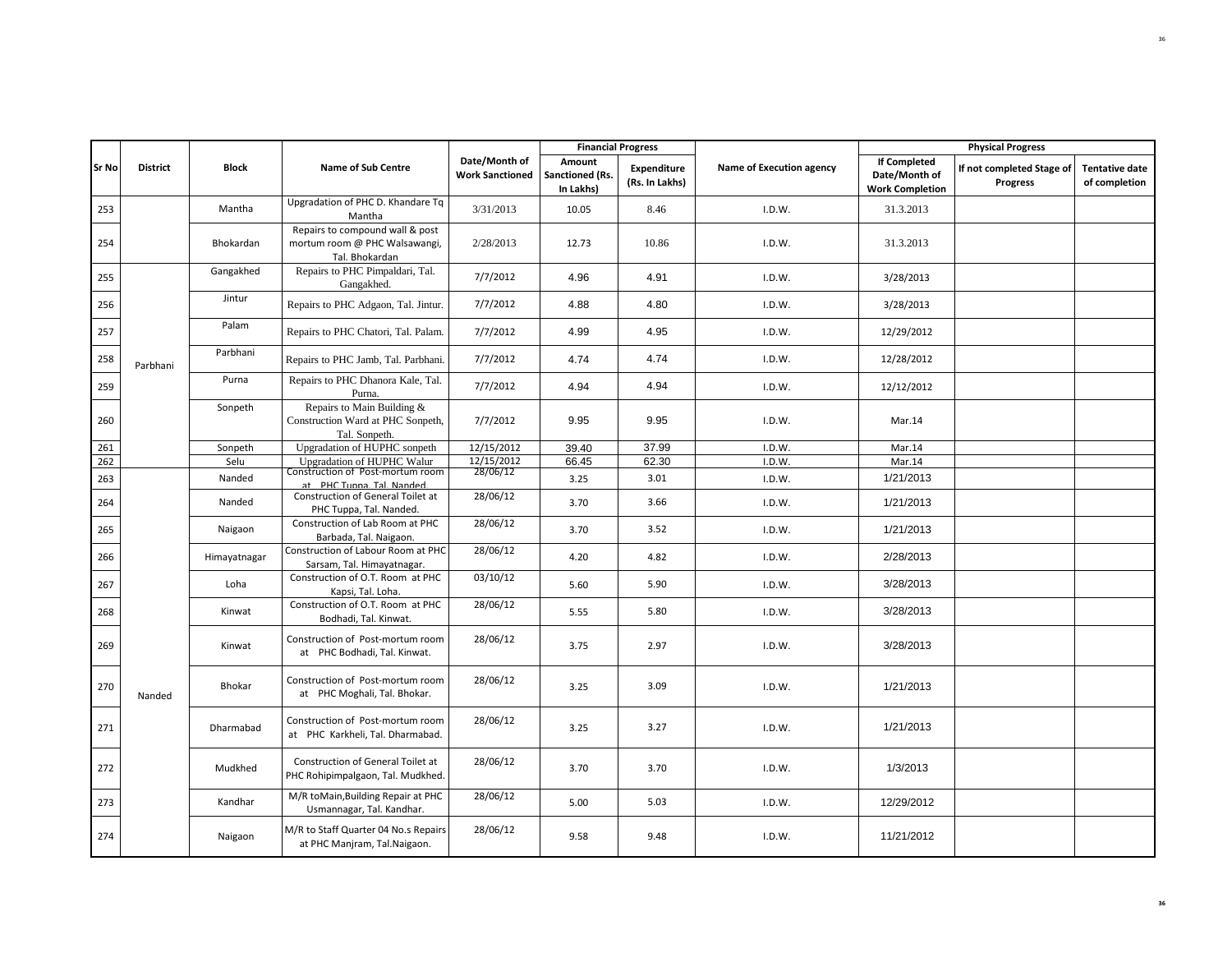|       |                 |              |                                                                                    |                                         |                                               | <b>Financial Progress</b>     |                          |                                                                | <b>Physical Progress</b>              |                                        |
|-------|-----------------|--------------|------------------------------------------------------------------------------------|-----------------------------------------|-----------------------------------------------|-------------------------------|--------------------------|----------------------------------------------------------------|---------------------------------------|----------------------------------------|
| Sr No | <b>District</b> | Block        | <b>Name of Sub Centre</b>                                                          | Date/Month of<br><b>Work Sanctioned</b> | Amount<br><b>Sanctioned (Rs.</b><br>In Lakhs) | Expenditure<br>(Rs. In Lakhs) | Name of Execution agency | <b>If Completed</b><br>Date/Month of<br><b>Work Completion</b> | If not completed Stage of<br>Progress | <b>Tentative date</b><br>of completion |
| 253   |                 | Mantha       | Upgradation of PHC D. Khandare Tq<br>Mantha                                        | 3/31/2013                               | 10.05                                         | 8.46                          | I.D.W.                   | 31.3.2013                                                      |                                       |                                        |
| 254   |                 | Bhokardan    | Repairs to compound wall & post<br>mortum room @ PHC Walsawangi,<br>Tal. Bhokardan | 2/28/2013                               | 12.73                                         | 10.86                         | I.D.W.                   | 31.3.2013                                                      |                                       |                                        |
| 255   |                 | Gangakhed    | Repairs to PHC Pimpaldari, Tal.<br>Gangakhed.                                      | 7/7/2012                                | 4.96                                          | 4.91                          | I.D.W.                   | 3/28/2013                                                      |                                       |                                        |
| 256   |                 | Jintur       | Repairs to PHC Adgaon, Tal. Jintur.                                                | 7/7/2012                                | 4.88                                          | 4.80                          | I.D.W.                   | 3/28/2013                                                      |                                       |                                        |
| 257   |                 | Palam        | Repairs to PHC Chatori, Tal. Palam.                                                | 7/7/2012                                | 4.99                                          | 4.95                          | I.D.W.                   | 12/29/2012                                                     |                                       |                                        |
| 258   | Parbhani        | Parbhani     | Repairs to PHC Jamb, Tal. Parbhani.                                                | 7/7/2012                                | 4.74                                          | 4.74                          | I.D.W.                   | 12/28/2012                                                     |                                       |                                        |
| 259   |                 | Purna        | Repairs to PHC Dhanora Kale, Tal.<br>Purna.                                        | 7/7/2012                                | 4.94                                          | 4.94                          | I.D.W.                   | 12/12/2012                                                     |                                       |                                        |
| 260   |                 | Sonpeth      | Repairs to Main Building &<br>Construction Ward at PHC Sonpeth,<br>Tal. Sonpeth.   | 7/7/2012                                | 9.95                                          | 9.95                          | I.D.W.                   | Mar.14                                                         |                                       |                                        |
| 261   |                 | Sonpeth      | Upgradation of HUPHC sonpeth                                                       | 12/15/2012                              | 39.40                                         | 37.99                         | I.D.W.                   | Mar.14                                                         |                                       |                                        |
| 262   |                 | Selu         | Upgradation of HUPHC Walur                                                         | 12/15/2012                              | 66.45                                         | 62.30                         | I.D.W.                   | Mar.14                                                         |                                       |                                        |
| 263   |                 | Nanded       | Construction of Post-mortum room<br>at PHC Tunna Tal Nanded                        | 28/06/12                                | 3.25                                          | 3.01                          | I.D.W.                   | 1/21/2013                                                      |                                       |                                        |
| 264   |                 | Nanded       | Construction of General Toilet at<br>PHC Tuppa, Tal. Nanded.                       | 28/06/12                                | 3.70                                          | 3.66                          | I.D.W.                   | 1/21/2013                                                      |                                       |                                        |
| 265   |                 | Naigaon      | Construction of Lab Room at PHC<br>Barbada, Tal. Naigaon.                          | 28/06/12                                | 3.70                                          | 3.52                          | I.D.W.                   | 1/21/2013                                                      |                                       |                                        |
| 266   |                 | Himayatnagar | Construction of Labour Room at PHC<br>Sarsam, Tal. Himayatnagar.                   | 28/06/12                                | 4.20                                          | 4.82                          | I.D.W.                   | 2/28/2013                                                      |                                       |                                        |
| 267   |                 | Loha         | Construction of O.T. Room at PHC<br>Kapsi, Tal. Loha.                              | 03/10/12                                | 5.60                                          | 5.90                          | I.D.W.                   | 3/28/2013                                                      |                                       |                                        |
| 268   |                 | Kinwat       | Construction of O.T. Room at PHC<br>Bodhadi, Tal. Kinwat.                          | 28/06/12                                | 5.55                                          | 5.80                          | I.D.W.                   | 3/28/2013                                                      |                                       |                                        |
| 269   |                 | Kinwat       | Construction of Post-mortum room<br>at PHC Bodhadi, Tal. Kinwat.                   | 28/06/12                                | 3.75                                          | 2.97                          | I.D.W.                   | 3/28/2013                                                      |                                       |                                        |
| 270   | Nanded          | Bhokar       | Construction of Post-mortum room<br>at PHC Moghali, Tal. Bhokar.                   | 28/06/12                                | 3.25                                          | 3.09                          | I.D.W.                   | 1/21/2013                                                      |                                       |                                        |
| 271   |                 | Dharmabad    | Construction of Post-mortum room<br>at PHC Karkheli, Tal. Dharmabad.               | 28/06/12                                | 3.25                                          | 3.27                          | I.D.W.                   | 1/21/2013                                                      |                                       |                                        |
| 272   |                 | Mudkhed      | Construction of General Toilet at<br>PHC Rohipimpalgaon, Tal. Mudkhed.             | 28/06/12                                | 3.70                                          | 3.70                          | I.D.W.                   | 1/3/2013                                                       |                                       |                                        |
| 273   |                 | Kandhar      | M/R toMain, Building Repair at PHC<br>Usmannagar, Tal. Kandhar.                    | 28/06/12                                | 5.00                                          | 5.03                          | I.D.W.                   | 12/29/2012                                                     |                                       |                                        |
| 274   |                 | Naigaon      | M/R to Staff Quarter 04 No.s Repairs<br>at PHC Manjram, Tal.Naigaon.               | 28/06/12                                | 9.58                                          | 9.48                          | I.D.W.                   | 11/21/2012                                                     |                                       |                                        |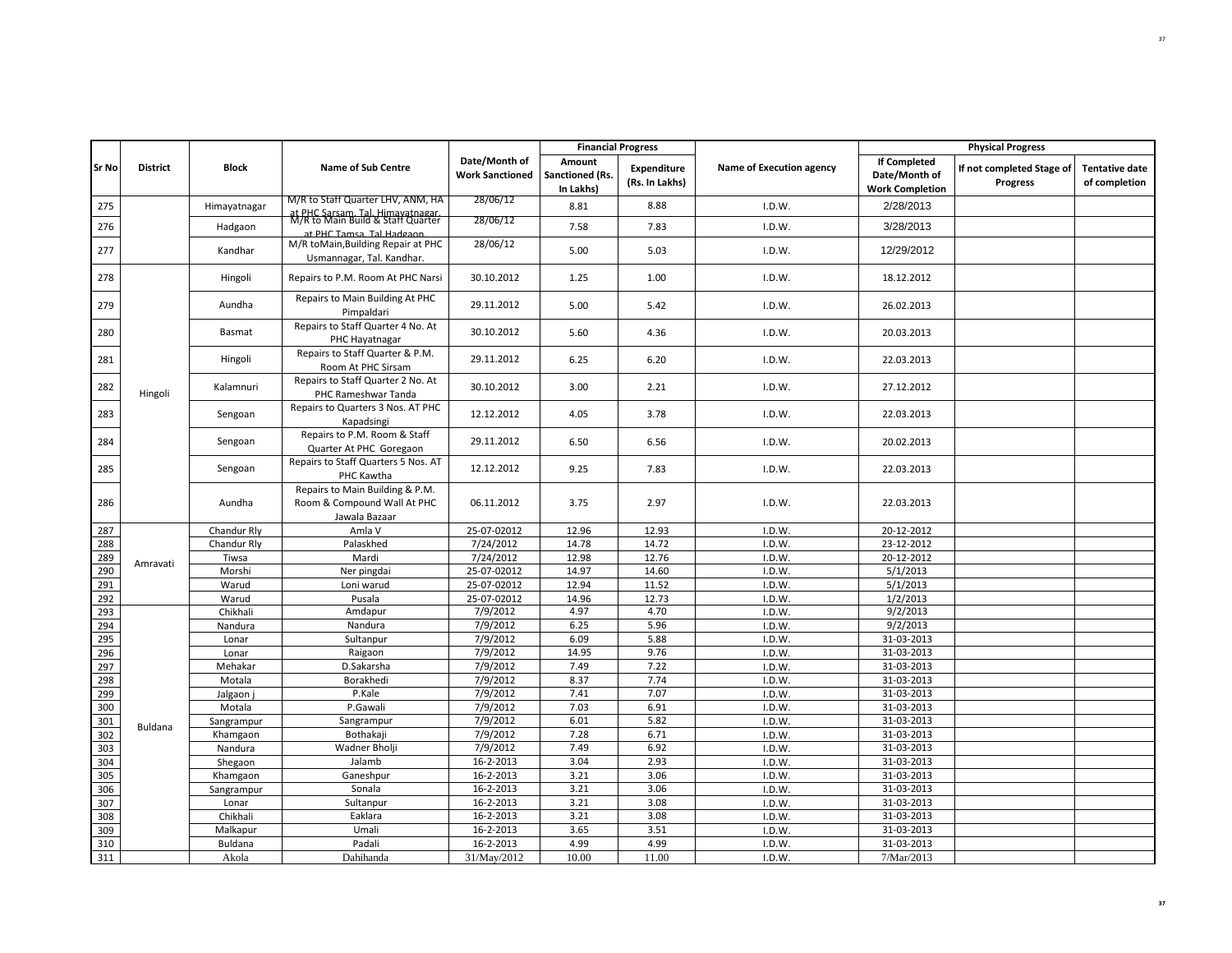|              |                 |              |                                                                                                   |                                         | <b>Financial Progress</b>              |                                      |                          |                                                                | <b>Physical Progress</b>                     |                                        |
|--------------|-----------------|--------------|---------------------------------------------------------------------------------------------------|-----------------------------------------|----------------------------------------|--------------------------------------|--------------------------|----------------------------------------------------------------|----------------------------------------------|----------------------------------------|
| <b>Sr No</b> | <b>District</b> | <b>Block</b> | <b>Name of Sub Centre</b>                                                                         | Date/Month of<br><b>Work Sanctioned</b> | Amount<br>Sanctioned (Rs.<br>In Lakhs) | <b>Expenditure</b><br>(Rs. In Lakhs) | Name of Execution agency | <b>If Completed</b><br>Date/Month of<br><b>Work Completion</b> | If not completed Stage of<br><b>Progress</b> | <b>Tentative date</b><br>of completion |
| 275          |                 | Himayatnagar | M/R to Staff Quarter LHV, ANM, HA                                                                 | 28/06/12                                | 8.81                                   | 8.88                                 | I.D.W.                   | 2/28/2013                                                      |                                              |                                        |
| 276          |                 | Hadgaon      | at PHC Sarsam, Tal, Himayatnagar<br>M/R to Main Build & Staff Quarter<br>at PHC Tamsa Tal Hadgaon | 28/06/12                                | 7.58                                   | 7.83                                 | I.D.W.                   | 3/28/2013                                                      |                                              |                                        |
| 277          |                 | Kandhar      | M/R toMain, Building Repair at PHC<br>Usmannagar, Tal. Kandhar.                                   | 28/06/12                                | 5.00                                   | 5.03                                 | I.D.W.                   | 12/29/2012                                                     |                                              |                                        |
| 278          |                 | Hingoli      | Repairs to P.M. Room At PHC Narsi                                                                 | 30.10.2012                              | 1.25                                   | 1.00                                 | I.D.W.                   | 18.12.2012                                                     |                                              |                                        |
| 279          |                 | Aundha       | Repairs to Main Building At PHC<br>Pimpaldari                                                     | 29.11.2012                              | 5.00                                   | 5.42                                 | I.D.W.                   | 26.02.2013                                                     |                                              |                                        |
| 280          |                 | Basmat       | Repairs to Staff Quarter 4 No. At<br>PHC Hayatnagar                                               | 30.10.2012                              | 5.60                                   | 4.36                                 | I.D.W.                   | 20.03.2013                                                     |                                              |                                        |
| 281          |                 | Hingoli      | Repairs to Staff Quarter & P.M.<br>Room At PHC Sirsam                                             | 29.11.2012                              | 6.25                                   | 6.20                                 | I.D.W.                   | 22.03.2013                                                     |                                              |                                        |
| 282          | Hingoli         | Kalamnuri    | Repairs to Staff Quarter 2 No. At<br>PHC Rameshwar Tanda                                          | 30.10.2012                              | 3.00                                   | 2.21                                 | I.D.W.                   | 27.12.2012                                                     |                                              |                                        |
| 283          |                 | Sengoan      | Repairs to Quarters 3 Nos. AT PHC<br>Kapadsingi                                                   | 12.12.2012                              | 4.05                                   | 3.78                                 | I.D.W.                   | 22.03.2013                                                     |                                              |                                        |
| 284          |                 | Sengoan      | Repairs to P.M. Room & Staff<br>Quarter At PHC Goregaon                                           | 29.11.2012                              | 6.50                                   | 6.56                                 | I.D.W.                   | 20.02.2013                                                     |                                              |                                        |
| 285          |                 | Sengoan      | Repairs to Staff Quarters 5 Nos. AT<br>PHC Kawtha                                                 | 12.12.2012                              | 9.25                                   | 7.83                                 | I.D.W.                   | 22.03.2013                                                     |                                              |                                        |
| 286          |                 | Aundha       | Repairs to Main Building & P.M.<br>Room & Compound Wall At PHC<br>Jawala Bazaar                   | 06.11.2012                              | 3.75                                   | 2.97                                 | I.D.W.                   | 22.03.2013                                                     |                                              |                                        |
| 287          |                 | Chandur Rly  | Amla V                                                                                            | 25-07-02012                             | 12.96                                  | 12.93                                | I.D.W.                   | 20-12-2012                                                     |                                              |                                        |
| 288          |                 | Chandur Rly  | Palaskhed                                                                                         | 7/24/2012                               | 14.78                                  | 14.72                                | I.D.W.                   | 23-12-2012                                                     |                                              |                                        |
| 289          | Amravati        | Tiwsa        | Mardi                                                                                             | 7/24/2012                               | 12.98                                  | 12.76                                | I.D.W.                   | 20-12-2012                                                     |                                              |                                        |
| 290          |                 | Morshi       | Ner pingdai                                                                                       | 25-07-02012                             | 14.97                                  | 14.60                                | I.D.W.                   | 5/1/2013                                                       |                                              |                                        |
| 291          |                 | Warud        | Loni warud                                                                                        | 25-07-02012                             | 12.94                                  | 11.52                                | I.D.W.                   | 5/1/2013                                                       |                                              |                                        |
| 292          |                 | Warud        | Pusala                                                                                            | 25-07-02012                             | 14.96                                  | 12.73                                | I.D.W.                   | 1/2/2013                                                       |                                              |                                        |
| 293          |                 | Chikhali     | Amdapur                                                                                           | 7/9/2012                                | 4.97                                   | 4.70                                 | I.D.W.                   | 9/2/2013                                                       |                                              |                                        |
| 294          |                 | Nandura      | Nandura                                                                                           | 7/9/2012                                | 6.25                                   | 5.96                                 | I.D.W.                   | 9/2/2013                                                       |                                              |                                        |
| 295          |                 | Lonar        | Sultanpur                                                                                         | 7/9/2012                                | 6.09                                   | 5.88                                 | I.D.W.                   | 31-03-2013                                                     |                                              |                                        |
| 296          |                 | Lonar        | Raigaon                                                                                           | 7/9/2012                                | 14.95                                  | 9.76                                 | I.D.W.                   | 31-03-2013                                                     |                                              |                                        |
| 297          |                 | Mehakar      | D.Sakarsha                                                                                        | 7/9/2012                                | 7.49                                   | 7.22                                 | I.D.W.                   | 31-03-2013                                                     |                                              |                                        |
| 298          |                 | Motala       | Borakhedi                                                                                         | 7/9/2012                                | 8.37                                   | 7.74                                 | I.D.W.                   | 31-03-2013                                                     |                                              |                                        |
| 299          |                 | Jalgaon j    | P.Kale                                                                                            | 7/9/2012                                | 7.41                                   | 7.07                                 | I.D.W.                   | 31-03-2013                                                     |                                              |                                        |
| 300          |                 | Motala       | P.Gawali                                                                                          | 7/9/2012                                | 7.03                                   | 6.91                                 | I.D.W.                   | 31-03-2013                                                     |                                              |                                        |
| 301          | Buldana         | Sangrampur   | Sangrampur                                                                                        | 7/9/2012                                | 6.01                                   | 5.82                                 | I.D.W.                   | 31-03-2013                                                     |                                              |                                        |
| 302          |                 | Khamgaon     | Bothakaji                                                                                         | 7/9/2012                                | 7.28                                   | 6.71                                 | I.D.W.                   | 31-03-2013                                                     |                                              |                                        |
| 303          |                 | Nandura      | Wadner Bholji                                                                                     | 7/9/2012                                | 7.49                                   | 6.92                                 | I.D.W.                   | 31-03-2013                                                     |                                              |                                        |
| 304          |                 | Shegaon      | Jalamb                                                                                            | 16-2-2013                               | 3.04                                   | 2.93                                 | I.D.W.                   | 31-03-2013                                                     |                                              |                                        |
| 305          |                 | Khamgaon     | Ganeshpur                                                                                         | 16-2-2013                               | 3.21                                   | 3.06                                 | I.D.W.                   | 31-03-2013                                                     |                                              |                                        |
| 306          |                 | Sangrampur   | Sonala                                                                                            | 16-2-2013                               | 3.21                                   | 3.06                                 | I.D.W.                   | 31-03-2013                                                     |                                              |                                        |
| 307          |                 | Lonar        | Sultanpur                                                                                         | 16-2-2013                               | 3.21                                   | 3.08                                 | I.D.W.                   | 31-03-2013                                                     |                                              |                                        |
| 308          |                 | Chikhali     | Eaklara                                                                                           | 16-2-2013                               | 3.21                                   | 3.08                                 | I.D.W.                   | 31-03-2013                                                     |                                              |                                        |
| 309          |                 | Malkapur     | Umali                                                                                             | 16-2-2013                               | 3.65                                   | 3.51                                 | I.D.W.                   | 31-03-2013                                                     |                                              |                                        |
| 310          |                 | Buldana      | Padali                                                                                            | 16-2-2013                               | 4.99                                   | 4.99                                 | I.D.W.                   | 31-03-2013                                                     |                                              |                                        |
| 311          |                 | Akola        | Dahihanda                                                                                         | 31/May/2012                             | 10.00                                  | 11.00                                | I.D.W.                   | 7/Mar/2013                                                     |                                              |                                        |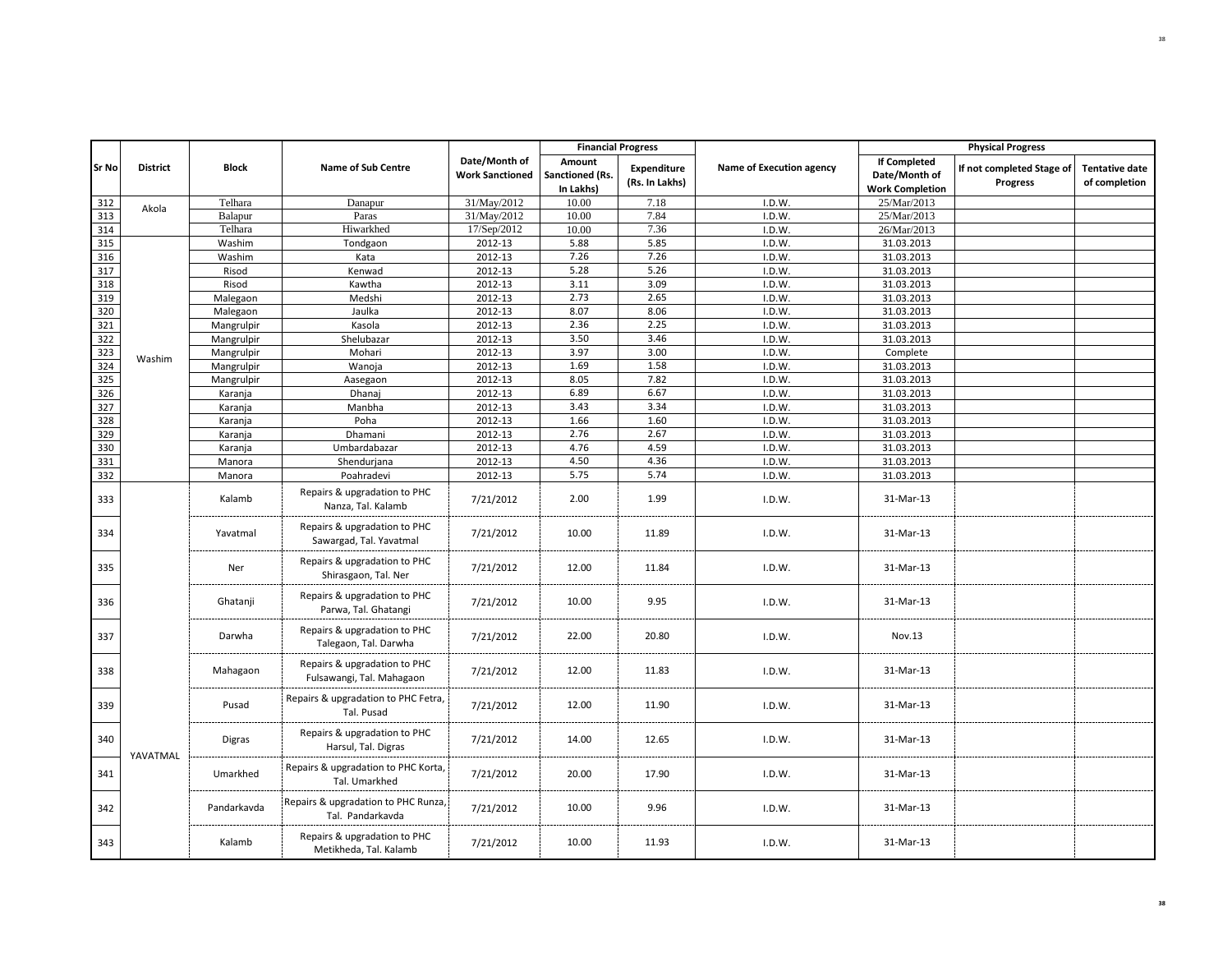|              |                 |              |                                                           |                                         |                                        | <b>Financial Progress</b>            |                          |                                                                | <b>Physical Progress</b>              |                                        |
|--------------|-----------------|--------------|-----------------------------------------------------------|-----------------------------------------|----------------------------------------|--------------------------------------|--------------------------|----------------------------------------------------------------|---------------------------------------|----------------------------------------|
| <b>Sr No</b> | <b>District</b> | <b>Block</b> | <b>Name of Sub Centre</b>                                 | Date/Month of<br><b>Work Sanctioned</b> | Amount<br>Sanctioned (Rs.<br>In Lakhs) | <b>Expenditure</b><br>(Rs. In Lakhs) | Name of Execution agency | <b>If Completed</b><br>Date/Month of<br><b>Work Completion</b> | If not completed Stage of<br>Progress | <b>Tentative date</b><br>of completion |
| 312          | Akola           | Telhara      | Danapur                                                   | 31/May/2012                             | 10.00                                  | 7.18                                 | I.D.W.                   | 25/Mar/2013                                                    |                                       |                                        |
| 313          |                 | Balapur      | Paras                                                     | 31/May/2012                             | 10.00                                  | 7.84                                 | I.D.W.                   | 25/Mar/2013                                                    |                                       |                                        |
| 314          |                 | Telhara      | Hiwarkhed                                                 | 17/Sep/2012                             | 10.00                                  | 7.36                                 | I.D.W.                   | 26/Mar/2013                                                    |                                       |                                        |
| 315          |                 | Washim       | Tondgaon                                                  | 2012-13                                 | 5.88                                   | 5.85                                 | I.D.W.                   | 31.03.2013                                                     |                                       |                                        |
| 316          |                 | Washim       | Kata                                                      | 2012-13                                 | 7.26                                   | 7.26                                 | I.D.W.                   | 31.03.2013                                                     |                                       |                                        |
| 317          |                 | Risod        | Kenwad                                                    | 2012-13                                 | 5.28                                   | 5.26                                 | I.D.W.                   | 31.03.2013                                                     |                                       |                                        |
| 318          |                 | Risod        | Kawtha                                                    | 2012-13                                 | 3.11                                   | 3.09                                 | I.D.W.                   | 31.03.2013                                                     |                                       |                                        |
| 319          |                 | Malegaon     | Medshi                                                    | 2012-13                                 | 2.73                                   | 2.65                                 | I.D.W.                   | 31.03.2013                                                     |                                       |                                        |
| 320          |                 | Malegaon     | Jaulka                                                    | 2012-13                                 | 8.07                                   | 8.06                                 | I.D.W.                   | 31.03.2013                                                     |                                       |                                        |
| 321          |                 | Mangrulpir   | Kasola                                                    | 2012-13                                 | 2.36                                   | 2.25                                 | I.D.W.                   | 31.03.2013                                                     |                                       |                                        |
| 322          |                 | Mangrulpir   | Shelubazar                                                | 2012-13                                 | 3.50                                   | 3.46                                 | I.D.W.                   | 31.03.2013                                                     |                                       |                                        |
| 323          | Washim          | Mangrulpir   | Mohari                                                    | 2012-13                                 | 3.97                                   | 3.00                                 | I.D.W.                   | Complete                                                       |                                       |                                        |
| 324          |                 | Mangrulpir   | Wanoja                                                    | 2012-13                                 | 1.69                                   | 1.58                                 | I.D.W.                   | 31.03.2013                                                     |                                       |                                        |
| 325          |                 | Mangrulpir   | Aasegaon                                                  | 2012-13                                 | 8.05                                   | 7.82                                 | I.D.W.                   | 31.03.2013                                                     |                                       |                                        |
| 326          |                 | Karanja      | Dhanaj                                                    | 2012-13                                 | 6.89                                   | 6.67                                 | I.D.W.                   | 31.03.2013                                                     |                                       |                                        |
| 327          |                 | Karanja      | Manbha                                                    | 2012-13                                 | 3.43                                   | 3.34                                 | I.D.W.                   | 31.03.2013                                                     |                                       |                                        |
| 328          |                 | Karanja      | Poha                                                      | 2012-13                                 | 1.66                                   | 1.60                                 | I.D.W.                   | 31.03.2013                                                     |                                       |                                        |
| 329          |                 | Karanja      | Dhamani                                                   | 2012-13                                 | 2.76                                   | 2.67                                 | I.D.W.                   | 31.03.2013                                                     |                                       |                                        |
| 330          |                 | Karanja      | Umbardabazar                                              | 2012-13                                 | 4.76                                   | 4.59                                 | I.D.W.                   | 31.03.2013                                                     |                                       |                                        |
| 331          |                 | Manora       | Shendurjana                                               | 2012-13                                 | 4.50                                   | 4.36                                 | I.D.W.                   | 31.03.2013                                                     |                                       |                                        |
| 332          |                 | Manora       | Poahradevi                                                | 2012-13                                 | 5.75                                   | 5.74                                 | I.D.W.                   | 31.03.2013                                                     |                                       |                                        |
| 333          |                 | Kalamb       | Repairs & upgradation to PHC<br>Nanza, Tal. Kalamb        | 7/21/2012                               | 2.00                                   | 1.99                                 | I.D.W.                   | 31-Mar-13                                                      |                                       |                                        |
| 334          |                 | Yavatmal     | Repairs & upgradation to PHC<br>Sawargad, Tal. Yavatmal   | 7/21/2012                               | 10.00                                  | 11.89                                | I.D.W.                   | 31-Mar-13                                                      |                                       |                                        |
| 335          |                 | Ner          | Repairs & upgradation to PHC<br>Shirasgaon, Tal. Ner      | 7/21/2012                               | 12.00                                  | 11.84                                | I.D.W.                   | 31-Mar-13                                                      |                                       |                                        |
| 336          |                 | Ghatanji     | Repairs & upgradation to PHC<br>Parwa, Tal. Ghatangi      | 7/21/2012                               | 10.00                                  | 9.95                                 | I.D.W.                   | 31-Mar-13                                                      |                                       |                                        |
| 337          |                 | Darwha       | Repairs & upgradation to PHC<br>Talegaon, Tal. Darwha     | 7/21/2012                               | 22.00                                  | 20.80                                | I.D.W.                   | Nov.13                                                         |                                       |                                        |
| 338          |                 | Mahagaon     | Repairs & upgradation to PHC<br>Fulsawangi, Tal. Mahagaon | 7/21/2012                               | 12.00                                  | 11.83                                | I.D.W.                   | 31-Mar-13                                                      |                                       |                                        |
| 339          |                 | Pusad        | Repairs & upgradation to PHC Fetra,<br>Tal. Pusad         | 7/21/2012                               | 12.00                                  | 11.90                                | I.D.W.                   | 31-Mar-13                                                      |                                       |                                        |
| 340          | YAVATMAL        | Digras       | Repairs & upgradation to PHC<br>Harsul, Tal. Digras       | 7/21/2012                               | 14.00                                  | 12.65                                | I.D.W.                   | 31-Mar-13                                                      |                                       |                                        |
| 341          |                 | Umarkhed     | Repairs & upgradation to PHC Korta,<br>Tal. Umarkhed      | 7/21/2012                               | 20.00                                  | 17.90                                | I.D.W.                   | 31-Mar-13                                                      |                                       |                                        |
| 342          |                 | Pandarkavda  | Repairs & upgradation to PHC Runza,<br>Tal. Pandarkavda   | 7/21/2012                               | 10.00                                  | 9.96                                 | I.D.W.                   | 31-Mar-13                                                      |                                       |                                        |
| 343          |                 | Kalamb       | Repairs & upgradation to PHC<br>Metikheda, Tal. Kalamb    | 7/21/2012                               | 10.00                                  | 11.93                                | I.D.W.                   | 31-Mar-13                                                      |                                       |                                        |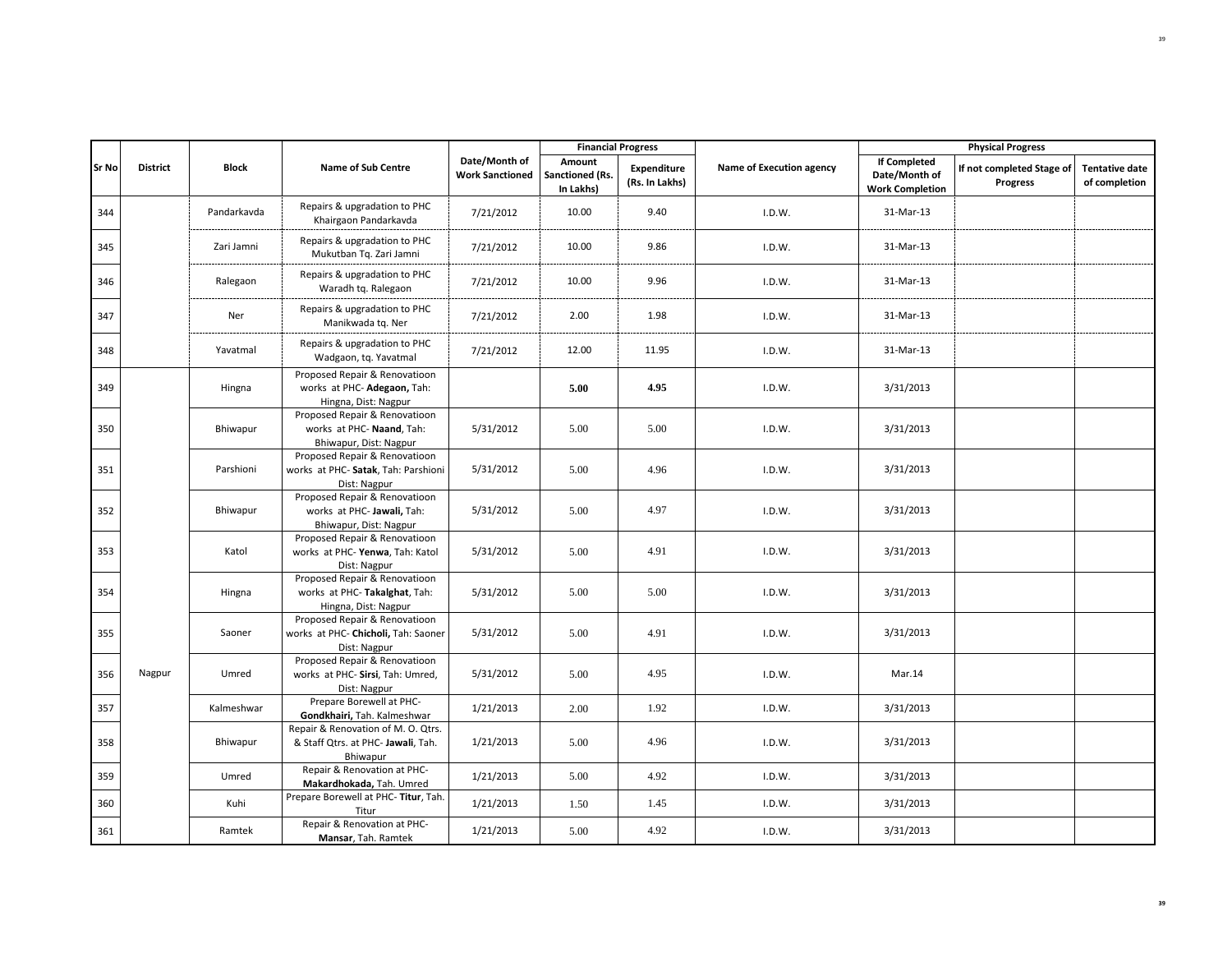|              |                 |              |                                                                                       |                                         |                                        | <b>Financial Progress</b>     |                          |                                                                | <b>Physical Progress</b>                     |                                        |
|--------------|-----------------|--------------|---------------------------------------------------------------------------------------|-----------------------------------------|----------------------------------------|-------------------------------|--------------------------|----------------------------------------------------------------|----------------------------------------------|----------------------------------------|
| <b>Sr No</b> | <b>District</b> | <b>Block</b> | <b>Name of Sub Centre</b>                                                             | Date/Month of<br><b>Work Sanctioned</b> | Amount<br>Sanctioned (Rs.<br>In Lakhs) | Expenditure<br>(Rs. In Lakhs) | Name of Execution agency | <b>If Completed</b><br>Date/Month of<br><b>Work Completion</b> | If not completed Stage of<br><b>Progress</b> | <b>Tentative date</b><br>of completion |
| 344          |                 | Pandarkavda  | Repairs & upgradation to PHC<br>Khairgaon Pandarkavda                                 | 7/21/2012                               | 10.00                                  | 9.40                          | I.D.W.                   | 31-Mar-13                                                      |                                              |                                        |
| 345          |                 | Zari Jamni   | Repairs & upgradation to PHC<br>Mukutban Tq. Zari Jamni                               | 7/21/2012                               | 10.00                                  | 9.86                          | I.D.W.                   | 31-Mar-13                                                      |                                              |                                        |
| 346          |                 | Ralegaon     | Repairs & upgradation to PHC<br>Waradh tq. Ralegaon                                   | 7/21/2012                               | 10.00                                  | 9.96                          | I.D.W.                   | 31-Mar-13                                                      |                                              |                                        |
| 347          |                 | Ner          | Repairs & upgradation to PHC<br>Manikwada tq. Ner                                     | 7/21/2012                               | 2.00                                   | 1.98                          | I.D.W.                   | 31-Mar-13                                                      |                                              |                                        |
| 348          |                 | Yavatmal     | Repairs & upgradation to PHC<br>Wadgaon, tq. Yavatmal                                 | 7/21/2012                               | 12.00                                  | 11.95                         | I.D.W.                   | 31-Mar-13                                                      |                                              |                                        |
| 349          |                 | Hingna       | Proposed Repair & Renovatioon<br>works at PHC- Adegaon, Tah:<br>Hingna, Dist: Nagpur  |                                         | 5.00                                   | 4.95                          | I.D.W.                   | 3/31/2013                                                      |                                              |                                        |
| 350          |                 | Bhiwapur     | Proposed Repair & Renovatioon<br>works at PHC- Naand, Tah:<br>Bhiwapur, Dist: Nagpur  | 5/31/2012                               | 5.00                                   | 5.00                          | I.D.W.                   | 3/31/2013                                                      |                                              |                                        |
| 351          |                 | Parshioni    | Proposed Repair & Renovatioon<br>works at PHC- Satak, Tah: Parshioni<br>Dist: Nagpur  | 5/31/2012                               | 5.00                                   | 4.96                          | I.D.W.                   | 3/31/2013                                                      |                                              |                                        |
| 352          |                 | Bhiwapur     | Proposed Repair & Renovatioon<br>works at PHC- Jawali, Tah:<br>Bhiwapur, Dist: Nagpur | 5/31/2012                               | 5.00                                   | 4.97                          | I.D.W.                   | 3/31/2013                                                      |                                              |                                        |
| 353          |                 | Katol        | Proposed Repair & Renovatioon<br>works at PHC-Yenwa, Tah: Katol<br>Dist: Nagpur       | 5/31/2012                               | 5.00                                   | 4.91                          | I.D.W.                   | 3/31/2013                                                      |                                              |                                        |
| 354          |                 | Hingna       | Proposed Repair & Renovatioon<br>works at PHC-Takalghat, Tah:<br>Hingna, Dist: Nagpur | 5/31/2012                               | 5.00                                   | 5.00                          | I.D.W.                   | 3/31/2013                                                      |                                              |                                        |
| 355          |                 | Saoner       | Proposed Repair & Renovatioon<br>works at PHC- Chicholi, Tah: Saoner<br>Dist: Nagpur  | 5/31/2012                               | 5.00                                   | 4.91                          | I.D.W.                   | 3/31/2013                                                      |                                              |                                        |
| 356          | Nagpur          | Umred        | Proposed Repair & Renovatioon<br>works at PHC- Sirsi, Tah: Umred,<br>Dist: Nagpur     | 5/31/2012                               | 5.00                                   | 4.95                          | I.D.W.                   | Mar.14                                                         |                                              |                                        |
| 357          |                 | Kalmeshwar   | Prepare Borewell at PHC-<br>Gondkhairi, Tah. Kalmeshwar                               | 1/21/2013                               | 2.00                                   | 1.92                          | I.D.W.                   | 3/31/2013                                                      |                                              |                                        |
| 358          |                 | Bhiwapur     | Repair & Renovation of M. O. Qtrs.<br>& Staff Qtrs. at PHC- Jawali, Tah.<br>Bhiwapur  | 1/21/2013                               | 5.00                                   | 4.96                          | I.D.W.                   | 3/31/2013                                                      |                                              |                                        |
| 359          |                 | Umred        | Repair & Renovation at PHC-<br>Makardhokada, Tah. Umred                               | 1/21/2013                               | 5.00                                   | 4.92                          | I.D.W.                   | 3/31/2013                                                      |                                              |                                        |
| 360          |                 | Kuhi         | Prepare Borewell at PHC-Titur, Tah.<br>Titur                                          | 1/21/2013                               | 1.50                                   | 1.45                          | I.D.W.                   | 3/31/2013                                                      |                                              |                                        |
| 361          |                 | Ramtek       | Repair & Renovation at PHC-<br>Mansar, Tah. Ramtek                                    | 1/21/2013                               | 5.00                                   | 4.92                          | I.D.W.                   | 3/31/2013                                                      |                                              |                                        |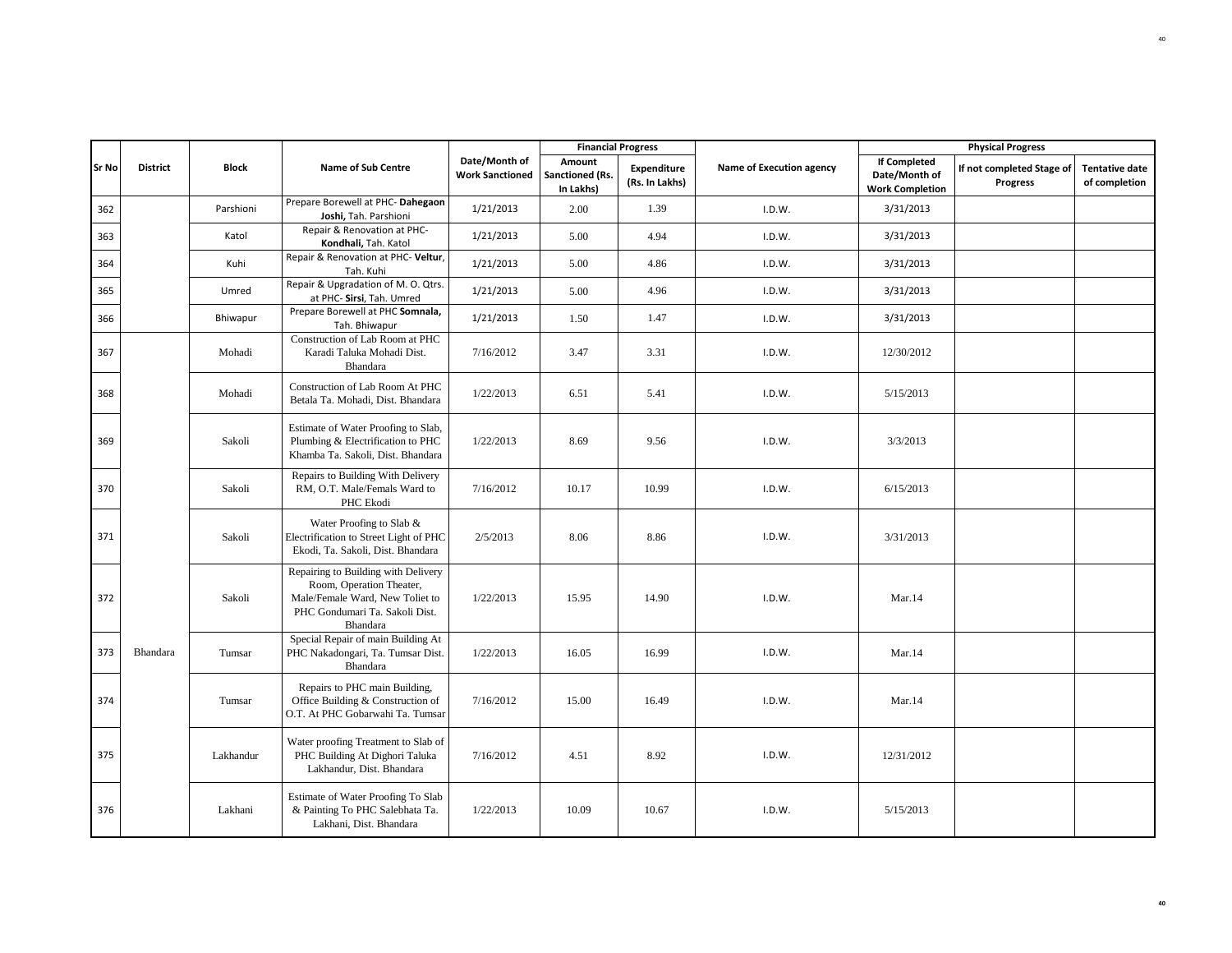|              |                 |              |                                                                                                                                                  |                                         | <b>Financial Progress</b>              |                               |                          |                                                                | <b>Physical Progress</b>              |                                        |
|--------------|-----------------|--------------|--------------------------------------------------------------------------------------------------------------------------------------------------|-----------------------------------------|----------------------------------------|-------------------------------|--------------------------|----------------------------------------------------------------|---------------------------------------|----------------------------------------|
| <b>Sr No</b> | <b>District</b> | <b>Block</b> | <b>Name of Sub Centre</b>                                                                                                                        | Date/Month of<br><b>Work Sanctioned</b> | Amount<br>Sanctioned (Rs.<br>In Lakhs) | Expenditure<br>(Rs. In Lakhs) | Name of Execution agency | <b>If Completed</b><br>Date/Month of<br><b>Work Completion</b> | If not completed Stage of<br>Progress | <b>Tentative date</b><br>of completion |
| 362          |                 | Parshioni    | Prepare Borewell at PHC-Dahegaon<br>Joshi, Tah. Parshioni                                                                                        | 1/21/2013                               | 2.00                                   | 1.39                          | I.D.W.                   | 3/31/2013                                                      |                                       |                                        |
| 363          |                 | Katol        | Repair & Renovation at PHC-<br>Kondhali, Tah. Katol                                                                                              | 1/21/2013                               | 5.00                                   | 4.94                          | I.D.W.                   | 3/31/2013                                                      |                                       |                                        |
| 364          |                 | Kuhi         | Repair & Renovation at PHC- Veltur,<br>Tah. Kuhi                                                                                                 | 1/21/2013                               | 5.00                                   | 4.86                          | I.D.W.                   | 3/31/2013                                                      |                                       |                                        |
| 365          |                 | Umred        | Repair & Upgradation of M. O. Qtrs.<br>at PHC- Sirsi, Tah. Umred                                                                                 | 1/21/2013                               | 5.00                                   | 4.96                          | I.D.W.                   | 3/31/2013                                                      |                                       |                                        |
| 366          |                 | Bhiwapur     | Prepare Borewell at PHC Somnala,<br>Tah. Bhiwapur                                                                                                | 1/21/2013                               | 1.50                                   | 1.47                          | I.D.W.                   | 3/31/2013                                                      |                                       |                                        |
| 367          |                 | Mohadi       | Construction of Lab Room at PHC<br>Karadi Taluka Mohadi Dist.<br>Bhandara                                                                        | 7/16/2012                               | 3.47                                   | 3.31                          | I.D.W.                   | 12/30/2012                                                     |                                       |                                        |
| 368          |                 | Mohadi       | Construction of Lab Room At PHC<br>Betala Ta. Mohadi, Dist. Bhandara                                                                             | 1/22/2013                               | 6.51                                   | 5.41                          | I.D.W.                   | 5/15/2013                                                      |                                       |                                        |
| 369          |                 | Sakoli       | Estimate of Water Proofing to Slab,<br>Plumbing & Electrification to PHC<br>Khamba Ta. Sakoli, Dist. Bhandara                                    | 1/22/2013                               | 8.69                                   | 9.56                          | I.D.W.                   | 3/3/2013                                                       |                                       |                                        |
| 370          |                 | Sakoli       | Repairs to Building With Delivery<br>RM, O.T. Male/Femals Ward to<br>PHC Ekodi                                                                   | 7/16/2012                               | 10.17                                  | 10.99                         | I.D.W.                   | 6/15/2013                                                      |                                       |                                        |
| 371          |                 | Sakoli       | Water Proofing to Slab &<br>Electrification to Street Light of PHC<br>Ekodi, Ta. Sakoli, Dist. Bhandara                                          | 2/5/2013                                | 8.06                                   | 8.86                          | I.D.W.                   | 3/31/2013                                                      |                                       |                                        |
| 372          |                 | Sakoli       | Repairing to Building with Delivery<br>Room, Operation Theater,<br>Male/Female Ward, New Toliet to<br>PHC Gondumari Ta. Sakoli Dist.<br>Bhandara | 1/22/2013                               | 15.95                                  | 14.90                         | I.D.W.                   | Mar.14                                                         |                                       |                                        |
| 373          | Bhandara        | Tumsar       | Special Repair of main Building At<br>PHC Nakadongari, Ta. Tumsar Dist.<br>Bhandara                                                              | 1/22/2013                               | 16.05                                  | 16.99                         | I.D.W.                   | Mar.14                                                         |                                       |                                        |
| 374          |                 | Tumsar       | Repairs to PHC main Building,<br>Office Building & Construction of<br>O.T. At PHC Gobarwahi Ta. Tumsar                                           | 7/16/2012                               | 15.00                                  | 16.49                         | I.D.W.                   | Mar.14                                                         |                                       |                                        |
| 375          |                 | Lakhandur    | Water proofing Treatment to Slab of<br>PHC Building At Dighori Taluka<br>Lakhandur, Dist. Bhandara                                               | 7/16/2012                               | 4.51                                   | 8.92                          | I.D.W.                   | 12/31/2012                                                     |                                       |                                        |
| 376          |                 | Lakhani      | Estimate of Water Proofing To Slab<br>& Painting To PHC Salebhata Ta.<br>Lakhani, Dist. Bhandara                                                 | 1/22/2013                               | 10.09                                  | 10.67                         | I.D.W.                   | 5/15/2013                                                      |                                       |                                        |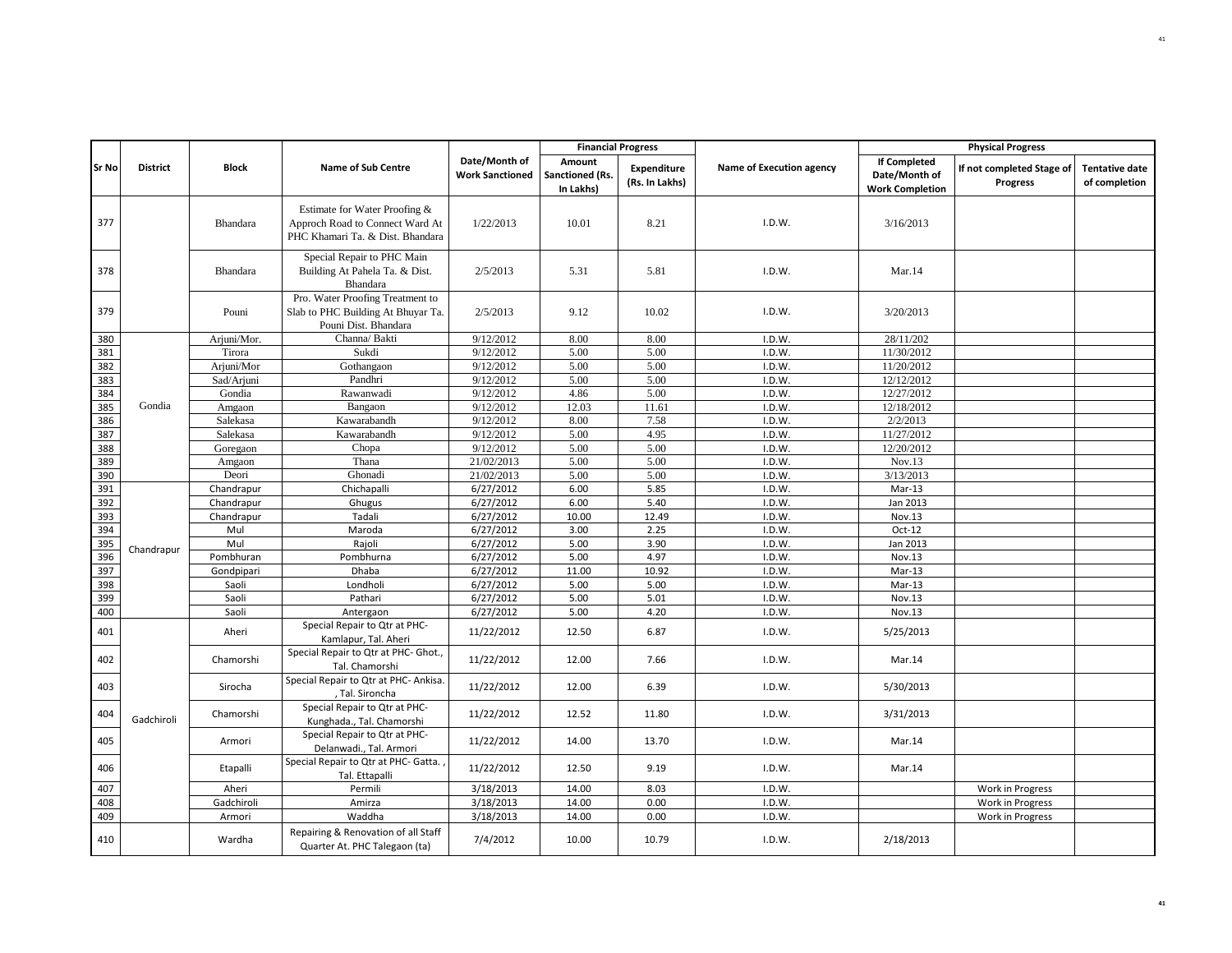|            |                 |                 |                                                                                                      |                                         | <b>Financial Progress</b>              |                                      |                          |                                                                | <b>Physical Progress</b>                     |                                        |
|------------|-----------------|-----------------|------------------------------------------------------------------------------------------------------|-----------------------------------------|----------------------------------------|--------------------------------------|--------------------------|----------------------------------------------------------------|----------------------------------------------|----------------------------------------|
| Sr No      | <b>District</b> | <b>Block</b>    | <b>Name of Sub Centre</b>                                                                            | Date/Month of<br><b>Work Sanctioned</b> | Amount<br>Sanctioned (Rs.<br>In Lakhs) | <b>Expenditure</b><br>(Rs. In Lakhs) | Name of Execution agency | <b>If Completed</b><br>Date/Month of<br><b>Work Completion</b> | If not completed Stage of<br><b>Progress</b> | <b>Tentative date</b><br>of completion |
| 377        |                 | <b>Bhandara</b> | Estimate for Water Proofing &<br>Approch Road to Connect Ward At<br>PHC Khamari Ta. & Dist. Bhandara | 1/22/2013                               | 10.01                                  | 8.21                                 | I.D.W.                   | 3/16/2013                                                      |                                              |                                        |
| 378        |                 | Bhandara        | Special Repair to PHC Main<br>Building At Pahela Ta. & Dist.<br>Bhandara                             | 2/5/2013                                | 5.31                                   | 5.81                                 | I.D.W.                   | Mar.14                                                         |                                              |                                        |
| 379        |                 | Pouni           | Pro. Water Proofing Treatment to<br>Slab to PHC Building At Bhuyar Ta.<br>Pouni Dist. Bhandara       | 2/5/2013                                | 9.12                                   | 10.02                                | I.D.W.                   | 3/20/2013                                                      |                                              |                                        |
| 380        |                 | Arjuni/Mor.     | Channa/ Bakti                                                                                        | 9/12/2012                               | 8.00                                   | 8.00                                 | I.D.W.                   | 28/11/202                                                      |                                              |                                        |
| 381        |                 | Tirora          | Sukdi                                                                                                | 9/12/2012                               | 5.00                                   | 5.00                                 | I.D.W.                   | 11/30/2012                                                     |                                              |                                        |
| 382        |                 | Arjuni/Mor      | Gothangaon                                                                                           | 9/12/2012                               | 5.00                                   | 5.00                                 | I.D.W.                   | 11/20/2012                                                     |                                              |                                        |
| 383        |                 | Sad/Arjuni      | Pandhri                                                                                              | 9/12/2012                               | 5.00                                   | 5.00                                 | I.D.W.                   | 12/12/2012                                                     |                                              |                                        |
| 384        |                 | Gondia          | Rawanwadi                                                                                            | 9/12/2012                               | 4.86                                   | 5.00                                 | I.D.W.                   | 12/27/2012                                                     |                                              |                                        |
| 385        | Gondia          | Amgaon          | Bangaon                                                                                              | 9/12/2012                               | 12.03                                  | 11.61                                | I.D.W.                   | 12/18/2012                                                     |                                              |                                        |
| 386        |                 | Salekasa        | Kawarabandh                                                                                          | 9/12/2012                               | 8.00                                   | 7.58                                 | I.D.W.                   | 2/2/2013                                                       |                                              |                                        |
| 387        |                 | Salekasa        | Kawarabandh                                                                                          | 9/12/2012                               | 5.00                                   | 4.95                                 | I.D.W.                   | 11/27/2012                                                     |                                              |                                        |
| 388        |                 | Goregaon        | Chopa                                                                                                | 9/12/2012                               | 5.00                                   | 5.00                                 | I.D.W.                   | 12/20/2012                                                     |                                              |                                        |
| 389        |                 | Amgaon          | Thana                                                                                                | 21/02/2013                              | 5.00                                   | 5.00                                 | I.D.W.                   | Nov.13                                                         |                                              |                                        |
| 390        |                 | Deori           | Ghonadi                                                                                              | 21/02/2013                              | 5.00                                   | 5.00                                 | I.D.W.                   | 3/13/2013                                                      |                                              |                                        |
| 391        |                 | Chandrapur      | Chichapalli                                                                                          | 6/27/2012                               | 6.00                                   | 5.85                                 | I.D.W.                   | Mar-13                                                         |                                              |                                        |
| 392        |                 | Chandrapur      | Ghugus                                                                                               | 6/27/2012                               | 6.00                                   | 5.40                                 | I.D.W.                   | Jan 2013                                                       |                                              |                                        |
| 393        |                 | Chandrapur      | Tadali                                                                                               | 6/27/2012                               | 10.00                                  | 12.49                                | I.D.W.                   | Nov.13                                                         |                                              |                                        |
| 394        |                 | Mul             | Maroda                                                                                               | 6/27/2012                               | 3.00                                   | 2.25                                 | I.D.W.                   | Oct-12                                                         |                                              |                                        |
| 395        | Chandrapur      | Mul             | Rajoli                                                                                               | 6/27/2012                               | 5.00                                   | 3.90                                 | I.D.W.                   | Jan 2013                                                       |                                              |                                        |
| 396        |                 | Pombhuran       | Pombhurna                                                                                            | 6/27/2012                               | 5.00                                   | 4.97                                 | I.D.W.                   | Nov.13                                                         |                                              |                                        |
| 397        |                 | Gondpipari      | Dhaba                                                                                                | 6/27/2012                               | 11.00                                  | 10.92                                | I.D.W.                   | $Mar-13$                                                       |                                              |                                        |
| 398        |                 | Saoli           | Londholi                                                                                             | 6/27/2012                               | 5.00                                   | 5.00                                 | I.D.W.                   | $Mar-13$                                                       |                                              |                                        |
| 399        |                 | Saoli           | Pathari                                                                                              | 6/27/2012                               | 5.00                                   | 5.01                                 | I.D.W.                   | Nov.13                                                         |                                              |                                        |
| 400<br>401 |                 | Saoli<br>Aheri  | Antergaon<br>Special Repair to Qtr at PHC-<br>Kamlapur, Tal. Aheri                                   | 6/27/2012<br>11/22/2012                 | 5.00<br>12.50                          | 4.20<br>6.87                         | I.D.W.<br>I.D.W.         | Nov.13<br>5/25/2013                                            |                                              |                                        |
| 402        |                 | Chamorshi       | Special Repair to Qtr at PHC- Ghot.,<br>Tal. Chamorshi                                               | 11/22/2012                              | 12.00                                  | 7.66                                 | I.D.W.                   | Mar.14                                                         |                                              |                                        |
| 403        |                 | Sirocha         | Special Repair to Qtr at PHC- Ankisa.<br>, Tal. Sironcha                                             | 11/22/2012                              | 12.00                                  | 6.39                                 | I.D.W.                   | 5/30/2013                                                      |                                              |                                        |
| 404        | Gadchiroli      | Chamorshi       | Special Repair to Qtr at PHC-<br>Kunghada., Tal. Chamorshi                                           | 11/22/2012                              | 12.52                                  | 11.80                                | I.D.W.                   | 3/31/2013                                                      |                                              |                                        |
| 405        |                 | Armori          | Special Repair to Qtr at PHC-<br>Delanwadi., Tal. Armori                                             | 11/22/2012                              | 14.00                                  | 13.70                                | I.D.W.                   | Mar.14                                                         |                                              |                                        |
| 406        |                 | Etapalli        | Special Repair to Qtr at PHC- Gatta.<br>Tal. Ettapalli                                               | 11/22/2012                              | 12.50                                  | 9.19                                 | I.D.W.                   | Mar.14                                                         |                                              |                                        |
| 407        |                 | Aheri           | Permili                                                                                              | 3/18/2013                               | 14.00                                  | 8.03                                 | I.D.W.                   |                                                                | Work in Progress                             |                                        |
| 408        |                 | Gadchiroli      | Amirza                                                                                               | 3/18/2013                               | 14.00                                  | 0.00                                 | I.D.W.                   |                                                                | Work in Progress                             |                                        |
| 409        |                 | Armori          | Waddha                                                                                               | 3/18/2013                               | 14.00                                  | 0.00                                 | I.D.W.                   |                                                                | Work in Progress                             |                                        |
| 410        |                 | Wardha          | Repairing & Renovation of all Staff<br>Quarter At. PHC Talegaon (ta)                                 | 7/4/2012                                | 10.00                                  | 10.79                                | I.D.W.                   | 2/18/2013                                                      |                                              |                                        |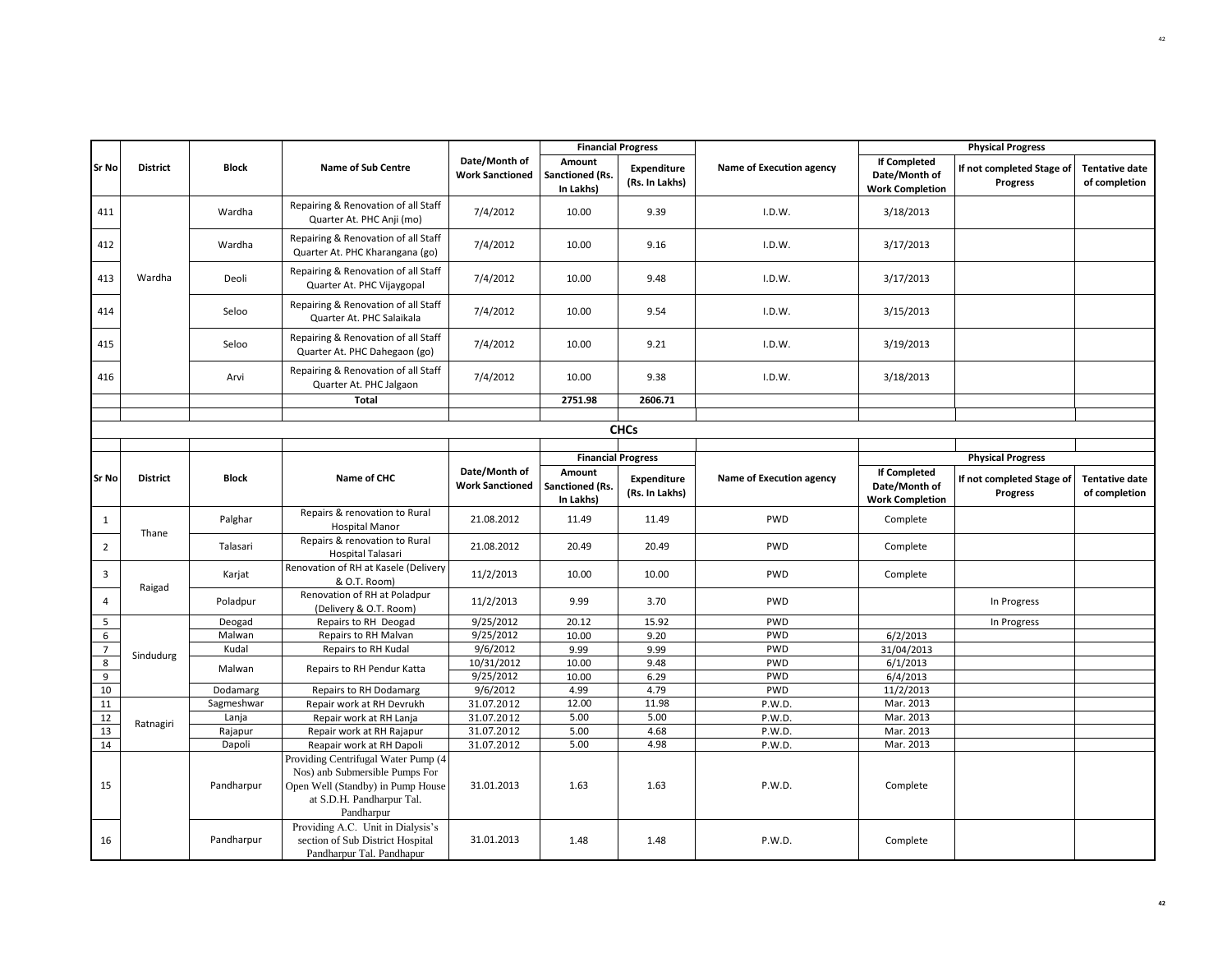|                |                 |              |                                                                                                                                                       | <b>Financial Progress</b>               |                                        |                                      |                          | <b>Physical Progress</b>                                       |                                              |                                        |
|----------------|-----------------|--------------|-------------------------------------------------------------------------------------------------------------------------------------------------------|-----------------------------------------|----------------------------------------|--------------------------------------|--------------------------|----------------------------------------------------------------|----------------------------------------------|----------------------------------------|
| <b>Sr No</b>   | <b>District</b> | <b>Block</b> | <b>Name of Sub Centre</b>                                                                                                                             | Date/Month of<br><b>Work Sanctioned</b> | Amount<br>Sanctioned (Rs.<br>In Lakhs) | Expenditure<br>(Rs. In Lakhs)        | Name of Execution agency | <b>If Completed</b><br>Date/Month of<br><b>Work Completion</b> | If not completed Stage of<br><b>Progress</b> | <b>Tentative date</b><br>of completion |
| 411            |                 | Wardha       | Repairing & Renovation of all Staff<br>Quarter At. PHC Anji (mo)                                                                                      | 7/4/2012                                | 10.00                                  | 9.39                                 | I.D.W.                   | 3/18/2013                                                      |                                              |                                        |
| 412            |                 | Wardha       | Repairing & Renovation of all Staff<br>Quarter At. PHC Kharangana (go)                                                                                | 7/4/2012                                | 10.00                                  | 9.16                                 | I.D.W.                   | 3/17/2013                                                      |                                              |                                        |
| 413            | Wardha          | Deoli        | Repairing & Renovation of all Staff<br>Quarter At. PHC Vijaygopal                                                                                     | 7/4/2012                                | 10.00                                  | 9.48                                 | I.D.W.                   | 3/17/2013                                                      |                                              |                                        |
| 414            |                 | Seloo        | Repairing & Renovation of all Staff<br>Quarter At. PHC Salaikala                                                                                      | 7/4/2012                                | 10.00                                  | 9.54                                 | I.D.W.                   | 3/15/2013                                                      |                                              |                                        |
| 415            |                 | Seloo        | Repairing & Renovation of all Staff<br>Quarter At. PHC Dahegaon (go)                                                                                  | 7/4/2012                                | 10.00                                  | 9.21                                 | I.D.W.                   | 3/19/2013                                                      |                                              |                                        |
| 416            |                 | Arvi         | Repairing & Renovation of all Staff<br>Quarter At. PHC Jalgaon                                                                                        | 7/4/2012                                | 10.00                                  | 9.38                                 | I.D.W.                   | 3/18/2013                                                      |                                              |                                        |
|                |                 |              | <b>Total</b>                                                                                                                                          |                                         | 2751.98                                | 2606.71                              |                          |                                                                |                                              |                                        |
|                |                 |              |                                                                                                                                                       |                                         |                                        |                                      |                          |                                                                |                                              |                                        |
|                |                 |              |                                                                                                                                                       |                                         |                                        | <b>CHCs</b>                          |                          |                                                                |                                              |                                        |
|                |                 |              |                                                                                                                                                       |                                         | <b>Financial Progress</b>              |                                      |                          |                                                                | <b>Physical Progress</b>                     |                                        |
|                |                 |              |                                                                                                                                                       | Date/Month of                           | Amount                                 |                                      |                          | <b>If Completed</b>                                            |                                              |                                        |
| <b>Sr No</b>   | <b>District</b> | <b>Block</b> | Name of CHC                                                                                                                                           | <b>Work Sanctioned</b>                  | Sanctioned (Rs.<br>In Lakhs)           | <b>Expenditure</b><br>(Rs. In Lakhs) | Name of Execution agency | Date/Month of<br><b>Work Completion</b>                        | If not completed Stage of<br><b>Progress</b> | <b>Tentative date</b><br>of completion |
| $\mathbf{1}$   | Thane           | Palghar      | Repairs & renovation to Rural<br><b>Hospital Manor</b>                                                                                                | 21.08.2012                              | 11.49                                  | 11.49                                | <b>PWD</b>               | Complete                                                       |                                              |                                        |
| $\overline{2}$ |                 | Talasari     | Repairs & renovation to Rural<br>Hospital Talasari                                                                                                    | 21.08.2012                              | 20.49                                  | 20.49                                | <b>PWD</b>               | Complete                                                       |                                              |                                        |
| 3              | Raigad          | Karjat       | Renovation of RH at Kasele (Delivery<br>& O.T. Room)                                                                                                  | 11/2/2013                               | 10.00                                  | 10.00                                | <b>PWD</b>               | Complete                                                       |                                              |                                        |
| 4              |                 | Poladpur     | Renovation of RH at Poladpur<br>(Delivery & O.T. Room)                                                                                                | 11/2/2013                               | 9.99                                   | 3.70                                 | PWD                      |                                                                | In Progress                                  |                                        |
| 5              |                 | Deogad       | Repairs to RH Deogad                                                                                                                                  | 9/25/2012                               | 20.12                                  | 15.92                                | <b>PWD</b>               |                                                                | In Progress                                  |                                        |
| 6              |                 | Malwan       | Repairs to RH Malvan                                                                                                                                  | 9/25/2012                               | 10.00                                  | 9.20                                 | PWD                      | 6/2/2013                                                       |                                              |                                        |
| $\overline{7}$ |                 | Kudal        | Repairs to RH Kudal                                                                                                                                   | 9/6/2012                                | 9.99                                   | 9.99                                 | <b>PWD</b>               | 31/04/2013                                                     |                                              |                                        |
| 8              | Sindudurg       | Malwan       | Repairs to RH Pendur Katta                                                                                                                            | 10/31/2012                              | 10.00                                  | 9.48                                 | <b>PWD</b>               | 6/1/2013                                                       |                                              |                                        |
| 9              |                 |              |                                                                                                                                                       | 9/25/2012                               | 10.00                                  | 6.29                                 | <b>PWD</b>               | 6/4/2013                                                       |                                              |                                        |
| 10             |                 | Dodamarg     | Repairs to RH Dodamarg                                                                                                                                | 9/6/2012                                | 4.99                                   | 4.79                                 | PWD                      | 11/2/2013                                                      |                                              |                                        |
| 11             |                 | Sagmeshwar   | Repair work at RH Devrukh                                                                                                                             | 31.07.2012                              | 12.00                                  | 11.98                                | P.W.D.                   | Mar. 2013                                                      |                                              |                                        |
| 12             | Ratnagiri       | Lanja        | Repair work at RH Lanja                                                                                                                               | 31.07.2012                              | 5.00                                   | 5.00                                 | P.W.D.                   | Mar. 2013                                                      |                                              |                                        |
| 13             |                 | Rajapur      | Repair work at RH Rajapur                                                                                                                             | 31.07.2012                              | 5.00                                   | 4.68                                 | P.W.D.                   | Mar. 2013                                                      |                                              |                                        |
| 14             |                 | Dapoli       | Reapair work at RH Dapoli                                                                                                                             | 31.07.2012                              | 5.00                                   | 4.98                                 | P.W.D.                   | Mar. 2013                                                      |                                              |                                        |
| 15             |                 | Pandharpur   | Providing Centrifugal Water Pump (4<br>Nos) anb Submersible Pumps For<br>Open Well (Standby) in Pump House<br>at S.D.H. Pandharpur Tal.<br>Pandharpur | 31.01.2013                              | 1.63                                   | 1.63                                 | P.W.D.                   | Complete                                                       |                                              |                                        |
| 16             |                 | Pandharpur   | Providing A.C. Unit in Dialysis's<br>section of Sub District Hospital<br>Pandharpur Tal. Pandhapur                                                    | 31.01.2013                              | 1.48                                   | 1.48                                 | P.W.D.                   | Complete                                                       |                                              |                                        |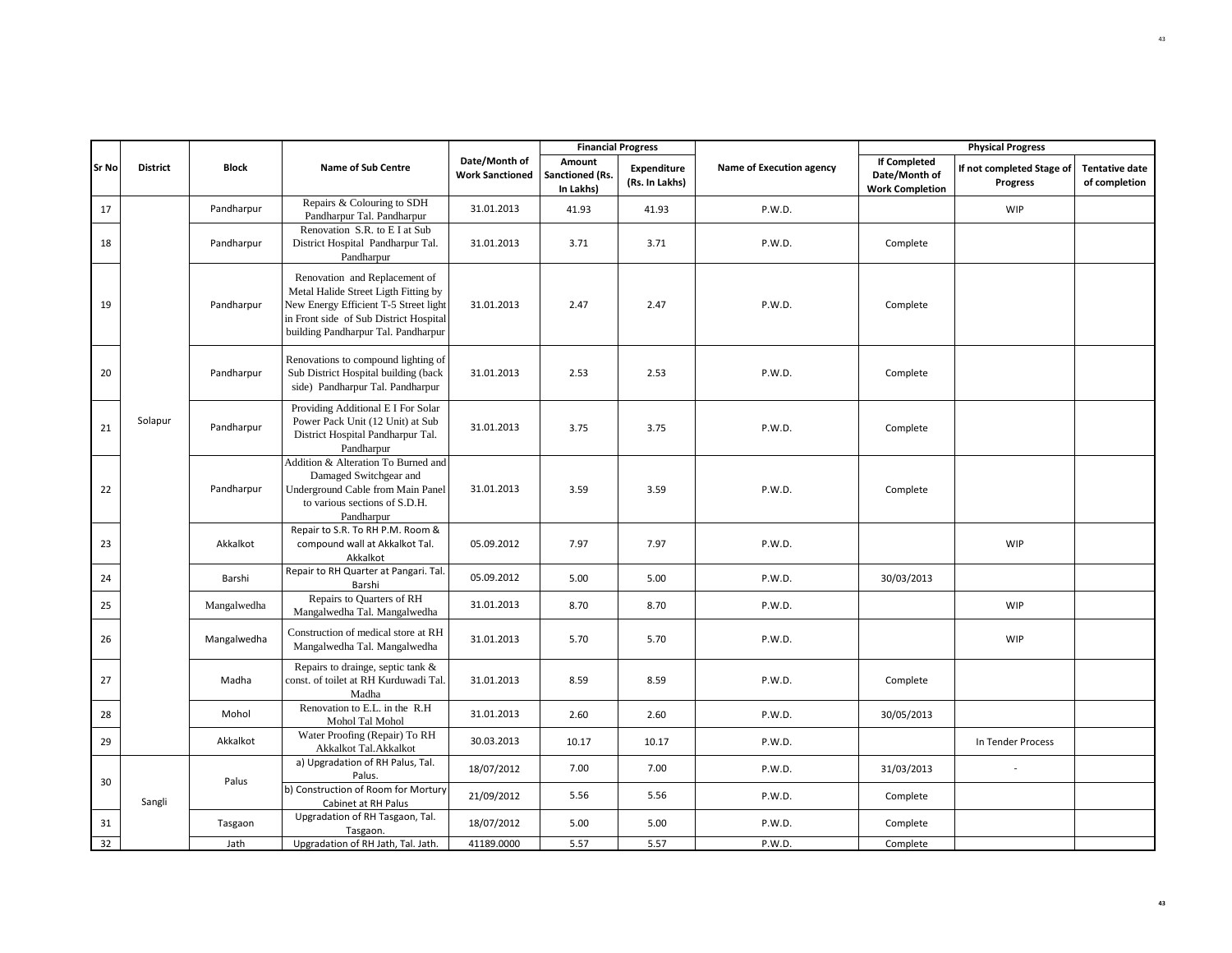|       |                 |              |                                                                                                                                                                                                 |                                         |                                        | <b>Financial Progress</b>     |                          |                                                                | <b>Physical Progress</b>              |                                        |
|-------|-----------------|--------------|-------------------------------------------------------------------------------------------------------------------------------------------------------------------------------------------------|-----------------------------------------|----------------------------------------|-------------------------------|--------------------------|----------------------------------------------------------------|---------------------------------------|----------------------------------------|
| Sr No | <b>District</b> | <b>Block</b> | Name of Sub Centre                                                                                                                                                                              | Date/Month of<br><b>Work Sanctioned</b> | Amount<br>Sanctioned (Rs.<br>In Lakhs) | Expenditure<br>(Rs. In Lakhs) | Name of Execution agency | <b>If Completed</b><br>Date/Month of<br><b>Work Completion</b> | If not completed Stage of<br>Progress | <b>Tentative date</b><br>of completion |
| 17    |                 | Pandharpur   | Repairs & Colouring to SDH<br>Pandharpur Tal. Pandharpur                                                                                                                                        | 31.01.2013                              | 41.93                                  | 41.93                         | P.W.D.                   |                                                                | <b>WIP</b>                            |                                        |
| 18    |                 | Pandharpur   | Renovation S.R. to E I at Sub<br>District Hospital Pandharpur Tal.<br>Pandharpur                                                                                                                | 31.01.2013                              | 3.71                                   | 3.71                          | P.W.D.                   | Complete                                                       |                                       |                                        |
| 19    |                 | Pandharpur   | Renovation and Replacement of<br>Metal Halide Street Ligth Fitting by<br>New Energy Efficient T-5 Street light<br>in Front side of Sub District Hospital<br>building Pandharpur Tal. Pandharpur | 31.01.2013                              | 2.47                                   | 2.47                          | P.W.D.                   | Complete                                                       |                                       |                                        |
| 20    |                 | Pandharpur   | Renovations to compound lighting of<br>Sub District Hospital building (back<br>side) Pandharpur Tal. Pandharpur                                                                                 | 31.01.2013                              | 2.53                                   | 2.53                          | P.W.D.                   | Complete                                                       |                                       |                                        |
| 21    | Solapur         | Pandharpur   | Providing Additional E I For Solar<br>Power Pack Unit (12 Unit) at Sub<br>District Hospital Pandharpur Tal.<br>Pandharpur                                                                       | 31.01.2013                              | 3.75                                   | 3.75                          | P.W.D.                   | Complete                                                       |                                       |                                        |
| 22    |                 | Pandharpur   | Addition & Alteration To Burned and<br>Damaged Switchgear and<br>Underground Cable from Main Panel<br>to various sections of S.D.H.<br>Pandharpur                                               | 31.01.2013                              | 3.59                                   | 3.59                          | P.W.D.                   | Complete                                                       |                                       |                                        |
| 23    |                 | Akkalkot     | Repair to S.R. To RH P.M. Room &<br>compound wall at Akkalkot Tal.<br>Akkalkot                                                                                                                  | 05.09.2012                              | 7.97                                   | 7.97                          | P.W.D.                   |                                                                | <b>WIP</b>                            |                                        |
| 24    |                 | Barshi       | Repair to RH Quarter at Pangari. Tal.<br>Barshi                                                                                                                                                 | 05.09.2012                              | 5.00                                   | 5.00                          | P.W.D.                   | 30/03/2013                                                     |                                       |                                        |
| 25    |                 | Mangalwedha  | Repairs to Quarters of RH<br>Mangalwedha Tal. Mangalwedha                                                                                                                                       | 31.01.2013                              | 8.70                                   | 8.70                          | P.W.D.                   |                                                                | <b>WIP</b>                            |                                        |
| 26    |                 | Mangalwedha  | Construction of medical store at RH<br>Mangalwedha Tal. Mangalwedha                                                                                                                             | 31.01.2013                              | 5.70                                   | 5.70                          | P.W.D.                   |                                                                | <b>WIP</b>                            |                                        |
| 27    |                 | Madha        | Repairs to drainge, septic tank &<br>const. of toilet at RH Kurduwadi Tal.<br>Madha                                                                                                             | 31.01.2013                              | 8.59                                   | 8.59                          | P.W.D.                   | Complete                                                       |                                       |                                        |
| 28    |                 | Mohol        | Renovation to E.L. in the R.H.<br>Mohol Tal Mohol                                                                                                                                               | 31.01.2013                              | 2.60                                   | 2.60                          | P.W.D.                   | 30/05/2013                                                     |                                       |                                        |
| 29    |                 | Akkalkot     | Water Proofing (Repair) To RH<br>Akkalkot Tal.Akkalkot                                                                                                                                          | 30.03.2013                              | 10.17                                  | 10.17                         | P.W.D.                   |                                                                | In Tender Process                     |                                        |
| 30    |                 | Palus        | a) Upgradation of RH Palus, Tal.<br>Palus.                                                                                                                                                      | 18/07/2012                              | 7.00                                   | 7.00                          | P.W.D.                   | 31/03/2013                                                     | $\sim$                                |                                        |
|       | Sangli          |              | b) Construction of Room for Mortury<br>Cabinet at RH Palus                                                                                                                                      | 21/09/2012                              | 5.56                                   | 5.56                          | P.W.D.                   | Complete                                                       |                                       |                                        |
| 31    |                 | Tasgaon      | Upgradation of RH Tasgaon, Tal.<br>Tasgaon.                                                                                                                                                     | 18/07/2012                              | 5.00                                   | 5.00                          | P.W.D.                   | Complete                                                       |                                       |                                        |
| 32    |                 | Jath         | Upgradation of RH Jath, Tal. Jath.                                                                                                                                                              | 41189.0000                              | 5.57                                   | 5.57                          | P.W.D.                   | Complete                                                       |                                       |                                        |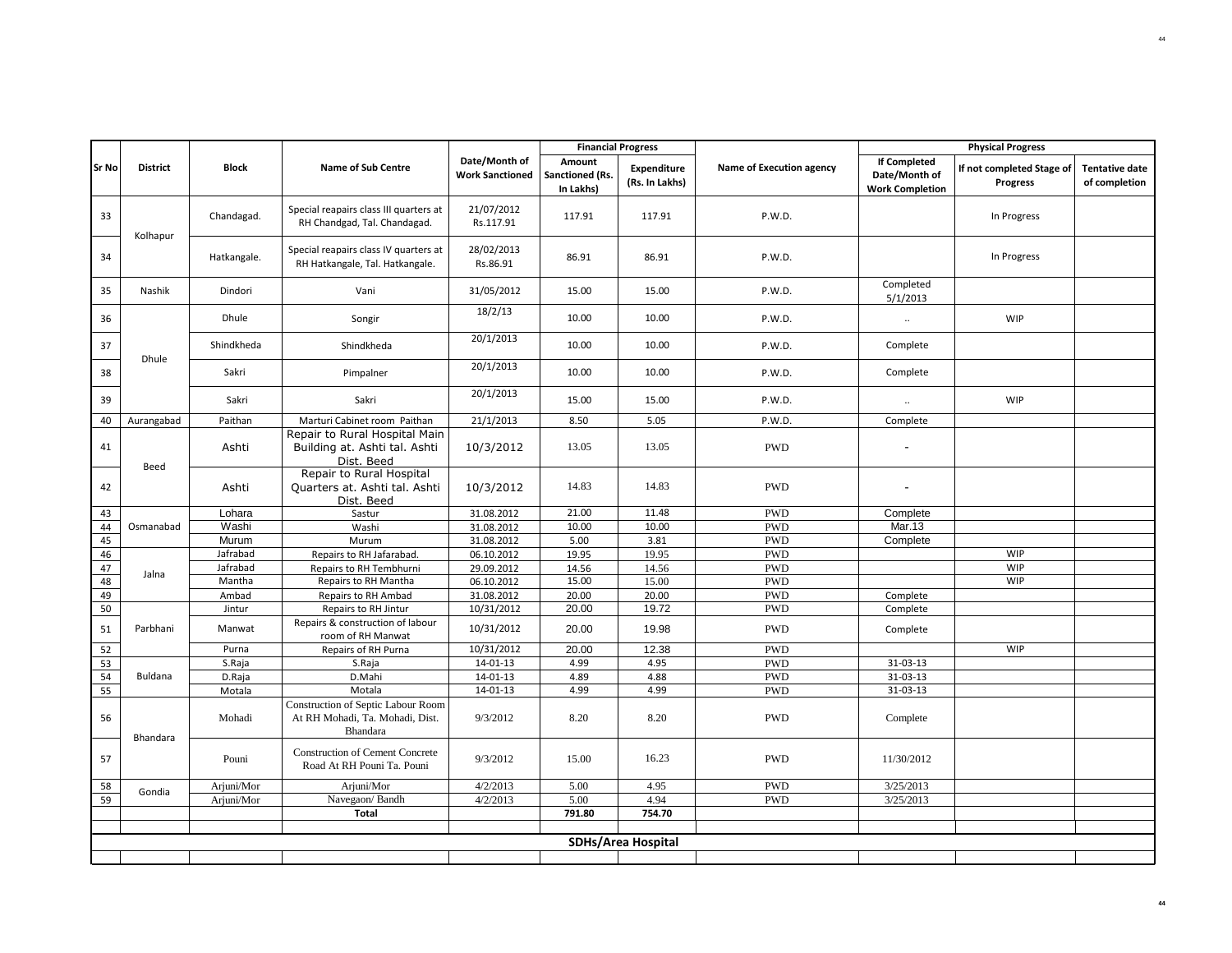|          |                 |                  |                                                                                   |                                         | <b>Financial Progress</b>              |                               |                          |                                                                |                                                                   |                                        |
|----------|-----------------|------------------|-----------------------------------------------------------------------------------|-----------------------------------------|----------------------------------------|-------------------------------|--------------------------|----------------------------------------------------------------|-------------------------------------------------------------------|----------------------------------------|
| Sr No    | <b>District</b> | <b>Block</b>     | <b>Name of Sub Centre</b>                                                         | Date/Month of<br><b>Work Sanctioned</b> | Amount<br>Sanctioned (Rs.<br>In Lakhs) | Expenditure<br>(Rs. In Lakhs) | Name of Execution agency | <b>If Completed</b><br>Date/Month of<br><b>Work Completion</b> | <b>Physical Progress</b><br>If not completed Stage of<br>Progress | <b>Tentative date</b><br>of completion |
| 33       | Kolhapur        | Chandagad.       | Special reapairs class III quarters at<br>RH Chandgad, Tal. Chandagad.            | 21/07/2012<br>Rs.117.91                 | 117.91                                 | 117.91                        | P.W.D.                   |                                                                | In Progress                                                       |                                        |
| 34       |                 | Hatkangale.      | Special reapairs class IV quarters at<br>RH Hatkangale, Tal. Hatkangale.          | 28/02/2013<br>Rs.86.91                  | 86.91                                  | 86.91                         | P.W.D.                   |                                                                | In Progress                                                       |                                        |
| 35       | Nashik          | Dindori          | Vani                                                                              | 31/05/2012                              | 15.00                                  | 15.00                         | P.W.D.                   | Completed<br>5/1/2013                                          |                                                                   |                                        |
| 36       |                 | Dhule            | Songir                                                                            | 18/2/13                                 | 10.00                                  | 10.00                         | P.W.D.                   | $\ddot{\phantom{1}}$                                           | <b>WIP</b>                                                        |                                        |
| 37       | Dhule           | Shindkheda       | Shindkheda                                                                        | 20/1/2013                               | 10.00                                  | 10.00                         | P.W.D.                   | Complete                                                       |                                                                   |                                        |
| 38       |                 | Sakri            | Pimpalner                                                                         | 20/1/2013                               | 10.00                                  | 10.00                         | P.W.D.                   | Complete                                                       |                                                                   |                                        |
| 39       |                 | Sakri            | Sakri                                                                             | 20/1/2013                               | 15.00                                  | 15.00                         | P.W.D.                   | $\ddot{\phantom{1}}$                                           | WIP                                                               |                                        |
| 40       | Aurangabad      | Paithan          | Marturi Cabinet room Paithan                                                      | 21/1/2013                               | 8.50                                   | 5.05                          | P.W.D.                   | Complete                                                       |                                                                   |                                        |
| 41       | Beed            | Ashti            | Repair to Rural Hospital Main<br>Building at. Ashti tal. Ashti<br>Dist. Beed      | 10/3/2012                               | 13.05                                  | 13.05                         | <b>PWD</b>               |                                                                |                                                                   |                                        |
| 42       |                 | Ashti            | Repair to Rural Hospital<br>Quarters at. Ashti tal. Ashti<br>Dist. Beed           | 10/3/2012                               | 14.83                                  | 14.83                         | <b>PWD</b>               |                                                                |                                                                   |                                        |
| 43       |                 | Lohara           | Sastur                                                                            | 31.08.2012                              | 21.00                                  | 11.48                         | <b>PWD</b>               | Complete                                                       |                                                                   |                                        |
| 44       | Osmanabad       | Washi            | Washi                                                                             | 31.08.2012                              | 10.00                                  | 10.00                         | <b>PWD</b>               | Mar.13                                                         |                                                                   |                                        |
| 45       |                 | Murum            | Murum                                                                             | 31.08.2012                              | 5.00                                   | 3.81                          | <b>PWD</b>               | Complete                                                       |                                                                   |                                        |
| 46       |                 | Jafrabad         | Repairs to RH Jafarabad.                                                          | 06.10.2012                              | 19.95                                  | 19.95                         | <b>PWD</b>               |                                                                | <b>WIP</b>                                                        |                                        |
| 47       | Jalna           | Jafrabad         | Repairs to RH Tembhurni                                                           | 29.09.2012                              | 14.56                                  | 14.56                         | <b>PWD</b>               |                                                                | WIP                                                               |                                        |
| 48       |                 | Mantha           | Repairs to RH Mantha                                                              | 06.10.2012                              | 15.00                                  | 15.00                         | <b>PWD</b>               |                                                                | <b>WIP</b>                                                        |                                        |
| 49<br>50 |                 | Ambad<br>Jintur  | Repairs to RH Ambad                                                               | 31.08.2012<br>10/31/2012                | 20.00<br>20.00                         | 20.00<br>19.72                | <b>PWD</b><br><b>PWD</b> | Complete                                                       |                                                                   |                                        |
|          |                 |                  | Repairs to RH Jintur<br>Repairs & construction of labour                          |                                         |                                        |                               |                          | Complete                                                       |                                                                   |                                        |
| 51       | Parbhani        | Manwat           | room of RH Manwat                                                                 | 10/31/2012                              | 20.00                                  | 19.98                         | <b>PWD</b>               | Complete                                                       |                                                                   |                                        |
| 52       |                 | Purna            | Repairs of RH Purna                                                               | 10/31/2012                              | 20.00                                  | 12.38                         | <b>PWD</b>               |                                                                | <b>WIP</b>                                                        |                                        |
| 53       |                 | S.Raja           | S.Raja                                                                            | 14-01-13                                | 4.99                                   | 4.95                          | <b>PWD</b>               | 31-03-13                                                       |                                                                   |                                        |
| 54<br>55 | Buldana         | D.Raja           | D.Mahi<br>Motala                                                                  | $14 - 01 - 13$<br>$14 - 01 - 13$        | 4.89<br>4.99                           | 4.88<br>4.99                  | <b>PWD</b><br><b>PWD</b> | 31-03-13<br>31-03-13                                           |                                                                   |                                        |
| 56       | Bhandara        | Motala<br>Mohadi | Construction of Septic Labour Room<br>At RH Mohadi, Ta. Mohadi, Dist.<br>Bhandara | 9/3/2012                                | 8.20                                   | 8.20                          | <b>PWD</b>               | Complete                                                       |                                                                   |                                        |
| 57       |                 | Pouni            | <b>Construction of Cement Concrete</b><br>Road At RH Pouni Ta. Pouni              | 9/3/2012                                | 15.00                                  | 16.23                         | <b>PWD</b>               | 11/30/2012                                                     |                                                                   |                                        |
| 58       | Gondia          | Arjuni/Mor       | Arjuni/Mor                                                                        | 4/2/2013                                | 5.00                                   | 4.95                          | <b>PWD</b>               | 3/25/2013                                                      |                                                                   |                                        |
| 59       |                 | Arjuni/Mor       | Navegaon/Bandh                                                                    | 4/2/2013                                | 5.00                                   | 4.94                          | <b>PWD</b>               | 3/25/2013                                                      |                                                                   |                                        |
|          |                 |                  | Total                                                                             |                                         | 791.80                                 | 754.70                        |                          |                                                                |                                                                   |                                        |
|          |                 |                  |                                                                                   |                                         |                                        |                               |                          |                                                                |                                                                   |                                        |
|          |                 |                  |                                                                                   |                                         |                                        | <b>SDHs/Area Hospital</b>     |                          |                                                                |                                                                   |                                        |
|          |                 |                  |                                                                                   |                                         |                                        |                               |                          |                                                                |                                                                   |                                        |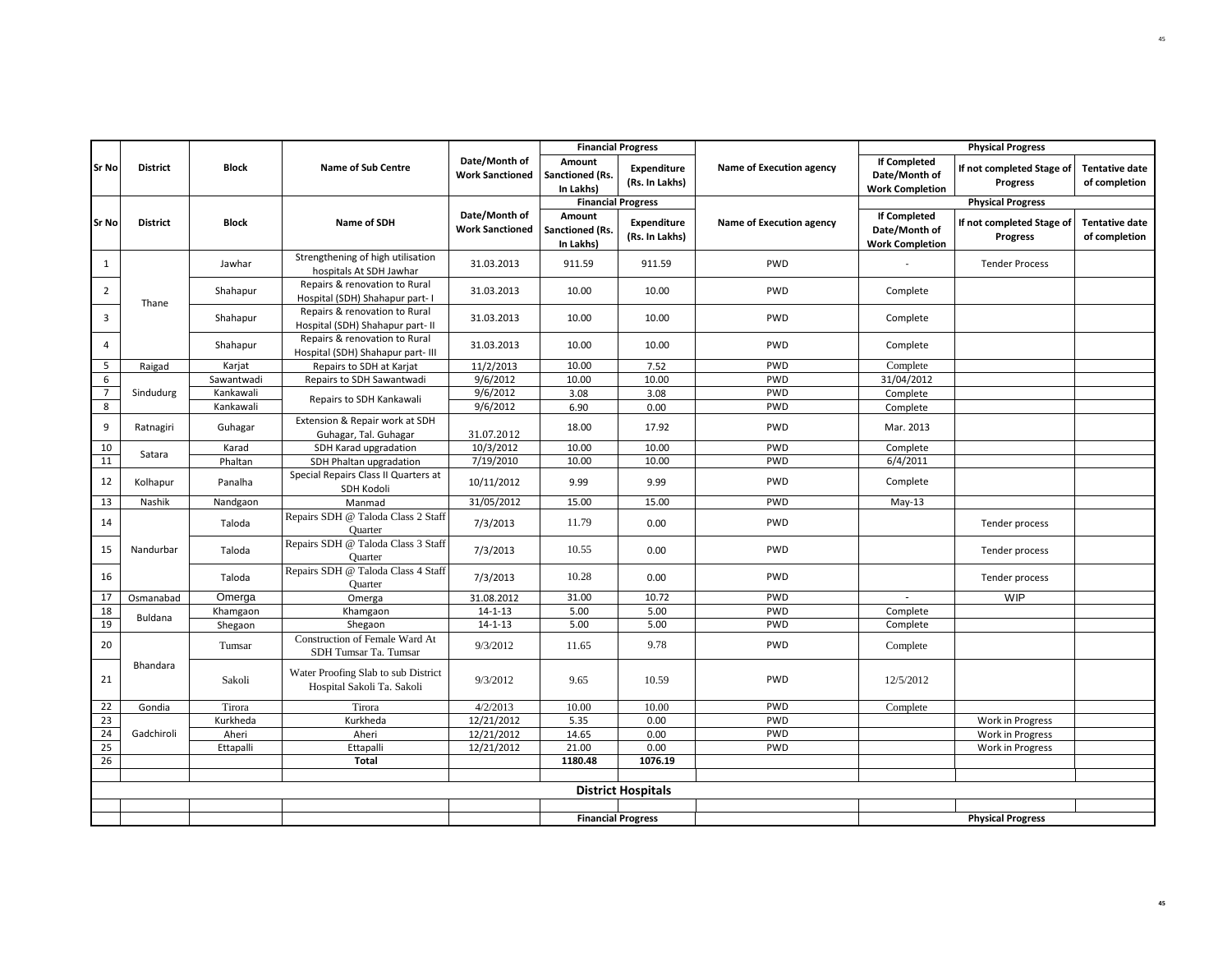| <b>Financial Progress</b> |                 |              |                                                                    |                                         |                                        |                                      |                          | <b>Physical Progress</b>                                       |                                              |                                        |
|---------------------------|-----------------|--------------|--------------------------------------------------------------------|-----------------------------------------|----------------------------------------|--------------------------------------|--------------------------|----------------------------------------------------------------|----------------------------------------------|----------------------------------------|
| Sr No                     | <b>District</b> | Block        | <b>Name of Sub Centre</b>                                          | Date/Month of<br><b>Work Sanctioned</b> | Amount<br>Sanctioned (Rs.<br>In Lakhs) | Expenditure<br>(Rs. In Lakhs)        | Name of Execution agency | <b>If Completed</b><br>Date/Month of<br><b>Work Completion</b> | If not completed Stage of<br><b>Progress</b> | <b>Tentative date</b><br>of completion |
|                           |                 |              |                                                                    |                                         |                                        | <b>Financial Progress</b>            |                          |                                                                | <b>Physical Progress</b>                     |                                        |
| Sr No                     | <b>District</b> | <b>Block</b> | Name of SDH                                                        | Date/Month of<br><b>Work Sanctioned</b> | Amount<br>Sanctioned (Rs.<br>In Lakhs) | <b>Expenditure</b><br>(Rs. In Lakhs) | Name of Execution agency | <b>If Completed</b><br>Date/Month of<br><b>Work Completion</b> | If not completed Stage of<br>Progress        | <b>Tentative date</b><br>of completion |
| 1                         |                 | Jawhar       | Strengthening of high utilisation<br>hospitals At SDH Jawhar       | 31.03.2013                              | 911.59                                 | 911.59                               | PWD                      |                                                                | <b>Tender Process</b>                        |                                        |
| $\overline{2}$            | Thane           | Shahapur     | Repairs & renovation to Rural<br>Hospital (SDH) Shahapur part-1    | 31.03.2013                              | 10.00                                  | 10.00                                | <b>PWD</b>               | Complete                                                       |                                              |                                        |
| 3                         |                 | Shahapur     | Repairs & renovation to Rural<br>Hospital (SDH) Shahapur part- II  | 31.03.2013                              | 10.00                                  | 10.00                                | PWD                      | Complete                                                       |                                              |                                        |
| 4                         |                 | Shahapur     | Repairs & renovation to Rural<br>Hospital (SDH) Shahapur part- III | 31.03.2013                              | 10.00                                  | 10.00                                | <b>PWD</b>               | Complete                                                       |                                              |                                        |
| 5                         | Raigad          | Karjat       | Repairs to SDH at Karjat                                           | 11/2/2013                               | 10.00                                  | 7.52                                 | <b>PWD</b>               | Complete                                                       |                                              |                                        |
| 6                         |                 | Sawantwadi   | Repairs to SDH Sawantwadi                                          | 9/6/2012                                | 10.00                                  | 10.00                                | <b>PWD</b>               | 31/04/2012                                                     |                                              |                                        |
| $\overline{7}$            | Sindudurg       | Kankawali    | Repairs to SDH Kankawali                                           | 9/6/2012                                | 3.08                                   | 3.08                                 | <b>PWD</b>               | Complete                                                       |                                              |                                        |
| 8                         |                 | Kankawali    |                                                                    | 9/6/2012                                | 6.90                                   | 0.00                                 | <b>PWD</b>               | Complete                                                       |                                              |                                        |
| 9                         | Ratnagiri       | Guhagar      | Extension & Repair work at SDH<br>Guhagar, Tal. Guhagar            | 31.07.2012                              | 18.00                                  | 17.92                                | <b>PWD</b>               | Mar. 2013                                                      |                                              |                                        |
| 10                        | Satara          | Karad        | SDH Karad upgradation                                              | 10/3/2012                               | 10.00                                  | 10.00                                | <b>PWD</b>               | Complete                                                       |                                              |                                        |
| 11                        |                 | Phaltan      | SDH Phaltan upgradation                                            | 7/19/2010                               | 10.00                                  | 10.00                                | <b>PWD</b>               | 6/4/2011                                                       |                                              |                                        |
| 12                        | Kolhapur        | Panalha      | Special Repairs Class II Quarters at<br>SDH Kodoli                 | 10/11/2012                              | 9.99                                   | 9.99                                 | <b>PWD</b>               | Complete                                                       |                                              |                                        |
| 13                        | Nashik          | Nandgaon     | Manmad                                                             | 31/05/2012                              | 15.00                                  | 15.00                                | <b>PWD</b>               | $May-13$                                                       |                                              |                                        |
| 14                        |                 | Taloda       | Repairs SDH @ Taloda Class 2 Staff<br><b>Quarter</b>               | 7/3/2013                                | 11.79                                  | 0.00                                 | <b>PWD</b>               |                                                                | Tender process                               |                                        |
| 15                        | Nandurbar       | Taloda       | Repairs SDH @ Taloda Class 3 Staff<br><b>Quarter</b>               | 7/3/2013                                | 10.55                                  | 0.00                                 | PWD                      |                                                                | Tender process                               |                                        |
| 16                        |                 | Taloda       | Repairs SDH @ Taloda Class 4 Staff<br><b>Quarter</b>               | 7/3/2013                                | 10.28                                  | 0.00                                 | PWD                      |                                                                | Tender process                               |                                        |
| 17                        | Osmanabad       | Omerga       | Omerga                                                             | 31.08.2012                              | 31.00                                  | 10.72                                | PWD                      |                                                                | WIP                                          |                                        |
| 18                        | Buldana         | Khamgaon     | Khamgaon                                                           | $14 - 1 - 13$                           | 5.00                                   | 5.00                                 | <b>PWD</b>               | Complete                                                       |                                              |                                        |
| 19                        |                 | Shegaon      | Shegaon                                                            | $14 - 1 - 13$                           | 5.00                                   | 5.00                                 | PWD                      | Complete                                                       |                                              |                                        |
| 20                        |                 | Tumsar       | Construction of Female Ward At<br>SDH Tumsar Ta. Tumsar            | 9/3/2012                                | 11.65                                  | 9.78                                 | PWD                      | Complete                                                       |                                              |                                        |
| 21                        | Bhandara        | Sakoli       | Water Proofing Slab to sub District<br>Hospital Sakoli Ta. Sakoli  | 9/3/2012                                | 9.65                                   | 10.59                                | <b>PWD</b>               | 12/5/2012                                                      |                                              |                                        |
| 22                        | Gondia          | Tirora       | Tirora                                                             | 4/2/2013                                | 10.00                                  | 10.00                                | <b>PWD</b>               | Complete                                                       |                                              |                                        |
| 23                        |                 | Kurkheda     | Kurkheda                                                           | 12/21/2012                              | 5.35                                   | 0.00                                 | <b>PWD</b>               |                                                                | Work in Progress                             |                                        |
| 24                        | Gadchiroli      | Aheri        | Aheri                                                              | 12/21/2012                              | 14.65                                  | 0.00                                 | <b>PWD</b>               |                                                                | Work in Progress                             |                                        |
| 25                        |                 | Ettapalli    | Ettapalli                                                          | 12/21/2012                              | 21.00                                  | 0.00                                 | <b>PWD</b>               |                                                                | Work in Progress                             |                                        |
| 26                        |                 |              | <b>Total</b>                                                       |                                         | 1180.48                                | 1076.19                              |                          |                                                                |                                              |                                        |
|                           |                 |              |                                                                    |                                         |                                        |                                      |                          |                                                                |                                              |                                        |
|                           |                 |              |                                                                    |                                         |                                        | <b>District Hospitals</b>            |                          |                                                                |                                              |                                        |
|                           |                 |              |                                                                    |                                         |                                        |                                      |                          |                                                                |                                              |                                        |
| <b>Financial Progress</b> |                 |              |                                                                    |                                         |                                        |                                      |                          | <b>Physical Progress</b>                                       |                                              |                                        |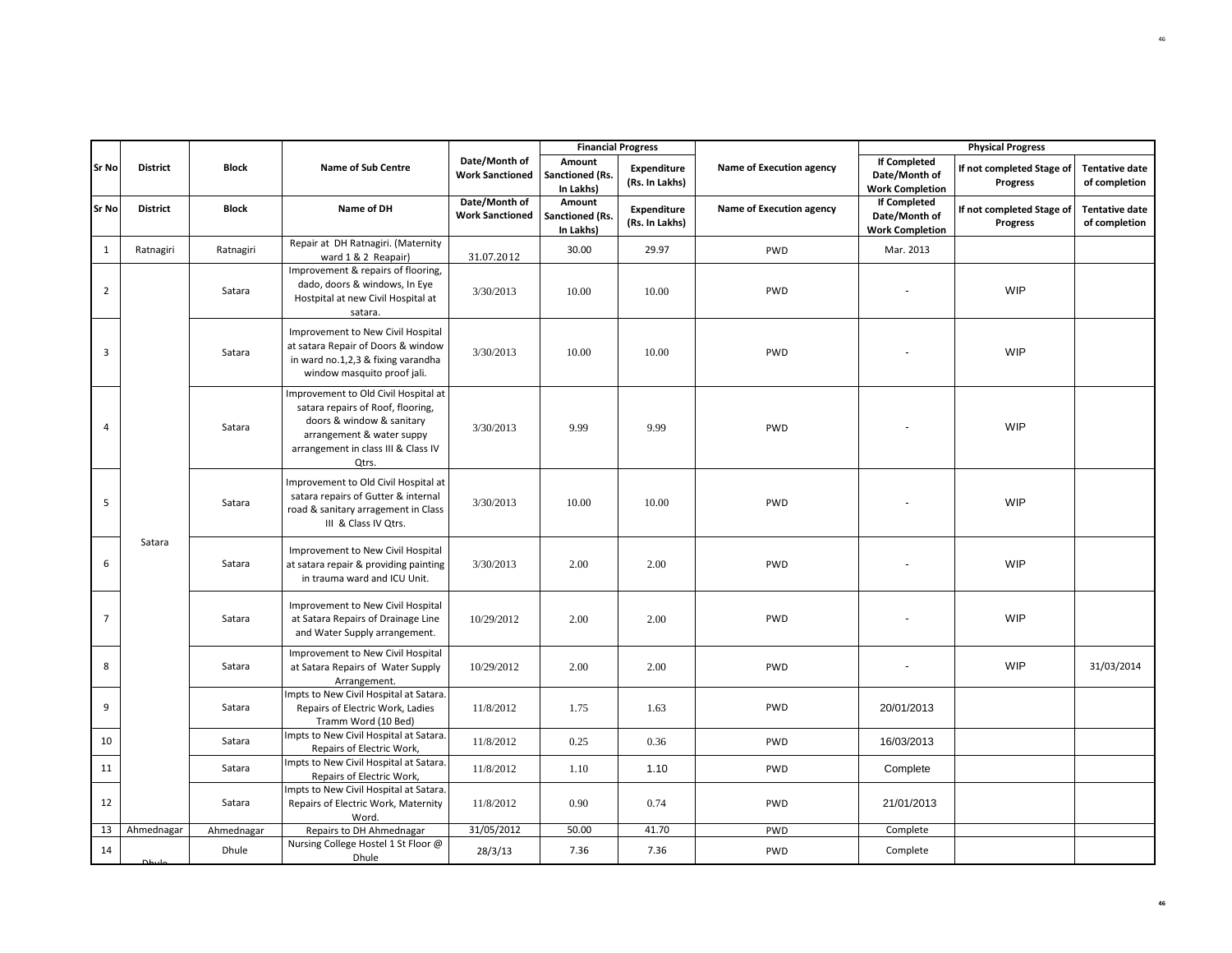|                |                 |              |                                                                                                                                                                                     |                                         |                                               | <b>Financial Progress</b>            |                          |                                                                | <b>Physical Progress</b>                     |                                        |
|----------------|-----------------|--------------|-------------------------------------------------------------------------------------------------------------------------------------------------------------------------------------|-----------------------------------------|-----------------------------------------------|--------------------------------------|--------------------------|----------------------------------------------------------------|----------------------------------------------|----------------------------------------|
| Sr No          | <b>District</b> | <b>Block</b> | <b>Name of Sub Centre</b>                                                                                                                                                           | Date/Month of<br><b>Work Sanctioned</b> | Amount<br><b>Sanctioned (Rs.</b><br>In Lakhs) | <b>Expenditure</b><br>(Rs. In Lakhs) | Name of Execution agency | <b>If Completed</b><br>Date/Month of<br><b>Work Completion</b> | If not completed Stage of<br><b>Progress</b> | <b>Tentative date</b><br>of completion |
| <b>Sr No</b>   | <b>District</b> | <b>Block</b> | Name of DH                                                                                                                                                                          | Date/Month of<br><b>Work Sanctioned</b> | Amount<br>Sanctioned (Rs.<br>In Lakhs)        | Expenditure<br>(Rs. In Lakhs)        | Name of Execution agency | <b>If Completed</b><br>Date/Month of<br><b>Work Completion</b> | If not completed Stage of<br><b>Progress</b> | <b>Tentative date</b><br>of completion |
| $\mathbf{1}$   | Ratnagiri       | Ratnagiri    | Repair at DH Ratnagiri. (Maternity<br>ward 1 & 2 Reapair)                                                                                                                           | 31.07.2012                              | 30.00                                         | 29.97                                | PWD                      | Mar. 2013                                                      |                                              |                                        |
| $\overline{2}$ |                 | Satara       | Improvement & repairs of flooring,<br>dado, doors & windows, In Eye<br>Hostpital at new Civil Hospital at<br>satara.                                                                | 3/30/2013                               | 10.00                                         | 10.00                                | PWD                      |                                                                | <b>WIP</b>                                   |                                        |
| 3              |                 | Satara       | Improvement to New Civil Hospital<br>at satara Repair of Doors & window<br>in ward no.1,2,3 & fixing varandha<br>window masquito proof jali.                                        | 3/30/2013                               | 10.00                                         | 10.00                                | PWD                      |                                                                | <b>WIP</b>                                   |                                        |
| 4              |                 | Satara       | Improvement to Old Civil Hospital at<br>satara repairs of Roof, flooring,<br>doors & window & sanitary<br>arrangement & water suppy<br>arrangement in class III & Class IV<br>Qtrs. | 3/30/2013                               | 9.99                                          | 9.99                                 | PWD                      |                                                                | WIP                                          |                                        |
| 5              |                 | Satara       | Improvement to Old Civil Hospital at<br>satara repairs of Gutter & internal<br>road & sanitary arragement in Class<br>III & Class IV Qtrs.                                          | 3/30/2013                               | 10.00                                         | 10.00                                | PWD                      |                                                                | <b>WIP</b>                                   |                                        |
| 6              | Satara          | Satara       | Improvement to New Civil Hospital<br>at satara repair & providing painting<br>in trauma ward and ICU Unit.                                                                          | 3/30/2013                               | 2.00                                          | 2.00                                 | PWD                      |                                                                | <b>WIP</b>                                   |                                        |
| $\overline{7}$ |                 | Satara       | Improvement to New Civil Hospital<br>at Satara Repairs of Drainage Line<br>and Water Supply arrangement.                                                                            | 10/29/2012                              | 2.00                                          | 2.00                                 | PWD                      |                                                                | WIP                                          |                                        |
| 8              |                 | Satara       | Improvement to New Civil Hospital<br>at Satara Repairs of Water Supply<br>Arrangement.                                                                                              | 10/29/2012                              | 2.00                                          | 2.00                                 | PWD                      |                                                                | WIP                                          | 31/03/2014                             |
| 9              |                 | Satara       | Impts to New Civil Hospital at Satara.<br>Repairs of Electric Work, Ladies<br>Tramm Word (10 Bed)                                                                                   | 11/8/2012                               | 1.75                                          | 1.63                                 | PWD                      | 20/01/2013                                                     |                                              |                                        |
| 10             |                 | Satara       | Impts to New Civil Hospital at Satara.<br>Repairs of Electric Work,                                                                                                                 | 11/8/2012                               | 0.25                                          | 0.36                                 | PWD                      | 16/03/2013                                                     |                                              |                                        |
| 11             |                 | Satara       | Impts to New Civil Hospital at Satara.<br>Repairs of Electric Work,                                                                                                                 | 11/8/2012                               | 1.10                                          | 1.10                                 | PWD                      | Complete                                                       |                                              |                                        |
| 12             |                 | Satara       | Impts to New Civil Hospital at Satara.<br>Repairs of Electric Work, Maternity<br>Word.                                                                                              | 11/8/2012                               | 0.90                                          | 0.74                                 | PWD                      | 21/01/2013                                                     |                                              |                                        |
| 13             | Ahmednagar      | Ahmednagar   | Repairs to DH Ahmednagar                                                                                                                                                            | 31/05/2012                              | 50.00                                         | 41.70                                | PWD                      | Complete                                                       |                                              |                                        |
| 14             |                 | Dhule        | Nursing College Hostel 1 St Floor @<br>Dhule                                                                                                                                        | 28/3/13                                 | 7.36                                          | 7.36                                 | PWD                      | Complete                                                       |                                              |                                        |